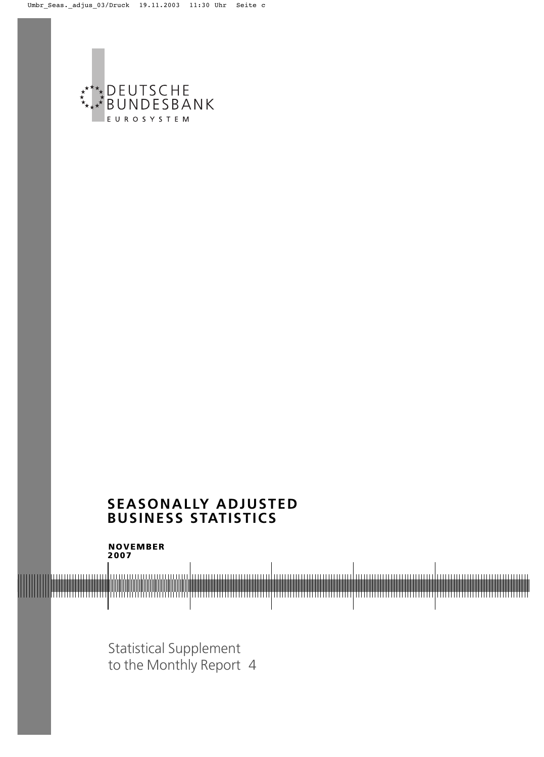

# **SEASONALLY ADJUSTED BUSINESS STATISTICS**

**200**7 **NOVEMBER**

Statistical Supplement to the Monthly Report 4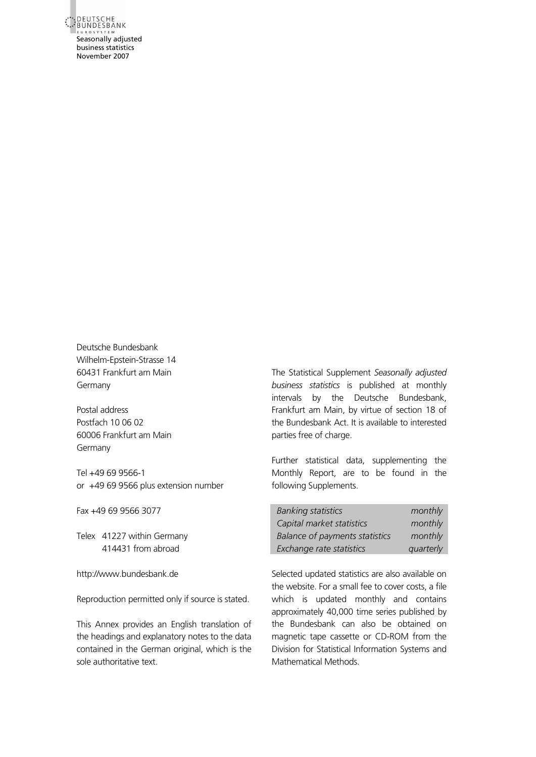\*\* DEUTSCHE<br>\*\* BUNDESBANK Seasonally adjusted business statistics November 2007

Deutsche Bundesbank Wilhelm-Epstein-Strasse 14 60431 Frankfurt am Main Germany

Postal address Postfach 10 06 02 60006 Frankfurt am Main Germany

Tel +49 69 9566-1 or +49 69 9566 plus extension number

Fax +49 69 9566 3077

Telex 41227 within Germany 414431 from abroad

http://www.bundesbank.de

Reproduction permitted only if source is stated.

This Annex provides an English translation of the headings and explanatory notes to the data contained in the German original, which is the sole authoritative text.

The Statistical Supplement *Seasonally adjusted business statistics* is published at monthly intervals by the Deutsche Bundesbank, Frankfurt am Main, by virtue of section 18 of the Bundesbank Act. It is available to interested parties free of charge.

Further statistical data, supplementing the Monthly Report, are to be found in the following Supplements.

| <b>Banking statistics</b>             | monthly   |
|---------------------------------------|-----------|
| Capital market statistics             | monthly   |
| <b>Balance of payments statistics</b> | monthly   |
| Exchange rate statistics              | quarterly |

Selected updated statistics are also available on the website. For a small fee to cover costs, a file which is updated monthly and contains approximately 40,000 time series published by the Bundesbank can also be obtained on magnetic tape cassette or CD-ROM from the Division for Statistical Information Systems and Mathematical Methods.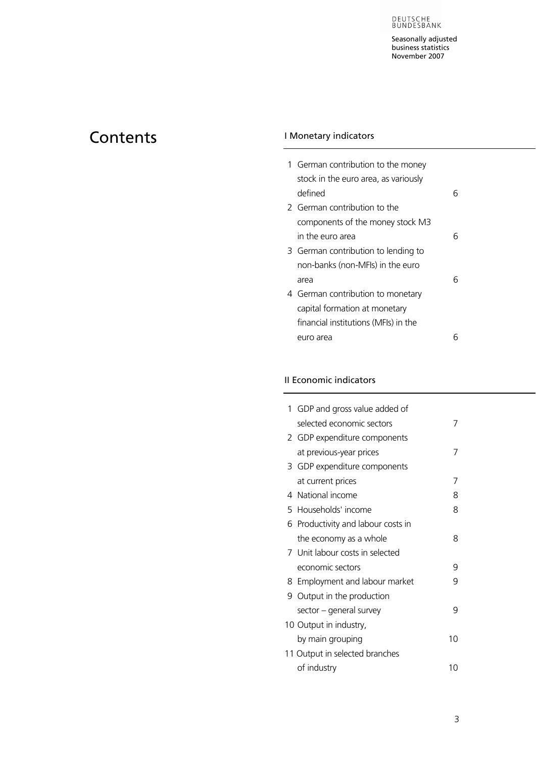Seasonally adjusted business statistics November 2007

# <span id="page-2-0"></span>Contents **IMonetary indicators**

| 1 German contribution to the money   |   |
|--------------------------------------|---|
| stock in the euro area, as variously |   |
| defined                              | 6 |
| 2 German contribution to the         |   |
| components of the money stock M3     |   |
| in the euro area                     | 6 |
| 3 German contribution to lending to  |   |
| non-banks (non-MFIs) in the euro     |   |
| area                                 |   |
| 4 German contribution to monetary    |   |
| capital formation at monetary        |   |
| financial institutions (MFIs) in the |   |
| euro area                            |   |

# II Economic indicators

| 1 GDP and gross value added of     |    |
|------------------------------------|----|
| selected economic sectors          |    |
| 2 GDP expenditure components       |    |
| at previous-year prices            |    |
| 3 GDP expenditure components       |    |
| at current prices                  | 7  |
| 4 National income                  | 8  |
| 5 Households' income               | 8  |
| 6 Productivity and labour costs in |    |
| the economy as a whole             | 8  |
| 7 Unit labour costs in selected    |    |
| economic sectors                   | 9  |
| 8 Employment and labour market     | 9  |
| 9 Output in the production         |    |
| sector – general survey            | 9  |
| 10 Output in industry,             |    |
| by main grouping                   | 10 |
| 11 Output in selected branches     |    |
| of industry                        | 1ດ |
|                                    |    |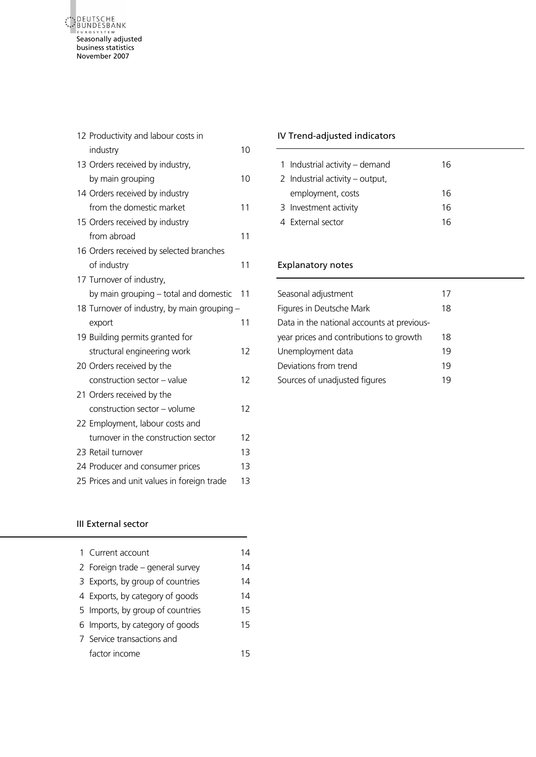<span id="page-3-0"></span>

| 12 Productivity and labour costs in         |    |
|---------------------------------------------|----|
| industry                                    | 10 |
| 13 Orders received by industry,             |    |
| by main grouping                            | 10 |
| 14 Orders received by industry              |    |
| from the domestic market                    | 11 |
| 15 Orders received by industry              |    |
| from abroad                                 | 11 |
| 16 Orders received by selected branches     |    |
| of industry                                 | 11 |
| 17 Turnover of industry,                    |    |
| by main grouping - total and domestic       | 11 |
| 18 Turnover of industry, by main grouping - |    |
| export                                      | 11 |
| 19 Building permits granted for             |    |
| structural engineering work                 | 12 |
| 20 Orders received by the                   |    |
| construction sector - value                 | 12 |
| 21 Orders received by the                   |    |
| construction sector - volume                | 12 |
| 22 Employment, labour costs and             |    |
| turnover in the construction sector         | 12 |
| 23 Retail turnover                          | 13 |
| 24 Producer and consumer prices             | 13 |
| 25 Prices and unit values in foreign trade  | 13 |
|                                             |    |

# IV Trend-adjusted indicators

| 1 Industrial activity – demand  | 16 |
|---------------------------------|----|
| 2 Industrial activity – output, |    |
| employment, costs               | 16 |
| 3 Investment activity           | 16 |
| 4 External sector               | 16 |

# Explanatory notes

| Seasonal adjustment                        |    |
|--------------------------------------------|----|
| <b>Figures in Deutsche Mark</b>            | 18 |
| Data in the national accounts at previous- |    |
| year prices and contributions to growth    | 18 |
| Unemployment data                          | 19 |
| Deviations from trend                      | 19 |
| Sources of unadjusted figures              | 19 |

# III External sector

| 1 Current account                | 14  |
|----------------------------------|-----|
| 2 Foreign trade - general survey | 14  |
| 3 Exports, by group of countries | 14  |
| 4 Exports, by category of goods  | 14  |
| 5 Imports, by group of countries | 15  |
| 6 Imports, by category of goods  | 15  |
| 7 Service transactions and       |     |
| factor income                    | 1 5 |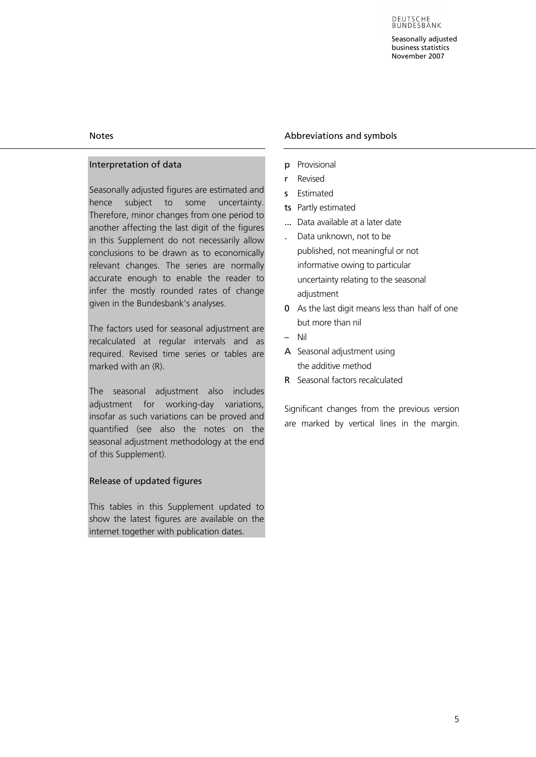# Notes

# Interpretation of data

Seasonally adjusted figures are estimated and hence subject to some uncertainty. Therefore, minor changes from one period to another affecting the last digit of the figures in this Supplement do not necessarily allow conclusions to be drawn as to economically relevant changes. The series are normally accurate enough to enable the reader to infer the mostly rounded rates of change given in the Bundesbank's analyses.

The factors used for seasonal adjustment are recalculated at regular intervals and as required. Revised time series or tables are marked with an (R).

The seasonal adjustment also includes adjustment for working-day variations, insofar as such variations can be proved and quantified (see also the notes on the seasonal adjustment methodology at the end of this Supplement).

# Release of updated figures

This tables in this Supplement updated to show the latest figures are available on the internet together with publication dates.

# Abbreviations and symbols

- p Provisional
- r Revised
- s Estimated
- ts Partly estimated
- ... Data available at a later date
- . Data unknown, not to be published, not meaningful or not informative owing to particular uncertainty relating to the seasonal adjustment
- 0 As the last digit means less than half of one but more than nil
- Nil
- A Seasonal adjustment using the additive method
- R Seasonal factors recalculated

Significant changes from the previous version are marked by vertical lines in the margin.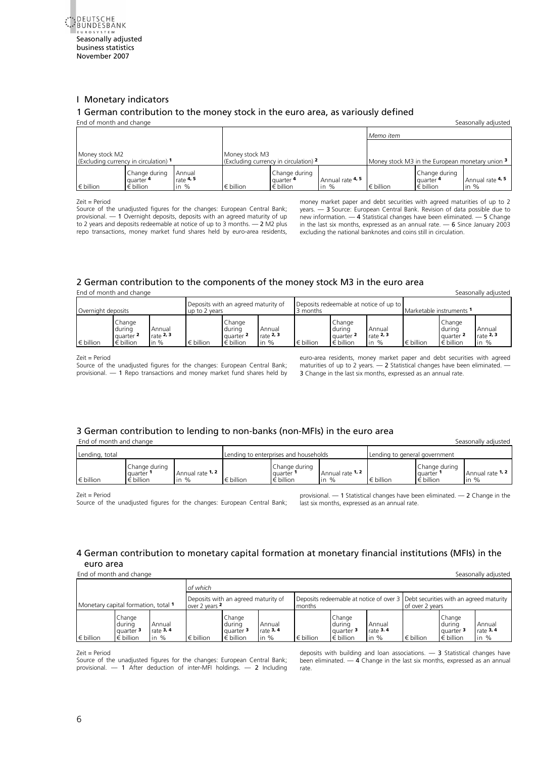<span id="page-5-1"></span><span id="page-5-0"></span>

### [I](#page-2-0) Monetary indicators

### [1 German contribution to the money stock in the euro area, as variously defined](#page-19-0)

| End of month and change                                                                                |  |  |                    |                                                  |                            |                                                 |                                                  | Seasonally adjusted               |  |
|--------------------------------------------------------------------------------------------------------|--|--|--------------------|--------------------------------------------------|----------------------------|-------------------------------------------------|--------------------------------------------------|-----------------------------------|--|
|                                                                                                        |  |  |                    |                                                  |                            | Memo item                                       |                                                  |                                   |  |
| Money stock M2<br>(Excluding currency in circulation) 1                                                |  |  | Money stock M3     | (Excluding currency in circulation) 2            |                            | Money stock M3 in the European monetary union 3 |                                                  |                                   |  |
| Change during<br>Annual<br>rate $4.5$<br>quarter 4<br>$\epsilon$ billion<br>$\epsilon$ billion<br>in % |  |  | $\epsilon$ billion | Change during<br>quarter 4<br>$\epsilon$ billion | Annual rate 4, 5<br>in $%$ | $\epsilon$ billion                              | Change during<br>quarter 4<br>$\epsilon$ billion | <b>Annual rate 4, 5</b><br>in $%$ |  |

Zeit = Period

Source of the unadjusted figures for the changes: European Central Bank; provisional. — 1 Overnight deposits, deposits with an agreed maturity of up to 2 years and deposits redeemable at notice of up to 3 months. — 2 M2 plus repo transactions, money market fund shares held by euro-area residents,

money market paper and debt securities with agreed maturities of up to 2 years. — 3 Source: European Central Bank. Revision of data possible due to new information. — 4 Statistical changes have been eliminated. — 5 Change in the last six months, expressed as an annual rate.  $-6$  Since January 2003 excluding the national banknotes and coins still in circulation.

# [2 German contribution to the components of the money stock M3 in the euro area](#page-20-0)

End of month and change Seasonally adjusted Seasonally adjusted Seasonally adjusted

| Overnight deposits |                                                     |                                 | Deposits with an agreed maturity of<br>up to 2 years |                                                     |                                           | 3 months           | Deposits redeemable at notice of up to<br>Marketable instruments 1 |                                 |                    |                                                                |                                   |
|--------------------|-----------------------------------------------------|---------------------------------|------------------------------------------------------|-----------------------------------------------------|-------------------------------------------|--------------------|--------------------------------------------------------------------|---------------------------------|--------------------|----------------------------------------------------------------|-----------------------------------|
| $\epsilon$ billion | Change<br>durina<br>quarter 2<br>$\epsilon$ billion | Annual<br>rate $2, 3$<br>in $%$ | $\epsilon$ billion                                   | Change<br>during<br>quarter 2<br>$\epsilon$ billion | Annual<br>rate $2, 3$<br>$\mathsf{in} \%$ | $\epsilon$ billion | Change<br>during<br>quarter 2<br>$\epsilon$ billion                | Annual<br>rate $2, 3$<br>in $%$ | $\epsilon$ billion | Change<br>during<br>quarter <sup>2</sup><br>$\epsilon$ billion | Annual<br>rate $2, 3$<br>$\ln \%$ |

Zeit = Period

Source of the unadjusted figures for the changes: European Central Bank; provisional. — 1 Repo transactions and money market fund shares held by euro-area residents, money market paper and debt securities with agreed maturities of up to 2 years.  $-$  2 Statistical changes have been eliminated.  $\overline{\phantom{a}}$ 3 Change in the last six months, expressed as an annual rate.

# 3 German contribution to lending to non-banks (non-MFIs) in the euro area

End of month and change Seasonally adjusted Seasonally adjusted

| Lending, total     |                                                |                                            |                | Lending to enterprises and households               |                                           | Lending to general government |                                                |                            |  |
|--------------------|------------------------------------------------|--------------------------------------------|----------------|-----------------------------------------------------|-------------------------------------------|-------------------------------|------------------------------------------------|----------------------------|--|
| $\epsilon$ billion | Change during<br>quarter<br>$\epsilon$ billion | Annual rate 1, 2<br>$\%$<br>$\overline{m}$ | <b>billion</b> | Change during<br>auarter 1<br>$\varepsilon$ billion | Annual rate 1, 2<br>$\%$<br>$\mathsf{In}$ | € billion                     | Change during<br>quarter<br>$\epsilon$ billion | Annual rate 1, 2<br>in $%$ |  |

Zeit = Period

Source of the unadjusted figures for the changes: European Central Bank:

provisional. — 1 Statistical changes have been eliminated. — 2 Change in the last six months, expressed as an annual rate.

# 4 German contribution to monetary capital formation at monetary financial institutions (MFIs) in the euro area

End of month and change Seasonally adjusted

|                                     |                                                                                                   |                                                       | of which           |                                                                |                                                                                           |                    |                                                                |                                |                    |                                                                |                                 |
|-------------------------------------|---------------------------------------------------------------------------------------------------|-------------------------------------------------------|--------------------|----------------------------------------------------------------|-------------------------------------------------------------------------------------------|--------------------|----------------------------------------------------------------|--------------------------------|--------------------|----------------------------------------------------------------|---------------------------------|
| Monetary capital formation, total 1 |                                                                                                   | Deposits with an agreed maturity of<br>over 2 years 2 |                    |                                                                | Deposits redeemable at notice of over 3 Debt securities with an agreed maturity<br>months |                    |                                                                | of over 2 years                |                    |                                                                |                                 |
| $\epsilon$ billion                  | Change<br>Annual<br>during<br>rate $3, 4$<br>quarter <sup>3</sup><br>$\epsilon$ billion<br>in $%$ |                                                       | $\epsilon$ billion | Change<br>during<br>quarter <sup>3</sup><br>$\epsilon$ billion | Annual<br>rate $3, 4$<br>in $%$                                                           | $\epsilon$ billion | Change<br>durina<br>quarter <sup>3</sup><br>$\epsilon$ billion | Annual<br>rate $3.4$<br>in $%$ | $\epsilon$ billion | Change<br>during<br>quarter <sup>3</sup><br>$\epsilon$ billion | Annual<br>rate $3, 4$<br>in $%$ |

Zeit = Period

[Source of the unadjusted figures for the changes: European Central Bank;](#page-22-0)  provisional. — 1 After deduction of inter-MFI holdings. — 2 Including deposits with building and loan associations. — 3 Statistical changes have been eliminated. — 4 Change in the last six months, expressed as an annual rate.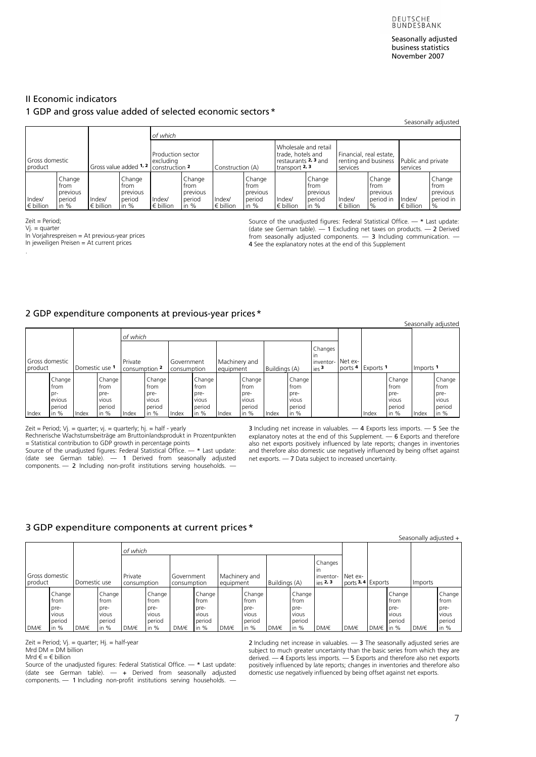### <span id="page-6-1"></span><span id="page-6-0"></span>II Economic indicators

## 1 GDP and gross value added of selected economic sectors \*

|                                                                                |  |                                         |                                                |                                |                                              |                              |                                                |                                                                                       |                                                |                                                             |                                                 |                                | Seasonally adjusted                             |
|--------------------------------------------------------------------------------|--|-----------------------------------------|------------------------------------------------|--------------------------------|----------------------------------------------|------------------------------|------------------------------------------------|---------------------------------------------------------------------------------------|------------------------------------------------|-------------------------------------------------------------|-------------------------------------------------|--------------------------------|-------------------------------------------------|
|                                                                                |  |                                         |                                                | of which                       |                                              |                              |                                                |                                                                                       |                                                |                                                             |                                                 |                                |                                                 |
| Gross domestic<br>product                                                      |  | Gross value added 1, 2   construction 2 |                                                | Production sector<br>excludina |                                              | Construction (A)             |                                                | Wholesale and retail<br>trade, hotels and<br>restaurants 2, 3 and<br>transport $2, 3$ |                                                | Financial, real estate,<br>renting and business<br>services |                                                 | Public and private<br>services |                                                 |
| Change<br>trom<br>previous<br>Index/<br>period<br>$\epsilon$ billion<br>in $%$ |  | Index/<br>$\epsilon$ billion            | Change<br>trom<br>previous<br>period<br>in $%$ | Index/<br>$\epsilon$ billion   | Change<br>trom<br>previous<br>period<br>in % | Index/<br>$\epsilon$ billion | Change<br>trom<br>previous<br>period<br>in $%$ | Index/<br>$\epsilon$ billion                                                          | Change<br>trom<br>previous<br>period<br>in $%$ | Index/<br>$\epsilon$ billion                                | Change<br>from<br>previous<br>period in<br>$\%$ | Index/<br>$\epsilon$ billion   | Change<br>from<br>previous<br>period in<br>$\%$ |

Zeit = Period;

Vj. = quarter

.

In Vorjahrespreisen = At previous-year prices

In jeweiligen Preisen = At current prices

Source of the unadjusted figures: Federal Statistical Office. — \* Last update: (date see German table).  $-1$  Excluding net taxes on products.  $-2$  Derived from seasonally adjusted components.  $-$  3 Including communication.  $-$ 4 See the explanatory notes at the end of this Supplement

### [2 GDP expenditure components at previous-year prices\\*](#page-24-0)

|                           |                                                     |              |                                                     |                          |                                                     |                           |                                                     |                            |                                                     |               |                                                     |                                                          |                               |                      |                                                     |                      | Seasonally adjusted                                 |
|---------------------------|-----------------------------------------------------|--------------|-----------------------------------------------------|--------------------------|-----------------------------------------------------|---------------------------|-----------------------------------------------------|----------------------------|-----------------------------------------------------|---------------|-----------------------------------------------------|----------------------------------------------------------|-------------------------------|----------------------|-----------------------------------------------------|----------------------|-----------------------------------------------------|
|                           |                                                     |              |                                                     | of which                 |                                                     |                           |                                                     |                            |                                                     |               |                                                     |                                                          |                               |                      |                                                     |                      |                                                     |
| Gross domestic<br>product |                                                     | Domestic use |                                                     | Private<br>consumption 2 |                                                     | Government<br>consumption |                                                     | Machinery and<br>equipment |                                                     | Buildings (A) |                                                     | Changes<br>$\mathsf{I}$<br>inventor-<br>ies <sup>3</sup> | Net ex-<br>ports <sup>4</sup> | Exports <sup>1</sup> |                                                     | Imports <sup>1</sup> |                                                     |
| Index                     | Change<br>from<br>pr-<br>evious<br>period<br>in $%$ | Index        | Change<br>trom<br>pre-<br>vious<br>period<br>in $%$ | Index                    | Change<br>from<br>pre-<br>vious<br>period<br>in $%$ | Index                     | Change<br>from<br>pre-<br>vious<br>period<br>in $%$ | Index                      | Change<br>from<br>pre-<br>vious<br>period<br>in $%$ | Index         | Change<br>from<br>pre-<br>vious<br>period<br>in $%$ |                                                          |                               | Index                | Change<br>from<br>pre-<br>vious<br>period<br>in $%$ | Index                | Change<br>from<br>pre-<br>vious<br>period<br>in $%$ |

Zeit = Period;  $Vj.$  = quarter;  $vi.$  = quarterly;  $hj.$  = half - yearly

Rechnerische Wachstumsbeiträge am Bruttoinlandsprodukt in Prozentpunkten = Statistical contribution to GDP growth in percentage points Source of the unadjusted figures: Federal Statistical Office.  $-$  \* Last update:

(date see German table). — 1 Derived from seasonally adjusted components. — 2 Including non-profit institutions serving households. —

3 Including net increase in valuables. — 4 Exports less imports. — 5 See the explanatory notes at the end of this Supplement. — 6 Exports and therefore also net exports positively influenced by late reports; changes in inventories and therefore also domestic use negatively influenced by being offset against net exports. — 7 Data subject to increased uncertainty.

## [3 GDP expenditure components at current prices\\*](#page-25-0)

|                                           |                                           |                        |                                           |                           |                                           |                            |                                           |               |                                           |                                                  |                                           |      |      |                |                                           | Seasonally adjusted + |                                           |
|-------------------------------------------|-------------------------------------------|------------------------|-------------------------------------------|---------------------------|-------------------------------------------|----------------------------|-------------------------------------------|---------------|-------------------------------------------|--------------------------------------------------|-------------------------------------------|------|------|----------------|-------------------------------------------|-----------------------|-------------------------------------------|
|                                           |                                           |                        |                                           | of which                  |                                           |                            |                                           |               |                                           |                                                  |                                           |      |      |                |                                           |                       |                                           |
| Gross domestic<br>Domestic use<br>product |                                           | Private<br>consumption |                                           | Government<br>consumption |                                           | Machinery and<br>equipment |                                           | Buildings (A) |                                           | Changes<br><i>in</i><br>inventor-<br>$i$ es 2, 3 | Net ex-<br>ports <sup>3,4</sup> Exports   |      |      | Imports        |                                           |                       |                                           |
|                                           | Change<br>trom<br>pre-<br>vious<br>period |                        | Change<br>from<br>pre-<br>vious<br>period |                           | Change<br>from<br>pre-<br>vious<br>period |                            | Change<br>from<br>pre-<br>vious<br>period |               | Change<br>trom<br>pre-<br>vious<br>period |                                                  | Change<br>from<br>pre-<br>vious<br>period |      |      |                | Change<br>from<br>pre-<br>vious<br>period |                       | Change<br>from<br>pre-<br>vious<br>period |
| DM/€                                      | in $%$                                    | DM/€                   | in $%$                                    | DM/€                      | in $%$                                    | DM/€                       | in $%$                                    | DM/€          | in $%$                                    | DM/€                                             | in $%$                                    | DM/€ | DM/€ | DM/ $\in$ in % |                                           | DM/€                  | in $%$                                    |

Zeit = Period; Vj. = quarter; Hj. = half-year Mrd DM = DM billion

Mrd  $\epsilon = \epsilon$  billion

Source of the unadjusted figures: Federal Statistical Office. — \* Last update: (date see German table). — + Derived from seasonally adjusted components. — 1 Including non-profit institutions serving households. — 2 Including net increase in valuables. - 3 The seasonally adjusted series are subject to much greater uncertainty than the basic series from which they are derived.  $-4$  Exports less imports.  $-5$  Exports and therefore also net exports positively influenced by late reports; changes in inventories and therefore also domestic use negatively influenced by being offset against net exports.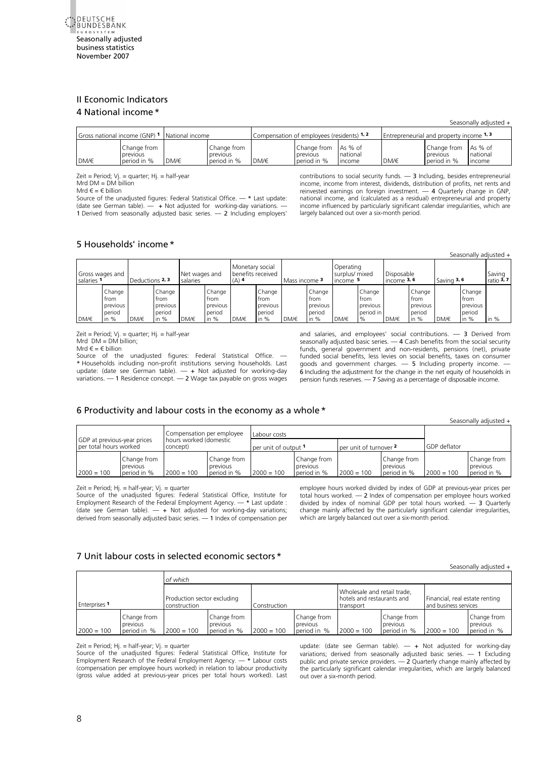<span id="page-7-2"></span><span id="page-7-1"></span><span id="page-7-0"></span>

# II Economic Indicators 4 National income \*

#### Seasonally adjusted +

| Gross national income (GNP) 1 |                                        | National income |                                        | Compensation of employees (residents) 1, 2 |                                        |                               | <b>Entrepreneurial and property income 1, 3</b> |                                                |                    |
|-------------------------------|----------------------------------------|-----------------|----------------------------------------|--------------------------------------------|----------------------------------------|-------------------------------|-------------------------------------------------|------------------------------------------------|--------------------|
| DM/€                          | Change from<br>previous<br>period in % | DM/€            | Change from<br>previous<br>period in % | DM/€                                       | Change from<br>previous<br>period in % | As % of<br>national<br>Income | DM/€                                            | Change from As % of<br>previous<br>period in % | national<br>Income |

Zeit = Period; Vj. = quarter; Hj. = half-year

Mrd  $DM = DM$  billion

Mrd  $\epsilon = \epsilon$  billion

Source of the unadjusted figures: Federal Statistical Office.  $-$  \* Last update: (date see German table). — + Not adjusted for working-day variations. — 1 Derived from seasonally adjusted basic series. — 2 Including employers' contributions to social security funds. — 3 Including, besides entrepreneurial [income, income from interest, dividends, distribution of profits, net rents a](#page-26-0)nd reinvested earnings on foreign investment. — 4 Quarterly change in GNP, national income, and (calculated as a residual) entrepreneurial and property income influenced by particularly significant calendar irregularities, which are largely balanced out over a six-month period.

# 5 Households' income \*

|                               |                                                |                 |                                                |                           |                                                |                                                 |                                              |               |                                                |                                         |                                                 |                             |                                                |               |                                                | Seasonally adjusted +  |
|-------------------------------|------------------------------------------------|-----------------|------------------------------------------------|---------------------------|------------------------------------------------|-------------------------------------------------|----------------------------------------------|---------------|------------------------------------------------|-----------------------------------------|-------------------------------------------------|-----------------------------|------------------------------------------------|---------------|------------------------------------------------|------------------------|
| Gross wages and<br>salaries 1 |                                                | Deductions 2, 3 |                                                | Net wages and<br>salaries |                                                | Monetary social<br>benefits received<br>$(A)$ 4 |                                              | Mass income 3 |                                                | Operating<br>surplus/ mixed<br>income 5 |                                                 | Disposable<br>income $3, 6$ |                                                | Saving $3, 6$ |                                                | Saving<br>ratio $3, 7$ |
| DM/€                          | Change<br>trom<br>previous<br>period<br>in $%$ | DM/€            | Change<br>trom<br>previous<br>period<br>in $%$ | DM/€                      | Change<br>trom<br>previous<br>period<br>in $%$ | DM/€                                            | Change<br>from<br>previous<br>period<br>in % | DM/€          | Change<br>trom<br>previous<br>period<br>in $%$ | DM/€                                    | Change<br>trom<br>previous<br>period in<br>$\%$ | DM/€                        | Change<br>from<br>previous<br>period<br>in $%$ | DM/€          | Change<br>trom<br>previous<br>period<br>in $%$ | in $%$                 |

Zeit = Period; Vj. = quarter; Hj. = half-year  $Mrd$   $DM = DM$  billion; Mrd  $\epsilon = \epsilon$  billion

Source of the unadjusted figures: Federal Statistical Office. -\* Households including non-profit institutions serving households. Last update: (date see German table). — + Not adjusted for working-day variations. — 1 Residence concept. — 2 Wage tax payable on gross wages

and salaries, and employees' social contributions. — 3 Derived from seasonally adjusted basic series. — 4 Cash benefits from the social security [funds, general government and non-residents, pensions \(net\), private](#page-27-0)  funded social benefits, less levies on social benefits, taxes on consumer goods and government charges.  $-5$  Including property income. 6 Including the adjustment for the change in the net equity of households in pension funds reserves. — 7 Saving as a percentage of disposable income.

### [6 Productivity and labour costs in the economy as a whole\\*](#page-28-0)

|                                                       |                                                     |              |                                        |                      |                                        |                        |                                        |              | Seasonally adjusted +                  |
|-------------------------------------------------------|-----------------------------------------------------|--------------|----------------------------------------|----------------------|----------------------------------------|------------------------|----------------------------------------|--------------|----------------------------------------|
|                                                       | Compensation per employee<br>hours worked (domestic |              |                                        |                      |                                        |                        |                                        |              |                                        |
| GDP at previous-year prices<br>per total hours worked |                                                     | concept)     |                                        | per unit of output 1 |                                        | per unit of turnover 2 |                                        | GDP deflator |                                        |
| $2000 = 100$                                          | Change from<br>previous<br>period in %              | $2000 = 100$ | Change from<br>previous<br>period in % | $2000 = 100$         | Change from<br>previous<br>period in % | $2000 = 100$           | Change from<br>previous<br>period in % | $2000 = 100$ | Change from<br>previous<br>period in % |

Zeit = Period; Hj. = half-year; Vj. = quarter

Source of the unadjusted figures: Federal Statistical Office, Institute for Employment Research of the Federal Employment Agency. — \* Last update : (date see German table).  $-$  + Not adjusted for working-day variations; derived from seasonally adjusted basic series. — 1 Index of compensation per employee hours worked divided by index of GDP at previous-year prices per total hours worked. — 2 Index of compensation per employee hours worked divided by index of nominal GDP per total hours worked. — 3 Quarterly change mainly affected by the particularly significant calendar irregularities, which are largely balanced out over a six-month period.

# [7 Unit labour costs in selected economic sectors](#page-29-0) \*

Seasonally adjusted +

|                      |                                        | of which                                    |                                        |              |                                        |                                                                        |                                        |                                                         |                                        |
|----------------------|----------------------------------------|---------------------------------------------|----------------------------------------|--------------|----------------------------------------|------------------------------------------------------------------------|----------------------------------------|---------------------------------------------------------|----------------------------------------|
| <b>Enterprises 1</b> |                                        | Production sector excluding<br>construction |                                        | Construction |                                        | Wholesale and retail trade,<br>hotels and restaurants and<br>transport |                                        | Financial, real estate renting<br>and business services |                                        |
| $2000 = 100$         | Change from<br>previous<br>period in % | $2000 = 100$                                | Change from<br>previous<br>period in % | $2000 = 100$ | Change from<br>previous<br>period in % | $2000 = 100$                                                           | Change from<br>previous<br>period in % | $2000 = 100$                                            | Change from<br>previous<br>period in % |

Zeit = Period; Hj. = half-year; Vj. = quarter

Source of the unadjusted figures: Federal Statistical Office, Institute for Employment Research of the Federal Employment Agency. — \* Labour costs (compensation per employee hours worked) in relation to labour productivity (gross value added at previous-year prices per total hours worked). Last

update: (date see German table).  $-$  + Not adjusted for working-day variations; derived from seasonally adjusted basic series. — 1 Excluding public and private service providers. — 2 Quarterly change mainly affected by the particularly significant calendar irregularities, which are largely balanced out over a six-month period.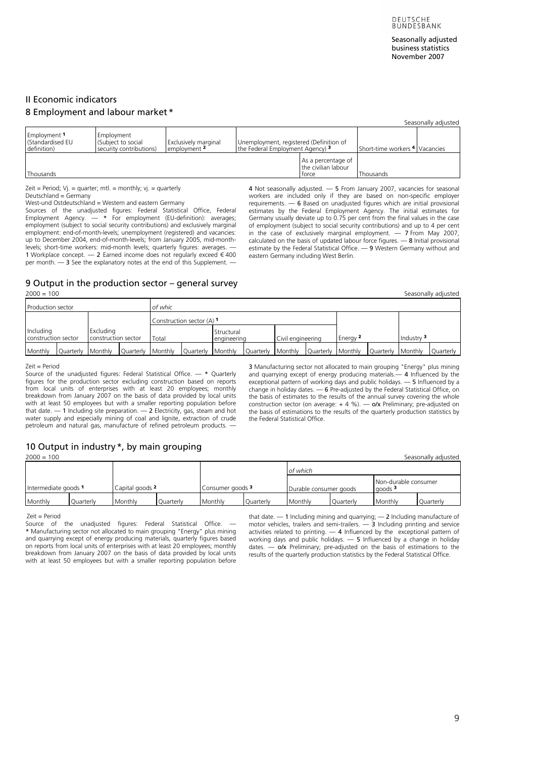# <span id="page-8-2"></span><span id="page-8-1"></span><span id="page-8-0"></span>II Economic indicators 8 Employment and labour market \*

|                                                            |                                                             |                                             |                                                                                        |                                                    |                                | Seasonally adjusted |
|------------------------------------------------------------|-------------------------------------------------------------|---------------------------------------------|----------------------------------------------------------------------------------------|----------------------------------------------------|--------------------------------|---------------------|
| Employment <sup>1</sup><br>(Standardised EU<br>definition) | Employment<br>(Subject to social<br>security contributions) | <b>Exclusively marginal</b><br>employment 2 | Unemployment, registered (Definition of<br>the Federal Employment Agency) <sup>3</sup> |                                                    | Short-time workers 4 Vacancies |                     |
| Thousands                                                  |                                                             |                                             |                                                                                        | As a percentage of<br>the civilian labour<br>torce | Thousands                      |                     |

Zeit = Period; Vj. = quarter; mtl. = monthly; vj. = quarterly Deutschland = Germany

West-und Ostdeutschland = Western and eastern Germany

Sources of the unadjusted figures: Federal Statistical Office, Federal Employment Agency. — \* For employment (EU-definition): averages; employment (subject to social security contributions) and exclusively marginal employment: end-of-month-levels; unemployment (registered) and vacancies: up to December 2004, end-of-month-levels; from January 2005, mid-monthlevels; short-time workers: mid-month levels; quarterly figures: averages. 1 Workplace concept.  $-$  2 Earned income does not regularly exceed € 400 per month. — 3 See the explanatory notes at the end of this Supplement. —

4 Not seasonally adjusted. — 5 From January 2007, vacancies for seasonal workers are included only if they are based on non-specific employer requirements. — 6 Based on unadjusted figures which are initial provisional estimates by the Federal Employment Agency. The initial estimates for Germany usually deviate up to 0.75 per cent from the final values in the case of employment (subject to social security contributions) and up to 4 per cent in the case of exclusively marginal employment. — 7 From May 2007, calculated on the basis of updated labour force figures. — 8 Initial provisional estimate by the Federal Statistical Office. — 9 Western Germany without and eastern Germany including West Berlin.

#### 9 Output in the production sector – general survey<br> $2000 = 100$ [2000 = 100 Seasonally adjusted](#page-31-0)

| <b>Production sector</b>               |           |                                  |           | of whic |                   |                           |           |                   |           |          |           |            |           |
|----------------------------------------|-----------|----------------------------------|-----------|---------|-------------------|---------------------------|-----------|-------------------|-----------|----------|-----------|------------|-----------|
| Construction sector $(A)$ <sup>1</sup> |           |                                  |           |         |                   |                           |           |                   |           |          |           |            |           |
| Including<br>construction sector       |           | Excludina<br>construction sector |           | Total   |                   | Structural<br>engineering |           | Civil engineering |           | Energy 2 |           | Industry 3 |           |
| Monthly                                | Ouarterly | Monthly                          | Ouarterly | Monthly | Quarterly Monthly |                           | Ouarterly | Monthly           | Ouarterly | Monthly  | Ouarterly | Monthly    | Ouarterly |

Zeit = Period

Source of the unadjusted figures: Federal Statistical Office. — \* Quarterly figures for the production sector excluding construction based on reports from local units of enterprises with at least 20 employees; monthly breakdown from January 2007 on the basis of data provided by local units with at least 50 employees but with a smaller reporting population before that date.  $-1$  Including site preparation.  $-2$  Electricity, gas, steam and hot water supply and especially mining of coal and lignite, extraction of crude petroleum and natural gas, manufacture of refined petroleum products. —

3 Manufacturing sector not allocated to main grouping "Energy" plus mining and quarrying except of energy producing materials.— 4 Influenced by the exceptional pattern of working days and public holidays. — 5 Influenced by a change in holiday dates. — 6 Pre-adjusted by the Federal Statistical Office, o[n](#page-2-0)  the basis of estimates to the results of the annual survey covering the whole construction sector (on average:  $+ 4 \%$ ). — o/x Preliminary; pre-adjusted on the basis of estimations to the results of the quarterly production statistics by the Federal Statistical Office.

# 10 Output in industry \*, by main grouping

[2000 = 100 Seasonally adjuste](#page-32-0)d

|                      |           |                 |           |                             |           | of which               |                  |                                            |           |
|----------------------|-----------|-----------------|-----------|-----------------------------|-----------|------------------------|------------------|--------------------------------------------|-----------|
| Intermediate goods 1 |           | Capital goods 2 |           | Consumer goods <sup>3</sup> |           | Durable consumer goods |                  | Non-durable consumer<br>qoods <sup>3</sup> |           |
| Monthly              | Quarterly | Monthly         | Ouarterly | Monthly                     | Quarterly | Monthly                | <b>Quarterly</b> | Monthly                                    | Quarterly |

#### Zeit = Period

Source of the unadjusted figures: Federal Statistical Office. — \* Manufacturing sector not allocated to main grouping "Energy" plus mining and quarrying except of energy producing materials, quarterly figures based on reports from local units of enterprises with at least 20 employees; monthly breakdown from January 2007 on the basis of data provided by local units with at least 50 employees but with a smaller reporting population before that date. — 1 Including mining and quarrying; — 2 Including manufacture of motor vehicles, trailers and semi-trailers. — 3 Including printing and service activities related to printing.  $-4$  Influenced by the exceptional pattern of working days and public holidays. — 5 Influenced by a change in holiday dates.  $\sim$  o/x Preliminary; pre-adjusted on the basis of estimations to the results of the quarterly production statistics by the Federal Statistical Office.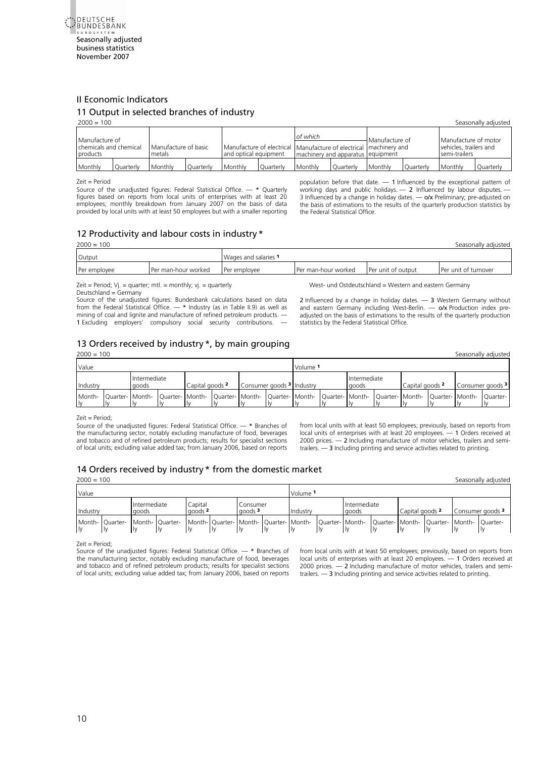<span id="page-9-0"></span>

# II Economic Indicators

# 11 Output in selected branches of industry

| $2000 = 100$                                         |           |                                |                  |                                                                                                |           |                                               |           |                |           |                                                                 | Seasonally adjusted |
|------------------------------------------------------|-----------|--------------------------------|------------------|------------------------------------------------------------------------------------------------|-----------|-----------------------------------------------|-----------|----------------|-----------|-----------------------------------------------------------------|---------------------|
| Manufacture of<br>chemicals and chemical<br>products |           | Manufacture of basic<br>metals |                  | Manufacture of electrical   Manufacture of electrical   machinery and<br>and optical equipment |           | of which<br>machinery and apparatus equipment |           | Manufacture of |           | Manufacture of motor<br>vehicles, trailers and<br>semi-trailers |                     |
| Monthly                                              | Ouarterly | Monthly                        | <b>Ouarterly</b> | Monthly                                                                                        | Ouarterly | Monthly                                       | Ouarterly | Monthly        | Ouarterly | Monthly                                                         | Quarterly           |

Zeit = Period

Source of the unadjusted figures: Federal Statistical Office. — \* Quarterly figures based on reports from local units of enterprises with at least 20 employees; monthly breakdown from January 2007 on the basis of data provided by local units with at least 50 employees but with a smaller reporting

population before that date. — 1 Influenced by the exceptional pattern of working days and public holidays. — 2 Influenced by labour disputes. — 3 Influenced by a change in holiday dates.  $-\alpha/x$  Preliminary; pre-adjusted on the basis of estimations to the results of the quarterly production statistics by the Federal Statistical Office.

# 12 Productivity and labour costs in industry\*

[2000 = 100 Seasonally adjuste](#page-34-0)d

| Output       |                     | Wages and salaries 1 |                       |                    |                      |
|--------------|---------------------|----------------------|-----------------------|--------------------|----------------------|
| Per employee | Per man-hour worked | <b>Per employee</b>  | l Per man-hour worked | Per unit of output | Per unit of turnover |
|              |                     |                      |                       |                    |                      |

Zeit = Period;  $Vj.$  = quarter; mtl. = monthly;  $vj.$  = quarterly Deutschland = Germany

Source of the unadjusted figures: Bundesbank calculations based on data from the Federal Statistical Office. — \* Industry (as in Table II.9) as well as mining of coal and lignite and manufacture of refined petroleum products. — 1 Excluding employers' compulsory social security contributions.

West- und Ostdeutschland = Western and eastern Germany 2 Influenced by a change in holiday dates.  $-$  3 Western Germany without and eastern Germany including West-Berlin. - o/x Production index preadjusted on the basis of estimations to the results of the quarterly production statistics by the Federal Statistical Office.

# 13 Orders received by industry \*, by main grouping

[2000 = 100 Seasonally adjuste](#page-35-0)d

| Value    |                                                                                                                                                                  |                       |                 |  |                                      | Volume 1 |                       |                            |  |                             |
|----------|------------------------------------------------------------------------------------------------------------------------------------------------------------------|-----------------------|-----------------|--|--------------------------------------|----------|-----------------------|----------------------------|--|-----------------------------|
| Industry |                                                                                                                                                                  | Intermediate<br>goods | Capital goods 2 |  | Consumer goods <sup>3</sup> Industry |          | Intermediate<br>goods | Capital goods <sup>2</sup> |  | Consumer goods <sup>3</sup> |
|          | Month-  Quarter-  Month-  Quarter-  Month-  Quarter-  Month-  Quarter-  Month-  Quarter-  Month-  Quarter-  Month-  Quarter-  Month-  Quarter-  Month-  Quarter- |                       |                 |  |                                      |          |                       |                            |  |                             |

Zeit = Period;

Source of the unadjusted figures: Federal Statistical Office. — \* Branches of the manufacturing sector, notably excluding manufacture of food, beverages and tobacco and of refined petroleum products; results for specialist sections of local units; excluding value added tax; from January 2006, based on reports from local units with at least 50 employees; previously, based on reports from local units of enterprises with at least 20 employees. — 1 Orders received at 2000 prices. — 2 Including manufacture of motor vehicles, trailers and semitrailers. — 3 Including printing and service activities related to printing.

# [1](#page-3-0)4 Orders received by industry \* from the domestic market

[2000 = 100 Seasonally adjuste](#page-36-0)d

| Value |                                                                                                                                                                  |  |                       |  |                                                              |  | Volume <sup>1</sup> |          |  |                              |  |                            |  |                             |  |
|-------|------------------------------------------------------------------------------------------------------------------------------------------------------------------|--|-----------------------|--|--------------------------------------------------------------|--|---------------------|----------|--|------------------------------|--|----------------------------|--|-----------------------------|--|
|       | Industry                                                                                                                                                         |  | Intermediate<br>goods |  | Capital<br>Consumer<br>$a$ oods <sup>3</sup><br>$a$ oods $2$ |  |                     | Industry |  | <b>Intermediate</b><br>goods |  | Capital goods <sup>2</sup> |  | Consumer goods <sup>3</sup> |  |
|       | Month-  Quarter-  Month-  Quarter-  Month-  Quarter-  Month-  Quarter-  Month-  Quarter-  Month-  Quarter-  Month-  Quarter-  Month-  Quarter-  Month-  Quarter- |  |                       |  |                                                              |  |                     |          |  |                              |  |                            |  |                             |  |

Zeit = Period;

Source of the unadjusted figures: Federal Statistical Office. — \* Branches of the manufacturing sector, notably excluding manufacture of food, beverages and tobacco and of refined petroleum products; results for specialist sections of local units; excluding value added tax; from January 2006, based on reports from local units with at least 50 employees; previously, based on reports from local units of enterprises with at least 20 employees. — 1 Orders received at 2000 prices. — 2 Including manufacture of motor vehicles, trailers and semitrailers. — 3 Including printing and service activities related to printing.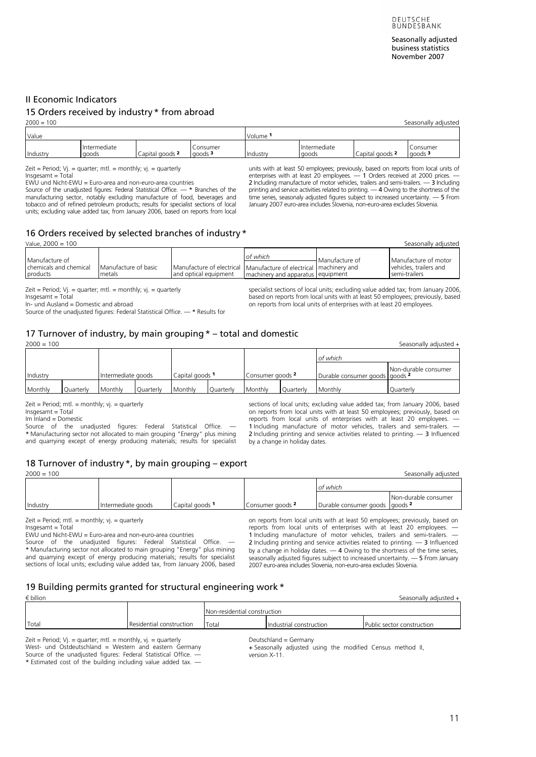# <span id="page-10-0"></span>II Economic Indicators

| $2000 = 100$ | Seasonally adjusted   |                 |                                   |          |                       |                 |                          |  |  |  |  |
|--------------|-----------------------|-----------------|-----------------------------------|----------|-----------------------|-----------------|--------------------------|--|--|--|--|
| Value        |                       |                 |                                   | Volume   |                       |                 |                          |  |  |  |  |
| Industry     | Intermediate<br>goods | Capital goods 2 | Consumer<br>$q$ oods <sup>3</sup> | Industry | Intermediate<br>goods | Capital goods 2 | Consumer<br>$a$ oods $3$ |  |  |  |  |
|              |                       |                 |                                   |          |                       |                 |                          |  |  |  |  |

Zeit = Period;  $Vj.$  = quarter; mtl. = monthly;  $vj.$  = quarterly Insgesamt = Total

EWU und Nicht-EWU = Euro-area and non-euro-area countries Source of the unadjusted figures: Federal Statistical Office. — \* Branches of the manufacturing sector, notably excluding manufacture of food, beverages and

15 Orders received by industry \* from abroad

tobacco and of refined petroleum products; results for specialist sections of local units; excluding value added tax; from January 2006, based on reports from local units with at least 50 employees; previously, based on reports from local units of enterprises with at least 20 employees. — 1 Orders received at 2000 prices. —<br>2 Including manufacture of motor vehicles, trailers and semi-trailers. — 3 Including<br>printing and service activities related to printing. — 4 Ow time series, seasonaly adjusted figures subject to increased uncertainty. — 5 From January 2007 euro-area includes Slovenia, non-euro-area excludes Slovenia.

# 16 Orders received by selected branches of industry \*

| Value, $2000 = 100$                                  | Seasonally adjusted            |                                                                                            |                                                 |                         |                                                                 |  |  |  |  |  |  |  |
|------------------------------------------------------|--------------------------------|--------------------------------------------------------------------------------------------|-------------------------------------------------|-------------------------|-----------------------------------------------------------------|--|--|--|--|--|--|--|
| Manufacture of<br>chemicals and chemical<br>products | Manufacture of basic<br>metals | Manufacture of electrical Manufacture of electrical machinery and<br>and optical equipment | of which<br>I machinery and apparatus equipment | <b>I</b> Manufacture of | Manufacture of motor<br>vehicles, trailers and<br>semi-trailers |  |  |  |  |  |  |  |

Zeit = Period;  $Vj.$  = quarter; mtl. = monthly;  $vi.$  = quarterly

Insgesamt = Total

In- und Ausland = Domestic and abroad

Source of the unadjusted figures: Federal Statistical Office. — \* Results for

specialist sections of local units; excluding value added tax; from January 200[6,](#page-3-0)  based on reports from local units with at least 50 employees; previously, based on reports from local units of enterprises with at least 20 employees.

# 17 Turnover of industry, by main grouping\* – total and domestic

[2000 = 100 Seasonally adjusted](#page-39-0) +

|          |           |                    |           |                 |           |                             |           | of which                       |                      |
|----------|-----------|--------------------|-----------|-----------------|-----------|-----------------------------|-----------|--------------------------------|----------------------|
| Industry |           | Intermediate goods |           | Capital goods 1 |           | Consumer goods <sup>2</sup> |           | Durable consumer goods goods 2 | Non-durable consumer |
| Monthly  | Quarterly | Monthly            | Quarterly | Monthly         | Quarterly | Monthly                     | Quarterly | Monthly                        | Quarterly            |

 $Zeit = Period$ ; mtl. = monthly; yi. = quarterly

Insgesamt = Total

Im Inland = Domestic Source of the unadjusted figures: Federal Statistical Office. \* Manufacturing sector not allocated to main grouping "Energy" plus mining and quarrying except of energy producing materials; results for specialist

sections of local units; excluding value added tax; from January 2006, based on reports from local units with at least 50 employees; previously, based on reports from local units of enterprises with at least 20 employees. 1 Including manufacture of motor vehicles, trailers and semi-trailers. 2 Including printing and service activities related to printing. - 3 Influenced by a change in holiday dates.

# 18 Turnover of industry\*, by main grouping – export

[2000 = 100 Seasonally adjus](#page-40-0)ted

|                 |                    |                 |                  | of which                       |                      |
|-----------------|--------------------|-----------------|------------------|--------------------------------|----------------------|
| <b>Industry</b> | Intermediate goods | Capital goods 1 | Consumer goods 2 | Durable consumer goods goods 2 | Non-durable consumer |
|                 |                    |                 |                  |                                |                      |

 $Zeit = Period; mt. = monthly; vj. = quarterly$ 

Insgesamt = Total

EWU und Nicht-EWU = Euro-area and non-euro-area countries

Source of the unadjusted figures: Federal Statistical Office. \* Manufacturing sector not allocated to main grouping "Energy" plus mining and quarrying except of energy producing materials; results for specialist sections of local units; excluding value added tax, from January 2006, based on reports from local units with at least 50 employees; previously, based on reports from local units of enterprises with at least 20 employees. 1 Including manufacture of motor vehicles, trailers and semi-trailers. 2 Including printing and service activities related to printing.  $-$  3 Influenced by a change in holiday dates.  $-4$  Owing to the shortness of the time series, seasonally adjusted figures subject to increased uncertainty. — 5 From January 2007 euro-area includes Slovenia, non-euro-area excludes Slovenia.

# 19 Building permits granted for structural engineering work\*

| € billion | Seasonally adjusted +    |                              |                         |                            |  |  |  |  |  |  |  |
|-----------|--------------------------|------------------------------|-------------------------|----------------------------|--|--|--|--|--|--|--|
|           |                          | Non-residential construction |                         |                            |  |  |  |  |  |  |  |
| Total     | Residential construction | Total                        | Industrial construction | Public sector construction |  |  |  |  |  |  |  |

#### Zeit = Period; Vj. = quarter; mtl. = monthly, vj. = quarterly Deutschland = Germany West- und Ostdeutschland = Western and eastern Germany Source of the unadjusted figures: Federal Statistical Office. —

\* Estimated cost of the building including value added tax. —

+ Seasonally adjusted using the modified Census method II, version X-11.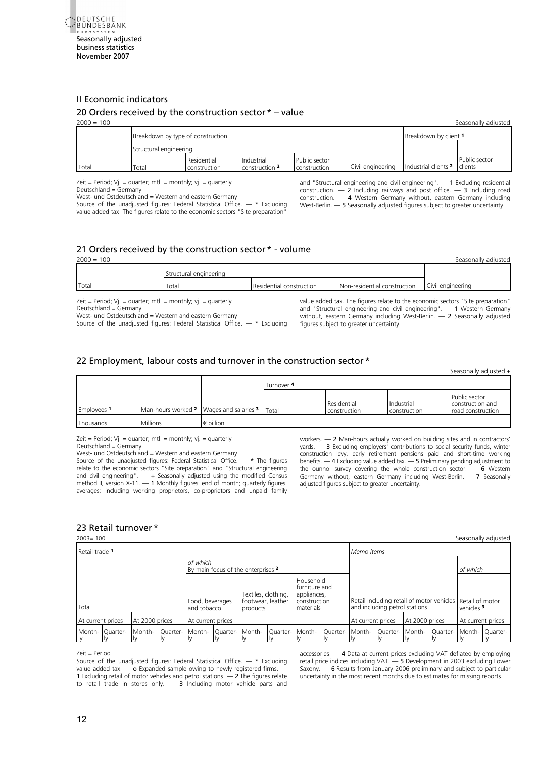<span id="page-11-0"></span>

# II Economic indicators 20 Orders received by the construction sector \* – value

| $2000 = 100$ |                                   |                             |                              |                               |                   |                                         | Seasonally adjusted |
|--------------|-----------------------------------|-----------------------------|------------------------------|-------------------------------|-------------------|-----------------------------------------|---------------------|
|              | Breakdown by type of construction |                             | Breakdown by client 1        |                               |                   |                                         |                     |
|              | Structural engineering            |                             |                              |                               |                   |                                         |                     |
| Total        | Total                             | Residential<br>construction | Industrial<br>construction 2 | Public sector<br>construction | Civil engineering | Industrial clients <sup>2</sup> clients | Public sector       |

Zeit = Period;  $Vj.$  = quarter; mtl. = monthly;  $vj.$  = quarterly Deutschland = Germany

West- und Ostdeutschland = Western and eastern Germany

Source of the unadjusted figures: Federal Statistical Office.  $-$  \* Excluding value added tax. The figures relate to the economic sectors "Site preparation

and "Structural engineering and civil engineering". — 1 Excluding residential construction. — 2 Including railways and post office. — 3 Including road construction. — 4 Western Germany without, eastern Germany including West-Berlin. — 5 Seasonally adjusted figures subject to greater uncertainty.

# 21 Orders received by the construction sector \* - volume

| $2000 = 100$ |                                                                   |                          |                                                                                |                   |  |  |  |  |
|--------------|-------------------------------------------------------------------|--------------------------|--------------------------------------------------------------------------------|-------------------|--|--|--|--|
|              | Structural engineering                                            |                          |                                                                                |                   |  |  |  |  |
| Total        | Total                                                             | Residential construction | Non-residential construction                                                   | Civil engineering |  |  |  |  |
|              | Zeit = Period; $Vj.$ = quarter; mtl. = monthly; $Vj.$ = quarterly |                          | value added tax. The figures relate to the economic sectors "Site preparation" |                   |  |  |  |  |

Deutschland = Germany

West- und Ostdeutschland = Western and eastern Germany Source of the unadjusted figures: Federal Statistical Office. — \* Excluding

value added tax. The figures relate to the economic sectors "Site preparation" and "Structural engineering and civil engineering". — 1 Western Germany without, eastern Germany including West-Berlin. — 2 Seasonally adjusted figures subject to greater uncertainty.

# [22 Employment, labour costs and turnover in the construction sector](#page-44-0) \*

Seasonally adjusted +

|             |                                           |                    | Turnover 4 |                             |                            |                                                        |
|-------------|-------------------------------------------|--------------------|------------|-----------------------------|----------------------------|--------------------------------------------------------|
| Employees 1 | Man-hours worked 2   Wages and salaries 3 |                    | Total      | Residential<br>construction | Industrial<br>construction | Public sector<br>construction and<br>road construction |
| Thousands   | Millions                                  | $\epsilon$ billion |            |                             |                            |                                                        |

Zeit = Period;  $Vj.$  = quarter; mtl. = monthly;  $vi.$  = quarterly

Deutschland = Germany

West- und Ostdeutschland = Western and eastern Germany

Source of the unadjusted figures: Federal Statistical Office. — \* The figures relate to the economic sectors "Site preparation" and "Structural engineering and civil engineering". — + Seasonally adjusted using the modified Census method II, version X-11. - 1 Monthly figures: end of month; quarterly figures: averages; including working proprietors, co-proprietors and unpaid family

workers. — 2 Man-hours actually worked on building sites and in contractors' yards. — 3 Excluding employers' contributions to social security funds, winter construction levy, early retirement pensions paid and short-time working benefits. — 4 Excluding value added tax. — 5 Preliminary pending adjustment to the ounnol survey covering the whole construction sector.  $-$  6 Western Germany without, eastern Germany including West-Berlin. - 7 Seasonally adjusted figures subject to greater uncertainty.

### 23 Retail turnover \*

[2003= 100 Seasonally adjusted](#page-45-0) Retail trade **<sup>1</sup>** *Memo items of which*  By main focus of the enterprises **<sup>2</sup>** *of which*  Total Food, beverages and tobacco Textiles, clothing, footwear, leather products Household furniture and appliances, construction materials Retail including retail of motor vehicles and including petrol stations Retail of motor vehicles **<sup>3</sup>** At current prices At 2000 prices At current prices At current prices At current prices At current prices At current prices Monthly Quarterly Monthly Quarterly Monthly Quarterly Monthly Quarterly Monthly Quarterly Monthly Quarterly Monthly Quarterly Monthly Quarterly

#### Zeit = Period

Source of the unadjusted figures: Federal Statistical Office.  $-$  \* Excluding value added  $\text{tax.} \rightarrow \text{o}$  Expanded sample owing to newly registered firms. -1 Excluding retail of motor vehicles and petrol stations. — 2 The figures relate to retail trade in stores only.  $-$  3 Including motor vehicle parts and

accessories. — 4 Data at current prices excluding VAT deflated by employing retail price indices including VAT. — 5 Development in 2003 excluding Lower Saxony. — 6 Results from January 2006 preliminary and subject to particular uncertainty in the most recent months due to estimates for missing reports.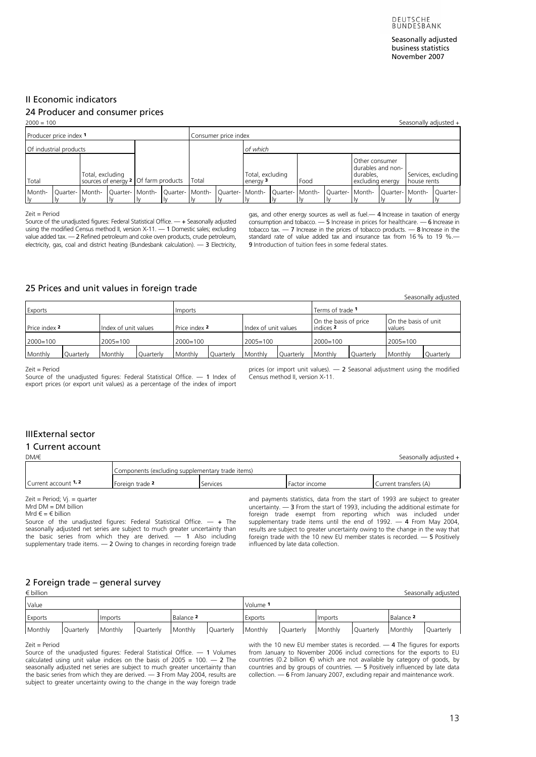Seasonally adjusted business statistics November 2007

Seasonally adjusted

## <span id="page-12-0"></span>II Economic indicators

# 24 Producer and consumer prices

| $2000 = 100$                                                      |  |                                     |       |  |                                         |      |                      |                                                                      |             |                                                                                          |  |  | Seasonally adjusted + |
|-------------------------------------------------------------------|--|-------------------------------------|-------|--|-----------------------------------------|------|----------------------|----------------------------------------------------------------------|-------------|------------------------------------------------------------------------------------------|--|--|-----------------------|
| Producer price index 1                                            |  |                                     |       |  |                                         |      | Consumer price index |                                                                      |             |                                                                                          |  |  |                       |
| of which<br>Of industrial products                                |  |                                     |       |  |                                         |      |                      |                                                                      |             |                                                                                          |  |  |                       |
| Total, excluding<br>sources of energy 2 Of farm products<br>Total |  |                                     | Total |  | Total, excluding<br>energy <sup>3</sup> | Food |                      | Other consumer<br>durables and non-<br>durables.<br>excluding energy | house rents | Services, excluding                                                                      |  |  |                       |
| Month-<br>l v                                                     |  | Ouarter- Month-   Ouarter-   Month- |       |  | Quarter- Month-                         |      |                      |                                                                      |             | Quarter-   Month-   Quarter-   Month-   Quarter-   Month-   Quarter-   Month-   Quarter- |  |  |                       |

Zeit = Period

Source of the unadjusted figures: Federal Statistical Office. — + Seasonally adjusted using the modified Census method II, version X-11. — 1 Domestic sales; excluding value added tax. — 2 Refined petroleum and coke oven products, crude petroleum, electricity, gas, coal and district heating (Bundesbank calculation). - 3 Electricity,

gas, and other energy sources as well as fuel.— 4 Increase in taxation of energy consumption and tobacco. — 5 Increase in prices for healthcare. — 6 Increase in tobacco tax.  $-7$  Increas[e](#page-3-0) in the prices of tobacco products.  $-8$  Increase in the standard rate of value added tax and insurance tax from 16 % to 19 %. 9 Introduction of tuition fees in some federal states.

### 25 Prices and unit values in foreign trade

|                      |           |                      |           |               |           |                                                                                              |           |                            |           |         | <b><i><u>JUUJUHUHY UUJUJIUU</u></i></b> |
|----------------------|-----------|----------------------|-----------|---------------|-----------|----------------------------------------------------------------------------------------------|-----------|----------------------------|-----------|---------|-----------------------------------------|
| Exports              |           |                      |           | Imports       |           |                                                                                              |           | Terms of trade 1           |           |         |                                         |
| <b>Price index 2</b> |           | Index of unit values |           | Price index 2 |           | On the basis of unit<br>On the basis of price<br>Index of unit values<br>indices 2<br>values |           |                            |           |         |                                         |
| $2000 = 100$         |           | $2005 = 100$         |           | $2000=100$    |           | $2005 = 100$                                                                                 |           | $2005 = 100$<br>$2000=100$ |           |         |                                         |
| Monthly              | Quarterly | Monthly              | Quarterly | Monthly       | Quarterly | Monthly                                                                                      | Quarterly | Monthly                    | Quarterly | Monthly | Quarterly                               |

Zeit = Period

Source of the unadiusted figures: Federal Statistical Office. - 1 Index of export prices (or export unit values) as a percentage of the index of import prices (or import unit values).  $-2$  Seasonal adjustment using the modified Census method II, version X-11.

# **IIIExternal sector**

#### 1 Current account

[DM/€ Seasonally adjusted](#page-48-0) +

|                      | Components (excluding supplementary trade items) |          |               |                       |  |  |  |  |
|----------------------|--------------------------------------------------|----------|---------------|-----------------------|--|--|--|--|
| Current account 1, 2 | Foreign trade -                                  | Services | Factor income | Current transfers (A) |  |  |  |  |

Zeit = Period; Vj. = quarter

 $Mrd$  DM = DM billion

Mrd  $\in$  =  $\in$  billion

Source of the unadjusted figures: Federal Statistical Office.  $-$  + The seasonally adjusted net series are subject to much greater uncertainty than the basic series from which they are derived.  $-$  1 Also including supplementary trade items. — 2 Owing to changes in recording foreign trade

and payments statistics, data from the start of 1993 are subject to greater uncertainty. — 3 From the start of 1993, including the additional estimate for foreign trade exempt from reporting which was included under supplementary trade items until the end of 1992. — 4 From May 2004, results are subject to greater uncertainty owing to the change in the way that foreign trade with the 10 new EU member states is recorded. — 5 Positively influenced by late data collection.

### 2 Foreign trade – general survey

| $\epsilon$ billion |           |         |           |                      |           |          |                      |         |           |                      | Seasonally adjusted |
|--------------------|-----------|---------|-----------|----------------------|-----------|----------|----------------------|---------|-----------|----------------------|---------------------|
| Value              |           |         |           |                      |           | Volume 1 |                      |         |           |                      |                     |
| Exports            |           | Imports |           | Balance <sup>2</sup> |           | Exports  |                      | Imports |           | Balance <sup>2</sup> |                     |
| Monthly            | Quarterly | Monthly | Quarterly | Monthly              | Quarterly | Monthly  | Monthly<br>Quarterly |         | Quarterly | Monthly              | Quarterly           |

#### Zeit = Period

Source of the unadjusted figures: Federal Statistical Office. — 1 Volumes calculated using unit value indices on the basis of  $2005 = 100$ . - 2 The seasonally adjusted net series are subject to much greater uncertainty than the basic series from which they are derived. — 3 From May 2004, results are subject to greater uncertainty owing to the change in the way foreign trade with the 10 new EU member states is recorded. - 4 The figures for exports from January to November 2006 includ corrections for the exports to EU countries (0.2 billion €) which are not available by category of goods, by countries and by groups of countries. — 5 Positively influenced by late data collection. — 6 From January 2007, excluding repair and maintenance work.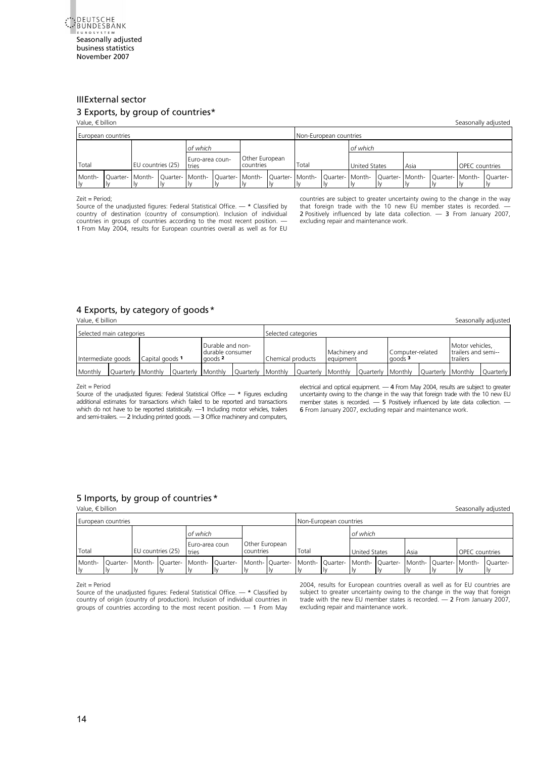<span id="page-13-0"></span>

# **[II](#page-3-0)IExternal sector**

# 3 Exports, by group of countries\*

# [Value, € billion Seasonally adjusted](#page-50-0)

| European countries                                                                                                                                                           |  |                   |  |                          |  |                             |       | Non-European countries |                      |      |                       |  |
|------------------------------------------------------------------------------------------------------------------------------------------------------------------------------|--|-------------------|--|--------------------------|--|-----------------------------|-------|------------------------|----------------------|------|-----------------------|--|
| of which                                                                                                                                                                     |  |                   |  |                          |  |                             |       | of which               |                      |      |                       |  |
| Total                                                                                                                                                                        |  | EU countries (25) |  | Euro-area coun-<br>tries |  | Other European<br>countries | Total |                        | <b>United States</b> | Asia | <b>OPEC</b> countries |  |
| Month-<br> Quarter-   Month-  Quarter-  Month-  Quarter-  Month-  Quarter-  Month-  Quarter-  Month-  Quarter-  Month-  Quarter-  Month-  Quarter-  Month-  Quarter-<br>l Iv |  |                   |  |                          |  |                             |       |                        |                      |      |                       |  |

#### Zeit = Period;

Source of the unadjusted figures: Federal Statistical Office. — \* Classified by country of destination (country of consumption). Inclusion of individual countries in groups of countries according to the most recent position. 1 From May 2004, results for European countries overall as well as for EU countries are subject to greater uncertainty owing to the change in the way that foreign trade with the 10 new EU member states is recorded. 2 Positively influenced by late data collection. - 3 From January 2007, excluding repair and maintenance work.

#### 4 Exports, by category of goods \*

[Value, € billion Seasonally adjusted](#page-51-0)

| Selected main categories                |                   |  |                   |                                                            |           | Selected categories |                   |                            |           |                                        |                   |                                                      |           |
|-----------------------------------------|-------------------|--|-------------------|------------------------------------------------------------|-----------|---------------------|-------------------|----------------------------|-----------|----------------------------------------|-------------------|------------------------------------------------------|-----------|
| Intermediate goods<br>l Capital goods 1 |                   |  |                   | Durable and non-<br>durable consumer<br>goods <sup>2</sup> |           | Chemical products   |                   | Machinery and<br>equipment |           | Computer-related<br>qoods <sup>3</sup> |                   | Motor vehicles.<br>I trailers and semi--<br>trailers |           |
| Monthly                                 | Ouarterly Monthly |  | Ouarterly Monthly |                                                            | Ouarterly | Monthly             | Ouarterly Monthly |                            | Ouarterly | Monthly                                | Ouarterly Monthly |                                                      | Ouarterly |

#### Zeit = Period

Source of the unadiusted figures: Federal Statistical Office  $-$  \* Figures excluding additional estimates for transactions which failed to be reported and transactions which do not have to be reported statistically. - 1 Including motor vehicles, trailers and semi-trailers. — 2 Including printed goods. — 3 Office machinery and computers,

electrical and optical equipment.  $-$  4 From May 2004, results are subject to greater uncertainty owing to the change in the way that foreign trade with the 10 new EU member states is recorded. — 5 Positively influenced by late data collection. -6 From January 2007, excluding repair and maintenance work.

#### 5 Imports, by group of countries \*

[Value, € billion Seasonally adjus](#page-52-0)ted

|                            | European countries |  |                         |                                                                                                                                                 |                             |       | Non-European countries |                      |      |                       |  |
|----------------------------|--------------------|--|-------------------------|-------------------------------------------------------------------------------------------------------------------------------------------------|-----------------------------|-------|------------------------|----------------------|------|-----------------------|--|
|                            |                    |  | of which                |                                                                                                                                                 |                             |       |                        | of which             |      |                       |  |
| Total<br>EU countries (25) |                    |  | Euro-area coun<br>tries |                                                                                                                                                 | Other European<br>countries | Total |                        | <b>United States</b> | Asia | <b>OPEC</b> countries |  |
|                            |                    |  |                         | Month- Quarter- Month- Quarter- Month- Quarter- Month- Quarter- Month- Quarter- Month- Quarter- Month- Quarter- Month- Quarter- Month- Quarter- |                             |       |                        |                      |      |                       |  |

#### Zeit = Period

Source of the unadjusted figures: Federal Statistical Office. — \* Classified by country of origin (country of production). Inclusion of individual countries in groups of countries according to the most recent position.  $-1$  From May 2004, results for European countries overall as well as for EU countries are subject to greater uncertainty owing to the change in the way that foreign trade with the new EU member states is recorded. — 2 From January 2007, excluding repair and maintenance work.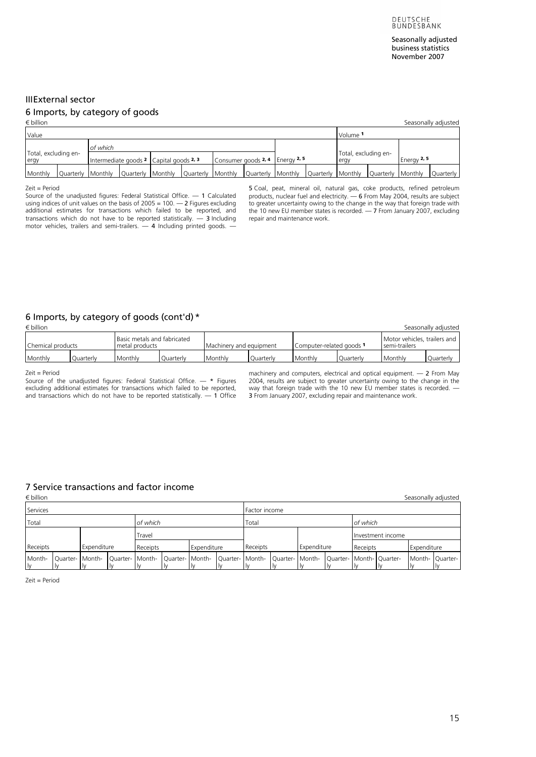# <span id="page-14-0"></span>III External sector

## 6 Imports, by category of goods

| $\epsilon$ billion           |          |                                                                                                                                                       |                                 |  |                              |               | Seasonally adjusted |
|------------------------------|----------|-------------------------------------------------------------------------------------------------------------------------------------------------------|---------------------------------|--|------------------------------|---------------|---------------------|
| Value                        |          |                                                                                                                                                       |                                 |  | Volume 1                     |               |                     |
|                              | of which |                                                                                                                                                       |                                 |  |                              |               |                     |
| Total, excluding en-<br>ergy |          | Intermediate goods 2 Capital goods 2, 3                                                                                                               | Consumer goods 2, 4 Energy 2, 5 |  | Total, excluding en-<br>erav | Energy $2, 5$ |                     |
| Monthly                      |          | Quarterly  Monthly  Quarterly  Monthly  Quarterly  Monthly  Quarterly  Monthly  Quarterly  Monthly  Quarterly  Monthly  Quarterly  Monthly  Quarterly |                                 |  |                              |               |                     |

Zeit = Period

Source of the unadjusted figures: Federal Statistical Office.  $-1$  Calculated using indices of unit values on the basis of  $2005 = 100$ .  $-2$  Figures excluding additional estimates for transactions which failed to be reported, and transactions which do not have to be reported statistically. — 3 Including motor vehicles, trailers and semi-trailers.  $-$  4 Including printed goods.

5 Coal, peat, mineral oil, natural gas, coke products, refined petroleu[m](#page-3-0)  products, nuclear fuel and electricity. — 6 From May 2004, results are subject to greater uncertainty owing to the change in the way that foreign trade with the 10 new EU member states is recorded. — 7 From January 2007, excluding repair and maintenance work.

# 6 Imports, by category of goods (cont'd) \*

| $\epsilon$ billion |           |                                               |           |                         |           |                          |                  |                                               | Seasonally adjusted |
|--------------------|-----------|-----------------------------------------------|-----------|-------------------------|-----------|--------------------------|------------------|-----------------------------------------------|---------------------|
| Chemical products  |           | Basic metals and fabricated<br>metal products |           | Machinery and equipment |           | Computer-related goods 1 |                  | Motor vehicles, trailers and<br>semi-trailers |                     |
| Monthly            | Ouarterly | Monthly                                       | Ouarterly | Monthly                 | Ouarterly | Monthly                  | <b>Ouarterly</b> | Monthly                                       | Quarterly           |

Zeit = Period

Source of the unadjusted figures: Federal Statistical Office.  $-$  \* Figures excluding additional estimates for transactions which failed to be reported, and transactions which do not have to be reported statistically.  $-1$  Office machinery and computers, electrical and optical equipment. — 2 From May 2004, results are subject to greater uncertainty owing to the change in the way that foreign trade with the 10 new EU member states is recorded. — 3 From January 2007, excluding repair and maintenance work.

# 7 Service transactions and factor income

| $\epsilon$ billion                                                                                                                                |          |  |  |          |  |             |               |             |          |                   |             | Seasonally adjusted |
|---------------------------------------------------------------------------------------------------------------------------------------------------|----------|--|--|----------|--|-------------|---------------|-------------|----------|-------------------|-------------|---------------------|
| Services                                                                                                                                          |          |  |  |          |  |             | Factor income |             |          |                   |             |                     |
| Total                                                                                                                                             | of which |  |  |          |  |             | Total         |             | of which |                   |             |                     |
| Travel                                                                                                                                            |          |  |  |          |  |             |               |             |          | Investment income |             |                     |
| Receipts<br>Expenditure                                                                                                                           |          |  |  | Receipts |  | Expenditure | Receipts      | Expenditure | Receipts |                   | Expenditure |                     |
| Quarter-   Month-   Quarter-   Month-   Quarter-   Month-   Quarter-   Month-   Quarter-   Month-   Quarter-   Month-   Quarter-<br>Month-<br>lv. |          |  |  |          |  |             |               |             |          |                   |             | Month- Ouarter-     |

Zeit = Period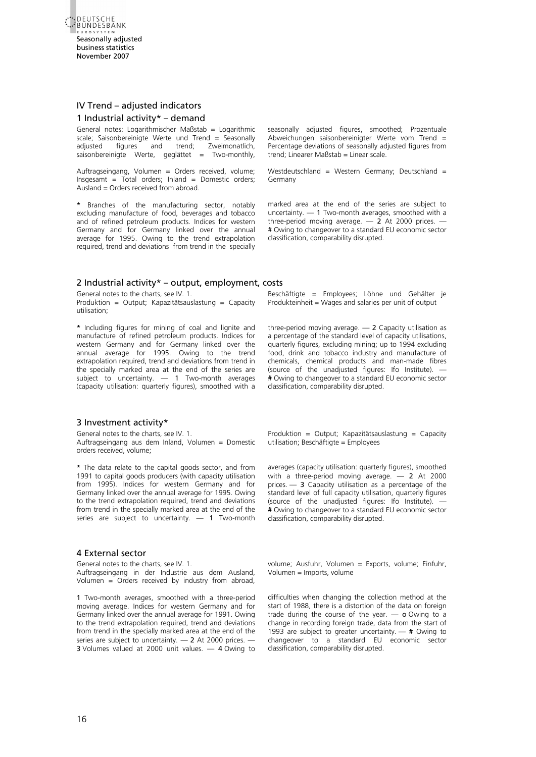<span id="page-15-0"></span>

## IV Trend – adjusted indicators 1 Industrial activity\* – demand

General notes: Logarithmischer Maßstab = Logarithmic scale; Saisonbereinigte Werte und Trend = Seasonally adjusted figures and trend; Zweimonatlich, saisonbereinigte Werte, geglättet = Two-monthly,

Auftragseingang, Volumen = Orders received, volume;  $Insgesamt = Total orders; Inland = Domestic orders;$ Ausland = Orders received from abroad.

\* Branches of the manufacturing sector, notably excluding manufacture of food, beverages and tobacco and of refined petroleum products. Indices for western Germany and for Germany linked over the annual average for 1995. Owing to the trend extrapolation required, trend and deviations from trend in the specially seasonally adjusted figures, smoothed; Prozentuale Abweichungen saisonbereinigter Werte vom Trend = Percentage deviations of seasonally adjusted figures from trend; Linearer Maßstab = Linear scale.

Westdeutschland = Western Germany; Deutschland = Germany

marked area at the end of the series are subject to uncertainty. — 1 Two-month averages, smoothed with a three-period moving average.  $-2$  At 2000 prices. -# Owing to changeover to a standard EU economic sector classification, comparability disrupted.

#### 2 Industrial activity\* – output, employment, costs

General notes to the charts, see IV. 1. Produktion = Output; Kapazitätsauslastung = Capacity utilisation;

\* Including figures for mining of coal and lignite and manufacture of refined petroleum products. Indices for western Germany and for Germany linked over the annual average for 1995. Owing to the trend extrapolation required, trend and deviations from trend in the specially marked area at the end of the series are subject to uncertainty.  $-$  1 Two-month averages (capacity utilisation: quarterly figures), smoothed with a

#### 3 Investment activity\*

General notes to the charts, see IV. 1. Auftragseingang aus dem Inland, Volumen = Domestic orders received, volume;

\* The data relate to the capital goods sector, and from 1991 to capital goods producers (with capacity utilisation from 1995). Indices for western Germany and for Germany linked over the annual average for 1995. Owing to the trend extrapolation required, trend and deviations from trend in the specially marked area at the end of the series are subject to uncertainty.  $-1$  Two-month

#### 4 External sector

General notes to the charts, see IV. 1. Auftragseingang in der Industrie aus dem Ausland, Volumen =  $O$ rders received by industry from abroad.

1 Two-month averages, smoothed with a three-period moving average. Indices for western Germany and for Germany linked over the annual average for 1991. Owing to the trend extrapolation required, trend and deviations from trend in the specially marked area at the end of the series are subject to uncertainty. - 2 At 2000 prices. -3 Volumes valued at 2000 unit values. — 4 Owing to

Beschäftigte = Employees; Löhne und Gehälter je Produkteinheit = Wages and salaries per unit of output

three-period moving average.  $-2$  Capacity utilisation as a percentage of the standard level of capacity utilisations, quarterly figures, excluding mining; up to 1994 excluding food, drink and tobacco industry and manufacture of chemicals, chemical products and man-made fibres (source of the unadjusted figures: Ifo Institute). — # Owing to changeover to a standard EU economic sector classification, comparability disrupted.

Produktion = Output; Kapazitätsauslastung = Capacity utilisation; Beschäftigte = Employees

averages (capacity utilisation: quarterly figures), smoothed with a three-period moving average. — 2 At 2000 prices.  $-$  3 Capacity utilisation as a percentage of the standard level of full capacity utilisation, quarterly figures (source of the unadjusted figures: Ifo Institute). — # Owing to changeover to a standard EU economic sector classification, comparability disrupted.

volume; Ausfuhr, Volumen = Exports, volume; Einfuhr, Volumen = Imports, volume

difficulties when changing the collection method at the start of 1988, there is a distortion of the data on foreign trade during the course of the year.  $-$  o Owing to a change in recording foreign trade, data from the start of 1993 are subject to greater uncertainty. — # Owing to changeover to a standard EU economic sector classification, comparability disrupted.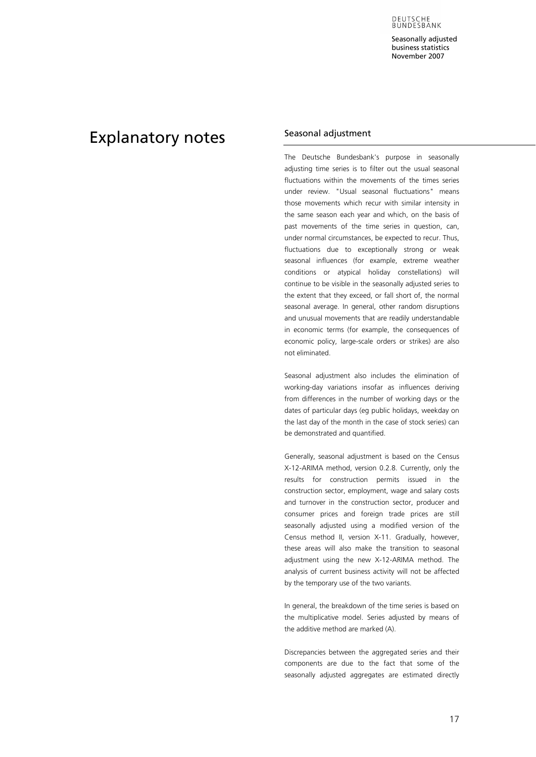DEUTSCHE<br>BUNDESBANK

Seasonally adjusted business statistics November 2007

# <span id="page-16-0"></span>Explanatory notes Seasonal adjustment

The Deutsche Bundesbank's purpose in seasonally adjusting time series is to filter out the usual seasonal fluctuations within the movements of the times series under review. "Usual seasonal fluctuations" means those movements which recur with similar intensity in the same season each year and which, on the basis of past movements of the time series in question, can, under normal circumstances, be expected to recur. Thus, fluctuations due to exceptionally strong or weak seasonal influences (for example, extreme weather conditions or atypical holiday constellations) wil[l](#page-3-0)  continue to be visible in the seasonally adjusted series to the extent that they exceed, or fall short of, the normal seasonal average. In general, other random disruptions and unusual movements that are readily understandable in economic terms (for example, the consequences of economic policy, large-scale orders or strikes) are also not eliminated.

Seasonal adjustment also includes the elimination of working-day variations insofar as influences deriving from differences in the number of working days or the dates of particular days (eg public holidays, weekday on the last day of the month in the case of stock series) can be demonstrated and quantified.

Generally, seasonal adjustment is based on the Census X-12-ARIMA method, version 0.2.8. Currently, only the results for construction permits issued in the construction sector, employment, wage and salary costs and turnover in the construction sector, producer and consumer prices and foreign trade prices are still seasonally adjusted using a modified version of the Census method II, version X-11. Gradually, however, these areas will also make the transition to seasonal adjustment using the new X-12-ARIMA method. The analysis of current business activity will not be affected by the temporary use of the two variants.

In general, the breakdown of the time series is based on the multiplicative model. Series adjusted by means of the additive method are marked (A).

Discrepancies between the aggregated series and their components are due to the fact that some of the seasonally adjusted aggregates are estimated directly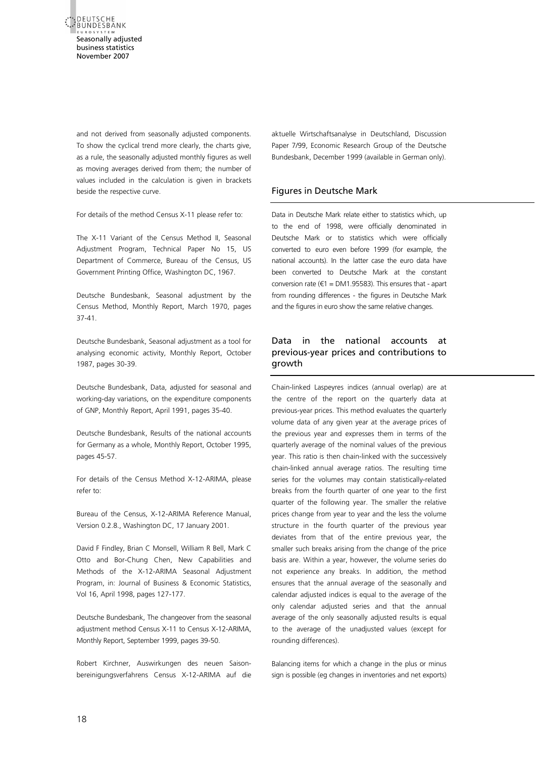<span id="page-17-0"></span>

and not derived from seasonally adjusted components. To show the cyclical trend more clearly, the charts give, as a rule, the seasonally adjusted monthly figures as well as moving averages derived from them; the number of values included in the calculation is given in brackets beside the respective curve.

For details of the method Census X-11 please refer to:

The X-11 Variant of the Census Method II, Seasonal Adjustment Program, Technical Paper No 15, US Department of Commerce, Bureau of the Census, US Government Printing Office, Washington DC, 1967.

Deutsche Bundesbank, Seasonal adjustment by the Census Method, Monthly Report, March 1970, pages 37-41.

Deutsche Bundesbank, Seasonal adjustment as a tool for analysing economic activity, Monthly Report, October 1987, pages 30-39.

Deutsche Bundesbank, Data, adjusted for seasonal and working-day variations, on the expenditure components of GNP, Monthly Report, April 1991, pages 35-40.

Deutsche Bundesbank, Results of the national accounts for Germany as a whole, Monthly Report, October 1995, pages 45-57.

For details of the Census Method X-12-ARIMA, please refer to:

Bureau of the Census, X-12-ARIMA Reference Manual, Version 0.2.8., Washington DC, 17 January 2001.

David F Findley, Brian C Monsell, William R Bell, Mark C Otto and Bor-Chung Chen, New Capabilities and Methods of the X-12-ARIMA Seasonal Adjustment Program, in: Journal of Business & Economic Statistics, Vol 16, April 1998, pages 127-177.

Deutsche Bundesbank, The changeover from the seasonal adjustment method Census X-11 to Census X-12-ARIMA, Monthly Report, September 1999, pages 39-50.

Robert Kirchner, Auswirkungen des neuen Saisonbereinigungsverfahrens Census X-12-ARIMA auf die aktuelle Wirtschaftsanalyse in Deutschland, Discussion Paper 7/99, Economic Research Group of the Deutsche Bundesbank, December 1999 (available in German only).

# Figures in Deutsche Mark

Data in Deutsche Mark relate either to statistics which, up to the end of 1998, were officially denominated in Deutsche Mark or to statistics which were officially converted to euro even before 1999 (for example, the national accounts). In the latter case the euro data have been converted to Deutsche Mark at the constant conversion rate ( $\epsilon$ 1 = DM1.95583). This ensures that - apart from rounding differences - the figures in Deutsche Mark and the figures in euro show the same relative changes.

# Data in the national accounts at previous-year prices and contributions to growth

Chain-linked Laspeyres indices (annual overlap) are at the centre of the report on the quarterly data at previous-year prices. This method evaluates the quarterly volume data of any given year at the average prices of the previous year and expresses them in terms of the quarterly average of the nominal values of the previous year. This ratio is then chain-linked with the successively chain-linked annual average ratios. The resulting time series for the volumes may contain statistically-related breaks from the fourth quarter of one year to the first quarter of the following year. The smaller the relative prices change from year to year and the less the volume structure in the fourth quarter of the previous year deviates from that of the entire previous year, the smaller such breaks arising from the change of the price basis are. Within a year, however, the volume series do not experience any breaks. In addition, the method ensures that the annual average of the seasonally and calendar adjusted indices is equal to the average of the only calendar adjusted series and that the annual average of the only seasonally adjusted results is equal to the average of the unadjusted values (except for rounding differences).

Balancing items for which a change in the plus or minus sign is possible (eg changes in inventories and net exports)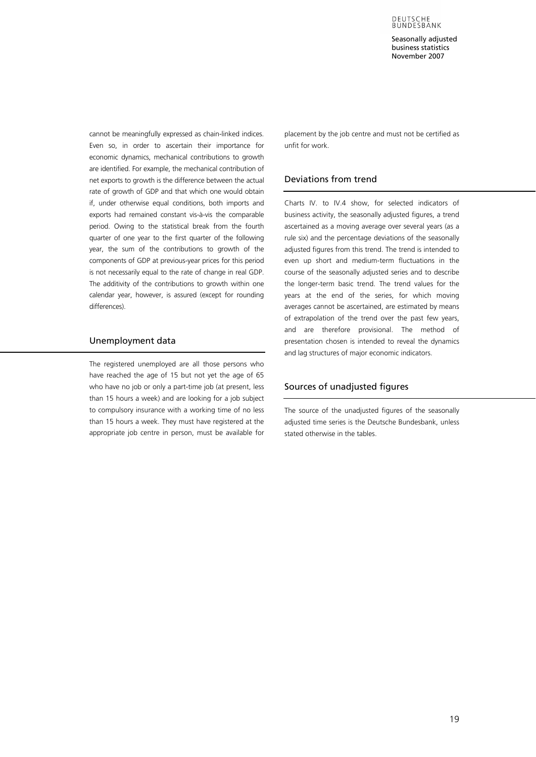DEUTSCHE<br>BUNDESBANK

Seasonally adjusted business statistics November 2007

<span id="page-18-0"></span>cannot be meaningfully expressed as chain-linked indices. Even so, in order to ascertain their importance for economic dynamics, mechanical contributions to growth are identified. For example, the mechanical contribution of net exports to growth is the difference between the actual rate of growth of GDP and that which one would obtain if, under otherwise equal conditions, both imports and exports had remained constant vis-à-vis the comparable period. Owing to the statistical break from the fourth quarter of one year to the first quarter of the following year, the sum of the contributions to growth of the components of GDP at previous-year prices for this period is not necessarily equal to the rate of change in real GDP. The additivity of the contributions to growth within one calendar year, however, is assured (except for rounding differences).

## Unemployment data

The registered unemployed are all those persons who have reached the age of 15 but not yet the age of 65 who have no job or only a part-time job (at present, less than 15 hours a week) and are looking for a job subject to compulsory insurance with a working time of no less than 15 hours a week. They must have registered at the appropriate job centre in person, must be available for placement by the job centre and must not be certified as unfit for work.

#### Deviations from trend

Charts IV. to IV.4 show, for selected indicators of business activity, the seasonally adjusted figures, a trend ascertained as a moving average over several years (as a rule six) and the percentage deviations of the seasonally adjusted figures from this trend. The trend is intended to even up short and medium-term fluctuations in the course of the seasonally adjusted series and to describ[e](#page-3-0)  the longer-term basic trend. The trend values for the years at the end of the series, for which moving averages cannot be ascertained, are estimated by means of extrapolation of the trend over the past few years, and are therefore provisional. The method of presentation chosen is intended to reveal the dynamics and lag structures of major economic indicators.

### Sources of unadjusted figures

The source of the unadjusted figures of the seasonally adjusted time series is the Deutsche Bundesbank, unless stated otherwise in the tables.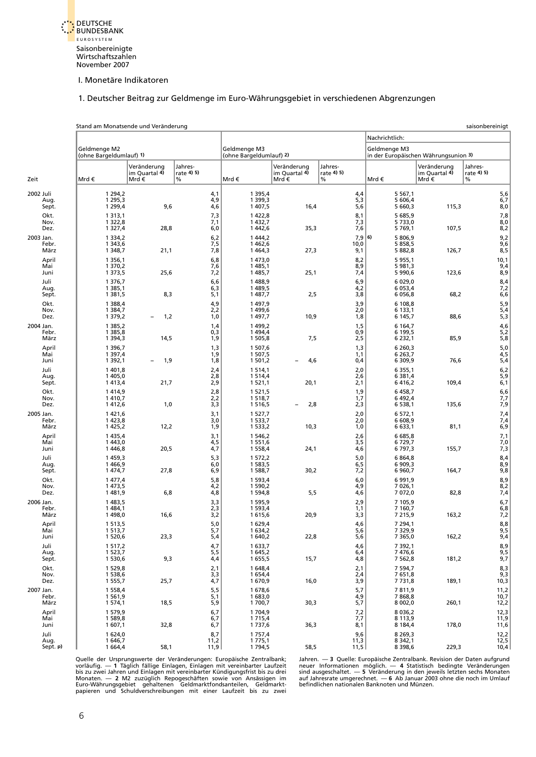

### [1. Deutscher Beitrag zur Geldmenge im Euro-Währungsgebiet in verschiedenen Abgrenzungen](#page-5-1)

<span id="page-19-0"></span>

|           |                          | Stand am Monatsende und Veränderung                  |                                       |                            |                                               |                                           |                            |                                                      |                                      | saisonbereinigt                 |
|-----------|--------------------------|------------------------------------------------------|---------------------------------------|----------------------------|-----------------------------------------------|-------------------------------------------|----------------------------|------------------------------------------------------|--------------------------------------|---------------------------------|
|           |                          |                                                      |                                       |                            |                                               |                                           |                            | Nachrichtlich:                                       |                                      |                                 |
|           |                          | Geldmenge M2<br>(ohne Bargeldumlauf) 1)              |                                       |                            | Geldmenae M3<br>(ohne Bargeldumlauf) 2)       |                                           |                            | Geldmenge M3<br>in der Europäischen Währungsunion 3) |                                      |                                 |
| Zeit      |                          | Mrd €                                                | Veränderung<br>im Quartal 4)<br>Mrd € | Jahres-<br>rate 4) 5)<br>% | Mrd€                                          | Veränderung<br>im Quartal 4)<br>Mrd $\in$ | Jahres-<br>rate 4) 5)<br>% | Mrd €                                                | Veränderung<br>im Quartal 4)<br>Mrd€ | Jahres-<br>rate 4) 5)<br>$\%$   |
| 2002 Juli | Aug.                     | 1 2 9 4, 2<br>1 2 9 5 , 3                            |                                       | 4,1<br>4,9                 | 1 3 9 5 , 4<br>1 399,3                        |                                           | $4,4$<br>5,3               | 5 5 6 7, 1<br>5 606,4                                |                                      | 5,6<br>6,7                      |
|           | Sept.<br>Okt.<br>Nov.    | 1 2 9 9,4<br>1 3 1 3 . 1<br>1 3 2 2, 8               | 9,6                                   | 4,6<br>7,3<br>7,1          | 1 407,5<br>1 422,8<br>1 4 3 2, 7              | 16,4                                      | 5,6<br>8,1<br>7,3          | 5 660,3<br>5 685.9<br>5733,0                         | 115,3                                | 8,0<br>7,8<br>8,0               |
| 2003 Jan. | Dez.<br>Febr.<br>März    | 1 3 2 7,4<br>1 3 3 4 , 2<br>1 3 4 3 , 6<br>1 3 4 8,7 | 28,8<br>21,1                          | 6,0<br>6,2<br>7,5<br>7,8   | 1442,6<br>1 444,2<br>1 4 6 2, 6<br>1 4 6 4, 3 | 35,3<br>27,3                              | 7,6<br>$7,9$ (6)<br>10,0   | 5769,1<br>5 806,9<br>5 8 5 8 , 5<br>5 882,8          | 107,5<br>126,7                       | 8,2<br>$\frac{9,2}{9,6}$<br>8,5 |
|           | April<br>Mai<br>Juni     | 1 3 5 6, 1<br>1 370,2<br>1 3 7 3 , 5                 | 25,6                                  | 6,8<br>7,6<br>7,2          | 1 473,0<br>1 485,1<br>1 485,7                 | 25,1                                      | 9,1<br>8,2<br>8,9<br>7,4   | 5 955,1<br>5 981,3<br>5 9 9 0, 6                     | 123,6                                | 10,1<br>9,4<br>8,9              |
|           | Juli<br>Aug.<br>Sept.    | 1 376,7<br>1 3 8 5 , 1<br>1 3 8 1 , 5                | 8,3                                   | 6,6<br>6,3<br>5,1          | 1 4 8 8, 9<br>1 489,5<br>1 487,7              | 2,5                                       | 6,9<br>4,2<br>3,8          | 6 0 29,0<br>6 0 53,4<br>6 0 5 6, 8                   | 68,2                                 | 8,4<br>7,2<br>6, 6              |
|           | Okt.<br>Nov.<br>Dez.     | 1 3 8 8,4<br>1 3 8 4 , 7<br>1 379,2                  | 1,2<br>$\overline{\phantom{0}}$       | 4,9<br>2,2<br>1,0          | 1 497,9<br>1 499,6<br>1 497,7                 | 10,9                                      | 3,9<br>2,0<br>1,8          | 6 108,8<br>6 133,1<br>6 145,7                        | 88,6                                 | 5,9<br>5,4<br>5,3               |
| 2004 Jan. | Febr.<br>März            | 1 3 8 5 , 2<br>1 3 8 5, 8<br>1 3 9 4 , 3             | 14,5                                  | 1,4<br>0,3<br>1,9          | 1 499,2<br>1 4 9 4, 4<br>1 505,8              | 7,5                                       | 1,5<br>0,9<br>2,5          | 6 164,7<br>6 199,5<br>6 2 3 2, 1                     | 85,9                                 | 4,6<br>$5,2$<br>$5,8$           |
|           | April<br>Mai<br>Juni     | 1 3 9 6, 7<br>1 3 9 7 , 4<br>1 3 9 2, 1              | 1,9<br>$\overline{\phantom{0}}$       | 1,3<br>1,9<br>1,8          | 1 507,6<br>1 507,5<br>1 501,2                 | 4,6<br>$\overline{\phantom{0}}$           | 1,3<br>1,1<br>0,4          | 6 2 6 0, 3<br>6 2 6 3 , 7<br>6 309,9                 | 76,6                                 | 5,0<br>4,5<br>5,4               |
|           | Juli<br>Aug.<br>Sept.    | 1401,8<br>1 4 0 5,0<br>1413,4                        | 21,7                                  | 2,4<br>2,8<br>2,9          | 1 5 1 4, 1<br>1 5 1 4,4<br>1 5 2 1 , 1        | 20,1                                      | 2,0<br>2,6<br>2,1          | 6 3 5 5 , 1<br>6 3 8 1,4<br>6416,2                   | 109,4                                | 6,2<br>5,9<br>6,1               |
|           | Okt.<br>Nov.<br>Dez.     | 1414,9<br>1410,7<br>1412,6                           | 1,0                                   | 2,8<br>2,2<br>3,3          | 1 5 2 1 , 5<br>1 5 1 8,7<br>1 5 1 6, 5        | 2,8<br>$\overline{\phantom{0}}$           | 1,9<br>1,7<br>2,3          | 6 458,7<br>6 492,4<br>6 538,1                        | 135,6                                | 6, 6<br>7,7<br>7,9              |
| 2005 Jan. | Febr.<br>März            | 1421,6<br>1 4 2 3, 8<br>1 4 2 5, 2                   | 12,2                                  | 3,1<br>3,0<br>1,9          | 1 527,7<br>1 533,7<br>1 533,2                 | 10,3                                      | 2,0<br>2,0<br>1,0          | 6 572,1<br>6 608,9<br>6 633,1                        | 81,1                                 | 7,4<br>7,4<br>6,9               |
|           | April<br>Mai<br>Juni     | 1 4 3 5, 4<br>1 4 4 3 , 0<br>1446,8                  | 20,5                                  | 3,1<br>4,5<br>4,7          | 1 546,2<br>1 551,6<br>1 558,4                 | 24,1                                      | 2,6<br>3,5<br>4,6          | 6685,8<br>6729,7<br>6797,3                           | 155,7                                | $7,1$<br>$7,0$<br>$7,3$         |
|           | Juli<br>Aug.<br>Sept.    | 1 459,3<br>1466,9<br>1 474,7                         | 27,8                                  | 5,3<br>6,0<br>6,9          | 1 572,2<br>1 583,5<br>1 588,7                 | 30,2                                      | 5,0<br>6,5<br>7,2          | 6 8 6 4, 8<br>6 909,3<br>6 960,7                     | 164,7                                | 8,4<br>8,9<br>9,8               |
|           | Okt.<br>Nov.<br>Dez.     | 1 477,4<br>1 473,5<br>1481,9                         | 6,8                                   | 5,8<br>4,2<br>4,8          | 1 593,4<br>1 590,2<br>1 594,8                 | 5,5                                       | 6,0<br>4,9<br>4,6          | 6991.9<br>7 0 26,1<br>7 072,0                        | 82,8                                 | 8,9<br>8,2<br>7,4               |
| 2006 Jan. | Febr.<br>März            | 1 4 8 3, 5<br>1 4 8 4, 1<br>1498,0                   | 16,6                                  | 3,3<br>2,3<br>3,2          | 1 595,9<br>1 593,4<br>1615,6                  | 20,9                                      | 2,9<br>1,1<br>3,3          | 7 105,9<br>7 160,7<br>7 215,9                        | 163,2                                | 6,7<br>6, 8<br>7,2              |
|           | April<br>Mai<br>Juni     | 1 5 1 3 . 5<br>1 5 1 3 , 7<br>1 520,6                | 23,3                                  | 5,0<br>5,7<br>5,4          | 1 629.4<br>1 634,2<br>1 640,2                 | 22,8                                      | 4.6<br>5,6<br>5,6          | 7 294.1<br>7 3 2 9, 9<br>7 3 6 5,0                   | 162,2                                | 8,8<br>9,5<br>9,4               |
|           | Juli<br>Aug.<br>Sept.    | 1 5 1 7, 2<br>1 523,7<br>1 530,6                     | 9,3                                   | 4,7<br>5,5<br>4,4          | 1 633,7<br>1 645,2<br>1 655,5                 | 15,7                                      | 4,6<br>6,4<br>4,8          | 7 3 9 2, 1<br>7 476,6<br>7 5 6 2, 8                  | 181,2                                | 8,9<br>9,5<br>9,7               |
|           | Okt.<br>Nov.<br>Dez.     | 1 529,8<br>1 538,6<br>1 555,7                        | 25,7                                  | 2,1<br>$\frac{3}{4}$ , 3   | 1 648,4<br>1 654,4<br>1 670,9                 | 16,0                                      | 2,1<br>2,4<br>3,9          | 7 594,7<br>7 651,8<br>7 7 3 1,8                      | 189,1                                | $8,3$<br>$9,3$<br>$10,3$        |
| 2007 Jan. | Febr.<br>März            | 1 5 5 8,4<br>1 5 6 1, 9<br>1 574,1                   | 18,5                                  | 5,5<br>5,1<br>5,9          | 1 678,6<br>1 683,0<br>1 700,7                 | 30,3                                      | 5,7<br>4,9<br>5,7          | 7811,9<br>7868,8<br>8 0 0 2,0                        | 260,1                                | 11,2<br>10,7<br>12,2            |
|           | April<br>Mai<br>Juni     | 1579,9<br>1589,8<br>1 607,1                          | 32,8                                  | 6,7<br>6,7<br>6,7          | 1704,9<br>1 7 1 5.4<br>1737,6                 | 36,3                                      | 7,2<br>7,7<br>8,1          | 8 0 3 6, 2<br>8 1 1 3 , 9<br>8 1 8 4 , 4             | 178,0                                | 12,3<br>11,9<br>11,6            |
|           | Juli<br>Aug.<br>Sept. p) | 1 624,0<br>1646,7<br>1 664,4                         | 58,1                                  | 8,7<br>11,2<br>11,9        | 1 7 5 7,4<br>1 775,1<br>1 7 9 4, 5            | 58,5                                      | 9,6<br>11,3<br>11,5        | 8 2 6 9 , 3<br>8 3 4 2, 1<br>8 3 9 8,6               | 229,3                                | 12,2<br>12,5<br>10,4            |

Quelle der Ursprungswerte der Veränderungen: Europäische Zentralbank; Jahren. — 3 Quelle: Europäische Zentralbank. Revision der Daten aufgrund<br>vorläufig. — 1 Täglich fällige Einlagen, Einlagen mit vereinbarter Laufzeit — n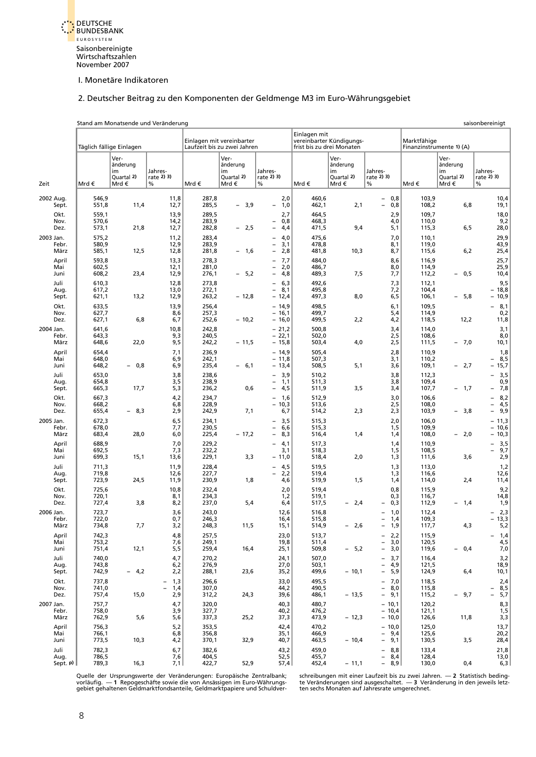<span id="page-20-0"></span>

#### [2. Deutscher Beitrag zu den Komponenten der Geldmenge M3 im Euro-Währungsgebiet](#page-5-1)

Stand am Monatsende und Veränderung saisonbereinigt

|           |                               |                                  | Täglich fällige Einlagen                     |                                               |                                  | Einlagen mit vereinbarter<br>Laufzeit bis zu zwei Jahren |                                                                                                                  | Einlagen mit                     | vereinbarter Kündigungs-<br>frist bis zu drei Monaten |                                                                                                                                          | Marktfähige<br>Finanzinstrumente 1) (A) |                                              |                                        |
|-----------|-------------------------------|----------------------------------|----------------------------------------------|-----------------------------------------------|----------------------------------|----------------------------------------------------------|------------------------------------------------------------------------------------------------------------------|----------------------------------|-------------------------------------------------------|------------------------------------------------------------------------------------------------------------------------------------------|-----------------------------------------|----------------------------------------------|----------------------------------------|
| Zeit      |                               | Mrd €                            | Ver-<br>änderung<br>im<br>Quartal 2)<br>Mrd€ | Jahres-<br>rate 2) 3)<br>%                    | Mrd€                             | Ver-<br>änderung<br>im<br>Quartal 2)<br>Mrd€             | Jahres-<br>rate 2) 3)<br>%                                                                                       | Mrd€                             | Ver-<br>änderung<br>im<br>Quartal 2)<br>Mrd €         | Jahres-<br>rate 2) 3)<br>$\%$                                                                                                            | Mrd €                                   | Ver-<br>änderung<br>im<br>Ouartal 2)<br>Mrd€ | Jahres-<br>rate 2) 3)<br>$\%$          |
| 2002 Aug. | Sept.                         | 546,9<br>551,8                   | 11,4                                         | 11,8<br>12,7                                  | 287,8<br>285,5                   | $-3,9$                                                   | 2,0<br>1,0<br>$\overline{\phantom{a}}$                                                                           | 460,6<br>462,1                   | 2,1                                                   | $-0,8$<br>$\equiv$<br>0,8                                                                                                                | 103,9<br>108,2                          | 6,8                                          | 10,4<br>19,1                           |
|           | Okt.<br>Nov.<br>Dez.          | 559,1<br>570,6<br>573,1          | 21,8                                         | 13,9<br>14,2<br>12,7                          | 289,5<br>283,9<br>282,8          | $-2,5$                                                   | 2,7<br>0,8<br>$\overline{\phantom{0}}$<br>4,4<br>$\overline{\phantom{0}}$                                        | 464,5<br>468,3<br>471,5          | 9,4                                                   | 2,9<br>4,0<br>5,1                                                                                                                        | 109,7<br>110,0<br>115,3                 | 6, 5                                         | 18,0<br>9,2<br>28,0                    |
| 2003 Jan. | Febr.<br>März                 | 575,2<br>580,9<br>585,1          | 12,5                                         | 11,2<br>12,9<br>12,8                          | 283,4<br>283,9<br>281,8          | $-1,6$                                                   | 4,0<br>$\overline{\phantom{a}}$<br>3,1<br>$\overline{\phantom{0}}$<br>2,8<br>$\overline{\phantom{a}}$            | 475,6<br>478,8<br>481,8          | 10,3                                                  | 7,0<br>8,1<br>8,7                                                                                                                        | 110,1<br>119,0<br>115,6                 | 6,2                                          | 29,9<br>43,9<br>25,4                   |
|           | April<br>Mai<br>Juni          | 593,8<br>602,5<br>608,2          | 23,4                                         | 13,3<br>12,1<br>12,9                          | 278,3<br>281,0<br>276,1          | $-5,2$                                                   | 7,7<br>$\overline{\phantom{0}}$<br>2,0<br>$\overline{\phantom{a}}$<br>4,8<br>$\overline{\phantom{a}}$            | 484,0<br>486,7<br>489,3          | 7,5                                                   | 8,6<br>8,0<br>7,7                                                                                                                        | 116,9<br>114,9<br>112,2                 | - 0,5                                        | 25,7<br>25,9<br>10,4                   |
|           | Juli<br>Aug.<br>Sept.<br>Okt. | 610,3<br>617,2<br>621,1<br>633,5 | 13,2                                         | 12,8<br>13,0<br>12,9<br>13,9                  | 273,8<br>272,1<br>263,2<br>256,4 | $-12,8$                                                  | 6,3<br>$\equiv$<br>$\equiv$<br>8,1<br>$-12,4$<br>$-14,9$                                                         | 492,6<br>495,8<br>497,3<br>498,5 | 8,0                                                   | 7,3<br>7,2<br>6,5<br>6,1                                                                                                                 | 112,1<br>104,4<br>106,1<br>109,5        | 5,8<br>$-$                                   | 9,5<br>$-18,8$<br>- 10,9<br>8,1        |
| 2004 Jan. | Nov.<br>Dez.                  | 627,7<br>627,1<br>641,6          | 6,8                                          | 8,6<br>6,7<br>10,8                            | 257,3<br>252,6<br>242,8          | $-10,2$                                                  | $-16,1$<br>$-16,0$<br>$-21,2$                                                                                    | 499,7<br>499,5<br>500,8          | 2,2                                                   | 5,4<br>4,2<br>3,4                                                                                                                        | 114,9<br>118,5<br>114,0                 | 12,2                                         | 0,2<br>11,8<br>3,1                     |
|           | Febr.<br>März<br>April        | 643,3<br>648,6<br>654,4          | 22,0                                         | 9,3<br>9,5<br>7,1                             | 240,5<br>242,2<br>236,9          | $-11,5$                                                  | $-22,1$<br>$-15,8$<br>$-14,9$                                                                                    | 502,0<br>503,4<br>505,4          | 4,0                                                   | 2,5<br>2,5<br>2,8                                                                                                                        | 108,6<br>111,5<br>110,9                 | $-7,0$                                       | 8,0<br>10,1<br>1,8                     |
|           | Mai<br>Juni<br>Juli           | 648,0<br>648,2<br>653,0          | $-0,8$                                       | 6,9<br>6,9<br>3,8                             | 242,1<br>235,4<br>238,6          | $-6,1$                                                   | $-11,8$<br>$-13,4$<br>3,9<br>$\overline{\phantom{0}}$                                                            | 507,3<br>508,5<br>510,2          | 5,1                                                   | 3,1<br>3,6<br>3,8                                                                                                                        | 110,2<br>109,1<br>112,3                 | $-2,7$                                       | 8,5<br>15,7<br>3,5                     |
|           | Aug.<br>Sept.<br>Okt.<br>Nov. | 654,8<br>665,3<br>667,3<br>668,2 | 17,7                                         | 3,5<br>5,3<br>4,2<br>6,8                      | 238,9<br>236,2<br>234,7<br>228,9 | 0,6                                                      | 1,1<br>$\overline{\phantom{a}}$<br>4,5<br>$\overline{\phantom{0}}$<br>1,6<br>$\overline{\phantom{0}}$<br>$-10,3$ | 511,3<br>511,9<br>512,9<br>513,6 | 3,5                                                   | 3,8<br>3,4<br>3,0<br>2,5                                                                                                                 | 109,4<br>107,7<br>106,6<br>108,0        | $-1,7$                                       | 0,9<br>7,8<br>8,2<br>4,5<br>-          |
| 2005 Jan. | Dez.<br>Febr.                 | 655,4<br>672,3<br>678,0          | - 8,3                                        | 2,9<br>6,5<br>7,7                             | 242,9<br>234,1<br>230,5          | 7,1                                                      | 6,7<br>3,5<br>$\equiv$<br>6,6<br>$\overline{\phantom{0}}$                                                        | 514,2<br>515,3<br>515,3          | 2,3                                                   | 2,3<br>2,0<br>1,5                                                                                                                        | 103,9<br>106,0<br>109,9                 | - 3,8                                        | 9,9<br>-<br>$-11,3$<br>$-10,6$         |
|           | März<br>April<br>Mai          | 683,4<br>688,9<br>692,5          | 28,0                                         | 6,0<br>7,0<br>7,3                             | 225,4<br>229,2<br>232,2          | $-17,2$                                                  | 8,3<br>$\overline{\phantom{a}}$<br>4,1<br>$\overline{\phantom{a}}$<br>3,1                                        | 516,4<br>517,3<br>518,3          | 1,4                                                   | 1,4<br>1,4<br>1,5                                                                                                                        | 108,0<br>110,9<br>108,5                 | $-2,0$                                       | - 10,3<br>3,5<br>9,7<br>$\overline{a}$ |
|           | Juni<br>Juli<br>Aug.<br>Sept. | 699,3<br>711,3<br>719,8<br>723,9 | 15,1<br>24,5                                 | 13,6<br>11,9<br>12,6<br>11,9                  | 229,1<br>228,4<br>227,7<br>230,9 | 3,3<br>1,8                                               | $-11,0$<br>4,5<br>$\overline{\phantom{0}}$<br>2,2<br>$\overline{\phantom{0}}$<br>4,6                             | 518,4<br>519,5<br>519,4<br>519,9 | 2,0<br>1,5                                            | 1,3<br>1,3<br>1,3<br>1,4                                                                                                                 | 111,6<br>113,0<br>116,6<br>114,0        | 3,6<br>2,4                                   | 2,9<br>1,2<br>12,6<br>11,4             |
|           | Okt.<br>Nov.<br>Dez.          | 725,6<br>720,1<br>727,4          | 3,8                                          | 10,8<br>8,1<br>8,2                            | 232,4<br>234,3<br>237,0          | 5,4                                                      | 2,0<br>1,2<br>6,4                                                                                                | 519,4<br>519,1<br>517,5          | 2,4<br>$-$                                            | 0,8<br>0,3<br>0,3<br>$\overline{\phantom{0}}$                                                                                            | 115,9<br>116,7<br>112,9                 | $-1,4$                                       | 9,2<br>14,8<br>1,9                     |
| 2006 Jan. | Febr.<br>März                 | 723,7<br>722,0<br>734,8          | 7,7                                          | 3,6<br>0,7<br>3,2                             | 243,0<br>246,3<br>248,3          | 11,5                                                     | 12,6<br>16,4<br>15,1                                                                                             | 516,8<br>515,8<br>514,9          | 2,6<br>$-$                                            | 1,0<br>1,4<br>$\overline{\phantom{a}}$<br>1,9<br>$\equiv$                                                                                | 112,4<br>109,3<br>117,7                 | 4,3                                          | 2,3<br>$-13,3$<br>5,2                  |
|           | April<br>Mai<br>Juni          | 742,3<br>753,2<br>751,4          | 12,1                                         | 4,8<br>7,6<br>5,5                             | 257,5<br>249,1<br>259,4          | 16,4                                                     | 23,0<br>19,8<br>25,1                                                                                             | 513,7<br>511,4<br>509,8          | $-5,2$                                                | 2,2<br>-<br>3,0<br>$\overline{\phantom{a}}$<br>$\overline{\phantom{a}}$<br>3,0                                                           | 115,9<br>120,5<br>119,6                 | $-0,4$                                       | $1,4$<br>$4,5$<br>$7,0$<br>-           |
|           | Juli<br>Aug.<br>Sept.<br>Okt. | 740,0<br>743,8<br>742,9<br>737,8 | $-4,2$                                       | 4,7<br>6,2<br>2,2<br>1,3                      | 270,2<br>276,9<br>288,1<br>296,6 | 23,6                                                     | 24,1<br>27,0<br>35,2<br>33,0                                                                                     | 507,0<br>503,1<br>499,6<br>495,5 | $-10,1$                                               | 3,7<br>$\overline{\phantom{a}}$<br>$\overline{\phantom{a}}$<br>4,9<br>$\overline{\phantom{a}}$<br>5,9<br>7,0<br>$\overline{\phantom{a}}$ | 116,4<br>121,5<br>124,9<br>118,5        | 6,4                                          | $3,2$<br>18,9<br>10,1<br>2,4           |
| 2007 Jan. | Nov.<br>Dez.                  | 741,0<br>757,4<br>757,7          | 15,0                                         | 1,4<br>$\overline{\phantom{a}}$<br>2,9<br>4,7 | 307,0<br>312,2<br>320,0          | 24,3                                                     | 44,2<br>39,6<br>40,3                                                                                             | 490,5<br>486,1<br>480,7          | $-13,5$                                               | $-8,0$<br>$-9,1$<br>$-10,1$                                                                                                              | 115,8<br>115,2<br>120,2                 | - 9,7                                        | $-8,5$<br>5,7<br>$\overline{a}$<br>8,3 |
|           | Febr.<br>März<br>April        | 758,0<br>762,9<br>756,3          | 5,6                                          | 3,9<br>5,6<br>5,2                             | 327,7<br>337,3<br>353,5          | 25,2                                                     | 40,2<br>37,3<br>42,4                                                                                             | 476,2<br>473,9<br>470,2          | $-12,3$                                               | $-10,4$<br>$-10,0$<br>$-10,0$                                                                                                            | 121,1<br>126,6<br>125,0                 | 11,8                                         | 1,5<br>3,3<br>13,7                     |
|           | Mai<br>Juni<br>Juli           | 766,1<br>773,5<br>782,3          | 10,3                                         | 6,8<br>4,2<br>6,7                             | 356,8<br>370,1<br>382,6          | 32,9                                                     | 35,1<br>40,7<br>43,2                                                                                             | 466,9<br>463,5<br>459,0          | $-10,4$                                               | $-9,4$<br>$-9,1$<br>8,8<br>$\overline{\phantom{a}}$                                                                                      | 125,6<br>130,5<br>133,4                 | 3,5                                          | 20,2<br>28,4<br>21,8                   |
|           | Aug.<br>Sept. $p$ )           | 786,5<br>789,3                   | 16,3                                         | 7,6<br>7,1                                    | 404,5<br>422,7                   | 52,9                                                     | 52,5<br>57,4                                                                                                     | 455,7<br>452,4                   | $-11,1$                                               | $\begin{bmatrix} -8,4 \\ -8,9 \end{bmatrix}$                                                                                             | 128,4<br>130,0                          | 0,4                                          | 13,0<br>6,3                            |

Quelle der Ursprungswerte der Veränderungen: Europäische Zentralbank; schreibungen mit einer Laufzeit bis zu zwei Jahren. — 2 Statistisch beding-<br>vorläufig. — 1 Repogeschäfte sowie die von Ansässigen im Euro-Währungs- te V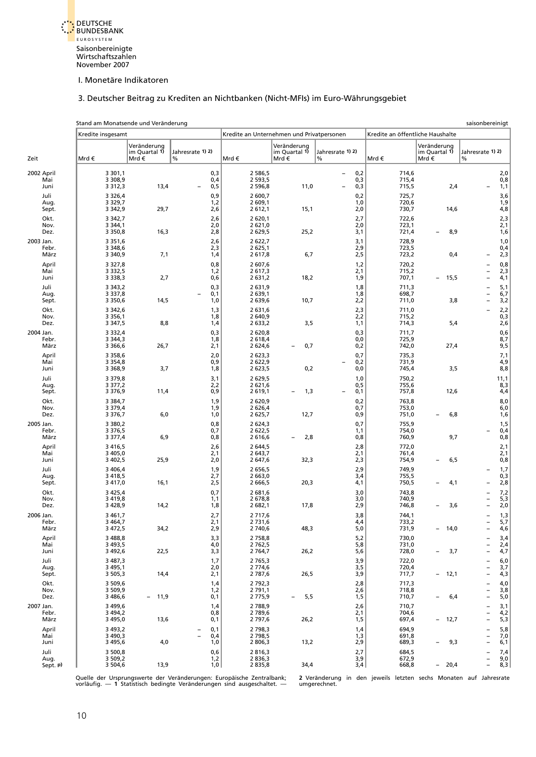

# 3. Deutscher Beitrag zu Krediten an Nichtbanken (Nicht-MFIs) im Euro-Währungsgebiet

<span id="page-21-0"></span>

|            |                          | Stand am Monatsende und Veränderung      |                                      |                       |                                           |                                      |                                                                           |                                  |                                      | saisonbereinigt                                                                                                                  |
|------------|--------------------------|------------------------------------------|--------------------------------------|-----------------------|-------------------------------------------|--------------------------------------|---------------------------------------------------------------------------|----------------------------------|--------------------------------------|----------------------------------------------------------------------------------------------------------------------------------|
|            |                          | Kredite insgesamt                        |                                      |                       | Kredite an Unternehmen und Privatpersonen |                                      |                                                                           | Kredite an öffentliche Haushalte |                                      |                                                                                                                                  |
| Zeit       |                          | Mrd €                                    | Veränderung<br>im Quartal 1)<br>Mrd€ | Jahresrate 1) 2)<br>% | Mrd€                                      | Veränderung<br>im Quartal 1)<br>Mrd€ | Jahresrate 1) 2)<br>%                                                     | Mrd €                            | Veränderung<br>im Quartal 1)<br>Mrd€ | Jahresrate 1) 2)<br>$\%$                                                                                                         |
| 2002 April | Mai<br>Juni              | 3 3 0 1, 1<br>3 3 0 8,9<br>3 3 1 2 , 3   | 13,4                                 | 0,3<br>0,4<br>0,5     | 2 586.5<br>2 5 9 3, 5<br>2 596,8          | 11,0                                 | 0,2<br>$\overline{\phantom{a}}$<br>0,3<br>0,3<br>$\overline{\phantom{0}}$ | 714,6<br>715,4<br>715,5          | 2,4                                  | 2,0<br>0,8<br>1,1                                                                                                                |
|            | Juli<br>Aug.<br>Sept.    | 3 3 2 6,4<br>3 3 2 9, 7<br>3 3 4 2, 9    | 29,7                                 | 0,9<br>1,2<br>2,6     | 2 600,7<br>2 609,1<br>2 6 1 2, 1          | 15,1                                 | 0,2<br>1,0<br>2,0                                                         | 725,7<br>720,6<br>730,7          | 14,6                                 | 3,6<br>1,9<br>4,8                                                                                                                |
|            | Okt.<br>Nov.<br>Dez.     | 3 3 4 2, 7<br>3 3 4 4, 1<br>3 3 5 0, 8   | 16,3                                 | 2,6<br>2,0<br>2,8     | 2 620,1<br>2 621,0<br>2 629,5             | 25,2                                 | 2,7<br>2,0<br>3,1                                                         | 722,6<br>723,1<br>721,4          | 8,9<br>$\overline{\phantom{0}}$      | $2,3$<br>$2,1$<br>1,6                                                                                                            |
| 2003 Jan.  | Febr.<br>März            | 3 3 5 1 , 6<br>3 3 4 8 , 6<br>3 3 4 0, 9 | 7,1                                  | 2,6<br>2,3<br>1,4     | 2 622,7<br>2 625,1<br>2617,8              | 6,7                                  | 3,1<br>2,9<br>2,5                                                         | 728,9<br>723,5<br>723,2          | 0,4                                  | 1,0<br>0,4<br>2,3                                                                                                                |
|            | April<br>Mai<br>Juni     | 3 3 2 7,8<br>3 3 3 2, 5<br>3 3 3 8 , 3   | 2,7                                  | 0,8<br>1,2<br>0,6     | 2 607,6<br>2617,3<br>2 631,2              | 18,2                                 | 1,2<br>2,1<br>1,9                                                         | 720,2<br>715,2<br>707,1          | 15,5<br>$\overline{\phantom{a}}$     | $0,8$<br>2,3<br>$\overline{\phantom{0}}$<br>4,1<br>$\qquad \qquad -$                                                             |
|            | Juli<br>Aug.<br>Sept.    | 3 3 4 3, 2<br>3 3 3 7,8<br>3 3 5 0, 6    | 14,5                                 | 0,3<br>0,1<br>1,0     | 2 631,9<br>2 639,1<br>2 639,6             | 10,7                                 | 1,8<br>1,8<br>2,2                                                         | 711,3<br>698,7<br>711,0          | 3,8                                  | $5,1$<br>$6,7$<br>$\qquad \qquad -$<br>$\qquad \qquad -$<br>3,2<br>$\overline{\phantom{0}}$                                      |
|            | Okt.<br>Nov.<br>Dez.     | 3 3 4 2, 6<br>3 3 5 6, 1<br>3 3 4 7, 5   | 8,8                                  | 1,3<br>1,8<br>1,4     | 2 631,6<br>2 640,9<br>2 633,2             | 3,5                                  | 2,3<br>2,2<br>1,1                                                         | 711,0<br>715,2<br>714,3          | 5,4                                  | 2,2<br>$\overline{a}$<br>0,3<br>2,6                                                                                              |
| 2004 Jan.  | Febr.<br>März            | 3 3 3 2,4<br>3 3 4 4, 3<br>3 3 6 6, 6    | 26,7                                 | 0,3<br>1,8<br>2,1     | 2 620,8<br>2 6 18,4<br>2 624,6            | 0,7<br>$\qquad \qquad -$             | 0,3<br>0,0<br>0,2                                                         | 711,7<br>725,9<br>742,0          | 27,4                                 | $0,6$<br>8,7<br>9,5                                                                                                              |
|            | April<br>Mai<br>Juni     | 3 3 5 8, 6<br>3 3 5 4, 8<br>3 3 6 8, 9   | 3,7                                  | 2,0<br>0,9<br>1,8     | 2 623,3<br>2 622,9<br>2 623,5             | 0,2                                  | 0,7<br>0,2<br>0,0                                                         | 735,3<br>731,9<br>745,4          | 3,5                                  | 7,1<br>4,9<br>8,8                                                                                                                |
|            | Juli<br>Aug.<br>Sept.    | 3 3 7 9, 8<br>3 3 7 7, 2<br>3 3 7 6, 9   | 11,4                                 | 3,1<br>2,2<br>0,9     | 2 629,5<br>2 621,6<br>2 6 1 9, 1          | 1,3<br>$\qquad \qquad -$             | 1,0<br>0,5<br>0,1                                                         | 750,2<br>755,6<br>757,8          | 12,6                                 | 11,1<br>8,3<br>4,4                                                                                                               |
|            | Okt.<br>Nov.<br>Dez.     | 3 3 8 4, 7<br>3 3 7 9, 4<br>3 3 7 6, 7   | 6,0                                  | 1,9<br>1,9<br>1,0     | 2 6 2 0, 9<br>2 626,4<br>2 625,7          | 12,7                                 | 0,2<br>0,7<br>0,9                                                         | 763,8<br>753,0<br>751,0          | 6,8<br>$\overline{\phantom{a}}$      | 8,0<br>6,0<br>1,6                                                                                                                |
| 2005 Jan.  | Febr.<br>März            | 3 3 8 0, 2<br>3 3 7 6, 5<br>3 3 7 7,4    | 6,9                                  | 0,8<br>0,7<br>0,8     | 2 624,3<br>2 622,5<br>2 616,6             | 2,8<br>$\overline{\phantom{0}}$      | 0,7<br>1,1<br>0,8                                                         | 755,9<br>754,0<br>760,9          | 9,7                                  | 1,5<br>0,4<br>$\overline{\phantom{0}}$<br>0,8                                                                                    |
|            | April<br>Mai<br>Juni     | 3 4 1 6, 5<br>3 4 0 5,0<br>3 4 0 2,5     | 25,9                                 | 2,6<br>2,1<br>2,0     | 2 644,5<br>2 643,7<br>2 647,6             | 32,3                                 | 2,8<br>2,1<br>2,3                                                         | 772,0<br>761,4<br>754,9          | 6,5<br>$\overline{\phantom{0}}$      | 2,1<br>2,1<br>0,8                                                                                                                |
|            | Juli<br>Aug.<br>Sept.    | 3 4 0 6.4<br>3 4 18,5<br>3 4 1 7,0       | 16,1                                 | 1,9<br>2,7<br>2,5     | 2 656,5<br>2 663,0<br>2 666,5             | 20,3                                 | 2,9<br>3,4<br>4,1                                                         | 749,9<br>755,5<br>750,5          | 4,1                                  | 1,7<br>0,3<br>2,8<br>-                                                                                                           |
|            | Okt.<br>Nov.<br>Dez.     | 3 4 2 5, 4<br>3 4 1 9,8<br>3 4 28,9      | 14,2                                 | 0,7<br>1,1<br>1,8     | 2 681,6<br>2 678,8<br>2 682,1             | 17,8                                 | 3,0<br>3,0<br>2,9                                                         | 743,8<br>740,9<br>746,8          | 3,6                                  | 7,2<br>$5,3$<br>2,0<br>$\overline{a}$                                                                                            |
| 2006 Jan.  | Febr.<br>März            | 3 4 6 1, 7<br>3 4 64,7<br>3 4 7 2, 5     | 34,2                                 | 2,7<br>2,1<br>2,9     | 2 7 1 7,6<br>2 7 3 1,6<br>2 740,6         | 48,3                                 | 3,8<br>4,4<br>$5,0$                                                       | 744,1<br>733,2<br>731,9          | 14,0<br>$\overline{\phantom{a}}$     | 1,3<br>$\qquad \qquad -$<br>5,7<br>4,6                                                                                           |
|            | April<br>Mai<br>Juni     | 3 4 8 8, 8<br>3 4 9 3, 5<br>3 4 9 2, 6   | 22,5                                 | $^{3,3}_{4,0}$<br>3,3 | 2 7 5 8, 8<br>2 7 6 2, 5<br>2 7 64,7      | 26,2                                 | 5,2<br>5,8<br>5,6                                                         | 730,0<br>731,0<br>728,0          | 3,7<br>$\overline{\phantom{a}}$      | 3,4<br>2,4<br>$\overline{\phantom{a}}$<br>4,7<br>$\overline{\phantom{a}}$                                                        |
|            | Juli<br>Aug.<br>Sept.    | 3 487,3<br>3 4 9 5, 1<br>3 5 0 5 , 3     | 14,4                                 | 1,7<br>2,0<br>2,1     | 2 7 6 5, 3<br>2 774,6<br>2 787,6          | 26,5                                 | 3,9<br>3,5<br>3,9                                                         | 722,0<br>720,4<br>717,7          | 12,1<br>$\overline{\phantom{a}}$     | 6,0<br>3,7<br>4,3<br>$\overline{\phantom{a}}$<br>$\overline{\phantom{a}}$<br>$\overline{\phantom{a}}$                            |
|            | Okt.<br>Nov.<br>Dez.     | 3 509,6<br>3 509,9<br>3 4 8 6, 6         | - 11,9                               | 1,4<br>1,2<br>0,1     | 2 7 9 2, 3<br>2 791,1<br>2 775,9          | 5,5<br>$\overline{\phantom{0}}$      | 2,8<br>2,6<br>1,5                                                         | 717,3<br>718,8<br>710,7          | 6,4<br>$\overline{\phantom{m}}$      | $\frac{4,0}{3,8}$<br>$\overline{\phantom{a}}$<br>$\qquad \qquad -$<br>5,0<br>$\overline{\phantom{0}}$                            |
| 2007 Jan.  | Febr.<br>März            | 3 4 9 9, 6<br>3 4 9 4, 2<br>3 4 9 5,0    | 13,6                                 | 1,4<br>0,8<br>0,1     | 2 788,9<br>2 789,6<br>2 7 9 7, 6          | 26,2                                 | 2,6<br>2,1<br>1,5                                                         | 710,7<br>704,6<br>697,4          | 12,7<br>$\overline{\phantom{a}}$     | 3, 1<br>4, 2<br>5, 3<br>$\overline{\phantom{a}}$<br>$\overline{\phantom{0}}$<br>$\overline{a}$                                   |
|            | April<br>Mai<br>Juni     | 3 4 9 3, 2<br>3 4 9 0, 3<br>3 4 9 5, 6   | 4,0                                  | 0,1<br>0,4<br>1,0     | 2 7 98, 3<br>2 7 98, 5<br>2 806,3         | 13,2                                 | 1,4<br>1,3<br>2,9                                                         | 694,9<br>691,8<br>689,3          | 9,3<br>$\overline{\phantom{m}}$      | 5,8<br>$\overline{\phantom{a}}$<br>7,0<br>$\overline{\phantom{a}}$<br>6,1<br>$\overline{\phantom{a}}$                            |
|            | Juli<br>Aug.<br>Sept. p) | 3 500,8<br>3 5 0 9, 2<br>3 504,6         | 13,9                                 | 0,6<br>1,2<br>1,0     | 2816,3<br>2 8 3 6, 3<br>2 835,8           | 34,4                                 | 2,7<br>3,9<br>3,4                                                         | 684,5<br>672,9<br>668,8          | $-20,4$                              | 7,4<br>$\overline{\phantom{a}}$<br>$\begin{bmatrix} 9, 0 \\ 8, 3 \end{bmatrix}$<br>$\overline{\phantom{a}}$<br>$\qquad \qquad -$ |

Quelle der Ursprungswerte der Veränderungen: Europäische Zentralbank; 2 Veränderung in den jeweils letzten sechs Monaten auf Jahresrate<br>vorläufig. — 1 Statistisch bedingte Veränderungen sind ausgeschaltet. — umgerechne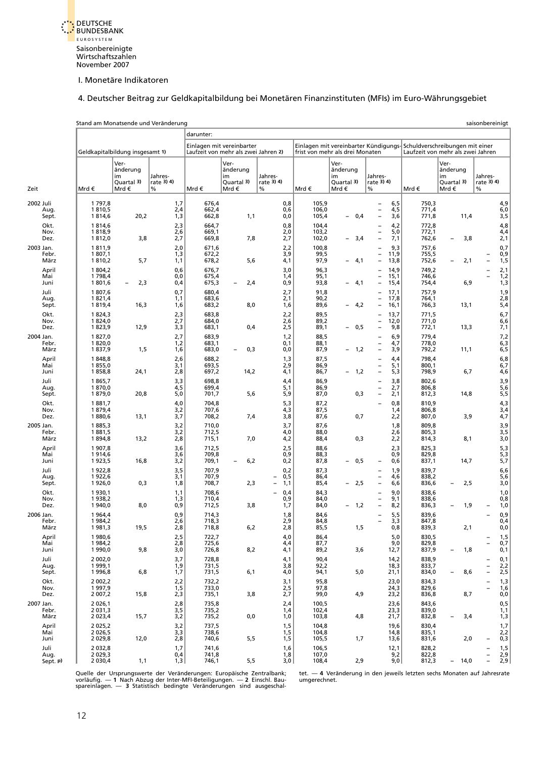

### [4. Deutscher Beitrag zur Geldkapitalbildung bei Monetären Finanzinstituten \(MFIs\) im Euro-Währungsgebiet](#page-5-1)

<span id="page-22-0"></span>

|      |                               |                                                      | Stand am Monatsende und Veränderung           |                                            |                                  |                                                                   |                            |                                  |                                                                                                         |                                                                                                                                              |                                  |                                              | saisonbereinigt                                                                                   |
|------|-------------------------------|------------------------------------------------------|-----------------------------------------------|--------------------------------------------|----------------------------------|-------------------------------------------------------------------|----------------------------|----------------------------------|---------------------------------------------------------------------------------------------------------|----------------------------------------------------------------------------------------------------------------------------------------------|----------------------------------|----------------------------------------------|---------------------------------------------------------------------------------------------------|
|      |                               |                                                      |                                               |                                            | darunter:                        |                                                                   |                            |                                  |                                                                                                         |                                                                                                                                              |                                  |                                              |                                                                                                   |
|      |                               |                                                      | Geldkapitalbildung insgesamt 1)               |                                            |                                  | Einlagen mit vereinbarter<br>Laufzeit von mehr als zwei Jahren 2) |                            |                                  | Einlagen mit vereinbarter Kündigungs-Schuldverschreibungen mit einer<br>frist von mehr als drei Monaten |                                                                                                                                              |                                  | Laufzeit von mehr als zwei Jahren            |                                                                                                   |
| Zeit |                               | Mrd €                                                | Ver-<br>änderung<br>im<br>Quartal 3)<br>Mrd € | Jahres-<br>rate 3) 4)<br>$\%$              | Mrd €                            | Ver-<br>änderung<br>im<br>Quartal 3)<br>Mrd€                      | Jahres-<br>rate 3) 4)<br>% | Mrd€                             | Ver-<br>änderung<br>im<br>Quartal 3)<br>Mrd €                                                           | Jahres-<br>rate 3) 4)<br>%                                                                                                                   | Mrd€                             | Ver-<br>änderung<br>im<br>Quartal 3)<br>Mrd€ | Jahres-<br>rate 3) 4)<br>$\%$                                                                     |
|      | 2002 Juli<br>Aug.<br>Sept.    | 1 797,8<br>1810,5<br>1814,6                          | 20,2                                          | 1,7<br>2,4<br>1,3                          | 676,4<br>662,4<br>662,8          | 1,1                                                               | 0,8<br>0,6<br>0,0          | 105,9<br>106,0<br>105,4          | 0,4<br>$\qquad \qquad -$                                                                                | 6,5<br>$\overline{\phantom{0}}$<br>4,5<br>$\overline{\phantom{0}}$<br>$\overline{a}$<br>3,6                                                  | 750,3<br>771,4<br>771,8          | 11,4                                         | 4,9<br>6,0<br>3,5                                                                                 |
|      | Okt.<br>Nov.<br>Dez.          | 1814,6<br>1818,9<br>1812,0                           | 3,8                                           | 2,3<br>2,6<br>2,7                          | 664,7<br>669,1<br>669,8          | 7,8                                                               | 0,8<br>2,0<br>2,7          | 104,4<br>103,2<br>102,0          | 3,4<br>$\overline{\phantom{0}}$                                                                         | 4,2<br>$\qquad \qquad -$<br>5,0<br>$\overline{\phantom{0}}$<br>7,1<br>$\overline{\phantom{0}}$                                               | 772,8<br>772,1<br>762,6          | 3,8<br>$\overline{\phantom{a}}$              | 4,8<br>4,4<br>2,1                                                                                 |
|      | 2003 Jan.<br>Febr.<br>März    | 1811,9<br>1 807,1<br>1810,2                          | 5,7                                           | 2,0<br>1,3<br>1,1                          | 671,6<br>672,2<br>678,2          | 5,6                                                               | 2,2<br>3,9<br>4,1          | 100,8<br>99,5<br>97,9            | 4,1<br>$\qquad \qquad -$                                                                                | 9,3<br>$\qquad \qquad -$<br>11,9<br>$\overline{\phantom{0}}$<br>13,8<br>$\overline{\phantom{0}}$                                             | 757,6<br>755,5<br>752,6          | 2,1<br>$\overline{\phantom{0}}$              | 0,7<br>0,9<br>1, 5                                                                                |
|      | April<br>Mai<br>Juni          | 1 804,2<br>1 7 9 8,4<br>1801,6                       | 2,3<br>$\overline{\phantom{a}}$               | 0,6<br>0,0<br>0,4                          | 676,7<br>675,4<br>675,3          | 2,4<br>$\overline{\phantom{0}}$                                   | 3,0<br>1,4<br>0,9          | 96,3<br>95,1<br>93,8             | 4,1<br>$\overline{\phantom{0}}$                                                                         | 14.9<br>L,<br>15,1<br>$\overline{\phantom{0}}$<br>15,4<br>$\overline{\phantom{0}}$                                                           | 749,2<br>746,6<br>754,4          | 6,9                                          | 2,1<br>L,<br>$\frac{1}{2}$<br>$\frac{1}{3}$                                                       |
|      | Juli<br>Aug.<br>Sept.<br>Okt. | 1807,6<br>1821,4<br>1819,4<br>1 824,3                | 16,3                                          | 0,7<br>1,1<br>1,6<br>2,3                   | 680,4<br>683,6<br>683,2<br>683,8 | 8,0                                                               | 2,7<br>2,1<br>1,6<br>2,2   | 91,8<br>90,2<br>89,6<br>89,5     | 4,2<br>$\overline{\phantom{0}}$                                                                         | 17,1<br>$\overline{\phantom{0}}$<br>17,8<br>$\overline{\phantom{0}}$<br>16,1<br>$\overline{\phantom{0}}$<br>13,7<br>$\overline{\phantom{0}}$ | 757,9<br>764,1<br>766,3<br>771,5 | 13,1                                         | $\frac{1,9}{2,8}$<br>5,4<br>6,7                                                                   |
|      | Nov.<br>Dez.<br>2004 Jan.     | 1824,0<br>1823,9<br>1827,0                           | 12,9                                          | 2,7<br>3,3<br>2,7                          | 684,0<br>683,1<br>683,9          | 0,4                                                               | 2,6<br>2,5<br>1,2          | 89,2<br>89,1<br>88,5             | 0,5<br>$\overline{\phantom{0}}$                                                                         | 12,0<br>$\overline{\phantom{0}}$<br>9,8<br>$\overline{\phantom{0}}$<br>6,9<br>$\qquad \qquad -$                                              | 771,0<br>772,1<br>779,4          | 13,3                                         | 6,6<br>7,1                                                                                        |
|      | Febr.<br>März<br>April        | 1820,0<br>1837,9<br>1848,8                           | 1,5                                           | 1,2<br>1,6<br>2,6                          | 683,1<br>683,0<br>688,2          | 0,3<br>$\overline{\phantom{0}}$                                   | 0,1<br>0,0<br>1,3          | 88,1<br>87,9<br>87,5             | 1,2<br>-                                                                                                | 4,7<br>$\overline{\phantom{0}}$<br>3,9<br>$\qquad \qquad -$<br>4,4<br>$\overline{\phantom{0}}$                                               | 778,0<br>792,2<br>798,4          | 11,1                                         | $7,2$<br>6,3<br>6, 5<br>$6,8$<br>$6,7$                                                            |
|      | Mai<br>Juni<br>Juli           | 1855,0<br>1858,8<br>1865,7                           | 24,1                                          | 3,1<br>2,8<br>3,3                          | 693,5<br>697,2<br>698,8          | 14,2                                                              | 2,9<br>4,1<br>4,4          | 86,9<br>86,7<br>86,9             | 1,2<br>$\overline{a}$                                                                                   | 5,1<br>$\overline{\phantom{0}}$<br>$\equiv$<br>5,3<br>3,8<br>$\overline{\phantom{0}}$                                                        | 800,1<br>798,9<br>802,6          | 6,7                                          | 4,6<br>$3,9$<br>$5,6$                                                                             |
|      | Aug.<br>Sept.<br>Okt.<br>Nov. | 1870,0<br>1879,0<br>1881,7<br>1879,4                 | 20,8                                          | 4,5<br>5,0<br>4,0<br>3,2                   | 699,4<br>701,7<br>704,8<br>707,6 | 5,6                                                               | 5,1<br>5,9<br>5,3<br>4,3   | 86,9<br>87,0<br>87,2<br>87,5     | 0,3                                                                                                     | 2,7<br>$\overline{\phantom{0}}$<br>$\overline{a}$<br>2,1<br>0,8<br>1,4                                                                       | 806,8<br>812,3<br>810,9<br>806,8 | 14,8                                         | 5, 5<br>4,3                                                                                       |
|      | Dez.<br>2005 Jan.<br>Febr.    | 1880,6<br>1885,3<br>1881,5                           | 13,1                                          | 3,7<br>3,2<br>3,2                          | 708,2<br>710,0<br>712,5          | 7,4                                                               | 3,8<br>3,7<br>4,0          | 87,6<br>87,6<br>88,0             | 0,7                                                                                                     | 2,2<br>1,8<br>2,6                                                                                                                            | 807,0<br>809,8<br>805,3          | 3,9                                          | $3,4$<br>4,7<br>$3,9$<br>$3,5$                                                                    |
|      | März<br>April<br>Mai          | 1894,8<br>1 907.8<br>1914,6                          | 13,2                                          | 2,8<br>3,6<br>3,6                          | 715,1<br>712,5<br>709,8          | 7,0                                                               | 4,2<br>2,5<br>0,9          | 88,4<br>88,6<br>88,3             | 0,3                                                                                                     | 2,2<br>2,3<br>0,9                                                                                                                            | 814,3<br>825,3<br>829,8          | 8,1                                          | 3,0<br>5,3<br>$5,3$<br>$5,7$                                                                      |
|      | Juni<br>Juli<br>Aug.          | 1923,5<br>1922,8<br>1922,6<br>1926,0                 | 16,8<br>0,3                                   | 3,2<br>3,5<br>3,1<br>1,8                   | 709,1<br>707,9<br>707,9<br>708,7 | 6,2<br>$\overline{a}$<br>2,3                                      | 0,2<br>0,2<br>0,5<br>1,1   | 87,8<br>87,3<br>86,4<br>85,4     | 0,5<br>$\overline{\phantom{0}}$<br>2,5                                                                  | 0,6<br>$\overline{\phantom{0}}$<br>1,9<br>$\overline{\phantom{0}}$<br>4,6<br>$\overline{\phantom{0}}$<br>6,6<br>$\qquad \qquad -$            | 837,1<br>839,7<br>838,2<br>836,6 | 14,7<br>2,5<br>$\qquad \qquad -$             | 6,6<br>5,6<br>3,0                                                                                 |
|      | Sept.<br>Okt.<br>Nov.<br>Dez. | 1930,1<br>1938,2<br>1 940,0                          | 8,0                                           | 1,1<br>1,3<br>0,9                          | 708,6<br>710,4<br>712,5          | 3,8                                                               | 0.4<br>0,9<br>1,7          | 84,3<br>84,0<br>84,0             | 1,2                                                                                                     | 9,0<br>$\overline{\phantom{0}}$<br>9,1<br>$\overline{\phantom{0}}$<br>8,2<br>$\overline{a}$                                                  | 838,6<br>838,6<br>836,3          | 1,9                                          | 1,0<br>0,8<br>1,0                                                                                 |
|      | 2006 Jan.<br>repr.<br>März    | 1964,4<br>1 984,2<br>1981,3                          | 19,5                                          | 0,9<br>z,6<br>2,8                          | 714,3<br>718,3<br>718,8          | $6,2$                                                             | 1,8<br>2,9<br>2,8          | 84,6<br>84,8<br>85,5             | 1,5                                                                                                     | 5,5<br>$\overline{\phantom{0}}$<br>5,3<br>0,8                                                                                                | 839,6<br>847,8<br>839,3          | 2,1                                          | 0,9<br>0,4<br>0,0                                                                                 |
|      | April<br>Mai<br>Juni          | 1980,6<br>1 984,2<br>1990,0                          | 9,8                                           | 2,5<br>2,8<br>3,0                          | 722,7<br>725,6<br>726,8          | 8,2                                                               | 4,0<br>4,4<br>4,1          | 86,4<br>87,7<br>89,2             | 3,6                                                                                                     | 5,0<br>9,0<br>12,7                                                                                                                           | 830,5<br>829,8<br>837,9          | 1,8<br>$\overline{\phantom{0}}$              | $\begin{bmatrix} 1, 5 \\ 0, 7 \end{bmatrix}$<br>L,<br>0,1                                         |
|      | Juli<br>Aug.<br>Sept.         | 2 002,0<br>1 999,1<br>1996,8                         | 6,8                                           | 3,7<br>1,9<br>1,7                          | 728,8<br>731,5<br>731,5          | 6,1                                                               | 4,1<br>3,8<br>4,0          | 90,4<br>92,2<br>94,1             | 5,0                                                                                                     | 14,2<br>18,3<br>21,1                                                                                                                         | 838,9<br>833,7<br>834,0          | 8,6<br>$\overline{\phantom{0}}$              | 0, 1<br>2, 2<br>2, 5<br>$\overline{\phantom{0}}$<br>$\overline{\phantom{0}}$<br>$\qquad \qquad -$ |
|      | Okt.<br>Nov.<br>Dez.          | 2 0 0 2, 2<br>1997,9<br>2 007,2                      | 15,8                                          | 2,2<br>1,5<br>2,3                          | 732,2<br>733,0<br>735,1          | 3,8                                                               | 3,1<br>2,5<br>2,7          | 95,8<br>97,8<br>99,0             | 4,9                                                                                                     | 23,0<br>24,3<br>23,2                                                                                                                         | 834,3<br>829,6<br>836,8          | 8,7                                          | 1,3<br>$\overline{\phantom{0}}$<br>1,6<br>$\overline{\phantom{0}}$<br>0, 0                        |
|      | 2007 Jan.<br>Febr.<br>März    | 2 0 2 6, 1<br>2 0 3 1 , 3<br>2 0 2 3,4               | 15,7                                          | 2,8<br>3,5<br>3,2                          | 735,8<br>735,2<br>735,2          | 0,0                                                               | 2,4<br>1,4<br>1,0          | 100,5<br>102,4<br>103,8          | 4,8                                                                                                     | 23,6<br>23,3<br>21,7                                                                                                                         | 843,6<br>839,0<br>832,8          | 3,4<br>$\overline{\phantom{a}}$              | $0,5$<br>$1,1$<br>1,3                                                                             |
|      | April<br>Mai<br>Juni<br>Juli  | 2 0 2 5, 2<br>2 0 2 6, 5<br>2 0 2 9, 8<br>2 0 3 2, 8 | 12,0                                          | 3,2<br>3,3<br>2,8<br>1,7                   | 737,5<br>738,6<br>740,6<br>741,6 | 5,5                                                               | 1,5<br>1,5<br>1,5<br>1,6   | 104,8<br>104,8<br>105,5<br>106,5 | 1,7                                                                                                     | 19,6<br>14,8<br>13,6                                                                                                                         | 830,4<br>835,1<br>831,6<br>828,2 | 2,0                                          | 1,7<br>$2,2$<br>0,3                                                                               |
|      | Aug.<br>Sept. p)              | 2 0 29, 3<br>2 0 3 0,4                               | 1,1                                           | $\begin{bmatrix} 0,4 \\ 1,3 \end{bmatrix}$ | 741,8<br>746,1                   | 5,5                                                               | 1,8<br>3,0                 | 107,0<br>108,4                   | 2,9                                                                                                     | 12,1<br>9,2<br>9,0                                                                                                                           | 822,8<br>812,3                   | 14,0<br>$\overline{\phantom{a}}$             | $\begin{bmatrix} 1,5 \\ 2,9 \\ 2,9 \end{bmatrix}$<br>-<br>$\overline{\phantom{0}}$                |

Quelle der Ursprungswerte der Veränderungen: Europäische Zentralbank; ket. — 4 Veränderung in den jeweils letzten sechs Monaten auf Jahresrate<br>vorläufig. — 1 Nach Abzug der Inter-MFI-Beteiligungen. — 2 Einschl. Bau- kamper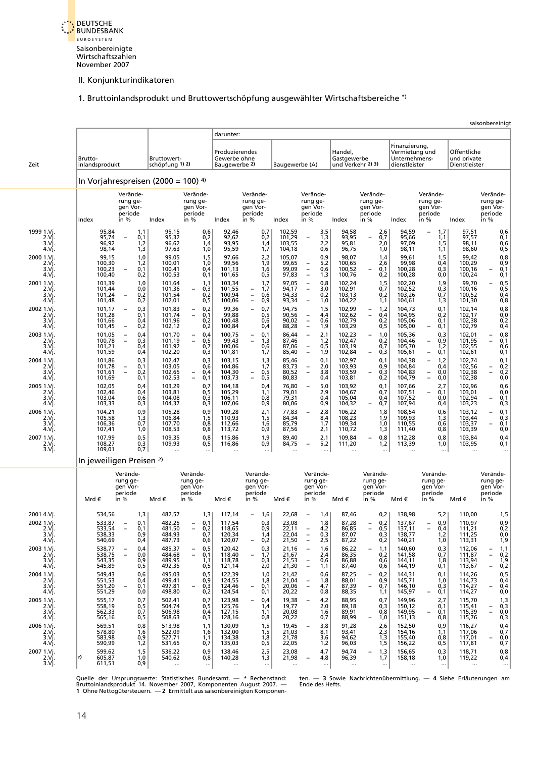

[1. Bruttoinlandsprodukt und Bruttowertschöpfung ausgewählter Wirtschaftsbereiche \\*\)](#page-6-1)

<span id="page-23-0"></span>

|                                                     |                                                |                                                                                  |                                                |                                                                            |                                                 |                                                             |                                           |                                                                                                                               |                                                |                                                             |                                                                   |                                                                    |                                                | saisonbereinigt                                      |
|-----------------------------------------------------|------------------------------------------------|----------------------------------------------------------------------------------|------------------------------------------------|----------------------------------------------------------------------------|-------------------------------------------------|-------------------------------------------------------------|-------------------------------------------|-------------------------------------------------------------------------------------------------------------------------------|------------------------------------------------|-------------------------------------------------------------|-------------------------------------------------------------------|--------------------------------------------------------------------|------------------------------------------------|------------------------------------------------------|
|                                                     |                                                |                                                                                  |                                                |                                                                            | darunter:                                       |                                                             |                                           |                                                                                                                               |                                                |                                                             |                                                                   |                                                                    |                                                |                                                      |
| Zeit                                                | Brutto-<br>inlandsprodukt                      |                                                                                  | Bruttowert-<br>schöpfung 1) 2)                 |                                                                            | Produzierendes<br>Gewerbe ohne<br>Baugewerbe 2) |                                                             | Baugewerbe (A)                            |                                                                                                                               | Handel,<br>Gastgewerbe<br>und Verkehr 2) 3)    |                                                             | Finanzierung,<br>Vermietung und<br>Unternehmens-<br>dienstleister |                                                                    | Öffentliche<br>und private<br>Dienstleister    |                                                      |
|                                                     | In Vorjahrespreisen (2000 = 100) $4$ )         |                                                                                  |                                                |                                                                            |                                                 |                                                             |                                           |                                                                                                                               |                                                |                                                             |                                                                   |                                                                    |                                                |                                                      |
|                                                     |                                                | Verände-<br>rung ge-<br>gen Vor-<br>periode                                      |                                                | Verände-<br>rung ge-<br>gen Vor-<br>periode                                |                                                 | Verände-<br>rung ge-<br>gen Vor-<br>periode                 |                                           | Verände-<br>rung ge-<br>gen Vor-<br>periode                                                                                   |                                                | Verände-<br>rung ge-<br>gen Vor-<br>periode                 |                                                                   | Verände-<br>rung ge-<br>gen Vor-<br>periode                        |                                                | Verände-<br>rung ge-<br>gen Vor-<br>periode          |
|                                                     | Index                                          | in %                                                                             | Index                                          | in %                                                                       | Index                                           | in %                                                        | Index                                     | in %                                                                                                                          | Index                                          | in %                                                        | Index                                                             | in $%$                                                             | Index                                          | in %                                                 |
| 1999 1.Vi<br>2.Vi.<br>3.Vi.<br>4.Vj.                | 95,84<br>95,74<br>96,92<br>98,14               | 1,1<br>0,1<br>$\overline{\phantom{a}}$<br>1,2<br>1,3                             | 95,15<br>95,32<br>96,62<br>97,63               | 0,6<br>0,2<br>1,4<br>1,0                                                   | 92,46<br>92,62<br>93,95<br>95,59                | 0,7<br>0,2<br>1,4<br>1,7                                    | 102,59<br>101,29<br>103,55<br>104,18      | $3,5$<br>$1,3$<br>$2,2$<br>0,6                                                                                                | 94,58<br>93,95<br>95,81<br>96,75               | 2,6<br>0,7<br>$\qquad \qquad -$<br>2,0<br>1,0               | 94,59<br>95,66<br>97,09<br>98,11                                  | 1,7<br>$\frac{1}{1,5}$<br>1,1                                      | 97,51<br>97,57<br>98,11<br>98,60               | $0,6$<br>$0,1$<br>$0,6$<br>$0,5$                     |
| 2000 1.Vi.<br>2.Vj.<br>3.Vi.<br>4.Vj.               | 99,15<br>100,30<br>100,23<br>100,40            | 1,0<br>1,2<br>0,1<br>0,2                                                         | 99,05<br>100,01<br>100,41<br>100,53            | 1,5<br>1,0<br>0,4<br>0,1                                                   | 97,66<br>99,56<br>101,13<br>101,65              | 2,2<br>1,9<br>1,6<br>0,5                                    | 105,07<br>99,65<br>99,09<br>97,83         | $0,9$<br>$5,2$<br>$0,6$<br>$\overline{\phantom{a}}$<br>$\overline{\phantom{a}}$<br>$\equiv$<br>1,3                            | 98,07<br>100,65<br>100,52<br>100,76            | 1,4<br>2,6<br>0,1<br>0,2                                    | 99,61<br>99,98<br>100,28<br>100,28                                | 1,5<br>0,4<br>0,3<br>0,0                                           | 99,42<br>100,29<br>100,16<br>100,24            | $0,8$<br>$0,9$<br>$0,1$<br>0,1                       |
| 2001 1.Vi.<br>2.Vi.<br>3.Vì.<br>4.Vj.               | 101,39<br>101,44<br>101,24<br>101,48           | $^{1,0}_{0,0}$<br>0,2<br>$\overline{\phantom{a}}$<br>0,2                         | 101,64<br>101,36<br>101,54<br>102,01           | 1,1<br>0,3<br>$\overline{\phantom{a}}$<br>0,2<br>0,5                       | 103,34<br>101,55<br>100,94<br>100,06            | 1,7<br>1,7<br>$\bar{a}$<br>0,6<br>$\frac{1}{2}$<br>0,9      | 97,05<br>94,17<br>94,33<br>93,34          | $0,8$<br>3,0<br>$\bar{\bar{\phantom{a}}}$<br>0,2<br>1,0<br>$\overline{\phantom{0}}$                                           | 102,24<br>102,91<br>103,13<br>104,22           | $\frac{1}{0,7}$<br>0,2<br>1,1                               | 102,20<br>102,52<br>103,26<br>104,61                              | 1,9<br>0,3<br>0,7<br>1,3                                           | 99,70<br>100,16<br>100,52<br>101,30            | 0,5<br>0,5<br>0,4<br>0,8                             |
| 2002 1.Vj.<br>2.Vi.<br>3.Vì.<br>4.Vj                | 101,17<br>101,28<br>101,66<br>101,45           | 0,3<br>$\overline{\phantom{0}}$<br>0,1<br>0,4<br>0,2<br>$\overline{\phantom{a}}$ | 101,83<br>101,74<br>101,96<br>102,12           | 0,2<br>$\bar{z}$<br>0,1<br>0,2<br>0,2                                      | 99,36<br>99,88<br>100,48<br>100,84              | 0,7<br>$\overline{\phantom{a}}$<br>0,5<br>0,6<br>0,4        | 94,75<br>90,56<br>90,02<br>88,28          | 1,5<br>$^{4,4}_{0,6}$<br>$\overline{\phantom{a}}$<br>$\qquad \qquad -$<br>$\equiv$<br>1,9                                     | 102,99<br>102,62<br>102,79<br>103,29           | 1,2<br>$\bar{\Box}$<br>0,4<br>0,2<br>0,5                    | 104,73<br>104,95<br>105,06<br>105,00                              | 0,1<br>0,2<br>0,1<br>0,1<br>$\qquad \qquad -$                      | 102,14<br>102,17<br>102,38<br>102,79           | 0,8<br>0,0<br>0,2<br>0,4                             |
| 2003 1.Vi.<br>2.Vj.<br>3.Vì<br>4.Vj.                | 101,05<br>100,78<br>101,21<br>101,59           | 0,4<br>0,3<br>$\overline{\phantom{a}}$<br>0,4<br>0,4                             | 101,70<br>101,19<br>101,92<br>102,20           | 0,4<br>$\bar{z}$<br>0,5<br>0,7<br>0,3                                      | 100,75<br>99,43<br>100,06<br>101,81             | 0,1<br>$\bar{a}$<br>1,3<br>0,6<br>1,7                       | 86,44<br>87,46<br>87,06<br>85,40          | 2,1<br>1,2<br>0,5<br>$\overline{\phantom{a}}$<br>1,9<br>$\overline{\phantom{a}}$                                              | 102,23<br>102,47<br>103,19<br>102,84           | 1,0<br>$\overline{\phantom{0}}$<br>0,2<br>0,7<br>0,3        | 105,36<br>104,46<br>105,70<br>105,61                              | 0,3<br>0,9<br>$\qquad \qquad -$<br>1,2<br>0,1<br>$\qquad \qquad -$ | 102,01<br>101,95<br>102,55<br>102,61           | $0,8$<br>$0,1$<br>0,6<br>0, 1                        |
| 2004 1.Vi.<br>2.Vj.<br>3.Vì<br>4.Vj.                | 101,86<br>101,78<br>101,61<br>101,69           | 0,3<br>0,1<br>0,2<br>0,1                                                         | 102,47<br>103,05<br>102,65<br>102,53           | 0,3<br>0,6<br>0,4<br>$\bar{a}$<br>0,1                                      | 103,15<br>104,86<br>104,30<br>103,73            | 1,3<br>1,7<br>$0,5$<br>$0,5$<br>$\bar{a}$                   | 85,46<br>83,73<br>80,52<br>80,83          | 0,1<br>2,0<br>$\overline{\phantom{a}}$<br>$\overline{\phantom{a}}$<br>3,8<br>0,4                                              | 102,97<br>103,93<br>103,59<br>103,81           | 0.1<br>0,9<br>0,3<br>$\overline{\phantom{0}}$<br>0,2        | 104,38<br>104,84<br>104,83<br>104,79                              | 1,2<br>$\qquad \qquad -$<br>0,4<br>0,0<br>$\bar{a}$<br>0,0         | 102,74<br>102,56<br>102,38<br>102,38           | 0,1<br>0,2<br>0,2<br>0,0                             |
| 2005 1.Vj.<br>2.Vi.<br>3.Vì.<br>4.Vj.<br>2006 1.Vj. | 102,05<br>102,46<br>103,04<br>103,33<br>104,21 | 0,4<br>0,4<br>0,6<br>0,3<br>0,9                                                  | 103,29<br>103,81<br>104,08<br>104,37<br>105,28 | 0,7<br>0,5<br>0,3<br>0,3<br>0,9                                            | 104,18<br>105,29<br>106,11<br>107,06<br>109,28  | 0,4<br>1,1<br>0,8<br>0,9<br>2,1                             | 76,80<br>79,01<br>79,31<br>80,06<br>77,83 | 5,0<br>$\overline{\phantom{a}}$<br>$^{2,9}_{0,4}$<br>0,9<br>2,8<br>$\overline{\phantom{a}}$                                   | 103,92<br>104,67<br>105,04<br>104,32<br>106,22 | 0,1<br>0,7<br>0,4<br>0,7<br>1,8                             | 107,66<br>107,51<br>107,52<br>107,94<br>108,54                    | 2,7<br>0,1<br>$\qquad \qquad -$<br>0,0<br>0,4<br>0,6               | 102,96<br>103,01<br>102,94<br>103,23<br>103,12 | 0,6<br>0,0<br>0,1<br>0,3<br>0,1                      |
| 2.Vi.<br>3.Vì.<br>4.Vj.<br>2007 1.Vj.               | 105,58<br>106,36<br>107,41<br>107,99           | 1,3<br>0,7<br>1,0<br>0,5                                                         | 106,84<br>107,70<br>108,53<br>109,35           | 1,5<br>0,8<br>0,8<br>0,8                                                   | 110,93<br>112,66<br>113,72<br>115,86            | 1,5<br>1,6<br>0,9<br>1,9                                    | 84,34<br>85,79<br>87,56<br>89,40          | 8,4<br>1,7<br>2,1<br>2,1                                                                                                      | 108,23<br>109,34<br>110,72<br>109,84           | 1,9<br>1,0<br>1,3<br>0,8<br>$\overline{\phantom{0}}$        | 109,93<br>110,55<br>111,40<br>112,28                              | 1,3<br>0,6<br>0,8<br>0,8                                           | 103,44<br>103,37<br>103,39<br>103,84           | $0,3$<br>$0,1$<br>0,0<br>0,4                         |
| 2.Vj.<br>$3. Vj$ .                                  | 108,27<br>109,01                               | 0,3<br>0,7                                                                       | 109,93                                         | 0,5                                                                        | 116,86                                          | 0,9                                                         | 84,75                                     | 5,2<br>                                                                                                                       | 111,20                                         | 1,2                                                         | 113,39<br>$\cdots$                                                | 1,0<br>$\ddotsc$                                                   | 103,95<br>$\ddotsc$                            | 0,1<br>$\ddotsc$                                     |
|                                                     | In jeweiligen Preisen <sup>2)</sup>            |                                                                                  |                                                |                                                                            |                                                 |                                                             |                                           |                                                                                                                               |                                                |                                                             |                                                                   |                                                                    |                                                |                                                      |
|                                                     | Mrd €                                          | Verände-<br>rung ge-<br>gen Vor-<br>periode<br>in %                              | Mrd €                                          | Verände-<br>rung ge-<br>gen Vor-<br>periode<br>in %                        | Mrd €                                           | Verände-<br>rung ge-<br>gen Vor-<br>periode<br>in %         | Mrd€                                      | Verände-<br>rung ge-<br>gen Vor-<br>periode<br>in %                                                                           | Mrd €                                          | Verände-<br>rung ge-<br>gen Vor-<br>periode<br>in %         | Mrd €                                                             | Verände-<br>rung ge-<br>gen Vor-<br>periode<br>in %                | Mrd €                                          | Verände-<br>rung ge-<br>gen Vor-<br>periode<br>in %  |
|                                                     |                                                |                                                                                  |                                                |                                                                            |                                                 |                                                             |                                           |                                                                                                                               |                                                |                                                             |                                                                   |                                                                    |                                                |                                                      |
| 2001 4.Vj.<br>2002 1.Vi.<br>2.Vj.<br>3.Vi.<br>4.Vj. | 534,56<br>533,87<br>533,54<br>538,33<br>540,69 | 1,3<br>0,1<br>0,1<br>0,9<br>0,4                                                  | 482,57<br>482,25<br>481,50<br>484,93<br>487,73 | 1,3<br>0,1<br>0,2<br>$\qquad \qquad -$<br>0,7<br>0,6                       | 117,14<br>117,54<br>118,65<br>120,34<br>120,07  | 1,6<br>$\overline{\phantom{a}}$<br>0,3<br>0,9<br>1,4<br>0,2 | 22,68<br>23,08<br>22,11<br>22,04<br>21,50 | 1,4<br>$\overline{\phantom{a}}$<br>1,8<br>$\frac{4}{2}$<br>0,3<br>$\overline{\phantom{a}}$<br>2,5<br>$\overline{\phantom{a}}$ | 87,46<br>87,28<br>86,85<br>87,07<br>87,22      | 0,2<br>0,2<br>0,5<br>$\overline{\phantom{a}}$<br>0,3<br>0,2 | 138,98<br>137,67<br><u>137,11</u><br>138,77<br>140,21             | 5,2<br>0,9<br>0,4<br>1,2<br>1,0                                    | 110,00<br>110,97<br>111,21<br>111,25<br>113,31 | 1,5<br>0,9<br>0,2<br>0,0<br>1,9                      |
| 2003 1.Vi.<br>2.Vj.<br>3.Vj.<br>4.Vj.               | 538,77<br>538,75<br>543,35<br>545,89           | 0,4<br>0,0<br>0,9<br>0,5                                                         | 485,37<br>484,68<br>489,95<br>492,35           | 0, 5<br>$\qquad \qquad -$<br>$\overline{\phantom{a}}$<br>0,1<br>1,1<br>0,5 | 120,42<br>118,40<br>118,78<br>121,14            | 0,3<br>1,7<br>0,3<br>2,0                                    | 21,16<br>21,67<br>21,53<br>21,30          | 1,6<br>2,4<br>0,6<br>1,1<br>$\overline{\phantom{a}}$                                                                          | 86,22<br>86,35<br>86,88<br>87,40               | 1,1<br>$\overline{\phantom{a}}$<br>0,2<br>0,6<br>0,6        | 140,60<br>141,58<br>144,11<br>144,19                              | 0,3<br>0,7<br>1,8<br>0,1                                           | 112,06<br>111,87<br>113,94<br>113,67           | 1,1<br>0,2<br>1,9<br>0,2                             |
| 2004 1.Vi.<br>2.Vj.<br>$3.V$ j.<br>4.Vj.            | 549,43<br>551,53<br>551,20<br>551,29           | 0,6<br>0,4<br>0,1<br>0,0                                                         | 495,03<br>499,41<br>497,81<br>498,80           | 0, 5<br>0,9<br>0,3<br>$\overline{\phantom{a}}$<br>0,2                      | 122,39<br>124,55<br>124,46<br>124,54            | 1,0<br>1,8<br>0,1<br>0,1                                    | 21,42<br>21,04<br>20,06<br>20,22          | 0,6<br>1,8<br>$\overline{\phantom{m}}$<br>$\overline{\phantom{a}}$<br>4,7<br>0,8                                              | 87,25<br>88,01<br>87,39<br>88,35               | 0,2<br>0,9<br>0,7<br>$\overline{\phantom{a}}$<br>1,1        | 144,31<br>145,71<br>146,10<br>145,97                              | 0,1<br>1,0<br>0,3<br>0,1<br>$\qquad \qquad -$                      | 114,26<br>114,73<br>114,27<br>114,27           | 0, 5<br>0,4<br>0,4<br>0,0                            |
| 2005 1.Vi.<br>2.Vj.<br>3.Vi.<br>4.Vj.               | 555,17<br>558,19<br>562,33<br>565,16           | 0,7<br>0,5<br>0,7<br>0,5                                                         | 502,41<br>504,74<br>506,98<br>508,63           | 0,7<br>0,5<br>0,4<br>0,3                                                   | 123,98<br>125,76<br>127,15<br>128,16            | 0,4<br>1,4<br>1,1<br>0,8                                    | 19,38<br>19,77<br>20,08<br>20,22          | 4,2<br>2,0<br>1,6<br>0,7                                                                                                      | 88,95<br>89,18<br>89,91<br>88,99               | 0,7<br>0,3<br>0,8<br>1,0                                    | 149,96<br>150,12<br>149,95<br>151,13                              | 2,7<br>0,1<br>0,1<br>$\overline{\phantom{m}}$<br>0,8               | 115,70<br>115,41<br>115,39<br>115,76           | 1,3<br>0,3<br>0,0<br>$\overline{\phantom{0}}$<br>0,3 |
| 2006 1.Vj.<br>2.Vj.<br>3.Vì.<br>4.Vj.               | 569,51<br>578,80<br>583,98<br>590,99           | 0,8<br>1,6<br>0,9<br>1,2                                                         | 513,98<br>522,09<br>527,71<br>531,65           | 1,1<br>1,6<br>1,1<br>0,7                                                   | 130,09<br>132,00<br>134,38<br>135,03            | 1,5<br>1,5<br>1,8<br>0,5                                    | 19,45<br>21,03<br>21,78<br>22,05          | 3,8<br>8,1<br>3,6<br>1,2                                                                                                      | 91,28<br>93,41<br>94,62<br>96,03               | 2,6<br>2,3<br>1,3<br>1,5                                    | 152,50<br>154,16<br>155,40<br>156,22                              | 0,9<br>1,1<br>0,8<br>0, 5                                          | 116,27<br>117,06<br>117,01<br>117,81           | 0,4<br>0,7<br>0,0<br>0,7                             |
| 2007 1.Vi.<br>2.Vj.<br>3.Vj.                        | 599,62<br>r)<br>605,87<br>611,51               | 1,5<br>1,0<br>0,9                                                                | 536,22<br>540,62<br>$\ddotsc$                  | 0,9<br>0,8<br>$\ldots$                                                     | 138,46<br>140,28<br>$\ddotsc$                   | 2,5<br>1,3<br>$\ldots$                                      | 23,08<br>21,98<br>$\ddotsc$               | 4,7<br>4,8<br>$\overline{\phantom{a}}$<br>$\cdots$                                                                            | 94,74<br>96,39<br>$\cdots$                     | 1,3<br>1,7<br>$\cdots$                                      | 156,65<br>158,18<br>$\cdots$                                      | 0,3<br>1,0<br>$\cdots$                                             | 118,71<br>119,22<br>$\cdots$                   | 0,8<br>0,4<br>$\cdots$                               |

Quelle der Ursprungswerte: Statistisches Bundesamt. — \* Rechenstand: ten. — 3 Sowie Nachrichtenübermittlung. — 4 Siehe Erläuterungen am<br>Bruttoinlandsprodukt 14. November 2007, Komponenten August 2007. — Ende-des-Hefts.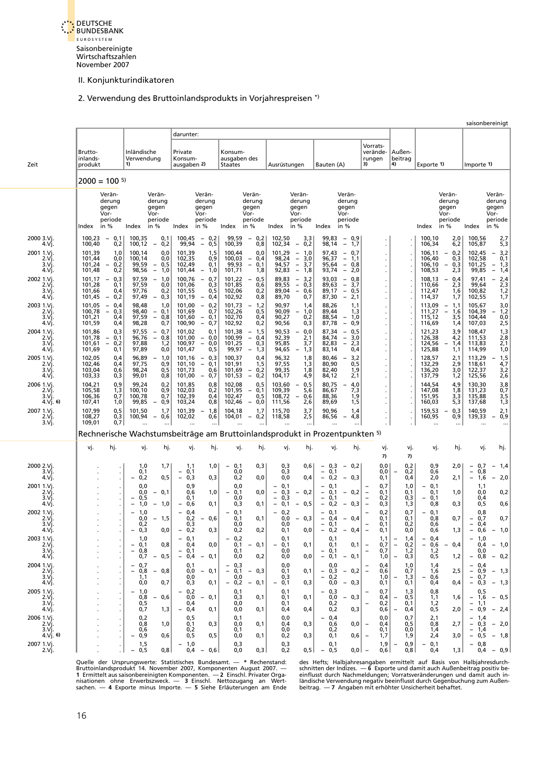

# 2. Verwendung des Bruttoinlandsprodukts in Vorjahrespreisen \*)

<span id="page-24-0"></span>

|                                     |                            |                                        |                                                                    |                                                                    |                                                                           |                                                                    |                                               |                                                     |                                                                             |                                                                    |                                                                              |                                                                    |                                                                    |                          |                   |                                        |                                                     |                                                                                | saisonbereinigt                               |
|-------------------------------------|----------------------------|----------------------------------------|--------------------------------------------------------------------|--------------------------------------------------------------------|---------------------------------------------------------------------------|--------------------------------------------------------------------|-----------------------------------------------|-----------------------------------------------------|-----------------------------------------------------------------------------|--------------------------------------------------------------------|------------------------------------------------------------------------------|--------------------------------------------------------------------|--------------------------------------------------------------------|--------------------------|-------------------|----------------------------------------|-----------------------------------------------------|--------------------------------------------------------------------------------|-----------------------------------------------|
|                                     |                            |                                        |                                                                    |                                                                    | darunter:                                                                 |                                                                    |                                               |                                                     |                                                                             |                                                                    |                                                                              |                                                                    |                                                                    |                          |                   |                                        |                                                     |                                                                                |                                               |
|                                     | Brutto-<br>inlands-        |                                        | Inländische<br>Verwendung                                          |                                                                    | Private<br>Konsum-                                                        |                                                                    | Konsum-<br>ausgaben des                       |                                                     |                                                                             |                                                                    |                                                                              |                                                                    | Vorrats-<br>verände-<br>rungen                                     | Außen-<br>beitrag        |                   |                                        |                                                     |                                                                                |                                               |
| Zeit                                | produkt                    |                                        |                                                                    |                                                                    | ausgaben 2)                                                               |                                                                    | <b>Staates</b>                                |                                                     | Ausrüstungen                                                                |                                                                    | Bauten (A)                                                                   |                                                                    | 3)                                                                 | 4)                       |                   | Exporte 1)                             |                                                     | Importe 1)                                                                     |                                               |
|                                     | $2000 = 100$ <sup>5)</sup> |                                        |                                                                    |                                                                    |                                                                           |                                                                    |                                               |                                                     |                                                                             |                                                                    |                                                                              |                                                                    |                                                                    |                          |                   |                                        |                                                     |                                                                                |                                               |
|                                     |                            | Verän-<br>derung                       |                                                                    | Verän-<br>derung                                                   |                                                                           | Verän-<br>derung                                                   |                                               | Verän-<br>derung                                    |                                                                             | Verän-<br>derung                                                   |                                                                              | Verän-<br>derung                                                   |                                                                    |                          |                   |                                        | Verän-<br>derung                                    |                                                                                | Verän-<br>derung                              |
|                                     |                            | gegen<br>Vor-                          |                                                                    | gegen<br>Vor-                                                      |                                                                           | gegen<br>Vor-                                                      |                                               | gegen<br>Vor-                                       |                                                                             | gegen<br>Vor-                                                      |                                                                              | gegen<br>Vor-                                                      |                                                                    |                          |                   |                                        | gegen<br>Vor-                                       |                                                                                | gegen<br>Vor-                                 |
|                                     | Index                      | periode<br>in $%$                      | Index                                                              | periode<br>in %                                                    | Index                                                                     | periode<br>in %                                                    | Index                                         | periode<br>in %                                     | Index                                                                       | periode<br>in %                                                    | Index                                                                        | periode<br>in %                                                    |                                                                    |                          |                   | Index                                  | periode<br>in %                                     | Index                                                                          | periode<br>in $%$                             |
| 2000 3.Vj.<br>4.Vj.                 | 100,23<br>100,40           | $-0,1$<br>0,2                          | 100,35<br>100,12                                                   | 0,1<br>0,2<br>$\overline{\phantom{a}}$                             | 100,45<br>99,94                                                           | 0,2<br>$\overline{\phantom{a}}$<br>0,5<br>$\overline{\phantom{a}}$ | 99,59<br>100,39                               | $-0,2$<br>0,8                                       | 102,50<br>102,34                                                            | 3,3<br>0,2<br>$-$                                                  | 99,83<br>98,14                                                               | $-0,9$<br>$\overline{\phantom{a}}$<br>1,7                          |                                                                    |                          |                   | 100,10<br>106,34                       | 2,0<br>6,2                                          | 100,56<br>105,87                                                               | 2,7<br>5,3                                    |
| 2001 1.Vj.<br>2.Vj.                 | 101,39<br>101,44           | 1,0<br>0,0                             | 100,14<br>100,14                                                   | 0,0<br>0,0                                                         | 101,39<br>102,35                                                          | 1,5<br>0,9                                                         | 100.44<br>100,03                              | 0.0<br>0,4<br>$\overline{\phantom{a}}$              | 101,29<br>98,24                                                             | 1,0<br>$-$<br>3,0                                                  | 97.43<br>96,37                                                               | 0.7<br>$\overline{\phantom{a}}$<br>$\overline{\phantom{a}}$<br>1,1 |                                                                    |                          |                   | 106,11<br>106,40                       | 0,2<br>$-$<br>0,3                                   | 102,45<br>102,58                                                               | 3,2<br>$-$<br>0,1                             |
| 3.Vi<br>4.Vj.                       | 101,24<br>101,48           | 0,2<br>$\overline{\phantom{m}}$<br>0,2 | 99,59<br>98,56                                                     | 0,5<br>$\overline{\phantom{a}}$<br>$\overline{\phantom{a}}$<br>1,0 | 102,49<br>101,44                                                          | 0,1<br>1,0<br>$\qquad \qquad -$                                    | 99,93<br>101,71                               | $\equiv$<br>0,1<br>1,8                              | 94,57<br>92,83                                                              | $\bar{\mathbb{I}}$<br>3,7<br>$\overline{\phantom{a}}$<br>1,8       | 95,64<br>93,74                                                               | $\overline{\phantom{a}}$<br>0,8<br>2,0<br>$\overline{\phantom{a}}$ |                                                                    |                          |                   | 106,10<br>108,53                       | 0,3<br>$\overline{\phantom{a}}$<br>2,3              | 101,25<br>99,85                                                                | 1,3<br>$\overline{\phantom{a}}$<br>$-$<br>1,4 |
| 2002 1.Vi.<br>2.Vi.                 | 101,17<br>101,28           | 0,3<br>$\overline{\phantom{a}}$<br>0,1 | 97,59<br>97,59                                                     | 1,0<br>$\overline{\phantom{a}}$<br>0,0                             | 100,76<br>101,06                                                          | 0,7<br>$\overline{\phantom{a}}$<br>0,3                             | 101,22<br>101,85                              | 0,5<br>$\overline{\phantom{a}}$<br>0,6              | 89,83<br>89,55                                                              | 3,2<br>$\overline{\phantom{a}}$<br>$\overline{\phantom{a}}$<br>0,3 | 93,03<br>89,63                                                               | 0,8<br>$\overline{\phantom{a}}$<br>3,7<br>$\overline{\phantom{a}}$ |                                                                    |                          |                   | 108,13<br>110,66                       | 0,4<br>$\overline{\phantom{a}}$<br>2,3              | 97,41<br>99,64                                                                 | 2,4<br>$\overline{\phantom{a}}$<br>2,3        |
| 3.Vj.<br>4.Vj.                      | 101,66<br>101,45           | 0,4<br>0,2<br>$\overline{\phantom{a}}$ | 97,76<br>97,49                                                     | 0,2<br>0,3<br>$\overline{\phantom{a}}$                             | 101,55<br>101.19                                                          | 0,5<br>$\overline{\phantom{a}}$<br>0,4                             | 102,06<br>102,92                              | 0,2<br>0,8                                          | 89,04<br>89,70                                                              | $\overline{\phantom{a}}$<br>0,6<br>0,7                             | 89,17<br>87,30                                                               | $\overline{\phantom{a}}$<br>0,5<br>$\overline{\phantom{a}}$<br>2,1 |                                                                    |                          |                   | 112,47<br>114,37                       | 1,6<br>1,7                                          | 100,82<br>102,55                                                               | 1,2<br>1,7                                    |
| 2003 1.Vj.<br>2.Vi.                 | 101,05<br>100,78           | $-0.4$<br>$\equiv$<br>0,3              | 98,48<br>98,40                                                     | 1,0<br>0,1                                                         | 101,00<br>101,69                                                          | 0,2<br>$\equiv$<br>0,7                                             | 101,73<br>102,26                              | 1,2<br>0,5                                          | 90,97<br>90,09                                                              | 1,4<br>1,0<br>$\overline{\phantom{a}}$                             | 88,26<br>89,44                                                               | 1,1<br>1,3                                                         |                                                                    |                          |                   | 113,09<br>111,27                       | 1,1<br>$\overline{\phantom{a}}$<br>$\bar{ }$<br>1,6 | 105,67<br>104,39                                                               | 3,0<br>1,2<br>$\overline{\phantom{0}}$        |
| 3.Vi.<br>4.Vj.                      | 101,21<br>101,59           | 0,4<br>0,4                             | 97,59<br>98,28                                                     | $\mathbb{I}$<br>0,8<br>0,7                                         | 101,60<br>100,90                                                          | 0,1<br>$\overline{\phantom{a}}$<br>$-$<br>0,7                      | 102,70<br>102,92                              | 0,4<br>0,2                                          | 90,27<br>90,56                                                              | 0,2<br>0,3                                                         | 88,54<br>87,78                                                               | 1,0<br>$\qquad \qquad -$<br>0,9<br>$\overline{\phantom{a}}$        |                                                                    |                          |                   | 115,12<br>116,69                       | 3,5<br>1,4                                          | 104,44<br>107,03                                                               | 0,0<br>2,5                                    |
| 2004 1.Vi.<br>2.Vj.                 | 101,86<br>101,78           | 0,3<br>$\overline{\phantom{a}}$<br>0,1 | 97,55<br>96,76                                                     | 0,7<br>$\bar{\Box}$<br>0,8                                         | 101,02<br>101,00                                                          | 0,1<br>$-0,0$                                                      | 101,38<br>100,99                              | 1,5<br>$\overline{\phantom{a}}$<br>$\bar{a}$<br>0,4 | 90,53<br>92,39                                                              | 0,0<br>$\overline{\phantom{m}}$<br>2,1                             | 87,34<br>84,74                                                               | 0,5<br>$\overline{\phantom{a}}$<br>$\overline{\phantom{a}}$<br>3,0 |                                                                    |                          |                   | 121,23<br>126,38                       | 3,9<br>4,2                                          | 108,47<br>111,53                                                               | $\frac{1}{2,8}$                               |
| 3.Vi.<br>4.Vj.                      | 101,61<br>101,69           | $\overline{\phantom{a}}$<br>0,2<br>0,1 | 97,88<br>97,89                                                     | 1,2<br>0,0                                                         | 100,97<br>101,47                                                          | $\equiv$<br>0,0<br>0,5                                             | 101,25<br>99,97                               | 0,3<br>1,3<br>$\qquad \qquad -$                     | 95,85<br>94,65                                                              | 3,7<br>1,3<br>$\overline{\phantom{0}}$                             | 82,83<br>83,14                                                               | $\overline{\phantom{a}}$<br>2,3<br>0,4                             |                                                                    |                          |                   | 124,56<br>125,88                       | 1,4<br>1,1                                          | 113,83<br>114,99                                                               | 2,1<br>1,0                                    |
| 2005 1.Vj.<br>2.Vj.                 | 102,05<br>102,46           | 0,4<br>0,4                             | 96,89<br>97,75                                                     | 1,0<br>$\overline{\phantom{a}}$<br>0,9                             | 101,16<br>101,10                                                          | 0,3<br>$\overline{\phantom{a}}$<br>$\equiv$<br>0,1                 | 100,37<br>101,91                              | 0.4<br>1,5                                          | 96,32<br>97,55                                                              | 1,8<br>1,3                                                         | 80,46<br>80,90                                                               | 3,2<br>$\overline{\phantom{0}}$<br>0,5                             |                                                                    |                          |                   | 128,57<br>132,29                       | 2,1<br>2,9                                          | 113,29<br>118,61                                                               | 1,5<br>$\overline{\phantom{0}}$<br>4,7        |
| 3.Vi<br>4.Vj                        | 103,04<br>103,33           | 0,6<br>0,3                             | 98,24<br>99,01                                                     | 0,5<br>0,8                                                         | 101,73<br>101,00                                                          | 0,6<br>0,7<br>$\overline{\phantom{0}}$                             | 101,69<br>101,53                              | $-0,2$<br>$-$<br>0,2                                | 99,35<br>104,17                                                             | 1,8<br>4,9                                                         | 82,40<br>84,12                                                               | 1,9<br>2,1                                                         |                                                                    |                          |                   | 136,20<br>137,79                       | 3,0<br>1,2                                          | 122,37<br>125,56                                                               | 3,2<br>2,6                                    |
| 2006 1.Vj.<br>2.V <sub>i</sub>      | 104,21<br>105,58           | 0,9<br>1,3                             | 99,24<br>100,10                                                    | 0,2<br>0,9                                                         | 101,85<br>102,03                                                          | 0,8<br>0,2                                                         | 102,08<br>101,95                              | 0, 5<br>0,1<br>$-$                                  | 103,60<br>109,39                                                            | 0,5<br>$\overline{\phantom{a}}$<br>5,6                             | 80,75<br>86,67                                                               | 4,0<br>7,3                                                         |                                                                    |                          |                   | 144,54<br>147,08                       | 4,9<br>1,8                                          | 130,30<br>131,23                                                               | 3,8<br>0,7                                    |
| 3.Vì<br>$4 \text{ V}$ $1 \text{ 6}$ | 106,36<br>107,41           | 0,7<br>1,0                             | 100,78<br>99,85                                                    | 0,7<br>0,9<br>$\overline{\phantom{m}}$                             | 102,39<br>103,24                                                          | 0,4<br>0,8                                                         | 102,47<br>102,46                              | 0,5<br>0,0<br>$-$                                   | 108,72<br>111,56                                                            | 0,6<br>$\overline{\phantom{a}}$<br>2,6                             | 88,36<br>89,69                                                               | 1,9<br>1,5                                                         |                                                                    |                          |                   | 151,95<br>160,03                       | 3,3<br>5,3                                          | 135,88<br>137,68                                                               | 3,5<br>1,3                                    |
| 2007 1.Vj.<br>2.Vj.                 | 107,99<br>108,27           | 0,5<br>0,3                             | 101,50<br>100,94                                                   | 1,7<br>0,6<br>$\overline{\phantom{a}}$                             | 101,39<br>102,02                                                          | 1,8<br>$\overline{\phantom{a}}$<br>0,6                             | 104,18<br>104,01                              | 1,7<br>0,2<br>$-$                                   | 115,70<br>118,58                                                            | 3,7<br>2,5                                                         | 90,96<br>86,56                                                               | 1,4<br>4,8                                                         |                                                                    |                          |                   | 159,53<br>160,95                       | 0,3<br>$\overline{\phantom{a}}$<br>0,9              | 140,59<br>139,33                                                               | 2,1<br>0,9<br>$\overline{\phantom{a}}$        |
| 3.Vj                                | 109,01                     | 0,7                                    |                                                                    |                                                                    |                                                                           |                                                                    |                                               |                                                     | Rechnerische Wachstumsbeiträge am Bruttoinlandsprodukt in Prozentpunkten 5) |                                                                    |                                                                              |                                                                    |                                                                    |                          |                   |                                        |                                                     |                                                                                |                                               |
|                                     | vj.                        | hj.                                    | vj.                                                                | hj.                                                                | vj.                                                                       | hj.                                                                | vj.                                           | hj.                                                 | vj.                                                                         | hj.                                                                | vj.                                                                          | hj.                                                                | vj.                                                                |                          | vj.               | vj.                                    | hj.                                                 | vj.                                                                            | hj.                                           |
|                                     |                            |                                        |                                                                    |                                                                    |                                                                           |                                                                    |                                               |                                                     |                                                                             |                                                                    |                                                                              |                                                                    | 7)<br>0.0                                                          |                          | 7)                |                                        |                                                     | 0,7                                                                            |                                               |
| 2000 2.Vj.<br>3.Vj.<br>4.Vj.        |                            |                                        | 1,0<br>0,1<br>0,2                                                  | 1,7<br>0,5                                                         | 1,1<br>0,1<br>$\overline{\phantom{a}}$<br>0,3<br>$\overline{\phantom{a}}$ | 1,0<br>0,3                                                         | 0,1<br>$\overline{\phantom{a}}$<br>0,0<br>0,2 | 0,3<br>0,0                                          | 0,3<br>0,3<br>0,0                                                           | 0,6<br>0,4                                                         | $-0,3$<br>$\overline{\phantom{a}}$<br>0,1<br>0,2<br>$\overline{\phantom{a}}$ | $-0,2$<br>$-0.3$                                                   | 0,0<br>0,1                                                         | $\overline{\phantom{0}}$ | 0,2<br>0,2<br>0,4 | 0,9<br>0,6<br>2,0                      | 2,0<br>2,1                                          | $\overline{\phantom{a}}$<br>$\overline{\phantom{a}}$<br>0,8<br>$\equiv$<br>1,6 | $-1,4$<br>2,0<br>$\qquad \qquad -$            |
| 2001 1.Vj<br>2.Vi.                  |                            |                                        | 0,0<br>0,0                                                         | 0,1<br>$\overline{\phantom{a}}$                                    | 0,9<br>0,6                                                                | 1,0                                                                | 0,0<br>0,1<br>$\overline{\phantom{m}}$        | 0,0                                                 | 0,1<br>0,3<br>$\overline{\phantom{a}}$                                      | 0,2<br>$-$                                                         | $-0,1$<br>$-0,1$                                                             | 0,2<br>$\qquad \qquad -$                                           | 0,7<br>0,1<br>$\overline{\phantom{a}}$                             |                          | 1,0<br>0,1        | 0,1<br>$\overline{\phantom{a}}$<br>0,1 | 1,0                                                 | 1,1<br>0,0                                                                     | 0,2                                           |
| 3.Vi<br>4.Vj                        |                            |                                        | 0,5<br>$\overline{\phantom{0}}$<br>1,0<br>$\overline{\phantom{0}}$ | 1,0<br>$\overline{\phantom{a}}$                                    | 0.1<br>0,6<br>$\overline{\phantom{a}}$                                    | 0,1                                                                | 0,0<br>0,3                                    | 0,1                                                 | 0.3<br>$\qquad \qquad -$<br>0,1<br>$\overline{\phantom{0}}$                 | 0,5<br>$\overline{\phantom{0}}$                                    | 0.1<br>$-$<br>$\overline{\phantom{0}}$<br>0,2                                | 0,3<br>$\overline{\phantom{a}}$                                    | 0,2<br>$\overline{\phantom{a}}$<br>0,3                             |                          | 0,3<br>1,3        | 0.1<br>$\overline{\phantom{0}}$<br>0,8 | 0,3                                                 | 0,4<br>0,5                                                                     | 0,6                                           |
| 2002 1.Vi<br>2.Vj                   |                            |                                        | 1,0<br>0,0                                                         | 1,5<br>$\overline{\phantom{a}}$                                    | 0,4<br>0,2                                                                | 0,6<br>$\overline{\phantom{a}}$                                    | 0,1<br>0,1                                    | 0,1                                                 | 0,2<br>0.0                                                                  | 0,3<br>$\overline{\phantom{a}}$                                    | 0,1<br>$\overline{\phantom{a}}$<br>$-$<br>0,4                                | 0,4<br>$\overline{\phantom{a}}$                                    | 0,2<br>0,1                                                         |                          | 0,7<br>0,1        | 0,1<br>$\overline{\phantom{0}}$<br>0,8 | 0,7                                                 | 0,8<br>0,7<br>$\overline{\phantom{0}}$                                         | 0,7                                           |
| 3.VI<br>4.Vj.                       |                            |                                        | $-0,3$                                                             | 0,0                                                                | 0,3<br>$-0,2$                                                             | 0,3                                                                | υ,<br>0,2                                     | 0,2                                                 | v.u<br>0,1                                                                  | 0,0                                                                | $-0,1$<br>- 0,2                                                              | $-0,4$                                                             | $\overline{\phantom{m}}$<br>0.1<br>0,1<br>$\overline{\phantom{a}}$ |                          | 0,2<br>0,0        | U,6<br>0,6                             | 1,3                                                 | - 0,4<br>$-0,6$                                                                | $-1,0$                                        |
| 2003 1.Vi<br>2.Vi.                  |                            |                                        | 1,0<br>$-0,1$                                                      | 0,8                                                                | 0,1<br>0,4                                                                | 0,0                                                                | $-0,2$<br>0,1                                 | $-0,1$                                              | 0,1<br>$-0,1$                                                               | 0,1                                                                | 0,1<br>0,1                                                                   | 0,1                                                                | 1,1<br>0,7                                                         | $\overline{\phantom{m}}$ | 1,4<br>0,2        | $-0,4$<br>$-0,6$                       | $-0,4$                                              | 1,0<br>0,4                                                                     | $-1,0$                                        |
| 3.Vi.<br>4.Vj.                      |                            |                                        | $-0.8$<br>0,7                                                      | $-0,5$                                                             | $-0,1$<br>$-0,4$                                                          | $-0,1$                                                             | 0,1<br>0,0                                    | 0,2                                                 | 0,0<br>0,0                                                                  | 0,0                                                                | - 0,1<br>$-0,1$                                                              | $-0,1$                                                             | 0,7<br>1,0                                                         | $\overline{\phantom{a}}$ | 1,2<br>0,3        | 1,2<br>0,5                             | 1,2                                                 | 0,0<br>$-0,8$                                                                  | $-0,2$                                        |
| 2004 1.Vi.<br>2.Vj.                 |                            |                                        | $-0,7$<br>$-0,8$                                                   | 0,8                                                                | 0,1<br>0,0                                                                | $-0,1$                                                             | $-0,3$<br>$-0,1$                              | $-0,3$                                              | 0,0<br>0,1                                                                  | 0,1                                                                | 0,0<br>$-0,3$                                                                | $-0,2$                                                             | 0,4<br>$\overline{\phantom{a}}$<br>0,6                             |                          | 1,0<br>0,7        | 1,4<br>1,6                             | 2,5                                                 | $-0,4$<br>$-0,9$                                                               | $-1,3$                                        |
| 3.Vì.<br>4.Vj                       |                            |                                        | 1,1<br>0,0                                                         | 0,7                                                                | 0,0<br>0,3                                                                | 0,1                                                                | 0,0<br>$-0,2$                                 | $-0,1$                                              | 0,3<br>- 0,1                                                                | 0,3                                                                | $-0,2$<br>0,0                                                                | 0,3                                                                | 1,0<br>0,1                                                         |                          | 1,3<br>0,1        | $-0,6$<br>0,4                          | 0,4                                                 | $-0,7$<br>$-0,3$                                                               | $-1,3$                                        |
| 2005 1.Vi.<br>2.Vi.                 |                            |                                        | $-1,0$<br>0,8                                                      | 0,6                                                                | $-0,2$<br>0,0                                                             | $-0,1$                                                             | 0,1<br>0,3                                    | 0,1                                                 | 0,1<br>0,1                                                                  | 0,1                                                                | $-0,3$<br>0,0                                                                | 0,3<br>$-$                                                         | 0,7<br>0,4                                                         | $\overline{\phantom{a}}$ | 1,3<br>0,5        | 0,8                                    | 1,6                                                 | 0,5<br>$-1,6$                                                                  | $-0,5$                                        |
| 3.Vj.<br>4.Vj.                      |                            |                                        | 0,5<br>0,7                                                         | 1,3                                                                | 0,4<br>$-0,4$                                                             | 0,1                                                                | 0,0<br>0,0                                    | 0,1                                                 | 0,1<br>0,4                                                                  | 0,4                                                                | 0,2<br>0,2                                                                   | 0,3                                                                | 0,2<br>0,6                                                         |                          | 0,1<br>0,4        | 1,1<br>1,2<br>0,5                      | 2,0                                                 | $-1,1$<br>$-0,9$                                                               | $-2,4$                                        |
| 2006 1.Vi.<br>2.Vj.                 |                            |                                        | 0,2<br>0,8                                                         | 1,0                                                                | 0,5<br>0,1                                                                | 0,3                                                                | 0,1<br>0,0                                    | 0,1                                                 | 0,0<br>0,4                                                                  | 0,3                                                                | $-0.4$<br>0,6                                                                | 0,0                                                                | 0,0<br>0,4                                                         |                          | 0,7<br>0,5        | 2,1<br>0,8                             | 2,7                                                 | 1,4<br>$\overline{\phantom{0}}$<br>$-0,3$                                      | $-2,0$                                        |
| 3.Vj.<br>4.Vj. $6)$                 |                            |                                        | 0,6<br>$-0,9$                                                      | 0,6                                                                | 0,2<br>0,5                                                                | 0,5                                                                | 0,1<br>0,0                                    | 0,1                                                 | 0,0<br>0,2                                                                  | 0,3                                                                | 0,2<br>0,1                                                                   | 0,6                                                                | 0,1<br>1,7                                                         |                          | 0,0<br>1,9        | 1,4<br>2,4                             | 3,0                                                 | $-1,4$<br>$-0,5$                                                               | $-1,8$                                        |
| 2007 1.Vi.<br>2.Vj.                 |                            | $\cdot$                                | 1,5<br>0,5                                                         | $0,8$                                                              | 1,0<br>0,4                                                                | $-0,6$                                                             | 0,3<br>0,0                                    | 0,3                                                 | 0,3<br>0,2                                                                  | 0.5                                                                | 0,1<br>$-0,5$                                                                | 0,0                                                                | 1,9<br>0,6                                                         |                          | 0,9<br>0,8        | $-0,1$<br>0,4                          | 1, 3                                                | 0,8<br>0,4                                                                     | $-0,9$                                        |
|                                     |                            |                                        |                                                                    |                                                                    |                                                                           |                                                                    |                                               |                                                     |                                                                             |                                                                    |                                                                              |                                                                    |                                                                    |                          |                   |                                        |                                                     |                                                                                |                                               |

Quelle der Ursprungswerte: Statistisches Bundesamt. — \* Rechenstand:<br>Bruttoinlandsprodukt 14. November 2007, Komponenten August 2007. —<br>1 Ermittelt aus saisonbereinigten Komponenten. — 2 Einschl. Privater Organisationen oh

Quelle der Ursprungswerte: Statistisches Bundesamt. — \* Rechenstand: des Hefts; Halbjahresangaben ermittelt auf Basis von Halbjahresdurch-<br>Bruttoinlandsprodukt 14. November 2007, Komponenten August 2007. — schnitten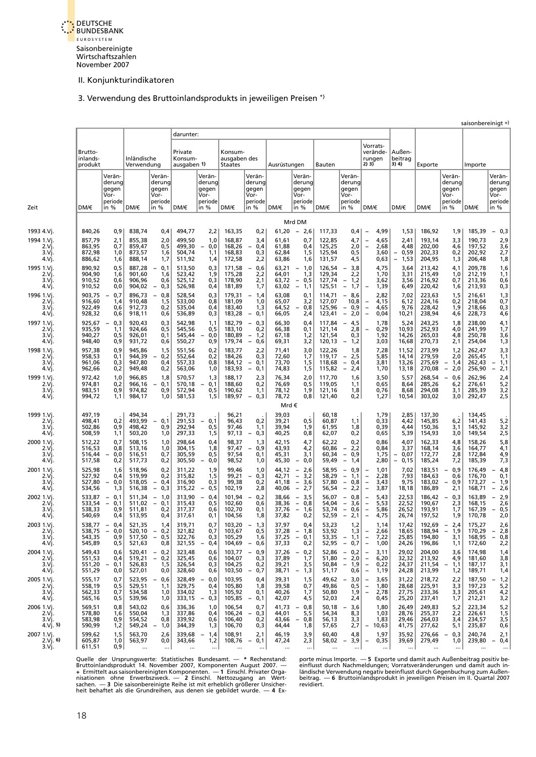

# 3. Verwendung des Bruttoinlandsprodukts in jeweiligen Preisen \*)

<span id="page-25-0"></span>

|                                      |                                                      |                                              |                                                                                  |                                      |                                                        |                                           |                                                                                     |                                  |                                                                                                                                          |                                      |                                                                                                                          |                                                                                                                       |                                                                            |                                      |                                                      | saisonbereinigt +                    |                                                                                  |
|--------------------------------------|------------------------------------------------------|----------------------------------------------|----------------------------------------------------------------------------------|--------------------------------------|--------------------------------------------------------|-------------------------------------------|-------------------------------------------------------------------------------------|----------------------------------|------------------------------------------------------------------------------------------------------------------------------------------|--------------------------------------|--------------------------------------------------------------------------------------------------------------------------|-----------------------------------------------------------------------------------------------------------------------|----------------------------------------------------------------------------|--------------------------------------|------------------------------------------------------|--------------------------------------|----------------------------------------------------------------------------------|
|                                      |                                                      |                                              |                                                                                  | darunter:                            |                                                        |                                           |                                                                                     |                                  |                                                                                                                                          |                                      |                                                                                                                          |                                                                                                                       |                                                                            |                                      |                                                      |                                      |                                                                                  |
| Brutto-<br>inlands-<br>produkt       |                                                      | Inländische<br>Verwendung                    |                                                                                  | Private<br>Konsum-<br>ausgaben 1)    |                                                        | Konsum-<br>ausgaben des<br><b>Staates</b> |                                                                                     | Ausrüstungen                     |                                                                                                                                          | Bauten                               |                                                                                                                          | Vorrats-<br>verände-<br>rungen<br>2)3)                                                                                | Außen-<br>beitrag<br>3) 4)                                                 | Exporte                              |                                                      | Importe                              |                                                                                  |
| DM/€                                 | Verän-<br>derung<br>gegen<br>Vor-<br>periode<br>in % | DM/€                                         | Verän-<br>derung<br>gegen<br>Vor-<br>periode<br>in $%$                           | DM/€                                 | Verän-<br>derung<br>gegen<br>Vor-<br>periode<br>in $%$ | DM/€                                      | Verän-<br>derung<br>gegen<br>Vor-<br>periode<br>in %                                | DM/€                             | Verän-<br>derung<br>gegen<br>Vor-<br>periode<br>in %                                                                                     | DM/€                                 | Verän-<br>derung<br>gegen<br>Vor-<br>periode<br>in %                                                                     | DM/€                                                                                                                  | DM/€                                                                       | DM/€                                 | Verän-<br>derung<br>gegen<br>Vor-<br>periode<br>in % | DM/€                                 | Verän-<br>derung<br>gegen<br>Vor-<br>periode<br>in %                             |
|                                      |                                                      |                                              |                                                                                  |                                      |                                                        |                                           |                                                                                     |                                  | Mrd DM                                                                                                                                   |                                      |                                                                                                                          |                                                                                                                       |                                                                            |                                      |                                                      |                                      |                                                                                  |
| 840,26<br>1993 4.Vj.                 | 0,9                                                  | 838,74                                       | 0,4                                                                              | 494,77                               | 2,2                                                    | 163,35                                    | 0,2                                                                                 | 61,20                            | 2,6<br>$\overline{\phantom{a}}$                                                                                                          | 117,33                               | 0,4                                                                                                                      | 4,99<br>$\overline{\phantom{0}}$                                                                                      | 1,53                                                                       | 186,92                               | 1,9                                                  | 185,39                               | 0,3                                                                              |
| 857,79<br>863,95<br>872,98<br>886,62 | 2,1<br>0,7<br>1,0<br>1,6                             | 855,38<br>859,47<br>873,57<br>888,14         | 2,0<br>0,5<br>1,6<br>1,7                                                         | 499,50<br>499,30<br>504,74<br>511,92 | 1,0<br>0,0<br>$\overline{\phantom{0}}$<br>1,1<br>1,4   | 168,87<br>168,26<br>168,83<br>172,58      | 3,4<br>0,4<br>$\overline{\phantom{a}}$<br>0,3<br>2,2                                | 61,61<br>61,88<br>62,84<br>63,86 | 0,7<br>0,4<br>1,5<br>1,6                                                                                                                 | 122,85<br>125,25<br>125,94<br>131,57 | 4,7<br>2,0<br>0,5<br>4,5                                                                                                 | 4,65<br>$\overline{a}$<br>$\overline{a}$<br>2,68<br>3,60<br>0,63                                                      | 2,41<br>4,48<br>0,59<br>$\overline{\phantom{a}}$<br>$\overline{a}$<br>1,53 | 193,14<br>202,00<br>202,33<br>204,95 | 3,3<br>4,6<br>0,2<br>1,3                             | 190,73<br>197,52<br>202,92<br>206,48 | 2,9<br>3,6<br>2,7<br>1,8                                                         |
| 890,92<br>904,90<br>910,52<br>910,52 | 0,5<br>1,6<br>0,6<br>0,0                             | 887,28<br>901,60<br>906,96<br>904,02         | 0,1<br>$\overline{\phantom{a}}$<br>1,6<br>0,6<br>0,3<br>$\overline{\phantom{0}}$ | 513,50<br>523,42<br>525,12<br>526,98 | 0,3<br>1,9<br>0,3<br>0,4                               | 171,58<br>175,28<br>178,90<br>181,89      | 0,6<br>$\overline{\phantom{a}}$<br>2,2<br>2,1<br>1,7                                | 63,21<br>64,01<br>63,72<br>63,02 | 1,0<br>$\overline{\phantom{a}}$<br>1,3<br>0,5<br>$\overline{\phantom{a}}$<br>$\overline{\phantom{a}}$<br>1,1                             | 126,54<br>129,34<br>127,74<br>125,51 | 3,8<br>$\qquad \qquad -$<br>2,2<br>1,2<br>$\overline{\phantom{a}}$<br>$\overline{\phantom{a}}$<br>1,7                    | 4,75<br>1,70<br>3,62<br>1,39                                                                                          | 3,64<br>3,31<br>3,56<br>6,49                                               | 213,42<br>215,49<br>216,92<br>220,42 | 4,1<br>1,0<br>0,7<br>1,6                             | 209,78<br>212,19<br>213,36<br>213,93 | 1,6<br>1,1<br>0,6<br>0,3                                                         |
| 903,75<br>916,60<br>922,49<br>928,32 | 0,7<br>$\overline{\phantom{0}}$<br>1,4<br>0,6<br>0,6 | 896,73<br>910,48<br>912,73<br>918,11         | 0,8<br>$\overline{\phantom{a}}$<br>1,5<br>0,2<br>0,6                             | 528,54<br>533,00<br>535,04<br>536,89 | 0,3<br>0,8<br>0,4<br>0,3                               | 179,31<br>181,09<br>183,40<br>183,28      | $-1,4$<br>1,0<br>1,3<br>$\overline{\phantom{a}}$<br>0,1                             | 63,08<br>65,07<br>64,52<br>66,05 | 0,1<br>3,2<br>0,8<br>2,4                                                                                                                 | 114,71<br>127,07<br>125,96<br>123,41 | $-8,6$<br>10,8<br>$-$<br>0,9<br>$\overline{\phantom{a}}$<br>2,0                                                          | 2,82<br>4,15<br>$\overline{a}$<br>$\overline{a}$<br>4,65<br>$\overline{a}$<br>0,04                                    | 7,02<br>6,12<br>9,76<br>10,21                                              | 223,63<br>224,16<br>228,42<br>238,94 | 1,5<br>0,2<br>1,9<br>4,6                             | 216,61<br>218,04<br>218,66<br>228,73 | 1,3<br>0,7<br>0,3<br>4,6                                                         |
| 925,67<br>935,59<br>940,27<br>948,40 | 0,3<br>$\overline{\phantom{a}}$<br>1,1<br>0,5<br>0,9 | 920,43<br>924,66<br>926,01<br>931,72         | 0,3<br>0,5<br>0,1<br>0,6                                                         | 542,98<br>545,56<br>545,44<br>550,27 | 1,1<br>0,5<br>0,0<br>0,9                               | 182,79<br>183,10<br>180,89<br>179,74      | $-0,3$<br>0,2<br>$\overline{\phantom{a}}$<br>1,2<br>$\overline{\phantom{a}}$<br>0,6 | 66,30<br>66,38<br>67,18<br>69,31 | 0,4<br>0,1<br>1,2<br>3,2                                                                                                                 | 117,84<br>121,14<br>121,54<br>120,13 | $-4,5$<br>2,8<br>0,3<br>1,2<br>$\overline{\phantom{a}}$                                                                  | 1,78<br>0,29<br>1,92<br>3,03                                                                                          | 5,24<br>10,93<br>14,26<br>16,68                                            | 243,25<br>252,93<br>265,03<br>270,73 | 1,8<br>4,0<br>4,8<br>2,1                             | 238,00<br>241,99<br>250,78<br>254,04 | 4,1<br>1,7<br>3,6<br>1,3                                                         |
| 957,38<br>958,53<br>961,06<br>962,66 | 0,9<br>0,1<br>0,3<br>0,2                             | 945,86<br>944,39<br>947,80<br>949,48         | 1,5<br>0,2<br>0,4<br>0,2                                                         | 551,56<br>552,64<br>557,33<br>563,06 | 0,2<br>0,2<br>0,8<br>1,0                               | 183,77<br>184,26<br>184,12<br>183,93      | 2,2<br>0,3<br>0,1<br>$\overline{\phantom{a}}$<br>$\overline{\phantom{a}}$<br>0,1    | 71,41<br>72,60<br>73,70<br>74,83 | 3,0<br>1,7<br>1,5<br>1,5                                                                                                                 | 122,26<br>119,17<br>118,68<br>115,82 | 1,8<br>2,5<br>$\overline{\phantom{a}}$<br>$\overline{\phantom{a}}$<br>0,4<br>2,4<br>$\overline{\phantom{a}}$             | 7,28<br>5,85<br>3,81<br>1,70                                                                                          | 11,52<br>14,14<br>13,26<br>13,18                                           | 273,99<br>279,59<br>275,69<br>270,08 | 1,2<br>2,0<br>1,4<br>2,0                             | 262,47<br>265,45<br>262,43<br>256,90 | 3,3<br>1,1<br>1,1<br>$\overline{\phantom{a}}$<br>$\overline{\phantom{a}}$<br>2,1 |
| 972,42<br>974,81<br>983,51<br>994,72 | 1,0<br>0,2<br>0,9<br>1,1                             | 966,85<br>966,16<br>974,82<br>984,17         | 1,8<br>0,1<br>0,9<br>1,0                                                         | 570,57<br>570,18<br>572,94<br>581,53 | 1,3<br>0,1<br>0,5<br>1,5                               | 188,17<br>188,60<br>190,62<br>189,97      | 2,3<br>0,2<br>1,1<br>0,3<br>$\overline{\phantom{a}}$                                | 76,34<br>76,69<br>78,12<br>78,72 | 2,0<br>0, 5<br>1,9<br>0, 8                                                                                                               | 117,70<br>119,05<br>121,16<br>121,40 | 1,6<br>1,1<br>1,8<br>0,2                                                                                                 | 3,50<br>0,65<br>0,76<br>1,27                                                                                          | 5,57<br>8,64<br>8,68<br>10,54                                              | 268,54<br>285,26<br>294,08<br>303,02 | 0,6<br>6,2<br>3,1<br>3,0                             | 262,96<br>276,61<br>285,39<br>292,47 | 2,4<br>5,2<br>3,2<br>2,5                                                         |
|                                      |                                                      |                                              |                                                                                  |                                      |                                                        |                                           |                                                                                     | Mrd €                            |                                                                                                                                          |                                      |                                                                                                                          |                                                                                                                       |                                                                            |                                      |                                                      |                                      |                                                                                  |
| 497,19<br>498,41<br>502,86<br>508,59 | 0,2<br>0,9<br>1,1                                    | 494,34<br>493,99<br>498,42<br>503,20         | 0,1<br>0,9<br>1,0                                                                | 291,73<br>291,53<br>292,94<br>297,33 | 0,1<br>0,5<br>1,5                                      | 96,21<br>96,43<br>97,46<br>97,13          | 0,2<br>1,1<br>0,3<br>$\overline{\phantom{a}}$                                       | 39,03<br>39,21<br>39,94<br>40,25 | 0,5<br>1,9<br>0,8                                                                                                                        | 60,18<br>60,87<br>61,95<br>62,07     | 1,1<br>1,8<br>0,2                                                                                                        | 1,79<br>0,33<br>0,39<br>0,65                                                                                          | 2,85<br>4,42<br>4,44<br>5,39                                               | 137,30<br>145,85<br>150,36<br>154,93 | 6,2<br>3,1<br>3,0                                    | 134,45<br>141,43<br>145,92<br>149,54 | 5,2<br>3,2<br>2,5                                                                |
| 512,22<br>516,53<br>516,44<br>517,58 | 0,7<br>0,8<br>0,0<br>$-$<br>0,2                      | 508,15<br>513,16<br>516,51<br>517,73         | 1,0<br>1,0<br>0,7<br>0,2                                                         | 298,64<br>304,15<br>305,59<br>305,50 | 0,4<br>1,8<br>0,5<br>0,0                               | 98,37<br>97,47<br>97,54<br>98,52          | 1,3<br>0,9<br>0,1<br>1,0                                                            | 42,15<br>43,93<br>45,31<br>45,30 | 4,7<br>4,2<br>3,1<br>0,0<br>$\qquad \qquad -$                                                                                            | 62,22<br>60,86<br>60,34<br>59,49     | 0,2<br>2,2<br>$\bar{\Box}$<br>0,9<br>$\overline{\phantom{a}}$<br>1,4                                                     | 0,86<br>0,84<br>1,75<br>2,80                                                                                          | 4.07<br>3,37<br>0,07<br>$\overline{\phantom{a}}$<br>0,15                   | 162,33<br>168,14<br>172,77<br>185,24 | 4,8<br>3,6<br>2,8<br>7,2                             | 158,26<br>164,77<br>172,84<br>185,39 | 5,8<br>4,1<br>4,9<br>7,3                                                         |
| 525,98<br>527,92<br>527,80<br>534,56 | 1,6<br>0,4<br>0,0<br>$-$<br>1,3                      | 518,96<br>519,99<br>518,05<br>516,38         | 0,2<br>0,2<br>0,4<br>$\overline{\phantom{a}}$<br>0,3<br>$\overline{\phantom{a}}$ | 311,22<br>315,82<br>316,90<br>315,22 | 1,9<br>1,5<br>0,3<br>0,5<br>$\qquad \qquad -$          | 99,46<br>99,21<br>99,38<br>102,19         | 1,0<br>0,3<br>$\overline{\phantom{a}}$<br>0,2<br>2,8                                | 44,12<br>42,71<br>41,18<br>40,06 | 2,6<br>$\overline{\phantom{a}}$<br>$\overline{\phantom{a}}$<br>3,2<br>$\overline{\phantom{a}}$<br>3,6<br>2,7<br>$\overline{\phantom{m}}$ | 58,95<br>58,29<br>57,80<br>56,54     | $\equiv$<br>0,9<br>$\overline{\phantom{a}}$<br>1,1<br>$\overline{\phantom{a}}$<br>0,8<br>$\overline{\phantom{a}}$<br>2,2 | 1,01<br>$\overline{a}$<br>2,28<br>$\overline{a}$<br>3,43<br>3,87<br>$\overline{a}$                                    | 7,02<br>7,93<br>9,75<br>18,18                                              | 183,51<br>184,63<br>183,02<br>186,89 | 0,9<br>0,6<br>0,9<br>2,1                             | 176,49<br>176,70<br>173,27<br>168,71 | 4,8<br>$-$<br>0,1<br>- 1,9<br>2,6<br>$\overline{\phantom{a}}$                    |
| 533,87<br>533,54<br>538,33<br>540,69 | 0,1<br>$-$<br>$-0,1$<br>0,9<br>0,4                   | 511,34<br>511,02<br>511,81<br>513,95         | 1,0<br>$\overline{\phantom{a}}$<br>$-0,1$<br>0,2<br>0,4                          | 313,90<br>315,43<br>317,37<br>317,61 | 0,4<br>0,5<br>0,6<br>0,1                               | 101,94<br>102,60<br>102,70<br>104,56      | 0,2<br>$\overline{\phantom{a}}$<br>0,6<br>0,1<br>1,8                                | 38,66<br>38,36<br>37,76<br>37,82 | 3,5<br>$\overline{\phantom{a}}$<br>$-0,8$<br>$\overline{\phantom{a}}$<br>1,6<br>0,2                                                      | 56,07<br>54,04<br>53,74<br>52,59     | 0,8<br>$-$<br>$\overline{\phantom{a}}$<br>3,6<br>$\overline{\phantom{a}}$<br>0,6<br>$\overline{\phantom{a}}$<br>2,1      | 5,43<br>$\overline{\phantom{0}}$<br>$\overline{a}$<br>5,53<br>5,86<br>$\overline{a}$<br>4,75<br>$\qquad \qquad -$     | 22,53<br>22,52<br>26,52<br>26,74                                           | 186,42<br>190,67<br>193,91<br>197,52 | 0,3<br>2,3<br>1,7<br>1,9                             | 163,89<br>168,15<br>167,39<br>170,78 | 2,9<br>$\overline{\phantom{a}}$<br>2,6<br>0,5<br>$-$<br>2,0                      |
| 543,35<br>545,89                     | $538,77 - 0,4$<br>$538,75 - 0,0$<br>0,9<br>0,5       | 521,35<br>$520,10 - 0,2$<br>521,63           | 1,4<br>$517,50 - 0,5$<br>0,8                                                     | 319,71<br>321,82<br>322,76<br>321,55 | 0,7<br>0,7<br>0,3<br>0,4                               | 103,20<br>103,67<br>105,29<br>104,69      | $-1,3$<br>0,5<br>1,6<br>$-0,6$                                                      | 37,97<br>37,33                   | 0,4<br>$37,28 - 1,8$<br>$37,25 - 0,1$<br>0,2                                                                                             | 53,23<br>53,92<br>53,35<br>52,95     | 1,2<br>1,3<br>$-1,1$<br>$-0,7$                                                                                           | 1,14<br>2,66<br>$\qquad \qquad -$<br>$\overline{a}$<br>7,22<br>$\overline{a}$<br>1,00                                 | 17,42<br>18,65<br>25,85<br>24,26                                           | 192,69<br>188,94<br>194,80<br>196,86 | $-2,4$<br>$-1,9$<br>3,1<br>1,1                       | 175,27<br>170,29<br>168,95<br>172,60 | 2,6<br>$-2,8$<br>$-0,8$<br>2,2                                                   |
| 549,43<br>551,53<br>551,20<br>551,29 | 0,6<br>0,4<br>$-0,1$<br>0,0                          | $520,41 - 0,2$<br>519,21<br>526,83<br>527,01 | $-0,2$<br>1,5<br>0,0                                                             | 323,48<br>325,45<br>326,54<br>328,60 | 0,6<br>0,6<br>0,3<br>0,6                               | 103,77<br>104,07<br>104,25<br>103,50      | $-0,9$<br>0,3<br>0,2<br>$-0,7$                                                      | 37,26<br>37,89<br>39,21<br>38,71 | $-0,2$<br>1,7<br>3,5<br>- 1,3                                                                                                            | 52,86<br>51,80<br>50,84<br>51,17     | $-0,2$<br>$-2,0$<br>$-1,9$<br>0,6                                                                                        | 3,11<br>-<br>$\overline{\phantom{0}}$<br>6,20<br>0,22<br>$\overline{\phantom{0}}$<br>$\overline{\phantom{0}}$<br>1,19 | 29,02<br>32,32<br>24,37<br>24,28                                           | 204,00<br>213,92<br>211,54<br>213,99 | 3,6<br>4,9<br>1,1<br>1,2                             | 174,98<br>181,60<br>187,17<br>189,71 | 1,4<br>3,8<br>3,1<br>1,4                                                         |
| 555,17<br>558,19<br>562,33<br>565,16 | 0,7<br>0,5<br>0,7<br>0,5                             | 523,95<br>529,51<br>534,58<br>539,96         | $-0,6$<br>1,1<br>1,0<br>1,0                                                      | 328,49<br>329,75<br>334,02<br>333,15 | 0,0<br>0,4<br>1,3<br>0,3                               | 103,95<br>105,80<br>105,92<br>105,85      | 0,4<br>1,8<br>0,1<br>$-0,1$                                                         | 39,31<br>39,58<br>40,26<br>42,07 | 1,5<br>0,7<br>1,7<br>4,5                                                                                                                 | 49,62<br>49,86<br>50,80<br>52,03     | $-3,0$<br>0,5<br>1,9<br>2,4                                                                                              | 3,65<br>1,80<br>$\overline{a}$<br>2,78<br>0,45                                                                        | 31,22<br>28,68<br>27,75<br>25,20                                           | 218,72<br>225,91<br>233,36<br>237,41 | 2,2<br>3,3<br>3,3<br>1,7                             | 187,50<br>197,23<br>205,61<br>212,21 | 1,2<br>5,2<br>4,2<br>3,2                                                         |
| 569,51<br>578,80<br>583,98<br>590,99 | 0,8<br>1,6<br>0,9<br>1,2                             | 543,02<br>550,04<br>554,52<br>549,24         | 0,6<br>1,3<br>0,8<br>- 1,0                                                       | 336,36<br>337,86<br>339,92<br>344,39 | 1,0<br>0,4<br>0,6<br>1,3                               | 106,54<br>106,24<br>106,40<br>106,70      | 0,7<br>$-0,3$<br>0,2<br>0,3                                                         | 41,73<br>44,01<br>43,66<br>44,44 | $-0,8$<br>5,5<br>$-0,8$<br>1,8                                                                                                           | 50,18<br>54,34<br>56,13<br>57,65     | $-3,6$<br>8,3<br>3,3<br>2,7                                                                                              | 1,80<br>1,03<br>1,83<br>10,63                                                                                         | 26,49<br>28,76<br>29,46<br>41,75                                           | 249,83<br>255,37<br>264,03<br>277,62 | 5,2<br>2,2<br>3,4<br>5,1                             | 223,34<br>226,61<br>234,57<br>235,87 | 5,2<br>1,5<br>3,5<br>0,6                                                         |
| 599,62<br>605,87<br>611,51           | 1,5<br>1,0<br>0,9                                    | 563,70<br>563,97                             | 2,6<br>0,0<br>$\cdots$                                                           | 339,68<br>343,66                     | 1,4<br>$\overline{\phantom{a}}$<br>1,2<br>$\ldots$     | 108,91<br>108,76                          | 2,1<br>0,1<br>$\sim$<br>$\ldots$                                                    | 46,19<br>47,24                   | 3,9<br>2,3<br>$\cdots$                                                                                                                   | 60,40<br>58,02<br>$\ddotsc$          | 4,8<br>3,9<br>$-$<br>$\ddotsc$                                                                                           | 1,97<br>0,35<br>$\qquad \qquad -$<br>$\ddotsc$                                                                        | 35,92<br>39,69<br>$\ldots$                                                 | 276,66<br>279,49                     | 0,3<br>1,0<br>$\cdots$                               | 240,74<br>239,80<br>$\cdots$         | 2,1<br>$-0,4$<br>$\cdots$                                                        |

Quelle der Ursprungswerte: Statistisches Bundesamt. — \* Rechenstand: porte-minus-Importe. — **5** Exporte-und-damit-auch-Außenbeitrag-positiv-be-<br>Bruttoinlandsprodukt 14. November 2007, Komponenten August 2007. — einflus Quelle der Ursprungswerte: Statistisches Bundesamt. — \* Rechenstand:<br>Bruttoinlandsprodukt 14. November 2007, Komponenten August 2007. —<br>+ Ermittelt aus saisonbereinigten Komponenten. — 1 Einschl. Privater Organisationen o heit behaftet als die Grundreihen, aus denen sie gebildet wurde. — **4** Ex-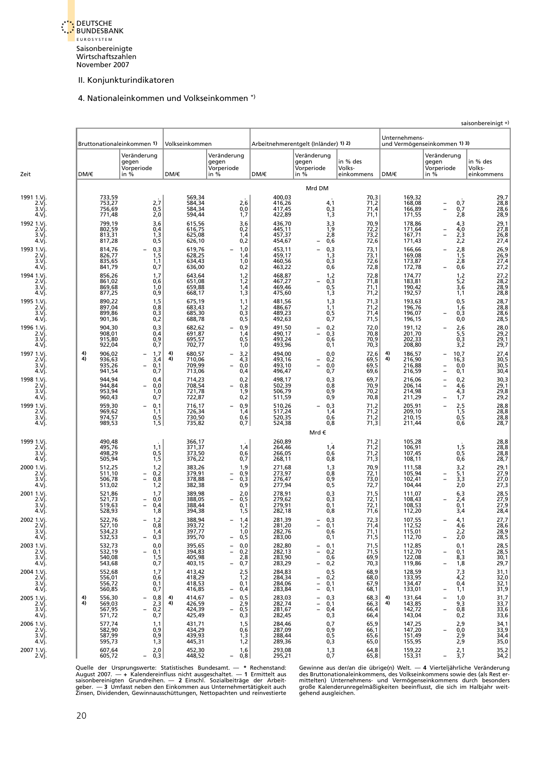

#### 4. Nationaleinkommen und Volkseinkommen \*)

<span id="page-26-0"></span>

|                                          |          |                                      |                                            |                                  |                                                  |                                              |                                                |                                                                                                |                                  |          |                                      |                                               |                                                  | saisonbereinigt +)                  |
|------------------------------------------|----------|--------------------------------------|--------------------------------------------|----------------------------------|--------------------------------------------------|----------------------------------------------|------------------------------------------------|------------------------------------------------------------------------------------------------|----------------------------------|----------|--------------------------------------|-----------------------------------------------|--------------------------------------------------|-------------------------------------|
|                                          |          |                                      | Bruttonationaleinkommen 1)                 |                                  | Volkseinkommen                                   |                                              |                                                | Arbeitnehmerentgelt (Inländer) 1) 2)                                                           |                                  |          | Unternehmens-                        | und Vermögenseinkommen 1) 3)                  |                                                  |                                     |
| Zeit                                     | DM/€     |                                      | Veränderung<br>gegen<br>Vorperiode<br>in % |                                  | DM/€                                             | Veränderung<br>gegen<br>Vorperiode<br>in $%$ | DM/€                                           | Veränderung<br>gegen<br>Vorperiode<br>in $%$                                                   | in % des<br>Volks-<br>einkommens | DM/€     |                                      | Veränderung<br>gegen<br>Vorperiode<br>in $%$  |                                                  | in % des<br>Volks-<br>einkommens    |
|                                          |          |                                      |                                            |                                  |                                                  |                                              |                                                | Mrd DM                                                                                         |                                  |          |                                      |                                               |                                                  |                                     |
| 1991 1.Vi.<br>2.Vj.<br>3.Vi.<br>4.Vj.    |          | 733,59<br>753,27<br>756,69<br>771,48 |                                            | 2,7<br>0,5<br>2,0                | 569,34<br>584,34<br>584,34<br>594,44             | 2,6<br>0,0<br>1,7                            | 400,03<br>416,26<br>417,45<br>422,89           | $\frac{4,1}{0,3}$<br>1,3                                                                       | 70,3<br>71,2<br>71,4<br>71,1     |          | 169,32<br>168,08<br>166,89<br>171,55 | $\overline{\phantom{0}}$<br>$\equiv$          | 0,7<br>0,7<br>2,8                                | 29,7<br>28,8<br>28,6<br>28,9        |
| 1992 1.Vj.<br>$2.V$ j.<br>3.Vi.<br>4.Vj. |          | 799,19<br>802,59<br>813,31<br>817,28 |                                            | 3,6<br>$0,4$<br>$1,3$<br>$0,5$   | 615,56<br>616,75<br>625,08<br>626,10             | 3,6<br>$0,2$<br>$1,4$<br>0,2                 | 436,70<br>445, 11<br>457, 37<br>454,67         | 3,3<br>$\frac{1,9}{2,8}$<br>0,6<br>$\overline{\phantom{0}}$                                    | 70,9<br>72,2<br>73,2<br>72,6     |          | 178,86<br>171,64<br>167,71<br>171,43 | $\overline{\phantom{0}}$                      | 4,3<br>$4,0$<br>$2,3$<br>$2,2$                   | 29,1<br>27,8<br>26,8<br>27,4        |
| 1993 1.Vi.<br>2.Vj.<br>3.Vì.<br>4.Vj.    |          | 814,76<br>826,77<br>835,65<br>841,79 |                                            | $0,3$<br>$1,5$<br>1,1<br>0,7     | 619,76<br>628,25<br>634,43<br>636,00             | 1,0<br>1,4<br>1,0<br>0,2                     | 453,11<br>459,17<br>460,56<br>463,22           | $0,3$<br>$1,3$<br>$0,3$<br>0,6                                                                 | $73,1$<br>$73,1$<br>72,6<br>72,8 |          | 166,66<br>169,08<br>173,87<br>172,78 | $\overline{\phantom{0}}$                      | $2,8$<br>$1,5$<br>$2,8$<br>0,6                   | 26,9<br>26,9<br>27,4<br>27,2        |
| 1994 1.Vj.<br>2.Vj.<br>3.Vi.<br>4.Vj.    |          | 856,26<br>861,02<br>869,68<br>877,25 |                                            | 1,7<br>0,6<br>1,0<br>0,9         | 643,64<br>651,08<br>659,88<br>668,17             | 1,2<br>1,2<br>1,4<br>1,3                     | 468,87<br>467,27<br>469,46<br>475,60           | $\begin{array}{c} 1,2 \\ 0,3 \\ 0,5 \end{array}$<br>$\overline{\phantom{0}}$<br>1,3            | 72,8<br>71,8<br>71,1<br>71,2     |          | 174,77<br>183,81<br>190,42<br>192,57 |                                               | 1,2<br>5,2<br>3,6<br>1,1                         | 27,2<br>28,2<br>28,9<br>28,8        |
| 1995 1.Vj.<br>2.Vj.<br>3.Vi.<br>4.Vj.    |          | 890,22<br>897,04<br>899,86<br>901,36 |                                            | $^{1,5}_{0,8}$<br>$0,3$<br>$0,2$ | 675,19<br>683,43<br>685,30<br>688,78             | 1,1<br>1,2<br>$0,3$<br>$0,5$                 | 481,56<br>486,67<br>489,23<br>492,63           | $^{1,3}_{1,1}$<br>$0,5$<br>$0,7$                                                               | 71,3<br>71,2<br>71,4<br>71,5     |          | 193,63<br>196,76<br>196,07<br>196,15 |                                               | $0,5$<br>$1,6$<br>0,3<br>0,0                     | 28,7<br>28,8<br>28,6<br>28,5        |
| 1996 1.Vi.<br>2.Vi.<br>3.Vì.<br>4.Vj.    |          | 904,30<br>908,01<br>915,80<br>922,04 |                                            | $0,3$<br>$0,4$<br>$0,9$<br>0,7   | 682,62<br>691,87<br>695,57<br>702,77             | 0,9<br>1,4<br>0,5<br>1,0                     | 491,50<br>490,17<br>493,24<br>493,96           | $0,2$<br>$0,3$<br>$0,6$<br>$\equiv$<br>0,1                                                     | 72,0<br>70,8<br>70,9<br>70,3     |          | 191,12<br>201,70<br>202,33<br>208,80 |                                               | $\frac{2,6}{5,5}$<br>0,3<br>3,2                  | 28,0<br>29,2<br>29,1<br>29,7        |
| 1997 1.Vi.<br>2.Vj.<br>3.Vi<br>4.Vj.     | 4)<br>4) | 906,02<br>936,63<br>935,26<br>941,54 | $\overline{\phantom{0}}$                   | 1,7<br>3,4<br>0,1<br>0,7         | 4)<br>680,57<br>4)<br>710,06<br>709,99<br>713,06 | 3,2<br>4,3<br>0,0<br>0,4                     | 494,00<br>493,16<br>493,10<br>496,47           | 0,0<br>0,2<br>$\overline{\phantom{a}}$<br>$\overline{a}$<br>0,0<br>0,7                         | 72,6<br>69,5<br>69,5<br>69,6     | 4)<br>4) | 186,57<br>216,90<br>216,88<br>216,59 | $\overline{\phantom{0}}$<br>$\qquad \qquad -$ | 10,7<br>16,3<br>0,0<br>0,1                       | 27,4<br>30,5<br>30,5<br>30,4        |
| 1998 1.Vj.<br>2.Vj.<br>3.Vi.<br>4.Vj.    |          | 944,94<br>944,84<br>953,94<br>960,43 |                                            | 0,4<br>0,0<br>1,0<br>0,7         | 714,23<br>708,54<br>721,78<br>722,87             | 0,2<br>0,8<br>1,9<br>0,2                     | 498,17<br>502,39<br>506,79<br>511,59           | $0,3$<br>$0,8$<br>$0,9$<br>$0,9$                                                               | 69,7<br>70,9<br>70,2<br>70,8     |          | 216,06<br>206,14<br>214,98<br>211,29 |                                               | 0,2<br>4,6<br>4,3<br>1,7                         | 30,3<br>29,1<br>$\frac{29,8}{29,2}$ |
| 1999 1.Vj.<br>2.Vj.<br>3.Vi<br>4.Vj.     |          | 959,30<br>969,62<br>974,57<br>989,53 |                                            | 0,1<br>1,1<br>0,5<br>1,5         | 716,17<br>726,34<br>730,50<br>735,82             | 0,9<br>1,4<br>0,6<br>0,7                     | 510,26<br>517,24<br>520,35<br>524,38           | 0,3<br>$\equiv$<br>$\frac{1}{0,6}$<br>0,8                                                      | 71,2<br>$71,2$<br>$71,2$<br>71,3 |          | 205,91<br>209,10<br>210,15<br>211,44 | $\overline{a}$                                | 2,5<br>$\frac{1}{0}$ , 5<br>0,6                  | 28,8<br>28,8<br>28,8<br>28,7        |
|                                          |          |                                      |                                            |                                  |                                                  |                                              |                                                | Mrd€                                                                                           |                                  |          |                                      |                                               |                                                  |                                     |
| 1999 1.Vi.<br>2.Vj.<br>3.Vì.<br>4.Vj.    |          | 490,48<br>495,76<br>498,29<br>505,94 |                                            | 1,1<br>$0,5$<br>$1,5$            | 366,17<br>371,37<br>373,50<br>376,22             | 1,4<br>0,6<br>0,7                            | 260,89<br>264,46<br>266,05<br>268,11           | 1,4<br>0,6<br>0,8                                                                              | $71,2$<br>$71,2$<br>71,2<br>71,3 |          | 105,28<br>106,91<br>107,45<br>108,11 |                                               | $\begin{array}{c} 1,5 \\ 0,5 \\ 0,6 \end{array}$ | 28,8<br>28,8<br>28,8<br>28,7        |
| 2000 1.Vj.<br>2.Vì.<br>3.Vì.<br>4.Vj.    |          | 512,25<br>511,10<br>506,78<br>513,02 |                                            | 1,2<br>$0,2$<br>$0,8$<br>1,2     | 383,26<br>379,91<br>382,38                       | 1,9<br>0,9<br>0,3<br>0,9                     | 271,68<br>273,97<br>276,47<br>277,94           | 1,3<br>0,8<br>$0,9$<br>$0,5$                                                                   | 70,9<br>72,1<br>73,0<br>72,7     |          | 111,58<br>105,94<br>102,41<br>104,44 |                                               | $3,2$<br>$5,1$<br>$3,3$<br>2,0                   | 29,1<br>27,9<br>27,0<br>27,3        |
| 2001 1.Vj.<br>2.Vj.<br>3.Vi.<br>4.Vj.    |          | 521,86<br>521,73<br>519,63<br>528,93 |                                            | 1,7<br>0,0<br>0,4<br>1,8         | 389,98<br>388,05<br>388,44<br>394,38             | 2,0<br>0,5<br>0,1<br>1,5                     | 278,91<br>279,62<br>279,91<br>282,18           | $0,3$<br>$0,3$<br>0,1<br>0,8                                                                   | 71,5<br>72,1<br>72,1<br>71,6     |          | 111,07<br>108,43<br>108,53<br>112,20 |                                               | $6,3$<br>$2,4$<br>0,1<br>3,4                     | 28,5<br>27,9<br>27,9<br>28,4        |
| 2002 1.Vj.<br>2.Vj.<br>3.Vi.<br>4.Vj.    |          | 522,76<br>527,10<br>534,23<br>532,53 |                                            | 1,2<br>0,8<br>1,4<br>0,3         | 388,94<br>393,72<br>397,77<br>395,70             | 1,4<br>1,2<br>1,0<br>0,5                     | 281,39<br>281,20<br>282,76<br>283,00           | 0,3<br>0,1<br>$\qquad \qquad -$<br>0,6<br>0,1                                                  | 72,3<br>71,4<br>71,1<br>71,5     |          | 107,55<br>112,52<br>115,01<br>112,70 |                                               | 4,1<br>$\frac{4,6}{2,2}$<br>2,0                  | 27,7<br>28,6<br>$\frac{28,9}{28,5}$ |
| 2003 1.Vi.<br>2.Vj.<br>3.Vi.<br>4.Vj.    |          | 532,73<br>532,19<br>540,08<br>543,68 |                                            | 0,0<br>0,1<br>1,5<br>0,7         | 395,65<br>394,83<br>405,98<br>403,15             | 0,0<br>0,2<br>2,8<br>0,7                     | 282,80<br>282,13<br>282,13<br>283,90<br>283,29 | 0,1<br>-<br>$\overline{a}$<br>0,2<br>0,6<br>0,2<br>$\qquad \qquad -$                           | 71,5<br>71,5<br>69,9<br>70,3     |          | 112,85<br>112,70<br>122,08<br>119,86 |                                               | 0,1<br>0,1<br>8,3<br>1,8                         | 28,5<br>28,5<br>30,1<br>29,7        |
| 2004 1.Vi<br>2.Vi.<br>3.Vj.<br>4.Vj.     |          | 552,68<br>556,01<br>556,72<br>560,85 |                                            | 1,7<br>0,6<br>0,1<br>0,7         | 413,42<br>418,29<br>418,53<br>416,85             | 2,5<br>1,2<br>0,1<br>0,4                     | 284,83<br>284,34<br>284,06<br>283,84           | 0, 5<br>0,2<br>$\qquad \qquad -$<br>$\overline{\phantom{0}}$<br>0,1<br>$\overline{a}$<br>0,1   | 68,9<br>68,0<br>67,9<br>68,1     |          | 128,59<br>133,95<br>134,47<br>133,01 |                                               | 7,3<br>4,2<br>0,4<br>1,1                         | $31,1$<br>$32,0$<br>32,1<br>31,9    |
| 2005 1.Vj.<br>2.Vj.<br>3.Vì.<br>4.Vj.    | 4)<br>4) | 556,30<br>569,03<br>567,95<br>571,72 |                                            | 0,8<br>2,3<br>0,2<br>0,7         | 414,67<br>4)<br>4)<br>426,59<br>424,39<br>425,49 | 0,5<br>2,9<br>0,5<br>0,3                     | 283,03<br>282,74<br>281,67<br>282,45           | 0,3<br>$\qquad \qquad -$<br>0,1<br>$\qquad \qquad -$<br>0,4<br>$\overline{\phantom{0}}$<br>0,3 | 68,3<br>66,3<br>66,4<br>66,4     | 4)<br>4) | 131,64<br>143,85<br>142,72<br>143,04 | $\overline{\phantom{0}}$                      | 1,0<br>9,3<br>0,8<br>0,2                         | 31,7<br>33,7<br>33,6<br>33,6        |
| 2006 1.Vi<br>2.Vi.<br>3.Vi.<br>4.Vj.     |          | 577,74<br>582,90<br>587,99<br>595,73 |                                            | 1,1<br>0,9<br>0,9<br>1,3         | 431,71<br>434,29<br>439,93<br>445,31             | 1,5<br>0,6<br>1,3<br>1,2                     | 284,46<br>287,09<br>288,44<br>289,36           | 0,7<br>$0,9$<br>$0,5$<br>0,3                                                                   | 65,9<br>66,1<br>65,6<br>65,0     |          | 147,25<br>147,20<br>151,49<br>155,95 |                                               | 2,9<br>0,0<br>2,9<br>2,9                         | 34,1<br>33,9<br>34,4<br>35,0        |
| 2007 1.Vj.<br>2.Vi.                      |          | 607,64<br>605,72                     |                                            | 2,0<br>0,3                       | 452,30<br>448,52                                 | 1,6<br>0,8                                   | 293,08<br>295,21                               | 1,3<br>0,7                                                                                     | 64,8<br>65,8                     |          | 159,22<br>153,31                     |                                               | 2,1<br>3,7                                       | 35,2<br>34,2                        |

Quelle der Ursprungswerte: Statistisches Bundesamt. — \* Rechenstand: Gewinne aus der/an die übrige(n) Welt. — 4 Vierteljährliche Veränderung<br>August 2007. — + Kalendereinfluss nicht ausgeschaltet. — 1 Ermittelt aus de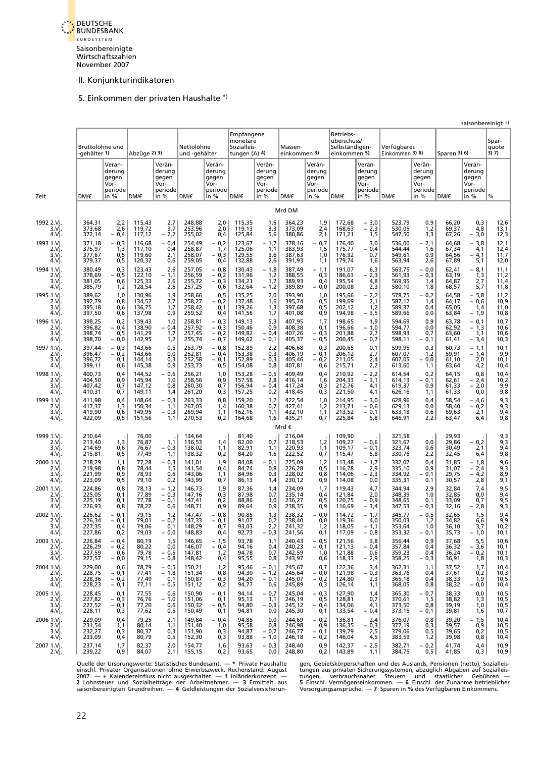

#### 5. Einkommen der privaten Haushalte \*)

<span id="page-27-0"></span>

|                                          |                                      |                                                      |                                      |                                                        |                                      |                                                      | Empfangene                               |                                                      |                                      |                                                      | Betriebs-                                     |                                                      |                                      |                                                        |                                  |                                                      | saisonbereinigt +)           |
|------------------------------------------|--------------------------------------|------------------------------------------------------|--------------------------------------|--------------------------------------------------------|--------------------------------------|------------------------------------------------------|------------------------------------------|------------------------------------------------------|--------------------------------------|------------------------------------------------------|-----------------------------------------------|------------------------------------------------------|--------------------------------------|--------------------------------------------------------|----------------------------------|------------------------------------------------------|------------------------------|
|                                          | Bruttolöhne und<br>-gehälter 1)      |                                                      | Abzüge 2) 3)                         |                                                        | Nettolöhne<br>und -gehälter          |                                                      | monetäre<br>Sozialleis-<br>tungen (A) 4) |                                                      | Massen-<br>einkommen 3)              |                                                      | überschuss/<br>Selbständigen-<br>einkommen 5) |                                                      | Verfügbares<br>Einkommen 3) 6)       |                                                        | Sparen 3) 6)                     |                                                      | Spar-<br>quote<br>3) 7)      |
| Zeit                                     | DM/€                                 | Verän-<br>derung<br>gegen<br>Vor-<br>periode<br>in % | DM/€                                 | Verän-<br>derung<br>gegen<br>Vor-<br>periode<br>in $%$ | DM/€                                 | Verän-<br>derung<br>gegen<br>Vor-<br>periode<br>in % | DM/€                                     | Verän-<br>derung<br>gegen<br>Vor-<br>periode<br>in % | DM/€                                 | Verän-<br>derung<br>gegen<br>Vor-<br>periode<br>in % | DM/€                                          | Verän-<br>derung<br>gegen<br>Vor-<br>periode<br>in % | DM/€                                 | Verän-<br>derung<br>gegen<br>Vor-<br>periode<br>in $%$ | DM/€                             | Verän-<br>derung<br>gegen<br>Vor-<br>periode<br>in % | %                            |
|                                          |                                      |                                                      |                                      |                                                        |                                      |                                                      |                                          |                                                      | Mrd DM                               |                                                      |                                               |                                                      |                                      |                                                        |                                  |                                                      |                              |
| 1992 2.Vi<br>3.Vi<br>4.Vj.               | 364,31<br>373,68<br>372,14           | $2,2$<br>$2,6$<br>$-0,4$                             | 115,43<br>119,72<br>117,12           | $\frac{2,7}{3,7}$<br>$-2,2$                            | 248,88<br>253,96<br>255,02           | 2,0<br>2,0<br>0,4                                    | 115,35<br>119,13<br>125,84               | 1,6<br>3,3<br>5,6                                    | 364,23<br>373,09<br>380,86           | 1,9<br>2,4<br>2,1                                    | 172,68<br>168,63<br>171,21                    | $-3,0$<br>$-2,3$<br>1,5                              | 523,79<br>530,05<br>547,50           | 0,9<br>1,2<br>3,3                                      | 66,20<br>69,37<br>67,26          | 0,3<br>4,8<br>$-3,0$                                 | 12,6<br>13,1<br>12,3         |
| 1993 1.Vi<br>2.Vj.<br>3.Vi<br>4.Vj       | 371,18<br>375,97<br>377,67<br>379,37 | $-0,3$<br>1,3<br>0,5<br>0,5                          | 116,68<br>117,10<br>119,60<br>120,32 | $-0.4$<br>0,4<br>2,1<br>0,6                            | 254,49<br>258,87<br>258,07<br>259,05 | $-0,2$<br>1,7<br>$-0,3$<br>0,4                       | 123,67<br>125,06<br>129,55<br>132,88     | $-1,7$<br>1,1<br>3,6<br>2,6                          | 378,16<br>383,93<br>387,63<br>391,93 | 0,7<br>$\overline{\phantom{0}}$<br>1,5<br>1,0<br>1,1 | 176,40<br>175,77<br>176,92<br>179,74          | 3,0<br>- 0,4<br>0,7<br>1,6                           | 536,00<br>544,44<br>549,61<br>563,94 | $-2,1$<br>1,6<br>0,9<br>2,6                            | 64,68<br>67,34<br>64,56<br>67,89 | $-3,8$<br>4,1<br>$-4,1$<br>5,1                       | 12,1<br>12,4<br>11,7<br>12,0 |
| 1994 1.Vi<br>2.Vj.<br>3.Vi.<br>4.Vj.     | 380,49<br>378,69<br>381,05<br>385,79 | 0,3<br>$-0.5$<br>0,6<br>1,2                          | 123,43<br>122,10<br>125,33<br>128,54 | 2,6<br>$-1,1$<br>2,6<br>2,6                            | 257,05<br>256,59<br>255,72<br>257,25 | $-0,8$<br>$-0,2$<br>$-0,3$<br>0,6                    | 130,43<br>131,96<br>134,21<br>132,64     | $-1,8$<br>1,2<br>1,7<br>$-1,2$                       | 387,49<br>388,55<br>389,93<br>389,89 | $-1,1$<br>0,3<br>0,4<br>$-0,0$                       | 191,07<br>186,63<br>195,54<br>200,08          | 6,3<br>2,3<br>-<br>4,8<br>2,3                        | 563,75<br>561,93<br>569,95<br>580,10 | $-0,0$<br>$-0.3$<br>1,4<br>1,8                         | 62,41<br>63,19<br>64,87<br>68,57 | $-8,1$<br>1,3<br>2,7<br>5,7                          | 11,1<br>11,2<br>11,4<br>11,8 |
| 1995 1.Vi<br>2.Vj<br>3.Vi<br>4.Vj.       | 389,62<br>392,79<br>395,18<br>397,50 | 1,0<br>0,8<br>0,6<br>0,6                             | 130,96<br>134,52<br>136,75<br>137,98 | 1,9<br>2,7<br>1,7<br>0,9                               | 258,66<br>258,27<br>258,42<br>259,52 | 0,5<br>$-0,2$<br>0,1<br>0,4                          | 135,25<br>137,48<br>139,26<br>141,56     | 2,0<br>1,6<br>$\frac{1}{1,7}$                        | 393,90<br>395,74<br>397,68<br>401,08 | 1,0<br>0, 5<br>0,5<br>0,9                            | 195,66<br>199,69<br>202,12<br>194,98          | $-2,2$<br>2,1<br>1,2<br>$-3,5$                       | 578,75<br>587,12<br>589,37<br>589,66 | $-0,2$<br>1,4<br>0,4<br>0,0                            | 64,58<br>64,17<br>65,05<br>63,84 | $-5,8$<br>$-0,6$<br>1,4<br>$-1,9$                    | 11,2<br>10,9<br>11,0<br>10,8 |
| 1996 1.Vi<br>2.Vi.<br>3.Vi<br>4.Vi       | 398,25<br>396,82<br>398,74<br>398,70 | 0,2<br>$-0.4$<br>0,5<br>$-0,0$                       | 139,43<br>138,90<br>141,29<br>142,95 | 1,0<br>$-0,4$<br>1,7<br>1,2                            | 258,81<br>257,92<br>257,45<br>255,74 | $-0,3$<br>$-0,3$<br>- 0,2<br>$-0,7$                  | 149,13<br>150,46<br>149,82<br>149,62     | 5,3<br>0,9<br>- 0,4<br>$-0,1$                        | 407,95<br>408,38<br>407,26<br>405,37 | 1,7<br>0,1<br>$-0,3$<br>$-0,5$                       | 198,65<br>196,66<br>201,88<br>200,45          | 1,9<br>$-1,0$<br>2,7<br>$-0,7$                       | 594,69<br>594,77<br>598,93<br>598,11 | 0,9<br>0,0<br>0,7<br>$-0,1$                            | 63,78<br>62,92<br>63.60<br>61,41 | $-0,1$<br>$-1,3$<br>1,1<br>$-3,4$                    | 10,7<br>10,6<br>10,6<br>10,3 |
| 1997 1.Vi<br>2.Vi.<br>3.Vi.<br>4.Vi.     | 397,44<br>396,47<br>396,72<br>399,11 | $-0,3$<br>$-0,2$<br>0,1<br>0,6                       | 143,66<br>143,66<br>144,14<br>145,38 | 0, 5<br>0,0<br>0,3<br>0,9                              | 253,79<br>252,81<br>252,58<br>253,73 | $-0,8$<br>$-0.4$<br>$-0,1$<br>0,5                    | 152,89<br>153,38<br>152,89<br>154,08     | 2,2<br>0,3<br>$-0,3$<br>0,8                          | 406,68<br>406,19<br>405,46<br>407,81 | 0,3<br>$-0,1$<br>$-0,2$<br>0,6                       | 200,65<br>206,12<br>211,05<br>215,71          | 0,1<br>2,7<br>2,4<br>2,2                             | 599,95<br>607,07<br>607,05<br>613,60 | 0,3<br>1,2<br>$-0,0$<br>1,1                            | 60,73<br>59,91<br>61,10<br>63,64 | $-1,1$<br>$-1.4$<br>2,0<br>4,2                       | 10,1<br>9,9<br>10,1<br>10,4  |
| 1998 1.Vi<br>2.Vi.<br>3.Vi<br>4.Vj.      | 400,73<br>404,50<br>407,42<br>410,31 | 0.4<br>0,9<br>0,7<br>0,7                             | 144,52<br>145,94<br>147,12<br>149,11 | - 0,6<br>1,0<br>0,8<br>1,4                             | 256,21<br>258,56<br>260,30<br>261,20 | 1,0<br>0,9<br>0,7<br>0,3                             | 153,28<br>157,58<br>156,94<br>157,25     | $-0,5$<br>2,8<br>$-0,4$<br>0,2                       | 409,49<br>416,14<br>417,24<br>418,45 | 0,4<br>1,6<br>0,3<br>0,3                             | 210,92<br>204,33<br>212,76<br>221,50          | $-2,2$<br>$-3,1$<br>4,1<br>4,1                       | 614,54<br>614,13<br>619,37<br>626,16 | 0,2<br>$-0,1$<br>0,9<br>1,1                            | 64,15<br>62,61<br>61,33<br>61,33 | 0,8<br>$-2,4$<br>$-2.0$<br>0,0                       | 10,4<br>10,2<br>9,9<br>9,8   |
| 1999 1.Vi.<br>2.Vi<br>3.Vi<br>4.Vj.      | 411,98<br>417,37<br>419,90<br>422,09 | 0,4<br>1,3<br>0,6<br>0,5                             | 148,64<br>150,34<br>149,95<br>151,56 | $-0,3$<br>1,1<br>- 0,3<br>1,1                          | 263,33<br>267,03<br>269,94<br>270,53 | 0,8<br>1,4<br>1,1<br>0,2                             | 159,20<br>160,38<br>162,16<br>164,68     | 1,2<br>0,7<br>1,1<br>1,6                             | 422,54<br>427,41<br>432,10<br>435,21 | 1,0<br>1,2<br>1,1<br>0,7                             | 214,95<br>213,71<br>213,52<br>225,84          | - 3,0<br>$-0,6$<br>$-0,1$<br>5,8                     | 628,96<br>629,13<br>633,18<br>646,91 | 0,4<br>0,0<br>0,6<br>2,2                               | 58,54<br>58,40<br>59,63<br>63,47 | $-4,6$<br>$-0,2$<br>2,1<br>6,4                       | 9,3<br>9,3<br>9,4<br>9,8     |
|                                          |                                      |                                                      |                                      |                                                        |                                      |                                                      |                                          |                                                      | Mrd €                                |                                                      |                                               |                                                      |                                      |                                                        |                                  |                                                      |                              |
| 1999 1.Vi<br>2.Vi.<br>3.Vì.<br>4.Vj.     | 210,64<br>213,40<br>214,69<br>215,81 | 1,3<br>0,6<br>0,5                                    | 76,00<br>76,87<br>76,67<br>77,49     | 1,1<br>- 0,3<br>1,1                                    | 134,64<br>136,53<br>138,02<br>138,32 | 1,4<br>1,1<br>0,2                                    | 81,40<br>82,00<br>82,91<br>84,20         | 0,7<br>1,1<br>1,6                                    | 216,04<br>218,53<br>220,93<br>222,52 | 1,2<br>1,1<br>0,7                                    | 109,90<br>109,27<br>109,17<br>115,47          | $-0,6$<br>$-0,1$<br>5,8                              | 321,58<br>321,67<br>323,74<br>330,76 | 0,0<br>0,6<br>2,2                                      | 29,93<br>29,86<br>30,49<br>32,45 | $-0,2$<br>2,1<br>6,4                                 | 9,3<br>9,3<br>9,4<br>9,8     |
| 2000 1.Vi.<br>2.Vi.<br>3.Vì<br>4.Vì      | 218,29<br>219,98<br>221,99<br>223,09 | 1,1<br>0,8<br>0,9<br>0,5                             | 77,28<br>78,44<br>78,93<br>79,10     | $-0,3$<br>1,5<br>0,6<br>0,2                            | 141,01<br>141,54<br>143,06<br>143,99 | 1,9<br>0,4<br>1,1<br>0,7                             | 84,08<br>84,74<br>84,96<br>86,13         | $-0,1$<br>0,8<br>0,3<br>1,4                          | 225,09<br>226,28<br>228,02<br>230,12 | 1,2<br>0,5<br>0,8<br>0,9                             | 113,48<br>116,78<br>114,06<br>114,08          | $-1,7$<br>2,9<br>- 2,3<br>0,0                        | 332,07<br>335,10<br>334,92<br>335,31 | 0,4<br>0,9<br>$-0,1$<br>0,1                            | 31,85<br>31,07<br>29,75<br>30,57 | $-1,8$<br>$-2,4$<br>4,2<br>2,8                       | 9,6<br>9,3<br>8,9<br>9,1     |
| 2001 1.Vi<br>2.Vj.<br>3.Vi<br>4 Vi       | 224,86<br>225,05<br>225,19<br>226,93 | 0,8<br>0,1<br>0,1<br>0,8                             | 78,13<br>77,89<br>77,78<br>78,22     | $-1,2$<br>$-0,3$<br>$-0.1$<br>0,6                      | 146,73<br>147,16<br>147,41<br>148,71 | 1,9<br>0,3<br>0,2<br>0,9                             | 87,36<br>87,98<br>88,86<br>89,64         | 1,4<br>0,7<br>1,0<br>0,9                             | 234,09<br>235,14<br>236,27<br>238,35 | 1,7<br>0,4<br>0,5<br>0,9                             | 119,43<br>121,84<br>120,75<br>116,69          | 4,7<br>2,0<br>$-0.9$<br>- 3,4                        | 344,94<br>348,39<br>348,65<br>347,53 | 2,9<br>1,0<br>0,1<br>$-0.3$                            | 32,84<br>32,85<br>33,09<br>32,16 | 7.4<br>0,0<br>0,7<br>- 2,8                           | 9,5<br>9,4<br>9,5<br>9,3     |
| 2002 1.Vi<br>2.Vi.<br>3.Vj.<br>4.Vj.     | 226,62<br>226,34<br>227,35<br>227,86 | $-0,1$<br>$-0,1$<br>0,4<br>0,2                       | 79,15<br>79,01<br>79,06<br>79,03     | 1,2<br>$-0,2$<br>0,1<br>- 0,0                          | 147,47<br>147,33<br>148,29<br>148,83 | $-0,8$<br>$-0,1$<br>0,7<br>0,4                       | 90,85<br>91,07<br>93,03<br>92,73         | 1,3<br>0,2<br>2,2<br>- 0,3                           | 238,32<br>238,40<br>241,32<br>241,56 | $-0,0$<br>0,0<br>1,2<br>0,1                          | 114,72<br>119,36<br>118,05<br>117,09          | $-1,7$<br>4,0<br>- 1,1<br>- 0,8                      | 345,77<br>350,03<br>353,64<br>353,32 | $-0,5$<br>1,2<br>1,0<br>- 0,1                          | 32,65<br>34,82<br>36,10<br>35,73 | 1,5<br>6,6<br>3,7<br>- 1,0                           | 9,4<br>9,9<br>10,2<br>10,1   |
| 2003 1.Vi.<br>2.Vj.<br>3.Vi.<br>4.Vj.    | 226,84<br>226,29<br>227,59<br>227,57 | $-0,4$<br>$-0,2$<br>0,6<br>$-0,0$                    | 80,19<br>80,22<br>79,78<br>79,15     | 1,5<br>0,0<br>$-0,5$<br>$-0,8$                         | 146,65<br>146,07<br>147,81<br>148,42 | $-1,5$<br>$-0,4$<br>1,2<br>0,4                       | 93,78<br>94,16<br>94,78<br>95,55         | 1,1<br>0,4<br>0,7<br>0,8                             | 240,43<br>240,23<br>242,59<br>243,97 | $-0,5$<br>$-0,1$<br>1,0<br>0,6                       | 121,56<br>121,13<br>121,88<br>118,33          | 3,8<br>$-0,4$<br>0,6<br>- 2,9                        | 356,44<br>357,84<br>359,23<br>358,25 | 0,9<br>0,4<br>0,4<br>$-0,3$                            | 37,68<br>36,32<br>36,24<br>36,91 | 5,5<br>$-3,6$<br>$-0,2$<br>1,8                       | 10,6<br>10,1<br>10,1<br>10,3 |
| 2004 1.Vj.<br>2.Vj.<br>3.Vj.<br>4.Vj.    | 229,00<br>228,75<br>228,36<br>228,23 | 0,6<br>$-0,1$<br>$-0,2$<br>$-0,1$                    | 78,79<br>77,41<br>77,49<br>77,11     | $-0,5$<br>$-1,8$<br>0,1<br>$-0,5$                      | 150,21<br>151,34<br>150,87<br>151,12 | 1,2<br>$-0,8$<br>$-0,3$<br>0,2                       | 95,46<br>94,30<br>94,20<br>94,77         | $-0,1$<br>$-1,2$<br>$-0,1$<br>0,6                    | 245,67<br>245,64<br>245,07<br>245,89 | 0,7<br>$-0,0$<br>$-0,2$<br>0,3                       | 122,36<br>121,98<br>124,80<br>126,14          | 3,4<br>$-0,3$<br>2,3<br>1,1                          | 362,31<br>363,76<br>365,18<br>368,05 | 1,1<br>0,4<br>0,4<br>0,8                               | 37,52<br>37,61<br>38,33<br>38,32 | 1,7<br>0,2<br>1,9<br>- 0,0                           | 10,4<br>10,3<br>10,5<br>10,4 |
| 2005 1.Vi.<br>2.Vj.<br>3.Vj.<br>4.Vj.    | 228,45<br>227,82<br>227,52<br>228,11 | 0,1<br>$-0,3$<br>$-0,1$<br>0,3                       | 77,55<br>76,76<br>77,20<br>77,62     | 0,6<br>$-1,0$<br>0,6<br>0,5                            | 150,90<br>151,06<br>150,32<br>150,49 | $-0,1$<br>0,1<br>$-0,5$<br>0,1                       | 94,14<br>95,13<br>94,80<br>94,81         | $-0,7$<br>1,1<br>$-0,3$<br>0,0                       | 245,04<br>246,19<br>245,12<br>245,30 | $-0,3$<br>0,5<br>$-0,4$<br>0,1                       | 127,90<br>128,81<br>134,06<br>133,54          | 1,4<br>0,7<br>4,1<br>$-0,4$                          | 365,30<br>370,61<br>373,50<br>373,15 | $-0,7$<br>1,5<br>0,8<br>- 0,1                          | 38,33<br>38,82<br>39,19<br>39,81 | 0,0<br>1,3<br>1,0<br>1,6                             | 10,5<br>10,5<br>10,5<br>10,7 |
| 2006 1.Vi.<br>$2.V$ j.<br>3.Vj.<br>4.Vj. | 229,09<br>231,54<br>232,27<br>233,09 | 0,4<br>1,1<br>0,3<br>0,4                             | 79,25<br>80,14<br>80,37<br>80,79     | 2,1<br>1,1<br>0,3<br>0,5                               | 149,84<br>151,40<br>151,90<br>152,30 | $-0,4$<br>1,0<br>0,3<br>0,3                          | 94,85<br>95,58<br>94,87<br>93,88         | 0,0<br>0,8<br>$-0,7$<br>$-1,0$                       | 244,69<br>246,98<br>246,77<br>246,18 | $-0,2$<br>0,9<br>$-0,1$<br>$-0,2$                    | 136,81<br>136,35<br>139,79<br>146,04          | 2,4<br>$-0,3$<br>2,5<br>4,5                          | 376,07<br>377,19<br>379,06<br>383,59 | 0,8<br>0,3<br>0,5<br>1,2                               | 39,20<br>39,57<br>39,65<br>39,98 | $-1,5$<br>0,9<br>0,2<br>0,8                          | 10,4<br>10,5<br>10,5<br>10,4 |
| 2007 1.Vj.<br>2.Vj.                      | 237,14<br>239,22                     | 1,7<br>0,9                                           | 82,37<br>84,07                       | 2,0<br>2,1                                             | 154,77<br>155,15                     | 1,6<br>0,2                                           | 93,63<br>93,65                           | $-0,3$<br>0,0                                        | 248,40<br>248,80                     | 0,9<br>0,2                                           | 142,37<br>143,89                              | $-2,5$<br>1,1                                        | 382,71<br>384,75                     | $-0,2$<br>0, 5                                         | 41,74<br>41,85                   | 4,4<br>0,3                                           | 10,9<br>10,9                 |

Quelle der Ursprungswerte: Statistisches Bundesamt. — \* Private Haushalte gen, Gebietskörperschaften und des Auslands, Pensionen (netto), Sozialleis-<br>einschl. Privater Organisationen ohne Erwerbszweck. Rechenstand: August Quelle der Ursprungswerte: Statistisches Bundesamt. — \* Private Haushaite<br>einschl. Privater Organisationen ohne Erwerbszweck. Rechenstand: August<br>2007. — + Kalendereinfluss nicht augeschaltet. — 1 Inländerkonzept. —<br>2 Lohn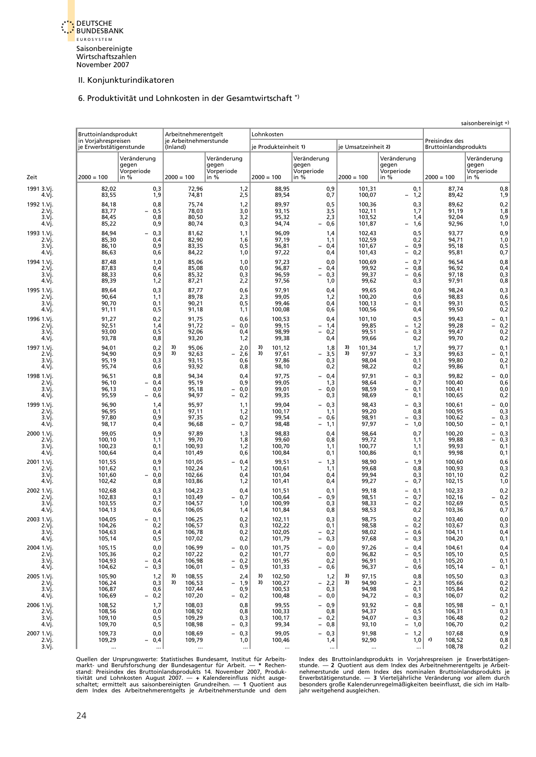

6. Produktivität und Lohnkosten in der Gesamtwirtschaft \*)

<span id="page-28-0"></span>

|                                                 | Bruttoinlandsprodukt                           |                                                      | Arbeitnehmerentgelt                              |                                                      | Lohnkosten                                       |                                                                                  |                                               |                                                                                         |                                                |                                                           |
|-------------------------------------------------|------------------------------------------------|------------------------------------------------------|--------------------------------------------------|------------------------------------------------------|--------------------------------------------------|----------------------------------------------------------------------------------|-----------------------------------------------|-----------------------------------------------------------------------------------------|------------------------------------------------|-----------------------------------------------------------|
|                                                 | in Vorjahrespreisen<br>je Erwerbstätigenstunde |                                                      | (Inland)                                         | je Arbeitnehmerstunde                                | je Produkteinheit 1)                             |                                                                                  | je Umsatzeinheit 2)                           |                                                                                         | Preisindex des<br><b>Bruttoinlandsprodukts</b> |                                                           |
|                                                 | $2000 = 100$                                   | Veränderung<br>gegen<br>Vorperiode<br>in %           | $2000 = 100$                                     | Veränderung<br>gegen<br>Vorperiode<br>in %           | $2000 = 100$                                     | Veränderung<br>gegen<br>Vorperiode<br>in $%$                                     | $2000 = 100$                                  | Veränderung<br>gegen<br>Vorperiode<br>in %                                              | $2000 = 100$                                   | Veränderung<br>gegen<br>Vorperiode<br>in %                |
| 1991 3.Vi.<br>4.Vj.                             | 82,02<br>83,55                                 | 0,3<br>1,9                                           | 72,96<br>74,81                                   | 1,2<br>2,5                                           | 88,95<br>89,54                                   | 0,9<br>0,7                                                                       | 101,31<br>100,07                              | 0,1<br>1,2<br>$\overline{\phantom{a}}$                                                  | 87,74<br>89,42                                 | 0,8<br>1,9                                                |
| 1992 1.Vi<br>2.Vi.<br>3.Vj.<br>4.Vj.            | 84,18<br>83,77<br>84,45<br>85,22               | 0,8<br>0,5<br>0,8<br>0,9                             | 75,74<br>78,03<br>80,50<br>80,74                 | 1,2<br>3,0<br>3,2<br>0,3                             | 89,97<br>93,15<br>95,32<br>94,74                 | 0, 5<br>3,5<br>2,3<br>0,6<br>$\overline{\phantom{0}}$                            | 100,36<br>102,11<br>103,52<br>101,87          | 0,3<br>1,7<br>1,4<br>1,6<br>$\qquad \qquad -$                                           | 89,62<br>91,19<br>92,04<br>92,96               | 0,2<br>1,8<br>0,9<br>1,0                                  |
| 1993 1.Vi.<br>2.Vi.<br>3.Vj.<br>4.Vj.           | 84.94<br>85,30<br>86,10<br>86,63               | 0,3<br>0,4<br>0,9<br>0,6                             | 81,62<br>82,90<br>83,35<br>84,22                 | 1,1<br>1,6<br>0,5<br>1,0                             | 96,09<br>97,19<br>96,81<br>97,22                 | 1,4<br>1,1<br>0,4<br>$\overline{\phantom{0}}$<br>0,4                             | 102,43<br>102,59<br>101,67<br>101,43          | 0, 5<br>0,2<br>$-0,9$<br>0,2<br>$ \,$                                                   | 93,77<br>94,71<br>95,18<br>95,81               | 0,9<br>1,0<br>0, 5<br>0,7                                 |
| 1994 1.Vi.<br>2.Vj.<br>3.Vi.<br>4.Vj.           | 87,48<br>87,83<br>88,33<br>89,39               | 1,0<br>0,4<br>0,6<br>1,2                             | 85,06<br>85,08<br>85,32<br>87,21                 | 1,0<br>0,0<br>0,3<br>2,2                             | 97,23<br>96,87<br>96,59<br>97,56                 | 0,0<br>0,4<br>$-$<br>0,3<br>$\overline{\phantom{0}}$<br>1,0                      | 100,69<br>99,92<br>99,37<br>99,62             | $-0,7$<br>0,8<br>$-$<br>$\equiv$<br>0,6<br>0,3                                          | 96,54<br>96,92<br>97,18<br>97,91               | 0,8<br>0,4<br>0,3<br>0,8                                  |
| 1995 1.Vi.<br>2.Vi.<br>3.Vj.<br>4.Vj.           | 89,64<br>90,64<br>90,70<br>91,11               | 0,3<br>1,1<br>0,1<br>0,5                             | 87,77<br>89,78<br>90,21<br>91,18                 | 0,6<br>2,3<br>0,5<br>1,1                             | 97,91<br>99,05<br>99,46<br>100,08                | 0,4<br>1,2<br>0,4<br>0,6                                                         | 99,65<br>100,20<br>100,13<br>100,56           | 0,0<br>0,6<br>0,1<br>$\overline{\phantom{0}}$<br>0,4                                    | 98,24<br>98,83<br>99,31<br>99,50               | 0,3<br>0,6<br>0, 5<br>0,2                                 |
| 1996 1.Vi.<br>2.Vi.<br>3.Vj.<br>4.Vj.           | 91,27<br>92,51<br>93,00<br>93,78               | 0,2<br>1,4<br>0,5<br>0,8                             | 91,75<br>91,72<br>92,06<br>93,20                 | 0,6<br>0,0<br>$\overline{\phantom{0}}$<br>0,4<br>1,2 | 100,53<br>99,15<br>98,99<br>99,38                | 0.4<br>1,4<br>$\overline{\phantom{a}}$<br>0,2<br>$\overline{\phantom{a}}$<br>0,4 | 101,10<br>99,85<br>99,51<br>99,66             | 0, 5<br>1,2<br>$\overline{\phantom{0}}$<br>0,3<br>$\overline{\phantom{a}}$<br>0,2       | 99,43<br>99,28<br>99,47<br>99,70               | 0,1<br>-<br>0,2<br>$\overline{\phantom{0}}$<br>0,2<br>0,2 |
| 1997 1.Vj.<br>2.Vi.<br>3.Vi.<br>4.Vj.           | 94,01<br>94,90<br>95,19<br>95,74               | 0,2<br>0,9<br>0,3<br>0,6                             | 3)<br>95,06<br>3)<br>92,63<br>93,15<br>93,92     | 2,0<br>2,6<br>0,6<br>0,8                             | 3)<br>101,12<br>3)<br>97,61<br>97,86<br>98,10    | 1,8<br>3,5<br>$\overline{\phantom{a}}$<br>0,3<br>0,2                             | 3)<br>101,34<br>3)<br>97,97<br>98,04<br>98,22 | 1,7<br>3,3<br>$\overline{\phantom{a}}$<br>0,1<br>0,2                                    | 99,77<br>99,63<br>99,80<br>99,86               | 0,1<br>0,1<br>-<br>0,2<br>0,1                             |
| 1998 1.Vj.<br>2.Vi.<br>3.Vi.<br>4.Vj.           | 96,51<br>96,10<br>96,13<br>95,59               | 0,8<br>0.4<br>0,0<br>0,6<br>$\overline{\phantom{0}}$ | 94,34<br>95,19<br>95,18<br>94,97                 | 0,4<br>0,9<br>0,0<br>0,2<br>$\overline{\phantom{0}}$ | 97,75<br>99,05<br>99,01<br>99,35                 | 0,4<br>$-$<br>1,3<br>0,0<br>$\overline{\phantom{0}}$<br>0,3                      | 97,91<br>98,64<br>98,59<br>98,69              | $-0,3$<br>0,7<br>0,1<br>$-$<br>0,1                                                      | 99,82<br>100,40<br>100,41<br>100,65            | 0,0<br>0,6<br>0,0<br>0,2                                  |
| 1999 1.Vi.<br>2.Vi.<br>3.Vi.<br>4.Vj.           | 96,90<br>96,95<br>97,80<br>98,17               | 1,4<br>0,1<br>0,9<br>0,4                             | 95,97<br>97,11<br>97,35<br>96,68                 | 1,1<br>1,2<br>0,2<br>0,7                             | 99,04<br>100,17<br>99,54<br>98,48                | 0,3<br>$\overline{\phantom{0}}$<br>1,1<br>0,6<br>1,1<br>$\overline{\phantom{0}}$ | 98,43<br>99,20<br>98,91<br>97,97              | $-0,3$<br>0,8<br>0,3<br>$\qquad \qquad -$<br>1,0<br>$\overline{\phantom{a}}$            | 100,61<br>100,95<br>100,62<br>100,50           | $-0,0$<br>0,3<br>0,3<br>0,1<br>$\overline{\phantom{0}}$   |
| 2000 1.Vi<br>2.Vj.<br>3.Vi.<br>4.Vi.            | 99,05<br>100,10<br>100,23<br>100,64            | 0,9<br>1,1<br>0,1<br>0,4                             | 97,89<br>99,70<br>100,93<br>101,49               | 1,3<br>1,8<br>1,2<br>0,6                             | 98,83<br>99,60<br>100,70<br>100,84               | 0,4<br>0,8<br>1,1<br>0,1                                                         | 98,64<br>99,72<br>100,77<br>100,86            | 0,7<br>1,1<br>1,1<br>0,1                                                                | 100,20<br>99,88<br>99,93<br>99,98              | 0,3<br>0,3<br>$\overline{a}$<br>0,1<br>0,1                |
| 2001 1.Vi.<br>2.Vi.<br>3.Vi.<br>4.Vj.           | 101,55<br>101,62<br>101,60<br>102,42           | 0,9<br>0,1<br>0,0<br>0,8                             | 101,05<br>102,24<br>102,66<br>103,86             | 0,4<br>1,2<br>0,4<br>1,2                             | 99,51<br>100,61<br>101,04<br>101,41              | 1,3<br>$\overline{\phantom{0}}$<br>1,1<br>0,4<br>0,4                             | 98,90<br>99,68<br>99,94<br>99,27              | 1,9<br>$\overline{\phantom{a}}$<br>0,8<br>0,3<br>0,7<br>$\overline{\phantom{0}}$        | 100,60<br>100,93<br>101,10<br>102,15           | 0,6<br>0,3<br>0,2<br>1,0                                  |
| 2002 1.Vi.<br>2.Vi.<br>3.Vi.<br>4.Vj.           | 102,68<br>102,83<br>103,55<br>104,13           | 0,3<br>0,1<br>0,7<br>0,6                             | 104,23<br>103,49<br>104,57<br>106,05             | 0,4<br>0,7<br>1,0<br>1,4                             | 101,51<br>100,64<br>100,99<br>101,84             | 0,1<br>0,9<br>$\overline{\phantom{0}}$<br>0,3<br>0,8                             | 99,18<br>98,51<br>98,33<br>98,53              | 0,1<br>$\overline{\phantom{0}}$<br>0,7<br>$\overline{\phantom{0}}$<br>0,2<br>$-$<br>0,2 | 102,33<br>102,16<br>102,69<br>103,36           | 0,2<br>0,2<br>0, 5<br>0,7                                 |
| 2003 1.Vj.<br>2.Vj.<br>3.Vj.<br>4.Vj.           | 104,05<br>104,26<br>104,63<br>105,14           | 0,1<br>0,2<br>0,4<br>0,5                             | 106,25<br>106,57<br>106,78<br>107,02             | 0,2<br>0,3<br>0,2<br>0,2                             | 102,11<br>102,22<br>102,05<br>101,79             | 0,3<br>0,1<br>$-0,2$<br>$-0,3$                                                   | 98,75<br>98,58<br>98,02<br>97,68              | 0,2<br>$-0,2$<br>$-0,6$<br>$-0,3$                                                       | 103,40<br>103,67<br>104,11<br>104,20           | 0,0<br>0,3<br>0,4<br>0,1                                  |
| 2004 1.Vi.<br>2.Vj.<br>3.Vj.<br>4.Vj.           | 105,15<br>105,36<br>104,93<br>104,62           | 0,0<br>0,2<br>$-0.4$<br>$-0,3$                       | 106,99<br>107,22<br>106,98<br>106,01             | $-0,0$<br>0,2<br>$-0,2$<br>0,9<br>$-$                | 101,75<br>101,77<br>101,95<br>101,33             | $-0,0$<br>0,0<br>0,2<br>$-0,6$                                                   | 97,26<br>96,82<br>96,91<br>96,37              | $-0,4$<br>$-0,5$<br>0,1<br>$-0,6$                                                       | 104,61<br>105,10<br>105,20<br>105,14           | 0,4<br>0, 5<br>0,1<br>$-0,1$                              |
| 2005 1.Vj.<br>2.V <sub>i</sub><br>3.Vi.<br>4.Vj | 105,90<br>106,24<br>106,87<br>106,69           | 1,2<br>0,3<br>0,6<br>$-0,2$                          | 108,55<br>3)<br>3)<br>106,53<br>107,44<br>107,20 | 2,4<br>$-1,9$<br>0,9<br>$-0,2$                       | 102,50<br>3)<br>3)<br>100,27<br>100,53<br>100,48 | 1,2<br>$-2,2$<br>0,3<br>$-0,0$                                                   | 97,15<br>3)<br>3)<br>94,90<br>94,98<br>94,72  | 0,8<br>$-2,3$<br>0,1<br>$-0,3$                                                          | 105,50<br>105,66<br>105,84<br>106,07           | 0,3<br>0,2<br>0,2<br>0,2                                  |
| 2006 1.Vj.<br>2.Vi.<br>3.Vj.<br>4.Vj.           | 108,52<br>108,56<br>109,10<br>109,70           | 1,7<br>0,0<br>0,5<br>0,5                             | 108,03<br>108,92<br>109,29<br>108,98             | 0,8<br>0,8<br>0,3<br>$-0,3$                          | 99,55<br>100,33<br>100,17<br>99,34               | $-0.9$<br>0,8<br>$-0,2$<br>$-0,8$                                                | 93,92<br>94,37<br>94,07<br>93,10              | $-0,8$<br>0,5<br>$-0,3$<br>- 1,0                                                        | 105,98<br>106,31<br>106,48<br>106,70           | $-0,1$<br>0,3<br>0,2<br>0,2                               |
| 2007 1.Vj.<br>2.Vi.<br>3.Vj.                    | 109,73<br>109,29<br>$\ldots$                   | 0,0<br>$-0,4$<br>$\cdots$                            | 108,69<br>109,79                                 | $-0,3$<br>1,0<br>$\ldots$                            | 99,05<br>100,46<br>$\ldots$                      | $-0,3$<br>1,4<br>$\cdots$                                                        | 91,98<br>92,90<br>$\ldots$                    | $-1,2$<br>1,0                                                                           | 107,68<br>r)<br>108,52<br>108,78               | 0,9<br>0,8<br>0,2                                         |

Quellen der Ursprungswerte: Statistisches Bundesamt, Institut für Arbeits-http://wellen.com/space/somarkt- und Berufsforschung der Bundesagentur für Arbeit. — \* Rechen-http://wellen.com/space/somarkt- und Berufsforschung d Quellen der Ursprungswerte: Statistisches Bundesamt, Institut für Arbeits-<br>markt- und Berufsforschung der Bundesagentur für Arbeit. — \* Rechensitande. — 2 Quotient aus dem Index des Arbeitnehmerentgelts je Arbeitstand: Pr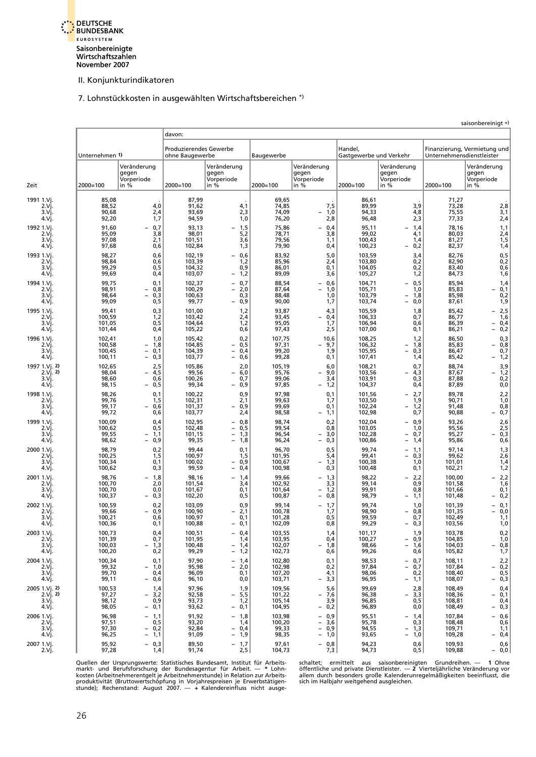<span id="page-29-0"></span>

7. Lohnstückkosten in ausgewählten Wirtschaftsbereichen \*)

|                                            |                                      |                                                                                  |                                           |                                                                                                    |                                      |                                                                                                                                          |                                      |                                                                                  |                                      | saisonbereinigt +)                                      |
|--------------------------------------------|--------------------------------------|----------------------------------------------------------------------------------|-------------------------------------------|----------------------------------------------------------------------------------------------------|--------------------------------------|------------------------------------------------------------------------------------------------------------------------------------------|--------------------------------------|----------------------------------------------------------------------------------|--------------------------------------|---------------------------------------------------------|
|                                            |                                      |                                                                                  | davon:                                    |                                                                                                    |                                      |                                                                                                                                          |                                      |                                                                                  |                                      |                                                         |
|                                            | Unternehmen 1)                       |                                                                                  | Produzierendes Gewerbe<br>ohne Baugewerbe |                                                                                                    | Baugewerbe                           |                                                                                                                                          | Handel,<br>Gastgewerbe und Verkehr   |                                                                                  | Unternehmensdienstleister            | Finanzierung, Vermietung und                            |
| Zeit                                       | $2000 = 100$                         | Veränderung<br>gegen<br>Vorperiode<br>in %                                       | 2000=100                                  | Veränderung<br>gegen<br>Vorperiode<br>in %                                                         | $2000 = 100$                         | Veränderung<br>gegen<br>Vorperiode<br>in %                                                                                               | $2000 = 100$                         | Veränderung<br>gegen<br>Vorperiode<br>in %                                       | $2000 = 100$                         | Veränderung<br>gegen<br>Vorperiode<br>in %              |
| 1991 1.Vj.<br>2.Vj.<br>3.Vi.<br>4.Vi.      | 85,08<br>88,52<br>90,68<br>92,20     | $4,0$<br>2,4<br>1,7                                                              | 87,99<br>91,62<br>93,69<br>94,59          | 4,1<br>2,3<br>1,0                                                                                  | 69,65<br>74,85<br>74,09<br>76,20     | 7,5<br>1,0<br>$\overline{\phantom{0}}$<br>2,8                                                                                            | 86,61<br>89,99<br>94,33<br>96,48     | 3,9<br>4,8<br>2,3                                                                | 71,27<br>73,28<br>75,55<br>77,33     | 2,8<br>3,1<br>2,4                                       |
| 1992 1.Vj.<br>2.Vi.<br>3.Vi.<br>4.Vj.      | 91,60<br>95,09<br>97,08<br>97,68     | 0,7<br>3,8<br>2,1<br>0,6                                                         | 93,13<br>98,01<br>101,51<br>102,84        | 1,5<br>5,2<br>3,6<br>1,3                                                                           | 75,86<br>78,71<br>79,56<br>79,90     | 0,4<br>3,8<br>1,1<br>0,4                                                                                                                 | 95,11<br>99,02<br>100,43<br>100,23   | 1,4<br>4,1<br>1,4<br>0,2                                                         | 78,16<br>80,03<br>81,27<br>82,37     | 1,1<br>$2,4$<br>$1,5$<br>1,4                            |
| 1993 1.Vi.<br>2.Vi.<br>3.Vi.<br>4.Vj       | 98,27<br>98,84<br>99,29<br>99,69     | 0,6<br>0,6<br>0, 5<br>0,4                                                        | 102,19<br>103,39<br>104,32<br>103,07      | 0,6<br>1,2<br>0,9<br>1,2<br>$\overline{\phantom{0}}$                                               | 83,92<br>85,96<br>86,01<br>89,09     | 5,0<br>2,4<br>0,1<br>3,6                                                                                                                 | 103,59<br>103,80<br>104,05<br>105,27 | 3,4<br>0,2<br>0,2<br>1,2                                                         | 82,76<br>82,90<br>83,40<br>84,73     | $0,5$<br>$0,2$<br>0,6<br>1,6                            |
| 1994 1.Vi<br>2.Vi.<br>3.Vj.<br>4.Vj.       | 99,75<br>98,91<br>98,64<br>99,09     | 0,1<br>0,8<br>0,3<br>$\overline{\phantom{0}}$<br>0, 5                            | 102,37<br>100,29<br>100,63<br>99,77       | 0,7<br>2,0<br>0,3<br>0,9                                                                           | 88,54<br>87,64<br>88,48<br>90,00     | 0.6<br>1,0<br>$\overline{\phantom{0}}$<br>1,0<br>1,7                                                                                     | 104,71<br>105,71<br>103,79<br>103,74 | 0,5<br>1,0<br>1,8<br>$\overline{\phantom{0}}$<br>0,0<br>$\overline{\phantom{0}}$ | 85,94<br>85,83<br>85,98<br>87,61     | 1,4<br>0,1<br>0,2<br>1,9                                |
| 1995 1.Vi.<br>2.Vj.<br>3.Vi.<br>4.Vj       | 99,41<br>100,59<br>101,05<br>101,44  | 0,3<br>1,2<br>0,5<br>0,4                                                         | 101,00<br>103,42<br>104,64<br>105,22      | 1,2<br>2,4<br>1,2<br>0,6                                                                           | 93,87<br>93,45<br>95,05<br>97,43     | 4,3<br>0,4<br>1,7<br>2,5                                                                                                                 | 105,59<br>106,33<br>106,94<br>107,00 | 1,8<br>0,7<br>0,6<br>0,1                                                         | 85,42<br>86,77<br>86,39<br>86,21     | $-2,5$<br>1,6<br>0,4<br>0,2<br>$\overline{\phantom{0}}$ |
| 1996 1.Vi.<br>2.Vi.<br>3.Vi.<br>4.Vj.      | 102,41<br>100,58<br>100,45<br>100,11 | 1,0<br>1,8<br>0,1<br>0,3<br>$\overline{\phantom{0}}$                             | 105,42<br>104,85<br>104,39<br>103,77      | 0,2<br>0,5<br>$\overline{a}$<br>0,4<br>$\overline{\phantom{0}}$<br>0,6<br>$\overline{\phantom{0}}$ | 107,75<br>97,31<br>99,20<br>99,28    | 10,6<br>9,7<br>$\overline{\phantom{0}}$<br>1,9<br>0,1                                                                                    | 108,25<br>106,32<br>105,95<br>107,41 | 1,2<br>1,8<br>0,3<br>$\overline{\phantom{0}}$<br>1,4                             | 86,50<br>85,83<br>86,47<br>85,42     | 0,3<br>0,8<br>0,7<br>- 1,2                              |
| 1997 1.Vi. 2)<br>2.Vi. 2<br>3.Vi.<br>4.Vj. | 102,65<br>98,04<br>98,60<br>98,15    | 2,5<br>4,5<br>0,6<br>0,5<br>$\overline{\phantom{0}}$                             | 105,86<br>99,56<br>100,26<br>99,34        | 2,0<br>6,0<br>$\overline{\phantom{0}}$<br>0,7<br>0,9                                               | 105,19<br>95,76<br>99,06<br>97,85    | 6,0<br>9,0<br>$\overline{\phantom{0}}$<br>3,4<br>1,2<br>$\overline{\phantom{0}}$                                                         | 108,21<br>103,56<br>103,91<br>104,37 | 0,7<br>4,3<br>$\overline{\phantom{0}}$<br>0,3<br>0,4                             | 88,74<br>87,67<br>87,88<br>87,89     | 3,9<br>1,2<br>-<br>0,2<br>0,0                           |
| 1998 1.Vi.<br>2.Vi.<br>3.Vi.<br>4.Vj.      | 98,26<br>99.76<br>99,17<br>99,72     | 0,1<br>1,5<br>0,6<br>$\overline{\phantom{0}}$<br>0,6                             | 100,22<br>102,31<br>101,37<br>103,77      | 0,9<br>2,1<br>0,9<br>$\equiv$<br>2,4                                                               | 97,98<br>99,63<br>99,69<br>98,58     | 0,1<br>1,7<br>0,1<br>1,1                                                                                                                 | 101,56<br>103,50<br>102,24<br>102,98 | 2,7<br>$\overline{\phantom{0}}$<br>1,9<br>1,2<br>$\equiv$<br>0,7                 | 89,78<br>90,71<br>91,48<br>90,88     | 2,2<br>1,0<br>0,8<br>0,7                                |
| 1999 1.Vj.<br>2.Vi.<br>3.Vi.<br>4.Vj.      | 100,09<br>100,62<br>99,55<br>98,62   | 0,4<br>0, 5<br>1,1<br>0,9                                                        | 102,95<br>102,48<br>101,15<br>99,35       | 0,8<br>0,5<br>$\overline{\phantom{0}}$<br>$\overline{a}$<br>1,3<br>1,8<br>$\overline{\phantom{0}}$ | 98,74<br>99,54<br>96,54<br>96,24     | 0,2<br>0,8<br>3,0<br>$\overline{\phantom{0}}$<br>0,3<br>$\overline{\phantom{0}}$                                                         | 102,04<br>103,05<br>102,28<br>100,86 | $-0,9$<br>1,0<br>$-0,7$<br>1,4<br>$\overline{\phantom{0}}$                       | 93,26<br>95,56<br>95,27<br>95,86     | 2,6<br>2,5<br>0,3<br>0,6                                |
| 2000 1.Vi.<br>2.Vi.<br>3.Vj.<br>4.Vj.      | 98,79<br>100,25<br>100,34<br>100,62  | 0,2<br>1,5<br>0,1<br>0,3                                                         | 99,44<br>100,97<br>100,02<br>99,59        | 0,1<br>1,5<br>0,9<br>$\qquad \qquad -$<br>0,4<br>$\overline{\phantom{0}}$                          | 96,70<br>101,95<br>100,67<br>100,98  | 0,5<br>5,4<br>1,3<br>$\qquad \qquad -$<br>0,3                                                                                            | 99,74<br>99,41<br>100,38<br>100,48   | 1,1<br>$\qquad \qquad -$<br>0,3<br>1,0<br>0,1                                    | 97,14<br>99,62<br>101,01<br>102,21   | $\frac{1,3}{2,6}$<br>1,4<br>1,2                         |
| 2001 1.Vj.<br>2.Vi.<br>3.Vj.<br>4.Vj.      | 98,76<br>100,70<br>100,70<br>100,37  | 1,8<br>2,0<br>0,0<br>0,3                                                         | 98,16<br>101,54<br>101,67<br>102,20       | 1,4<br>3,4<br>0,1<br>0,5                                                                           | 99,66<br>102,92<br>101,64<br>100,87  | 1,3<br>$\overline{\phantom{0}}$<br>3,3<br>1,2<br>0,8<br>$\overline{\phantom{0}}$                                                         | 98,22<br>99,14<br>99,91<br>98,79     | 2,2<br>0,9<br>0,8<br>1,1                                                         | 100,00<br>101,58<br>101,66<br>101,48 | $-2,2$<br>1,6<br>0,1<br>0,2                             |
| 2002 1.Vi.<br>2.Vj.<br>3.Vj.<br>4.VJ.      | 100,59<br>99,66<br>100,21<br>100,36  | 0,2<br>0,9<br>$\overline{\phantom{0}}$<br>0,6<br>0,1                             | 103,09<br>100,90<br>100,97<br>100,88      | 0,9<br>2,1<br>0,1<br>0,1                                                                           | 99,14<br>100,78<br>101,28<br>102,09  | 1,7<br>$\overline{\phantom{0}}$<br>1,7<br>0,5<br>ს,8                                                                                     | 99,74<br>98,90<br>99,59<br>99,29     | 1,0<br>0,8<br>$\overline{\phantom{0}}$<br>0,7<br>0,3                             | 101,39<br>101,35<br>102,49<br>103,56 | $-0,1$<br>$-0,0$<br>1,1<br>1,0                          |
| 2003 1.Vj.<br>2.Vj.<br>3.Vj.<br>4.Vj.      | 100,73<br>101,39<br>100,03<br>100,20 | 0,4<br>0,7<br>1,3<br>0,2                                                         | 100,51<br>101,95<br>100,48<br>99,29       | 0,4<br>$\overline{\phantom{0}}$<br>1,4<br>1,4<br>$\qquad \qquad -$<br>1,2<br>$\qquad \qquad -$     | 103,55<br>103,95<br>102,07<br>102,73 | 1,4<br>0,4<br>1,8<br>0,6                                                                                                                 | 101,17<br>100,27<br>98,66<br>99,26   | 1,9<br>$-0,9$<br>1,6<br>$\qquad \qquad -$<br>0,6                                 | 103,78<br>104,85<br>104,03<br>105,82 | 0,2<br>1,0<br>$0,8$<br>$1,7$                            |
| 2004 1.Vj.<br>$2.V$ j.<br>3.Vj.<br>4.Vj.   | 100,34<br>99,32<br>99,70<br>99,11    | 0,1<br>1,0<br>-<br>0,4<br>0,6                                                    | 97,90<br>95,98<br>96,09<br>96,10          | 1,4<br>2,0<br>$\overline{\phantom{0}}$<br>0,1<br>0,0                                               | 102,80<br>102,98<br>107,20<br>103,71 | 0,1<br>0,2<br>4,1<br>3,3                                                                                                                 | 98,53<br>97,84<br>98,06<br>96,95     | $-0,7$<br>0,7<br>$\qquad \qquad -$<br>0,2<br>1,1                                 | 108,11<br>107,84<br>108,40<br>108,07 | 2,2<br>$-0,2$<br>0, 5<br>0,3                            |
| 2005 1.Vj. 2)<br>2.Vj. 2<br>3.Vi.<br>4.Vj  | 100,53<br>97,27<br>98,12<br>98,05    | 1,4<br>3,2<br>$\overline{\phantom{0}}$<br>0,9<br>0,1<br>$\overline{\phantom{0}}$ | 97,96<br>92,58<br>93,73<br>93,62          | 1,9<br>5,5<br>$\overline{\phantom{0}}$<br>1,2<br>0,1<br>$\overline{\phantom{0}}$                   | 109,56<br>101,22<br>105,14<br>104,95 | 5,6<br>7,6<br>$\overline{\phantom{0}}$<br>3,9<br>0,2<br>$\qquad \qquad -$                                                                | 99,69<br>96,38<br>96,85<br>96,89     | 2,8<br>3,3<br>-<br>0, 5<br>0,0                                                   | 108,49<br>108,36<br>108,81<br>108,49 | 0,4<br>- 0,1<br>0,4<br>0,3                              |
| 2006 1.Vj.<br>2.Vi.<br>3.Vj.<br>4.Vj.      | 96,98<br>97,51<br>97,30<br>96,25     | $-1,1$<br>0,5<br>0,2<br>-<br>1,1<br>-                                            | 91,92<br>93,20<br>92,84<br>91,09          | 1,8<br>$\overline{\phantom{0}}$<br>1,4<br>$-0,4$<br>1,9<br>$\qquad \qquad -$                       | 103,98<br>100,20<br>99,33<br>98,35   | 0,9<br>$\overline{\phantom{0}}$<br>3,6<br>$\overline{\phantom{0}}$<br>0,9<br>$\overline{\phantom{0}}$<br>1,0<br>$\overline{\phantom{0}}$ | 95,51<br>95,78<br>94,55<br>93,65     | 1,4<br>0,3<br>- 1,3<br>1,0<br>-                                                  | 107,84<br>108,48<br>109,71<br>109,28 | $-0,6$<br>0,6<br>1,1<br>$-0,4$                          |
| 2007 1.Vj.<br>2.Vj.                        | 95,92<br>97,28                       | $-0,3$<br>1,4                                                                    | 89,50<br>91,74                            | 1,7<br>2,5                                                                                         | 97,61<br>104,73                      | 0,8<br>$\qquad \qquad -$<br>7,3                                                                                                          | 94,23<br>94,73                       | 0,6<br>0,5                                                                       | 109,93<br>109,88                     | 0,6<br>$-0,0$                                           |

Quellen der Ursprungswerte: Statistisches Bundesamt, Institut für Arbeits-chräntet; ermittelt aus saisonbereinigten Grundreihen. — 1 Ohne markt- und Berufsforschung der Bundesagentur für Arbeit. — \* Lohn-chränteliche und p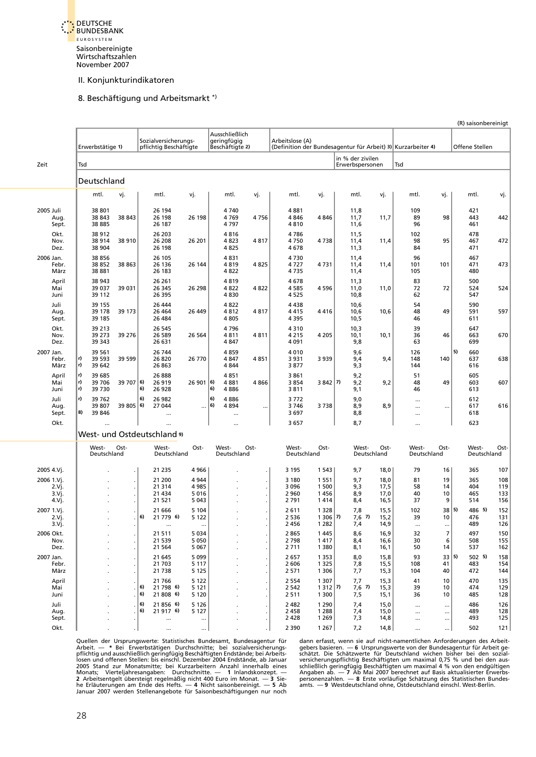<span id="page-30-0"></span>

#### 8. Beschäftigung und Arbeitsmarkt \*)

|                                       |                                                          |                                                                                 |                                                  |                                                                                 |                                                          |                                              | (R) saisonbereinigt                                  |
|---------------------------------------|----------------------------------------------------------|---------------------------------------------------------------------------------|--------------------------------------------------|---------------------------------------------------------------------------------|----------------------------------------------------------|----------------------------------------------|------------------------------------------------------|
|                                       | Erwerbstätige 1)                                         | Sozialversicherungs-<br>pflichtig Beschäftigte                                  | Ausschließlich<br>geringfügig<br>Beschäftigte 2) | Arbeitslose (A)<br>(Definition der Bundesagentur für Arbeit) 3) Kurzarbeiter 4) |                                                          |                                              | Offene Stellen                                       |
|                                       |                                                          |                                                                                 |                                                  |                                                                                 | in % der zivilen                                         |                                              |                                                      |
| Zeit                                  | Tsd                                                      |                                                                                 |                                                  |                                                                                 | Erwerbspersonen                                          | Tsd                                          |                                                      |
|                                       | Deutschland                                              |                                                                                 |                                                  |                                                                                 |                                                          |                                              |                                                      |
|                                       | mtl.<br>vj.                                              | mtl.<br>vj.                                                                     | mtl.<br>vj.                                      | mtl.<br>vj.                                                                     | mtl.<br>vj.                                              | mtl.<br>vj.                                  | mtl.<br>vj.                                          |
| 2005 Juli<br>Aug.<br>Sept.            | 38 801<br>38 843<br>38 843<br>38 885                     | 26 194<br>26 198<br>26 198<br>26 187                                            | 4740<br>4769<br>4756<br>4797                     | 4881<br>4846<br>4 8 4 6<br>4810                                                 | 11,8<br>11,7<br>11,7<br>11,6                             | 109<br>89<br>98<br>96                        | 421<br>443<br>442<br>461                             |
| Okt.<br>Nov.<br>Dez.                  | 38 912<br>38914<br>38 910<br>38 904                      | 26 203<br>26 208<br>26 201<br>26 198                                            | 4816<br>4823<br>4817<br>4825                     | 4786<br>4750<br>4738<br>4678                                                    | 11,5<br>11,4<br>11,4<br>11,3                             | 102<br>95<br>98<br>84                        | 478<br>472<br>467<br>471                             |
| 2006 Jan.<br>Febr.<br>März            | 38856<br>38 863<br>38852<br>38881                        | 26 105<br>26 136<br>26 144<br>26 183                                            | 4831<br>4819<br>4825<br>4822                     | 4730<br>4727<br>4731<br>4735                                                    | 11,4<br>11,4<br>11,4<br>11,4                             | 96<br>101<br>101<br>105                      | 467<br>471<br>473<br>480                             |
| April<br>Mai<br>Juni                  | 38 943<br>39 037<br>39 031<br>39 112                     | 26 261<br>26 345<br>26 298<br>26 395                                            | 4819<br>4822<br>4822<br>4830                     | 4678<br>4585<br>4 5 9 6<br>4525                                                 | 11,3<br>11,0<br>11,0<br>10,8                             | 83<br>72<br>72<br>62                         | 500<br>524<br>524<br>547                             |
| Juli<br>Aug.<br>Sept.                 | 39 155<br>39 178<br>39 173<br>39 185                     | 26 444<br>26 4 64<br>26 449<br>26 484                                           | 4822<br>4812<br>4817<br>4 8 0 5                  | 4438<br>4415<br>4416<br>4395                                                    | 10,6<br>10,6<br>10,6<br>10,5                             | 54<br>48<br>49<br>46                         | 590<br>591<br>597<br>611                             |
| Okt.<br>Nov.<br>Dez.                  | 39 213<br>39 273<br>39 276<br>39 343                     | 26 545<br>26 589<br>26 5 64<br>26 631                                           | 4796<br>4811<br>4811<br>4 8 4 7                  | 4310<br>4 2 1 5<br>4 2 0 5<br>4 0 9 1                                           | 10,3<br>10,1<br>10,1<br>9,8                              | 39<br>36<br>46<br>63                         | 647<br>663<br>670<br>699                             |
| 2007 Jan.<br>Febr.<br>März            | 39 561<br>r)<br>39 593<br>39 599<br>r)<br>39 642         | 26 744<br>26 820<br>26 770<br>26 863                                            | 4859<br>4847<br>4851<br>4844                     | 4010<br>3931<br>3 9 3 9<br>3877                                                 | 9,6<br>9,4<br>9,4<br>9,3                                 | 126<br>148<br>140<br>144                     | 5)<br>660<br>637<br>638<br>616                       |
| April<br>Mai<br>Juni                  | r)<br>39 685<br>r)<br>39 706<br>39707 6<br>r)<br>39 7 30 | 26 888<br>26 919<br>26901 6<br>6)<br>26 928                                     | 4851<br>4881<br>4866<br>6)<br>4886               | 3861<br>3854<br>$3842$ (7)<br>3811                                              | 9,2<br>9,2<br>9,2<br>9,1                                 | 51<br>48<br>49<br>46                         | 605<br>603<br>607<br>613                             |
| Juli<br>Aug.<br>Sept.                 | r)<br>39 762<br>39 807<br>39805 6<br>8)<br>39 846        | 6)<br>26 982<br>27 044<br>$\cdots$<br>                                          | 6)<br>4886<br>  6)<br>4894<br>$\ddotsc$<br>      | 3772<br>3746<br>3738<br>3697                                                    | 9,0<br>8,9<br>8,9<br>8,8                                 | <br><br>$\ddotsc$<br>                        | 612<br>617<br>616<br>618                             |
| Okt.                                  |                                                          |                                                                                 |                                                  | 3657                                                                            | 8,7                                                      |                                              | 623                                                  |
|                                       | West- und Ostdeutschland 9)                              |                                                                                 |                                                  |                                                                                 |                                                          |                                              |                                                      |
|                                       | West-<br>Ost-<br>Deutschland                             | Ost-<br>West-<br>Deutschland                                                    | West-<br>Ost-<br>Deutschland                     | West-<br>Ost-<br>Deutschland                                                    | West-<br>Ost-<br>Deutschland                             | West-<br>Ost-<br>Deutschland                 | West-<br>Ost-<br>Deutschland                         |
| 2005 4.Vj.                            |                                                          | 21 235<br>4966                                                                  |                                                  | 3 1 9 5<br>1 5 4 3                                                              | 9,7<br>18,0                                              | 79<br>16                                     | 365<br>107                                           |
| 2006 1.Vj.<br>2.Vj.<br>3.Vj.<br>4.Vj. |                                                          | 21 200<br>4 9 4 4<br>21 314<br>4985<br>5016<br>21 4 34<br>21 521<br>5 0 4 3     |                                                  | 3 1 8 0<br>1 5 5 1<br>3 0 9 6<br>1 500<br>2 9 6 0<br>1456<br>2 7 9 1<br>1414    | 9,7<br>18,0<br>9,3<br>17,5<br>8,9<br>17,0<br>8,4<br>16,5 | 81<br>19<br>58<br>14<br>40<br>10<br>37<br>9  | 365<br>108<br>404<br>119<br>465<br>133<br>514<br>156 |
| 2007 1.Vj.<br>2.Vj.<br>3.Vj.          |                                                          | 5 1 0 4<br>21 666<br>6)<br>21 779 6)<br>5 1 2 2                                 |                                                  | 2611<br>1 3 2 8<br>$1306$ (7)<br>2 5 3 6<br>2456<br>1 2 8 2                     | 15,5<br>7,8<br>$7,6$ 7)<br>15,2<br>7,4<br>14,9           | 102<br>38 5<br>39<br>10                      | 486 5)<br>152<br>476<br>131<br>489<br>126            |
| 2006 Okt.<br>Nov.<br>Dez.             | $\bullet$<br>$\cdot$                                     | 5 0 3 4<br>21 511<br>5 0 5 0<br>21 539<br>21 5 64<br>5 0 6 7                    | $\cdot$                                          | 2865<br>1445<br>2798<br>1417<br>2711<br>1 3 8 0                                 | 8,6<br>16,9<br>8,4<br>16,6<br>8,1<br>16,1                | 32<br>7<br>30<br>6<br>50<br>14               | 497<br>150<br>508<br>155<br>537<br>162               |
| 2007 Jan.<br>Febr.<br>März            |                                                          | 5 0 9 9<br>21 645<br>5 1 1 7<br>21 703<br>21 738<br>5 1 2 5                     |                                                  | 2657<br>1 3 5 3<br>2 6 0 6<br>1 3 2 5<br>2571<br>1 3 0 6                        | 8,0<br>15,8<br>15,5<br>7,8<br>7,7<br>15,3                | 33 5<br>93<br>41<br>108<br>104<br>40         | $502$ 5)<br>158<br>483<br>154<br>472<br>144          |
| April<br>Mai<br>Juni                  | $\epsilon$                                               | 21 766<br>5 1 2 2<br>6)<br>21 798 6)<br>5 1 2 1<br>  6)<br>21 808 6)<br>5 1 2 0 |                                                  | 1 3 0 7<br>2 5 5 4<br>1312 7<br>2 5 4 2<br>2 5 1 1<br>1 300                     | 15,3<br>7,7<br>$7,6$ 7)<br>15,3<br>7,5<br>15,1           | 41<br>10<br>39<br>10<br>10<br>36             | 470<br>135<br>474<br>129<br>485<br>128               |
| Juli<br>Aug.<br>Sept.                 |                                                          | 6)<br>21 856 6)<br>5 1 2 6<br>  6)<br>21 917 6)<br>5 1 2 7<br><br>              |                                                  | 2 4 8 2<br>1 2 9 0<br>1 2 8 8<br>2458<br>2428<br>1 2 6 9                        | 7,4<br>15,0<br>15,0<br>7,4<br>7,3<br>14,8                | $\cdots$<br><br>$\cdots$<br><br>$\cdots$<br> | 486<br>126<br>489<br>128<br>493<br>125               |
| Okt.                                  |                                                          | <br>                                                                            |                                                  | 2 3 9 0<br>1 2 6 7                                                              | 7,2<br>14,8                                              |                                              | 502<br>121                                           |

Quellen der Ursprungswerte: Statistisches Bundesamt, Bundesagentur für<br>Arbeit. — \* Bei Erwerbstätigen Durchschnitte; bei sozialversicherungs-<br>Gebers basieren. — 6 Ursprungswerte von der Burlichten prich princh princh princ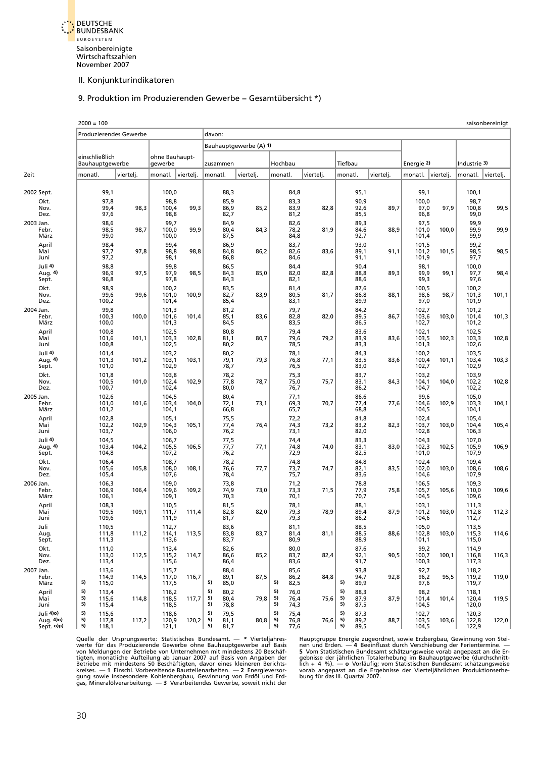<span id="page-31-0"></span>

#### 9. Produktion im Produzierenden Gewerbe – Gesamtübersicht \*)

|           |                                              | $2000 = 100$                      |                                  |                               |                                  |       |                                                |                        |                                                |           |                                                |           |                                  |           |                                  | saisonbereinigt |
|-----------|----------------------------------------------|-----------------------------------|----------------------------------|-------------------------------|----------------------------------|-------|------------------------------------------------|------------------------|------------------------------------------------|-----------|------------------------------------------------|-----------|----------------------------------|-----------|----------------------------------|-----------------|
|           |                                              |                                   |                                  | <b>Produzierendes Gewerbe</b> |                                  |       | davon:                                         |                        |                                                |           |                                                |           |                                  |           |                                  |                 |
|           |                                              |                                   |                                  |                               |                                  |       |                                                | Bauhauptgewerbe (A) 1) |                                                |           |                                                |           |                                  |           |                                  |                 |
|           |                                              | einschließlich<br>Bauhauptgewerbe |                                  |                               | ohne Bauhaupt-<br>gewerbe        |       | zusammen                                       |                        | Hochbau                                        |           | Tiefbau                                        |           | Energie 2)                       |           | Industrie 3)                     |                 |
| Zeit      |                                              | monatl.                           |                                  | viertelj.                     | monatl. viertelj.                |       | monatl.                                        | viertelj.              | monatl.                                        | viertelj. | monatl.                                        | viertelj. | monatl.                          | vierteli. | monatl.                          | vierteli.       |
|           | 2002 Sept.<br>Okt.                           |                                   | 99,1<br>97,8                     |                               | 100,0<br>98,8                    |       | 88,3<br>85,9                                   |                        | 84,8<br>83,3                                   |           | 95,1<br>90,9                                   |           | 99,1<br>100,0                    |           | 100,1<br>98,7                    |                 |
| 2003 Jan. | Nov.<br>Dez.                                 |                                   | 99,4<br>97,6<br>98,6             | 98,3                          | 100,4<br>98,8<br>99,7            | 99,3  | 86,9<br>82,7<br>84,9                           | 85,2                   | 83,9<br>81,2<br>82,6                           | 82,8      | 92,6<br>85,5<br>89,3                           | 89,7      | 97,0<br>96,8<br>97,5             | 97,9      | 100,8<br>99,0<br>99,9            | 99,5            |
|           | Febr.<br>März                                |                                   | 98,5<br>99,0                     | 98,7                          | 100,0<br>100,0                   | 99,9  | 80,4<br>87,5                                   | 84,3                   | 78,2<br>84,8                                   | 81,9      | 84,6<br>92,7                                   | 88,9      | 101,0<br>101,4                   | 100,0     | 99,9<br>99,9                     | 99,9            |
|           | April<br>Mai<br>Juni                         |                                   | 98,4<br>97,7<br>97,2             | 97,8                          | 99,4<br>98,8<br>98,1             | 98,8  | 86,9<br>84,8<br>86,8                           | 86,2                   | 83,7<br>82,6<br>84,6                           | 83,6      | 93,0<br>89,1<br>91,1                           | 91,1      | 101,5<br>101,2<br>101,9          | 101,5     | 99,2<br>98,5<br>97,7             | 98,5            |
|           | Juli 4)<br>Aug. 4)<br>Sept.                  |                                   | 98,8<br>96,9<br>96,8             | 97,5                          | 99,8<br>97,9<br>97,8             | 98,5  | 86,5<br>84,3<br>84,3                           | 85,0                   | 84,4<br>82,0<br>82,1                           | 82,8      | 90,4<br>88,8<br>88,6                           | 89,3      | 98,1<br>99,9<br>99,3             | 99,1      | 100,0<br>97,7<br>97,6            | 98,4            |
|           | Okt.<br>Nov.<br>Dez.                         |                                   | 98,9<br>99,6<br>100,2            | 99,6                          | 100,2<br>101,0<br>101,4          | 100,9 | 83,5<br>82,7<br>85,4                           | 83,9                   | 81,4<br>80,5<br>83,1                           | 81,7      | 87,6<br>86,8<br>89,9                           | 88,1      | 100,5<br>98,6<br>97,0            | 98,7      | 100,2<br>101,3<br>101,9          | 101,1           |
| 2004 Jan. | Febr.<br>März                                |                                   | 99,8<br>100,3<br>100,0           | 100,0                         | 101,3<br>101,6<br>101,3          | 101,4 | 81,2<br>85,1<br>84,5                           | 83,6                   | 79,7<br>82,8<br>83,5                           | 82,0      | 84,2<br>89,5<br>86,5                           | 86,7      | 102,7<br>103,6<br>102,7          | 103,0     | 101,2<br>101,4<br>101,2          | 101,3           |
|           | April<br>Mai<br>Juni                         |                                   | 100,8<br>101,6<br>100,8          | 101,1                         | 102,5<br>103,3<br>102,5          | 102,8 | 80,8<br>81,1<br>80,2                           | 80,7                   | 79,4<br>79,6<br>78,5                           | 79,2      | 83,6<br>83,9<br>83,3                           | 83,6      | 102,1<br>103,5<br>101,3          | 102,3     | 102,5<br>103,3<br>102,6          | 102,8           |
|           | Juli 4)<br>Aug. 4)<br>Sept.                  |                                   | 101,4<br>101,3<br>101,0          | 101,2                         | 103,2<br>103,1<br>102,9          | 103,1 | 80,2<br>79,1<br>78,7                           | 79,3                   | 78,1<br>76,8<br>76,5                           | 77,1      | 84,3<br>83,5<br>83,0                           | 83,6      | 100,2<br>100,4<br>102,7          | 101,1     | 103,5<br>103,4<br>102,9          | 103,3           |
|           | Okt.<br>Nov.<br>Dez.                         |                                   | 101,8<br>100,5<br>100,7          | 101,0                         | 103,8<br>102,4<br>102,4          | 102,9 | 78,2<br>77,8<br>80,0                           | 78,7                   | 75,3<br>75,0<br>76,7                           | 75,7      | 83,7<br>83,1<br>86,2                           | 84,3      | 103,2<br>104,1<br>104,7          | 104,0     | 103,9<br>102,2<br>102,2          | 102,8           |
| 2005 Jan. | Febr.<br>März                                |                                   | 102,6<br>101,0<br>101,2          | 101,6                         | 104,5<br>103,4<br>104,1          | 104,0 | 80,4<br>72,1<br>66,8                           | 73,1                   | 77,1<br>69,3<br>65,7                           | 70,7      | 86,6<br>77,4<br>68,8                           | 77,6      | 99,6<br>104,6<br>104,5           | 102,9     | 105,0<br>103,3<br>104,1          | 104,1           |
|           | April<br>Mai<br>Juni                         |                                   | 102,8<br>102,2<br>103,7          | 102,9                         | 105,1<br>104,3<br>106,0          | 105,1 | 75,5<br>77,4<br>76,2                           | 76,4                   | 72,2<br>74,3<br>73,1                           | 73,2      | 81,8<br>83,2<br>82,0                           | 82,3      | 102,4<br>103,7<br>102,8          | 103,0     | 105,4<br>104,4<br>106,3          | 105,4           |
|           | Juli 4)<br>Aug. 4)<br>Sept.                  |                                   | 104,5<br>103,4<br>104,8          | 104,2                         | 106,7<br>105,5<br>107,2          | 106,5 | 77,5<br>77,7<br>76,2                           | 77,1                   | 74,4<br>74,8<br>72,9                           | 74,0      | 83,3<br>83,1<br>82,5                           | 83,0      | 104,3<br>102,3<br>101,0          | 102,5     | 107,0<br>105,9<br>107,9          | 106,9           |
|           | Okt.<br>Nov.<br>Dez.                         |                                   | 106,4<br>105,6<br>105,4          | 105,8                         | 108,7<br>108,0<br>107,6          | 108,1 | 78,2<br>76,6<br>78,4                           | 77,7                   | 74,8<br>73,7<br>75,7                           | 74,7      | 84,8<br>82,1<br>83,6                           | 83,5      | 102,4<br>102,0<br>104,6          | 103,0     | 109,4<br>108,6<br>107,9          | 108,6           |
| 2006 Jan. | Febr.<br>März                                |                                   | 106,3<br>106,9<br>106,1          | 106,4                         | 109,0<br>109,6<br>109,1          | 109,2 | 73,8<br>74,9<br>70,3                           | 73,0                   | 71,2<br>73,3<br>70,1                           | 71,5      | 78,8<br>77,9<br>70,7                           | 75,8      | 106,5<br>105,7<br>104,5          | 105,6     | 109,3<br>110,0<br>109,6          | 109,6           |
|           | April<br>Mai<br>Juni                         |                                   | 108,3<br>109,5<br>109,6          | 109,1                         | 110,5<br>111,7<br>111,9          | 111,4 | 81,5<br>82,8<br>81,7                           | 82,0                   | 78,1<br>79,3<br>79,3                           | 78,9      | 88,1<br>89,4<br>86,2                           | 87,9      | 103,1<br>101,2<br>104,6          | 103,0     | 111,3<br>112,8<br>112,7          | 112,3           |
|           | Juli<br>Aug.<br>Sept.                        |                                   | 110,5<br>111,8<br>111,3          | 111,2                         | 112,7<br>114,1<br>113,6          | 113,5 | 83,6<br>83,8<br>83,7                           | 83,7                   | 81,1<br>81,4<br>80,9                           | 81,1      | 88,5<br>88,5<br>88,9                           | 88,6      | 105,0<br>102,8<br>101,1          | 103,0     | 113,5<br>115,3<br>115,0          | 114,6           |
|           | Okt.<br>Nov.<br>Dez.                         |                                   | 111,0<br>113,0<br>113,4          | 112,5                         | 113,4<br>115,2<br>115,6          | 114,7 | 82,6<br>86,6<br>86,4                           | 85,2                   | 80,0<br>83,7<br>83,6                           | 82,4      | 87,6<br>92,1<br>91,7                           | 90,5      | 99,2<br>100,7<br>100,3           | 100,1     | 114,9<br>116,8<br>117,3          | 116,3           |
| 2007 Jan. | Febr.<br>März                                | 5)                                | 113,6<br>114,9<br>115,0          | 114,5                         | 115,7<br>117,0<br>117,5          | 116,7 | 88,4<br>89,1<br>5)<br>85,0                     | 87,5                   | 85,6<br>86,2<br>5)<br>82,5                     | 84,8      | 93,8<br>94,7<br>5)<br>89,9                     | 92,8      | 92,7<br>96,2<br>97,6             | 95,5      | 118,2<br>119,2<br>119,7          | 119,0           |
|           | April<br>Mai                                 | 5)<br>5)<br>5)                    | 113,4<br>115,6                   | 114,8                         | 116,2<br>118,5                   | 117,7 | 80,2<br>5)<br>5)<br>80,4<br>5)                 | 79,8                   | 76,0<br>5)<br>5)<br>76,4<br>5)                 | 75,6      | 88,3<br>5)<br>5)<br>87,9<br>5)                 | 87,9      | 98,2<br>101,4                    | 101,4     | 118,1<br>120,4                   | 119,5           |
|           | Juni<br>Juli 4)o)<br>Aug. 4)o)<br>Sept. o)p) | 5)<br>5)<br>5)                    | 115,4<br>115,6<br>117,8<br>118,1 | 117,2                         | 118,5<br>118,6<br>120,9<br>121,1 | 120,2 | 78,8<br>79,5<br>5)<br>5)<br>81,1<br>5)<br>81,7 | 80, 8                  | 74,3<br>75,4<br>5)<br>5)<br>76,8<br>5)<br>77,6 | 76,6      | 87,5<br>5)<br>87,3<br>5)<br>89,2<br>5)<br>89,5 | 88,7      | 104,5<br>102,7<br>103,5<br>104,5 | 103,6     | 120,0<br>120,3<br>122,8<br>122,9 | 122,0           |

Quelle der Ursprungswerte: Statistisches Bundesamt. — \* Vierteljahres-<br>werte für das Produzierende Gewerbe ohne Bauhauptgewerbe auf Basis nen und Erden. — 4 Beeinflust durch Verschiebung der Ferientermine.<br>wor Meldungen de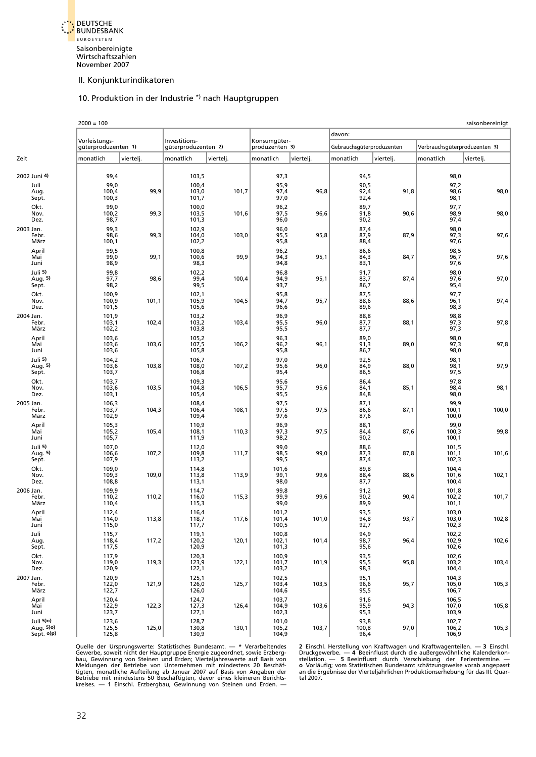<span id="page-32-0"></span>

#### 10. Produktion in der Industrie \*) nach Hauptgruppen

|           |                                      | $2000 = 100$                         |           |                                      |           |                                |           |                           |           |                               | saisonbereinigt |
|-----------|--------------------------------------|--------------------------------------|-----------|--------------------------------------|-----------|--------------------------------|-----------|---------------------------|-----------|-------------------------------|-----------------|
|           |                                      |                                      |           |                                      |           |                                |           | davon:                    |           |                               |                 |
|           |                                      | Vorleistungs-<br>güterproduzenten 1) |           | Investitions-<br>güterproduzenten 2) |           | Konsumqüter-<br>produzenten 3) |           | Gebrauchsgüterproduzenten |           | Verbrauchsgüterproduzenten 3) |                 |
| Zeit      |                                      | monatlich                            | viertelj. | monatlich                            | viertelj. | monatlich                      | viertelj. | monatlich                 | viertelj. | monatlich                     | viertelj.       |
|           | 2002 Juni 4)                         | 99,4                                 |           | 103,5                                |           | 97,3                           |           | 94,5                      |           | 98,0                          |                 |
|           | Juli<br>Aug.<br>Sept.                | 99,0<br>100,4<br>100,3               | 99,9      | 100,4<br>103,0<br>101,7              | 101,7     | 95,9<br>97,4<br>97,0           | 96,8      | 90,5<br>92,4<br>92,4      | 91,8      | 97,2<br>98,6<br>98,1          | 98,0            |
|           | Okt.<br>Nov.<br>Dez.                 | 99,0<br>100,2<br>98,7                | 99,3      | 100,0<br>103,5<br>101,3              | 101,6     | 96,2<br>97,5<br>96,0           | 96,6      | 89,7<br>91,8<br>90,2      | 90,6      | 97,7<br>98,9<br>97,4          | 98,0            |
| 2003 Jan. | Febr.<br>März                        | 99,3<br>98,6<br>100,1                | 99,3      | 102,9<br>104,0<br>102,2              | 103,0     | 96,0<br>95,5<br>95,8           | 95,8      | 87,4<br>87,9<br>88,4      | 87,9      | 98,0<br>97,3<br>97,6          | 97,6            |
|           | April<br>Mai<br>Juni                 | 99,5<br>99,0<br>98,9                 | 99,1      | 100,8<br>100,6<br>98,3               | 99,9      | 96,2<br>94,3<br>94,8           | 95,1      | 86,6<br>84,3<br>83,1      | 84,7      | 98,5<br>96,7<br>97,6          | 97,6            |
|           | Juli 5)<br>Aug. 5)<br>Sept.          | 99,8<br>97,7<br>98,2                 | 98,6      | 102,2<br>99,4<br>99,5                | 100,4     | 96,8<br>94,9<br>93,7           | 95,1      | 91,7<br>83,7<br>86,7      | 87,4      | 98,0<br>97,6<br>95,4          | 97,0            |
|           | Okt.<br>Nov.<br>Dez.                 | 100,9<br>100,9<br>101,5              | 101,1     | 102,1<br>105,9<br>105,6              | 104,5     | 95,8<br>94,7<br>96,6           | 95,7      | 87,5<br>88,6<br>89,6      | 88,6      | 97,7<br>96,1<br>98,3          | 97,4            |
| 2004 Jan. | Febr.<br>März                        | 101,9<br>103,1<br>102,2              | 102,4     | 103,2<br>103,2<br>103,8              | 103,4     | 96,9<br>95,5<br>95,5           | 96,0      | 88,8<br>87,7<br>87,7      | 88,1      | 98,8<br>97,3<br>97,3          | 97,8            |
|           | April<br>Mai<br>Juni                 | 103,6<br>103,6<br>103,6              | 103,6     | 105,2<br>107,5<br>105,8              | 106,2     | 96,3<br>96,2<br>95,8           | 96,1      | 89,0<br>91,3<br>86,7      | 89,0      | 98,0<br>97,3<br>98,0          | 97,8            |
|           | Juli 5)<br>Aug. 5)<br>Sept.          | 104,2<br>103,6<br>103,7              | 103,8     | 106,7<br>108,0<br>106,8              | 107,2     | 97,0<br>95,6<br>95,4           | 96,0      | 92,5<br>84,9<br>86,5      | 88,0      | 98,1<br>98,1<br>97,5          | 97,9            |
|           | Okt.<br>Nov.<br>Dez.                 | 103,7<br>103,6<br>103,1              | 103,5     | 109,3<br>104,8<br>105,4              | 106,5     | 95,6<br>95,7<br>95,5           | 95,6      | 86,4<br>84,1<br>84,8      | 85,1      | 97,8<br>98,4<br>98,0          | 98,1            |
| 2005 Jan. | Febr.<br>März                        | 106,3<br>103,7<br>102,9              | 104,3     | 108,4<br>106,4<br>109,4              | 108,1     | 97,5<br>97,5<br>97,6           | 97,5      | 87,1<br>86,6<br>87,6      | 87,1      | 99,9<br>100,1<br>100,0        | 100,0           |
|           | April<br>Mai<br>Juni                 | 105,3<br>105,2<br>105,7              | 105,4     | 110,9<br>108,1<br>111,9              | 110,3     | 96,9<br>97,3<br>98,2           | 97,5      | 88,1<br>84,4<br>90,2      | 87,6      | 99,0<br>100,3<br>100,1        | 99,8            |
|           | Juli 5)<br>Aug. 5)<br>Sept.          | 107,0<br>106,6<br>107,9              | 107,2     | 112,0<br>109,8<br>113,2              | 111,7     | 99,0<br>98,5<br>99,5           | 99,0      | 88,6<br>87,3<br>87,4      | 87,8      | 101,5<br>101,1<br>102,3       | 101,6           |
|           | Okt.<br>Nov.<br>Dez.                 | 109,0<br>109,3<br>108,8              | 109,0     | 114,8<br>113,8<br>113,1              | 113,9     | 101,6<br>99,1<br>98,0          | 99,6      | 89,8<br>88,4<br>87,7      | 88,6      | 104,4<br>101,6<br>100,4       | 102,1           |
| 2006 Jan. | Febr.<br>März                        | 109,9<br>110,2<br>110,4              | 110,2     | 114,7<br>116,0<br>115,3              | 115,3     | 99,8<br>99,9<br>99,0           | 99,6      | 91,2<br>90,2<br>89,9      | 90,4      | 101,8<br>102,2<br>101,1       | 101,7           |
|           | April<br>Mai<br>Juni                 | 112,4<br>114,0<br>115,0              | 113,8     | 116,4<br>118,7<br>117,7              | 117,6     | 101,2<br>101,4<br>100,5        | 101,0     | 93,5<br>94,8<br>92,7      | 93,7      | 103,0<br>103,0<br>102,3       | 102,8           |
|           | Juli<br>Aug.<br>Sept.                | 115,7<br>118,4<br>117,5              | 117,2     | 119,1<br>120,2<br>120,9              | 120,1     | 100,8<br>102,1<br>101,3        | 101,4     | 94,9<br>98,7<br>95,6      | 96,4      | 102,2<br>102,9<br>102,6       | 102,6           |
|           | Okt.<br>Nov.<br>Dez.                 | 117,9<br>119,0<br>120,9              | 119,3     | 120,3<br>123,9<br>122,1              | 122,1     | 100,9<br>101,7<br>103,2        | 101,9     | 93,5<br>95,5<br>98,3      | 95,8      | 102,6<br>103,2<br>104,4       | 103,4           |
| 2007 Jan. | Febr.<br>März                        | 120,9<br>122,0<br>122,7              | 121,9     | 125,1<br>126,0<br>126,0              | 125,7     | 102,5<br>103,4<br>104,6        | 103,5     | 95,1<br>96,6<br>95,5      | 95,7      | 104,3<br>105,0<br>106,7       | 105,3           |
|           | April<br>Mai<br>Juni                 | 120,4<br>122,9<br>123,7              | 122,3     | 124,7<br>127,3<br>127,1              | 126,4     | 103,7<br>104,9<br>102,3        | 103,6     | 91,6<br>95,9<br>95,3      | 94,3      | 106,5<br>107,0<br>103,9       | 105,8           |
|           | Juli 5)o)<br>Aug. 5)o)<br>Sept. o)p) | 123,6<br>125,5<br>125,8              | 125,0     | 128,7<br>130,8<br>130,9              | 130,1     | 101,0<br>$105,2$<br>104,9      | 103,7     | 93,8<br>100,8<br>96,4     | 97,0      | 102,7<br>106,2<br>106,9       | 105,3           |

Quelle der Ursprungswerte: Statistisches Bundesamt. — \* Verarbeitendes 2 Einschl. Herstellung von Kraftwagen und Kraftwagenteilen. — 3 Einschl.<br>Gewerbe, soweit nicht der Hauptgruppe Energie zugeordnet, sowie Erzberg- Druck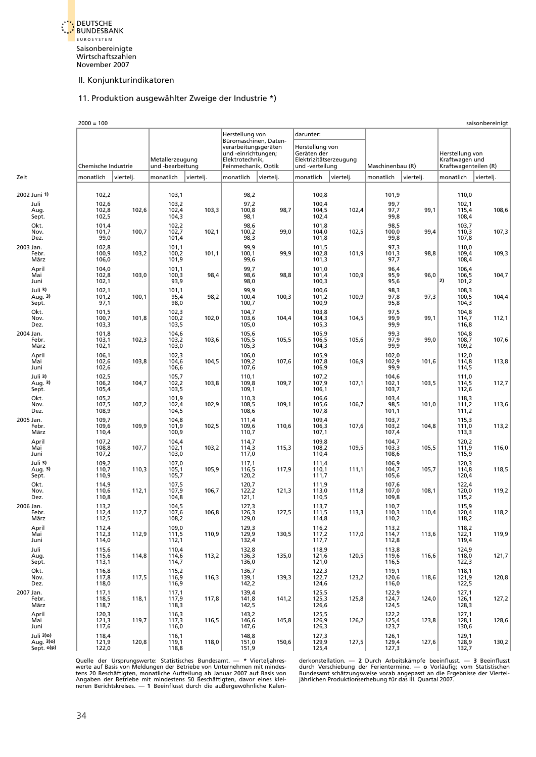<span id="page-33-0"></span>

# 11. Produktion ausgewählter Zweige der Industrie \*)

|                                      | $2000 = 100$            |           |                                     |           |                                                                  |           |                                                          |           |                         |           |                                                           | saisonbereinigt |
|--------------------------------------|-------------------------|-----------|-------------------------------------|-----------|------------------------------------------------------------------|-----------|----------------------------------------------------------|-----------|-------------------------|-----------|-----------------------------------------------------------|-----------------|
|                                      |                         |           |                                     |           | Herstellung von<br>Büromaschinen, Daten-<br>verarbeitungsgeräten |           | darunter:<br>Herstellung von                             |           |                         |           |                                                           |                 |
|                                      | Chemische Industrie     |           | Metallerzeugung<br>und -bearbeitung |           | und -einrichtungen;<br>Elektrotechnik,<br>Feinmechanik, Optik    |           | Geräten der<br>Elektrizitätserzeugung<br>und -verteilung |           | Maschinenbau (R)        |           | Herstellung von<br>Kraftwagen und<br>Kraftwagenteilen (R) |                 |
| Zeit                                 | monatlich               | viertelj. | monatlich                           | viertelj. | monatlich                                                        | viertelj. | monatlich                                                | viertelj. | monatlich               | viertelj. | monatlich                                                 | viertelj.       |
| 2002 Juni 1)                         | 102,2                   |           | 103,1                               |           | 98,2                                                             |           | 100,8                                                    |           | 101,9                   |           | 110,0                                                     |                 |
| Juli<br>Aug.<br>Sept.                | 102,6<br>102,8<br>102,5 | 102,6     | 103,2<br>102,4<br>104,3             | 103,3     | 97,2<br>100,8<br>98,1                                            | 98,7      | 100,4<br>104,5<br>102,4                                  | 102,4     | 99,7<br>97,7<br>99,8    | 99,1      | 102,1<br>115,4<br>108,4                                   | 108,6           |
| Okt.<br>Nov.<br>Dez.                 | 101,4<br>101,7<br>99,0  | 100,7     | 102,2<br>102,7<br>101,4             | 102,1     | 98,6<br>100,2<br>98,3                                            | 99,0      | 101,8<br>104,0<br>101,8                                  | 102,5     | 98,5<br>100,0<br>99,8   | 99,4      | 103,7<br>110,3<br>107,8                                   | 107,3           |
| 2003 Jan.<br>Febr.<br>März           | 102,8<br>100,9<br>106,0 | 103,2     | 101,1<br>100,2<br>101,9             | 101,1     | 99,9<br>100,1<br>99,6                                            | 99,9      | 101,5<br>102,8<br>101,3                                  | 101,9     | 97,3<br>101,3<br>97,7   | 98,8      | 110,0<br>109,4<br>108,4                                   | 109,3           |
| April<br>Mai<br>Juni                 | 104,0<br>102,8<br>102,1 | 103,0     | 101,1<br>100,3<br>93,9              | 98,4      | 99,7<br>98,6<br>98,0                                             | 98,8      | 101,0<br>101,4<br>100,3                                  | 100,9     | 96,4<br>95,9<br>95,6    | 96,0      | 106,4<br>106,5<br>2)<br>101,2                             | 104,7           |
| Juli 3)<br>Aug. 3)<br>Sept.          | 102,1<br>101,2<br>97,1  | 100,1     | 101,1<br>95,4<br>98,0               | 98,2      | 99,9<br>100,4<br>100,7                                           | 100,3     | 100,6<br>101,2<br>100,9                                  | 100,9     | 98,3<br>97,8<br>95,8    | 97,3      | 108,3<br>100,5<br>104,3                                   | 104,4           |
| Okt.<br>Nov.<br>Dez.                 | 101,5<br>100,7<br>103,3 | 101,8     | 102,3<br>100,2<br>103,5             | 102,0     | 104,7<br>103,6<br>105,0                                          | 104,4     | 103,8<br>104,3<br>105,3                                  | 104,5     | 97,5<br>99,9<br>99,9    | 99,1      | 104,8<br>114,7<br>116,8                                   | 112,1           |
| 2004 Jan.<br>Febr.<br>März           | 101,8<br>103,1<br>102,1 | 102,3     | 104,6<br>103,2<br>103,0             | 103,6     | 105,6<br>105,5<br>105,3                                          | 105,5     | 105,9<br>106,5<br>104,3                                  | 105,6     | 99,3<br>97,9<br>99,9    | 99,0      | 104,8<br>108,7<br>109,2                                   | 107,6           |
| April<br>Mai<br>Juni                 | 106,1<br>102,6<br>102,6 | 103,8     | 102,3<br>104,6<br>106,6             | 104,5     | 106,0<br>109,2<br>107,6                                          | 107,6     | 105,9<br>107,8<br>106,9                                  | 106,9     | 102,0<br>102,9<br>99,9  | 101,6     | 112,0<br>114,8<br>114,5                                   | 113,8           |
| Juli 3)<br>Aug. 3)<br>Sept.          | 102,5<br>106,2<br>105,4 | 104,7     | 105,7<br>102,2<br>103,5             | 103,8     | 110,1<br>109,8<br>109,1                                          | 109,7     | 107,2<br>107,9<br>106,1                                  | 107,1     | 104,6<br>102,1<br>103,7 | 103,5     | 111,0<br>114,5<br>112,6                                   | 112,7           |
| Okt.<br>Nov.<br>Dez.                 | 105,2<br>107,5<br>108,9 | 107,2     | 101,9<br>102,4<br>104,5             | 102,9     | 110,3<br>108,5<br>108,6                                          | 109,1     | 106,6<br>105,6<br>107,8                                  | 106,7     | 103,4<br>98,5<br>101,1  | 101,0     | 118,3<br>111,2<br>111,2                                   | 113,6           |
| 2005 Jan.<br>Febr.<br>März           | 109,7<br>109,6<br>110,4 | 109,9     | 104,8<br>101,9<br>100,9             | 102,5     | 111,4<br>109,6<br>110,7                                          | 110,6     | 109,4<br>106,3<br>107,1                                  | 107,6     | 103,7<br>103,2<br>107,4 | 104,8     | 115,3<br>111,0<br>113,3                                   | 113,2           |
| April<br>Mai<br>Juni                 | 107,2<br>108,8<br>107,2 | 107,7     | 104,4<br>102,1<br>103,0             | 103,2     | 114,7<br>114,3<br>117,0                                          | 115,3     | 109,8<br>108,2<br>110,4                                  | 109,5     | 104,7<br>103,3<br>108,6 | 105,5     | 120,2<br>111,9<br>115,9                                   | 116,0           |
| Juli 3)<br>Aug. 3)<br>Sept.          | 109,2<br>110,7<br>110,9 | 110,3     | 107,0<br>105,1<br>105,7             | 105,9     | 117,1<br>116,5<br>120,2                                          | 117,9     | 111,4<br>110,1<br>111,7                                  | 111,1     | 106,9<br>104,7<br>105,6 | 105,7     | 120,3<br>114,8<br>120,4                                   | 118,5           |
| Okt.<br>Nov.<br>Dez.                 | 114,9<br>110,6<br>110,8 | 112,1     | 107,5<br>107,9<br>104,8             | 106,7     | 120,7<br>122,2<br>121,1                                          | 121,3     | 111,9<br>113,0<br>110,5                                  | 111,8     | 107,6<br>107,0<br>109,8 | 108,1     | 122,4<br>120,0<br>115,2                                   | 119,2           |
| 2006 Jan.<br>Febr.<br>März           | 113,2<br>112,4<br>112,5 | 112,7     | 104,5<br>107,6<br>108,2             | 106,8     | 127,3<br>126,3<br>129,0                                          | 127,5     | 113,7<br>111,5<br>114,8                                  | 113,3     | 110,7<br>110,3<br>110,2 | 110,4     | 115,9<br>120,4<br>118,2                                   | 118,2           |
| April<br>Mai<br>Juni                 | 112,4<br>112,3<br>114,0 | 112,9     | 109,0<br>111,5<br>112,1             | 110,9     | 129,3<br>129,9<br>132,4                                          | 130,5     | 116,2<br>$\frac{117.2}{117.7}$                           | 117,0     | 113,2<br>114,7<br>112,8 | 113,6     | 118,2<br>122,1<br>119,4                                   | 119,9           |
| Juli<br>Aug.<br>Sept.                | 115,6<br>115,6<br>113,1 | 114,8     | 110,4<br>114,6<br>114,7             | 113,2     | 132,8<br>136,3<br>136,0                                          | 135,0     | 118,9<br>121,6<br>121,0                                  | 120,5     | 113,8<br>119,6<br>116,5 | 116,6     | 124,9<br>118,0<br>122,3                                   | 121,7           |
| Okt.<br>Nov.<br>Dez.                 | 116,8<br>117,8<br>118,0 | 117,5     | 115,2<br>116,9<br>116,9             | 116,3     | 136,7<br>139,1<br>142,2                                          | 139,3     | 122,3<br>122,7<br>124,6                                  | 123,2     | 119,1<br>120,6<br>116,0 | 118,6     | 118,1<br>121,9<br>122,5                                   | 120,8           |
| 2007 Jan.<br>Febr.<br>März           | 117,1<br>118,5<br>118,7 | 118,1     | 117,1<br>117,9<br>118,3             | 117,8     | 139,4<br>141,8<br>142,5                                          | 141,2     | 125,5<br>125,3<br>126,6                                  | 125,8     | 122,9<br>124,7<br>124,5 | 124,0     | 127,1<br>126,1<br>128,3                                   | 127,2           |
| April<br>Mai<br>Juni                 | 120,3<br>121,3<br>117,6 | 119,7     | 116,3<br>117,3<br>116,0             | 116,5     | 143,2<br>146,6<br>147,6                                          | 145,8     | 125,5<br>126,9<br>126,3                                  | 126,2     | 122,2<br>125,4<br>123,7 | 123,8     | 127,1<br>128,1<br>130,6                                   | 128,6           |
| Juli 3)o)<br>Aug. 3)o)<br>Sept. o)p) | 118,4<br>121,9<br>122,0 | 120,8     | 116,1<br>119,1<br>118,8             | 118,0     | 148,8<br>151,0<br>151,9                                          | 150,6     | 127,3<br>129,9<br>125,4                                  | 127,5     | 126,1<br>129,4<br>127,3 | 127,6     | 129,1<br>128,9<br>132,7                                   | 130,2           |

Quelle der Ursprungswerte: Statistisches Bundesamt. — \* Vierteljahres- derkonstellation. — 2 Durch Arbeitskämpfe beeinflusst. — 3 Beeinflusst<br>werte auf Basis von Meldungen der Betriebe von Unternehmen mit mindes- durch Ver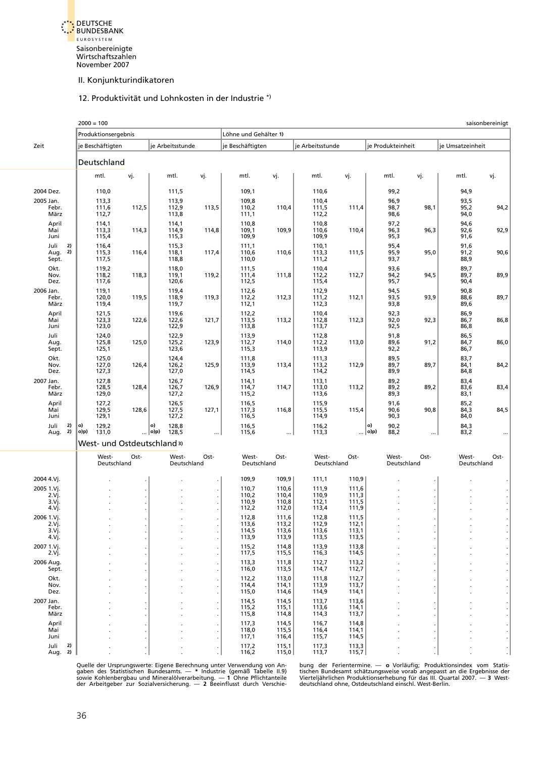<span id="page-34-0"></span>

#### 12. Produktivität und Lohnkosten in der Industrie \*)

|                                   | $2000 = 100$                 |       |                                 |       |                         |                         |                         |                         |                             |      |                      | saisonbereinigt |
|-----------------------------------|------------------------------|-------|---------------------------------|-------|-------------------------|-------------------------|-------------------------|-------------------------|-----------------------------|------|----------------------|-----------------|
|                                   | Produktionsergebnis          |       |                                 |       | Löhne und Gehälter 1)   |                         |                         |                         |                             |      |                      |                 |
| Zeit                              | je Beschäftigten             |       | je Arbeitsstunde                |       | je Beschäftigten        |                         | je Arbeitsstunde        |                         | je Produkteinheit           |      | je Umsatzeinheit     |                 |
|                                   | Deutschland                  |       |                                 |       |                         |                         |                         |                         |                             |      |                      |                 |
|                                   | mtl.                         | vj.   | mtl.                            | vj.   | mtl.                    | vj.                     | mtl.                    | vj.                     | mtl.                        | vj.  | mtl.                 | vj.             |
| 2004 Dez.                         | 110,0                        |       | 111,5                           |       | 109,1                   |                         | 110,6                   |                         | 99,2                        |      | 94,9                 |                 |
| 2005 Jan.<br>Febr.<br>März        | 113,3<br>111,6<br>112,7      | 112,5 | 113,9<br>112,9<br>113,8         | 113,5 | 109,8<br>110,2<br>111,1 | 110,4                   | 110,4<br>111,5<br>112,2 | 111,4                   | 96,9<br>98,7<br>98,6        | 98,1 | 93,5<br>95,2<br>94,0 | 94,2            |
| April<br>Mai<br>Juni              | 114,1<br>113,3<br>115,4      | 114,3 | 114,1<br>114,9<br>115,3         | 114,8 | 110,8<br>109,1<br>109,9 | 109,9                   | 110,8<br>110,6<br>109,9 | 110,4                   | 97,2<br>96,3<br>95,3        | 96,3 | 94,6<br>92,6<br>91,6 | 92,9            |
| 2)<br>Juli<br>2)<br>Aug.<br>Sept. | 116,4<br>115,3<br>117,5      | 116,4 | 115,3<br>118,1<br>118,8         | 117,4 | 111,1<br>110,6<br>110,0 | 110,6                   | 110,1<br>113,3<br>111,2 | 111,5                   | 95,4<br>95,9<br>93,7        | 95,0 | 91,6<br>91,2<br>88,9 | 90,6            |
| Okt.<br>Nov.<br>Dez.              | 119,2<br>118,2<br>117,6      | 118,3 | 118,0<br>119,1<br>120,6         | 119,2 | 111,5<br>111,4<br>112,5 | 111,8                   | 110,4<br>112,2<br>115,4 | 112,7                   | 93,6<br>94,2<br>95,7        | 94,5 | 89,7<br>89,7<br>90,4 | 89,9            |
| 2006 Jan.<br>Febr.<br>März        | 119,1<br>120,0<br>119,4      | 119,5 | 119,4<br>118,9<br>119,7         | 119,3 | 112,6<br>112,2<br>112,1 | 112,3                   | 112,9<br>111,2<br>112,3 | 112,1                   | 94,5<br>93,5<br>93,8        | 93,9 | 90,8<br>88,6<br>89,6 | 89,7            |
| April<br>Mai<br>Juni              | 121,5<br>123,3<br>123,0      | 122,6 | 119,6<br>122,6<br>122,9         | 121,7 | 112,2<br>113,5<br>113,8 | 113,2                   | 110,4<br>112,8<br>113,7 | 112,3                   | 92,3<br>92,0<br>92,5        | 92,3 | 86,9<br>86,7<br>86,8 | 86,8            |
| Juli<br>Aug.<br>Sept.             | 124,0<br>125,8<br>125,1      | 125,0 | 122,9<br>125,2<br>123,6         | 123,9 | 113,9<br>112,7<br>115,3 | 114,0                   | 112,8<br>112,2<br>113,9 | 113,0                   | 91,8<br>89,6<br>92,2        | 91,2 | 86,5<br>84,7<br>86,7 | 86,0            |
| Okt.<br>Nov.<br>Dez.              | 125,0<br>127,0<br>127,3      | 126,4 | 124,4<br>126,2<br>127,0         | 125,9 | 111,8<br>113,9<br>114,5 | 113,4                   | 111,3<br>113,2<br>114,2 | 112,9                   | 89,5<br>89,7<br>89,9        | 89,7 | 83,7<br>84,1<br>84,8 | 84,2            |
| 2007 Jan.<br>Febr.<br>März        | 127,8<br>128,5<br>129,0      | 128,4 | 126,7<br>126,7<br>127,2         | 126,9 | 114,1<br>114,7<br>115,2 | 114,7                   | 113,1<br>113,0<br>113,6 | 113,2                   | 89,2<br>89,2<br>89,3        | 89,2 | 83,4<br>83,6<br>83,1 | 83,4            |
| April<br>Mai<br>Juni              | 127,2<br>129,5<br>129,1      | 128,6 | 126,5<br>127,5<br>127,2         | 127,1 | 116,5<br>117,3<br>116,5 | 116,8                   | 115,9<br>115,5<br>114,9 | 115,4                   | 91,6<br>90,6<br>90,3        | 90,8 | 85,2<br>84,3<br>84,0 | 84,5            |
| 2)<br>Juli<br>2)<br>Aug.          | 129,2<br>o)<br>o)p)<br>131,0 |       | o)<br>128,8<br>… ∣o)p)<br>128,5 |       | 116,5<br>115,6          | $\ddotsc$               | 116,2<br>113,3          | $\cdots$                | o)<br>90,2<br> o)p)<br>88,2 |      | 84,3<br>83,2         |                 |
|                                   | West- und Ostdeutschland 3)  |       |                                 |       |                         |                         |                         |                         |                             |      |                      |                 |
|                                   | West-<br>Deutschland         | Ost-  | West-<br>Deutschland            | Ost-  | West-<br>Deutschland    | Ost-                    | West-<br>Deutschland    | Ost-                    | West-<br>Deutschland        | Ost- | West-<br>Deutschland | Ost-            |
| 2004 4.Vj.                        |                              |       |                                 |       | 109,9                   | 109,9                   | 111,1                   | 110,9                   |                             |      |                      |                 |
| 2005 1.Vj.<br>2.Vj.               |                              |       |                                 |       | 110,7<br>110,2          | 110,6<br>110,4          | 111,9<br>110,9          | 111,6<br>111,3          |                             |      |                      |                 |
| 3.Vj.                             |                              |       |                                 |       | 110,9                   | 110,8                   | 112,1                   | 111,5                   |                             |      |                      |                 |
| 4.Vj.<br>2006 1.Vj.               |                              |       |                                 |       | 112,2<br>112,8          | 112,0<br>111,6          | 113,4<br>112,8          | 111,9<br>111,5          |                             |      |                      |                 |
| 2.Vj.                             |                              |       |                                 |       | 113,6                   | 113,2                   | 112,9                   | 112,1                   |                             |      |                      |                 |
| 3.Vj.<br>4 Vj.                    |                              |       |                                 |       | 114,5<br>113,9          | 113,6<br>113,9          | 113,6<br>113,5          | 113,1<br>113,5          |                             |      |                      |                 |
| 2007 1.Vj.<br>2.Vj.               |                              |       |                                 |       | 115,2<br>117,5          | 114,8<br>115,5          | 113,9<br>116,3          | 113,8<br>114,5          |                             |      |                      |                 |
| 2006 Aug.<br>Sept.                |                              |       |                                 |       | 113,3<br>116,0          | 111,8<br>113,5          | 112,7<br>114,7          | 113,2<br>112,7          |                             |      |                      |                 |
| Okt.<br>Nov.<br>Dez.              |                              |       |                                 |       | 112,2<br>114,4<br>115,0 | 113,0<br>114,1<br>114,6 | 111,8<br>113,9<br>114,9 | 112,7<br>113,7<br>114,1 |                             |      |                      |                 |
| 2007 Jan.<br>Febr.<br>März        |                              |       |                                 |       | 114,5<br>115,2<br>115,8 | 114,5<br>115,1<br>114,8 | 113,7<br>113,6<br>114,3 | 113,6<br>114,1<br>113,7 |                             |      |                      |                 |
| April<br>Mai<br>Juni              |                              |       |                                 |       | 117,3<br>118,0<br>117,1 | 114,5<br>115,5<br>116,4 | 116,7<br>116,4<br>115,7 | 114,8<br>114,1<br>114,5 |                             |      |                      |                 |
| Juli<br>2)<br>2)<br>Aug.          |                              |       |                                 |       | 117,2<br>116,2          | 115,1<br>115,0          | 117,3<br>113,7          | 113,3<br>115,7          |                             |      |                      |                 |

Quelle der Ursprungswerte: Eigene Berechnung unter Verwendung von An-wieg der Ferientermine. — o Vorläufig; Produktionsindex vom Statis-<br>gaben des Statistischen Bundesamts. — \* Industrie (gemäß Tabelle II.9) wischen Bundes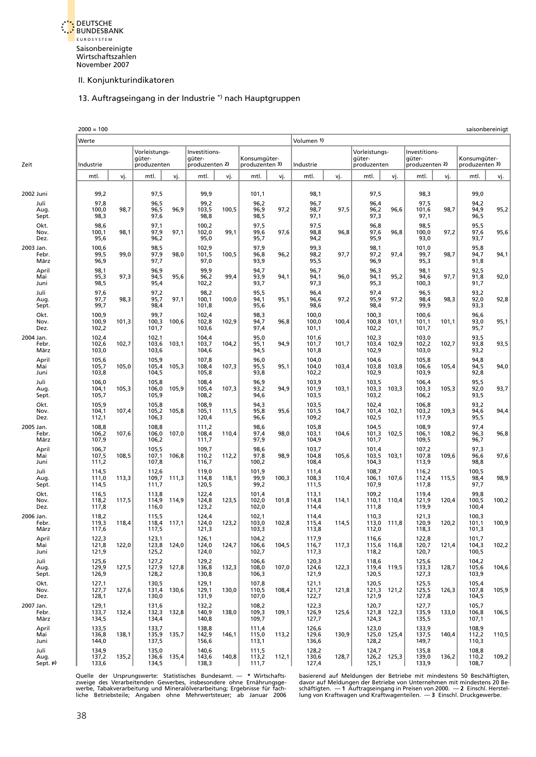<span id="page-35-0"></span>

# 13. Auftragseingang in der Industrie \*) nach Hauptgruppen

|           |                          | $2000 = 100$            |       |                                        |       |                                           |       |                                |       |                         |       |                                        |             |                                           |       |                                | saisonbereinigt |
|-----------|--------------------------|-------------------------|-------|----------------------------------------|-------|-------------------------------------------|-------|--------------------------------|-------|-------------------------|-------|----------------------------------------|-------------|-------------------------------------------|-------|--------------------------------|-----------------|
|           |                          | Werte                   |       |                                        |       |                                           |       |                                |       | Volumen 1)              |       |                                        |             |                                           |       |                                |                 |
| Zeit      |                          | Industrie               |       | Vorleistungs-<br>güter-<br>produzenten |       | Investitions-<br>qüter-<br>produzenten 2) |       | Konsumgüter-<br>produzenten 3) |       | Industrie               |       | Vorleistungs-<br>güter-<br>produzenten |             | Investitions-<br>qüter-<br>produzenten 2) |       | Konsumgüter-<br>produzenten 3) |                 |
|           |                          | mtl.                    | vj.   | mtl.                                   | vj.   | mtl.                                      | vj.   | mtl.                           | vj.   | mtl.                    | vj.   | mtl.                                   | vj.         | mtl.                                      | vj.   | mtl.                           | vj.             |
|           |                          |                         |       |                                        |       |                                           |       |                                |       |                         |       |                                        |             |                                           |       |                                |                 |
| 2002 Juni | Juli                     | 99,2<br>97,8            |       | 97,5<br>96,5                           |       | 99,9<br>99,2                              |       | 101,1<br>96,2                  |       | 98,1<br>96,7            |       | 97,5<br>96,4                           |             | 98,3<br>97,5                              |       | 99,0<br>94,2                   |                 |
|           | Aug.<br>Sept.            | 100,0<br>98,3           | 98,7  | 96,5<br>97,6                           | 96,9  | 103,5<br>98,8                             | 100,5 | 96,9<br>98,5                   | 97,2  | 98,7<br>97,1            | 97,5  | 96,2<br>97,3                           | 96,6        | 101,6<br>97,1                             | 98,7  | 94,9<br>96,5                   | 95,2            |
|           | Okt.<br>Nov.<br>Dez.     | 98,6<br>100,1<br>95,6   | 98,1  | 97,1<br>97,9<br>96,2                   | 97,1  | 100,2<br>102,0<br>95,0                    | 99,1  | 97,5<br>99,6<br>95,7           | 97,6  | 97,5<br>98,8<br>94,2    | 96,8  | 96,8<br>97,6<br>95,9                   | 96,8        | 98,5<br>100,0<br>93,0                     | 97,2  | 95,5<br>97,6<br>93,7           | 95,6            |
| 2003 Jan. | Febr.<br>März            | 100,6<br>99,5<br>96,9   | 99,0  | 98,5<br>97,9<br>97,7                   | 98,0  | 102,9<br>101,5<br>97,0                    | 100,5 | 97,9<br>96,8<br>93,9           | 96,2  | 99,3<br>98,2<br>95,5    | 97,7  | 98,1<br>97,2<br>96,9                   | 97,4        | 101,0<br>99,7<br>95,3                     | 98,7  | 95,8<br>94,7<br>91,8           | 94,1            |
|           | April<br>Mai<br>Juni     | 98,1<br>95,3<br>98,5    | 97,3  | 96,9<br>94,5<br>95,4                   | 95,6  | 99,9<br>96,2<br>102,2                     | 99,4  | 94,7<br>93,9<br>93,7           | 94,1  | 96,7<br>94,1<br>97,3    | 96,0  | 96,3<br>94,1<br>95,3                   | 95,2        | 98,1<br>94,6<br>100,3                     | 97,7  | 92,5<br>91,8<br>91,7           | 92,0            |
|           | Juli<br>Aug.<br>Sept.    | 97,6<br>97,7<br>99,7    | 98,3  | 97,2<br>95,7<br>98,4                   | 97,1  | 98,2<br>100,1<br>101,8                    | 100,0 | 95,5<br>94,1<br>95,6           | 95,1  | 96,4<br>96,6<br>98,6    | 97,2  | 97,4<br>95,9<br>98,4                   | 97,2        | 96,5<br>98,4<br>99,9                      | 98,3  | 93,2<br>92,0<br>93,3           | 92,8            |
|           | Okt.<br>Nov.<br>Dez.     | 100,9<br>100,9<br>102,2 | 101,3 | 99,7<br>100,3<br>101,7                 | 100,6 | 102,4<br>102,8<br>103,6                   | 102,9 | 98,3<br>94,7<br>97,4           | 96,8  | 100,0<br>100,0<br>101,1 | 100,4 | 100,3<br>100,8<br>102,2                | 101,1       | 100,6<br>101,1<br>101,7                   | 101,1 | 96,6<br>93,0<br>95,7           | 95,1            |
| 2004 Jan. | Febr.<br>März            | 102,4<br>102,6<br>103,0 | 102,7 | 102,1<br>103,6<br>103,6                | 103,1 | 104,4<br>103,7<br>104,6                   | 104,2 | 95,0<br>95,1<br>94,5           | 94,9  | 101,6<br>101,7<br>101,8 | 101,7 | 102,3<br>103,4<br>102,9                | 102,9       | 103,0<br>102,2<br>103,0                   | 102,7 | 93,5<br>93,8<br>93,2           | 93,5            |
|           | April<br>Mai<br>Juni     | 105,6<br>105,7<br>103,8 | 105,0 | 105,9<br>105,4<br>104,5                | 105,3 | 107,8<br>108,4<br>105,8                   | 107,3 | 96,0<br>95,5<br>93,8           | 95,1  | 104,0<br>104,0<br>102,2 | 103,4 | 104,6<br>103,8<br>102,9                | 103,8       | 105,8<br>106,6<br>103,9                   | 105,4 | 94,8<br>94,5<br>92,8           | 94,0            |
|           | Juli<br>Aug.<br>Sept.    | 106,0<br>104,1<br>105,7 | 105,3 | 105,8<br>106,0<br>105,9                | 105,9 | 108,4<br>105,4<br>108,2                   | 107,3 | 96,9<br>93,2<br>94,6           | 94,9  | 103,9<br>101,9<br>103,5 | 103,1 | 103,5<br>103,3<br>103,2                | 103,3       | 106,4<br>103,3<br>106,2                   | 105,3 | 95,5<br>92,0<br>93,5           | 93,7            |
|           | Okt.<br>Nov.<br>Dez.     | 105,9<br>104,1<br>112,1 | 107,4 | 105,8<br>105,2<br>106,3                | 105,8 | 108,9<br>105,1<br>120,4                   | 111,5 | 94,3<br>95,8<br>96,6           | 95,6  | 103,5<br>101,5<br>109,2 | 104,7 | 102,4<br>101,4<br>102,5                | 102,1       | 106,8<br>103,2<br>117,9                   | 109,3 | 93,2<br>94,6<br>95,5           | 94,4            |
| 2005 Jan. | Febr.<br>März            | 108,8<br>106,2<br>107,9 | 107,6 | 108,8<br>106,0<br>106,2                | 107,0 | 111,2<br>108,4<br>111,7                   | 110,4 | 98,6<br>97,4<br>97,9           | 98,0  | 105,8<br>103,1<br>104,9 | 104,6 | 104,5<br>101,3<br>101,7                | 102,5       | 108,9<br>106,1<br>109,5                   | 108,2 | 97,4<br>96,3<br>96,7           | 96,8            |
|           | April<br>Mai<br>Juni     | 106,7<br>107,5<br>111,2 | 108,5 | 105,5<br>107,1<br>107,8                | 106,8 | 109,7<br>110,2<br>116,7                   | 112,2 | 98,6<br>97,8<br>100,2          | 98,9  | 103,7<br>104,8<br>108,4 | 105,6 | 101,4<br>103,5<br>104,3                | 103,1       | 107,2<br>107,8<br>113,9                   | 109,6 | 97,3<br>96,6<br>98,8           | 97,6            |
|           | Juli<br>Aug.<br>Sept.    | 114,5<br>111,0<br>114,5 | 113,3 | 112,6<br>109,7<br>111,7                | 111,3 | 119,0<br>114,8<br>120,5                   | 118,1 | 101,9<br>99,9<br>99,2          | 100,3 | 111,4<br>108,3<br>111,5 | 110,4 | 108,7<br>106,1<br>107,9                | 107,6       | 116,2<br>112,4<br>117,8                   | 115,5 | 100,5<br>98,4<br>97,7          | 98,9            |
|           | Okt.<br>Nov.<br>Dez.     | 116,5<br>118,2<br>117,8 | 117,5 | 113,8<br>114,9<br>116,0                | 114,9 | 122,4<br>124,8<br>123,2                   | 123,5 | 101,4<br>102,0<br>102,0        | 101,8 | 113,1<br>114,8<br>114,4 | 114,1 | 109,2<br>110,1<br>111,8                | 110,4       | 119,4<br>121,9<br>119,9                   | 120,4 | 99,8<br>100,5<br>100,4         | 100,2           |
| 2006 Jan. | Febr.<br>März            | 118,2<br>119,3<br>117,6 | 118,4 | 115,5<br>118,4<br>117,5                | 117,1 | 124,4<br>124,0<br>121,3                   | 123,2 | 102,1<br>103,0<br>103,3        | 102,8 | 114,4<br>115,4<br>113,8 | 114,5 | 110,3<br>113,0<br>112,0                | 111,8       | 121,3<br>120,9<br>118,3                   | 120,2 | 100,3<br>101,1<br>101,3        | 100,9           |
|           | April<br>Mai<br>Juni     | 122,3<br>121,8<br>121,9 | 122,0 | 123,1<br>123,8<br>125,2                | 124,0 | 126,1<br>124,0<br>124,0                   | 124,7 | 104,2<br>106,6<br>102,7        | 104,5 | 117,9<br>116,7<br>117,3 | 117,3 | 116,6<br>118,2                         | 115,6 116,8 | 122,8<br>120,7<br>120,7                   | 121,4 | 101,7<br>104,3<br>100,5        | 102,2           |
|           | Juli<br>Aug.<br>Sept.    | 125,6<br>129,9<br>126,9 | 127,5 | 127,2<br>127,9<br>128,2                | 127,8 | 129,2<br>136,8<br>130,8                   | 132,3 | 106,6<br>108,0<br>106,3        | 107,0 | 120,3<br>124,6<br>121,9 | 122,3 | 118,6<br>119,4<br>120,5                | 119,5       | 125,6<br>133,3<br>127,3                   | 128,7 | 104,2<br>105,6<br>103,9        | 104,6           |
|           | Okt.<br>Nov.<br>Dez.     | 127,1<br>127,7<br>128,1 | 127,6 | 130,5<br>131,4<br>130,0                | 130,6 | 129,1<br>129,1<br>131,9                   | 130,0 | 107,8<br>110,5<br>107,0        | 108,4 | 121,1<br>121,7<br>122,7 | 121,8 | 120,5<br>121,3<br>121,9                | 121,2       | 125,5<br>125,5<br>127,8                   | 126,3 | 105,4<br>107,8<br>104,5        | 105,9           |
| 2007 Jan. | Febr.<br>März            | 129,1<br>133,7<br>134,5 | 132,4 | 131,6<br>132,3<br>134,4                | 132,8 | 132,2<br>140,9<br>140,8                   | 138,0 | 108,2<br>109,3<br>109,7        | 109,1 | 122,3<br>126,9<br>127,7 | 125,6 | 120,7<br>121,8<br>124,3                | 122,3       | 127,7<br>135,9<br>135,5                   | 133,0 | 105,7<br>106,8<br>107,1        | 106,5           |
|           | April<br>Mai<br>Juni     | 133,5<br>136,8<br>144,0 | 138,1 | 133,7<br>135,9<br>137,5                | 135,7 | 138,8<br>142,9<br>156,6                   | 146,1 | 111,4<br>115,0<br>113,1        | 113,2 | 126,6<br>129,6<br>136,6 | 130,9 | 123,0<br>128,2                         | 125,0 125,4 | 133,9<br>137,5<br>149,7                   | 140,4 | 108,9<br>112,2<br>110,3        | 110,5           |
|           | Juli<br>Aug.<br>Sept. p) | 134,9<br>137,2<br>133,6 | 135,2 | 135,0<br>136,6<br>134,5                | 135,4 | 140,6<br>143,6<br>138,3                   | 140,8 | 111,5<br>113,2<br>111,7        | 112,1 | 128,2<br>130,6<br>127,4 | 128,7 | 124,7<br>125,1                         | 126,2 125,3 | 135,8<br>139,0<br>133,9                   | 136,2 | 108,8<br>110,2<br>108,7        | 109,2           |

Quelle der Ursprungswerte: Statistisches Bundesamt. — \* Wirtschafts- basierend auf Meldungen der Betriebe mit mindestens 50 Beschäftigten,<br>zweige des Verarbeitenden Gewerbes, insbesondere ohne Ernährungsge- davor auf Meldu Quelle der Ursprungswerte: Statistisches Bundesamt. — \* Wirtschafts-<br>zweige des Verarbeitenden Gewerbes, insbesondere ohne Ernährungsge-<br>werbe, Tabakverarbeitung und Mineralölverarbeitung; Ergebnisse für fach-<br>liche Betrie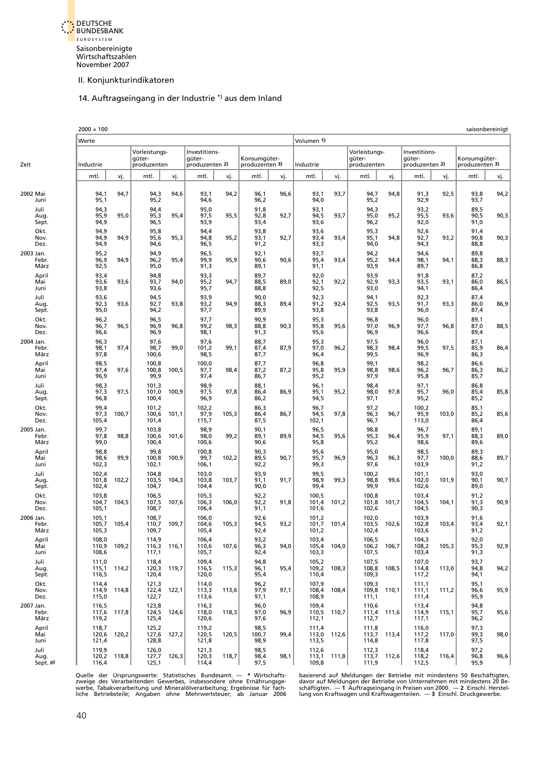<span id="page-36-0"></span>

# 14. Auftragseingang in der Industrie \*) aus dem Inland

|                            | $2000 = 100$            |             |                                        |       |                                           |       |                                |      |                         |       |                                        |       |                                           |       |                                | saisonbereinigt |
|----------------------------|-------------------------|-------------|----------------------------------------|-------|-------------------------------------------|-------|--------------------------------|------|-------------------------|-------|----------------------------------------|-------|-------------------------------------------|-------|--------------------------------|-----------------|
|                            | Werte                   |             |                                        |       |                                           |       |                                |      | Volumen 1)              |       |                                        |       |                                           |       |                                |                 |
| Zeit                       | Industrie               |             | Vorleistungs-<br>güter-<br>produzenten |       | Investitions-<br>güter-<br>produzenten 2) |       | Konsumgüter-<br>produzenten 3) |      | Industrie               |       | Vorleistungs-<br>güter-<br>produzenten |       | Investitions-<br>güter-<br>produzenten 2) |       | Konsumgüter-<br>produzenten 3) |                 |
|                            | mtl.                    | vj.         | mtl.                                   | vj.   | mtl.                                      | vj.   | mtl.                           | vj.  | mtl.                    | vj.   | mtl.                                   | vj.   | mtl.                                      | vj.   | mtl.                           | vj.             |
| 2002 Mai<br>Juni           | 94,1<br>95,1            | 94,7        | 94,3<br>95,2                           | 94,6  | 93,1<br>94,6                              | 94,2  | 96,1<br>96,2                   | 96,6 | 93,1<br>94,0            | 93,7  | 94,7<br>95,2                           | 94,8  | 91,3<br>92,9                              | 92,5  | 93,8<br>93,7                   | 94,2            |
| Juli<br>Aug.<br>Sept.      | 94,3<br>95,9<br>94,9    | 95,0        | 94,4<br>95,3<br>96,5                   | 95,4  | 95,0<br>97,5<br>93,9                      | 95,5  | 91,8<br>92,8<br>93,4           | 92,7 | 93,1<br>94,5<br>93,6    | 93,7  | 94,3<br>95,0<br>96,2                   | 95,2  | 93,2<br>95,5<br>92,0                      | 93,6  | 89,5<br>90,5<br>91,0           | 90,3            |
| Okt.<br>Nov.<br>Dez.       | 94,9<br>94,9<br>94,9    | 94,9        | 95,8<br>95,6<br>94,6                   | 95,3  | 94,4<br>94,8<br>96,5                      | 95,2  | 93,8<br>93,1<br>91,2           | 92,7 | 93,6<br>93,4<br>93,3    | 93,4  | 95,3<br>95,1<br>94,0                   | 94,8  | 92,6<br>92,7<br>94,3                      | 93,2  | 91,4<br>90,8<br>88,8           | 90,3            |
| 2003 Jan.<br>Febr.<br>März | 95,2<br>96,9<br>92,5    | 94,9        | 94,9<br>96,2<br>95,0                   | 95,4  | 96,5<br>99,9<br>91,3                      | 95,9  | 92,1<br>90,6<br>89,1           | 90,6 | 93,7<br>95,4<br>91,1    | 93,4  | 94,2<br>95,2<br>93,9                   | 94,4  | 94,6<br>98,1<br>89,7                      | 94,1  | 89,8<br>88,3<br>86,8           | 88,3            |
| April<br>Mai<br>Juni       | 93,4<br>93,6<br>93,8    | 93,6        | 94,8<br>93,7<br>93,6                   | 94,0  | 93,3<br>95,2<br>95,7                      | 94,7  | 89,7<br>88,5<br>88,8           | 89,0 | 92,0<br>92,1<br>92,5    | 92,2  | 93,9<br>92,9<br>93,0                   | 93,3  | 91,8<br>93,5<br>94,1                      | 93,1  | 87,2<br>86,0<br>86,4           | 86,5            |
| Juli<br>Aug.<br>Sept.      | 93,6<br>92,3<br>95,0    | 93,6        | 94,5<br>92,7<br>94,2                   | 93,8  | 93,9<br>93,2<br>97,7                      | 94,9  | 90,0<br>88,3<br>89,9           | 89,4 | 92,3<br>91,2<br>93,8    | 92,4  | 94,1<br>92,5<br>93,8                   | 93,5  | 92,3<br>91,7<br>96,0                      | 93,3  | 87,4<br>86,0<br>87,4           | 86,9            |
| Okt.<br>Nov.<br>Dez.       | 96,2<br>96,7<br>96,6    | 96,5        | 96,5<br>96,9<br>96,9                   | 96,8  | 97,7<br>99,2<br>98,1                      | 98,3  | 90,9<br>88,8<br>91,3           | 90,3 | 95,3<br>95,8<br>95,6    | 95,6  | 96,8<br>97,0<br>96,9                   | 96,9  | 96,0<br>97,7<br>96,6                      | 96,8  | 89,1<br>87,0<br>89,4           | 88,5            |
| 2004 Jan.<br>Febr.<br>März | 96,3<br>98,1<br>97,8    | 97,4        | 97,6<br>98,7<br>100,6                  | 99,0  | 97,6<br>101,2<br>98,5                     | 99,1  | 88,7<br>87,4<br>87,7           | 87,9 | 95,3<br>97,0<br>96,4    | 96,2  | 97,5<br>98,3<br>99,5                   | 98,4  | 96,0<br>99,5<br>96,9                      | 97,5  | 87,1<br>85,9<br>86,3           | 86,4            |
| April<br>Mai<br>Juni       | 98,5<br>97,4<br>96,9    | 97,6        | 100,8<br>100,8<br>99,9                 | 100,5 | 100,0<br>97,7<br>97,4                     | 98,4  | 87,7<br>87,2<br>86,7           | 87,2 | 96,8<br>95,8<br>95,2    | 95,9  | 99,1<br>98,8<br>97,9                   | 98,6  | 98,2<br>96,2<br>95,8                      | 96,7  | 86,6<br>86,3<br>85,7           | 86,2            |
| Juli<br>Aug.<br>Sept.      | 98,3<br>97,3<br>96,8    | 97,5        | 101,3<br>101,0<br>100,4                | 100,9 | 98,9<br>97,5<br>96,9                      | 97,8  | 88,1<br>86,4<br>86,2           | 86,9 | 96,1<br>95,1<br>94,5    | 95,2  | 98,4<br>98,0<br>97,1                   | 97,8  | 97,1<br>95,7<br>95,2                      | 96,0  | 86,8<br>85,4<br>85,2           | 85,8            |
| Okt.<br>Nov.<br>Dez.       | 99,4<br>97,3<br>105,4   | 100,7       | 101,2<br>100,6<br>101,4                | 101,1 | 102,2<br>97,9<br>115,7                    | 105,3 | 86,3<br>86,4<br>87,5           | 86,7 | 96,7<br>94,5<br>102,1   | 97,8  | 97,2<br>96,3<br>96,7                   | 96,7  | 100,2<br>95,9<br>113,0                    | 103,0 | 85,1<br>85,2<br>86,4           | 85,6            |
| 2005 Jan.<br>Febr.<br>März | 99,7<br>97,8<br>99,0    | 98,8        | 103,8<br>100,6<br>100,4                | 101,6 | 98,9<br>98,0<br>100,6                     | 99,2  | 90,1<br>89,1<br>90,6           | 89,9 | 96,5<br>94,5<br>95,8    | 95,6  | 98,8<br>95,3<br>95,2                   | 96,4  | 96,7<br>95,9<br>98,6                      | 97,1  | 89,1<br>88,3<br>89,6           | 89,0            |
| April<br>Mai<br>Juni       | 98,8<br>98,6<br>102,3   | 99,9        | 99,8<br>100,8<br>102,1                 | 100,9 | 100,8<br>99,7<br>106,1                    | 102,2 | 90,3<br>89,5<br>92,2           | 90,7 | 95,6<br>95,7<br>99,3    | 96,9  | 95,0<br>96,3<br>97,6                   | 96,3  | 98,5<br>97,7<br>103,9                     | 100,0 | 89,3<br>88,6<br>91,2           | 89,7            |
| Juli<br>Aug.<br>Sept.      | 102,4<br>101,8<br>102,4 | 102,2       | 104,8<br>103,5<br>104,7                | 104,3 | 103,0<br>103,8<br>104,4                   | 103,7 | 93,9<br>91,1<br>90,0           | 91,7 | 99,5<br>98,9<br>99,4    | 99,3  | 100,2<br>98,8<br>99,9                  | 99,6  | 101,1<br>102,0<br>102,6                   | 101,9 | 93,0<br>90,1<br>89,0           | 90,7            |
| Okt.<br>Nov.<br>Dez.       | 103,8<br>104,7<br>105,1 | 104,5       | 106,5<br>107,5<br>108,7                | 107,6 | 105,3<br>106,3<br>106,4                   | 106,0 | 92,2<br>92,2<br>91,1           | 91,8 | 100,5<br>101,4<br>101,6 | 101,2 | 100,8<br>101,8<br>102,6                | 101,7 | 103,4<br>104,5<br>104,5                   | 104,1 | 91,2<br>91,3<br>90,3           | 90,9            |
| 2006 Jan.<br>Febr.<br>März | 105,1<br>105,7<br>105,3 | 105,4       | 108,7<br>110,7<br>109,7                | 109,7 | 106,0<br>104,6<br>105,4                   | 105,3 | 92,6<br>94,5<br>92,4           | 93,2 | 101,2<br>101,7<br>101,2 | 101,4 | 102,0<br>103,5<br>102,4                | 102,6 | 103,9<br>102,8<br>103,6                   | 103,4 | 91,6<br>93,4<br>91,2           | 92,1            |
| April<br>Mai<br>Juni       | 108,0<br>110,9<br>108,6 | 109,2       | 114,9<br>116,3<br>117,1                | 116,1 | 106,4<br>110,6<br>105,7                   | 107,6 | 93,2<br>96,3<br>92,4           | 94,0 | 103,4<br>105,4<br>103,3 | 104,0 | 106,5<br>106,2<br>107,5                | 106,7 | 104,3<br>108,2<br>103,4                   | 105,3 | 92,0<br>95,3<br>91,3           | 92,9            |
| Juli<br>Aug.<br>Sept.      | 111,0<br>115,1<br>116,5 | 114,2       | 118,4<br>120,3<br>120,4                | 119,7 | 109,4<br>116,5<br>120,0                   | 115,3 | 94,8<br>96,1<br>95,4           | 95,4 | 105,2<br>109,2<br>110,4 | 108,3 | 107,5<br>108,8<br>109,3                | 108,5 | 107,0<br>114,8<br>117,2                   | 113,0 | 93,7<br>94,8<br>94,1           | 94,2            |
| Okt.<br>Nov.<br>Dez.       | 114,4<br>114,9<br>115,0 | 114,8       | 121,3<br>122,4<br>122,7                | 122,1 | 114,0<br>113,3<br>113,6                   | 113,6 | 96,2<br>97,9<br>97,1           | 97,1 | 107,9<br>108,4<br>108,9 | 108,4 | 109,3<br>109,8<br>111,1                | 110,1 | 111,1<br>111,1<br>111,4                   | 111,2 | 95,1<br>96,6<br>95,9           | 95,9            |
| 2007 Jan.<br>Febr.<br>März | 116,5<br>117,6<br>119,2 | 117,8       | 123,8<br>124,5<br>125,4                | 124,6 | 116,3<br>118,0<br>120,6                   | 118,3 | 96,0<br>97,0<br>97,6           | 96,9 | 109,4<br>110,5<br>112,1 | 110,7 | 110,6<br>111,4<br>112,7                | 111,6 | 113,4<br>114,9<br>117,1                   | 115,1 | 94,8<br>95,7<br>96,2           | 95,6            |
| April<br>Mai<br>Juni       | 118,7<br>120,6<br>121,4 | 120,2       | 125,2<br>127,6<br>128,8                | 127,2 | 119,2<br>120,5<br>121,8                   | 120,5 | 98,5<br>100,7<br>98,9          | 99,4 | 111,4<br>113,0<br>113,5 | 112,6 | 111,8<br>113,7<br>114,8                | 113,4 | 116,0<br>117,2<br>117,8                   | 117,0 | 97,3<br>99,3<br>97,5           | 98,0            |
| Juli<br>Aug.<br>Sept. P)   | 119,9<br>116,4          | 120,2 118,8 | 126,0<br>127,7<br>125,1                | 126,3 | 121,3<br>120,3<br>114,4                   | 118,7 | 98,5<br>98,4<br>97,5           | 98,1 | 112,6<br>113,1<br>109,8 | 111,8 | 112,3<br>113,7<br>111,9                | 112,6 | 118,4<br>118,2<br>112,5                   | 116,4 | 97,2<br>96,8<br>95,9           | 96,6            |

Quelle der Ursprungswerte: Statistisches Bundesamt. — \* Wirtschafts- basierend auf Meldungen der Betriebe mit mindestens 50 Beschäftigten,<br>zweige des Verarbeitenden Gewerbes, insbesondere ohne Ernährungsge- davor auf Meldu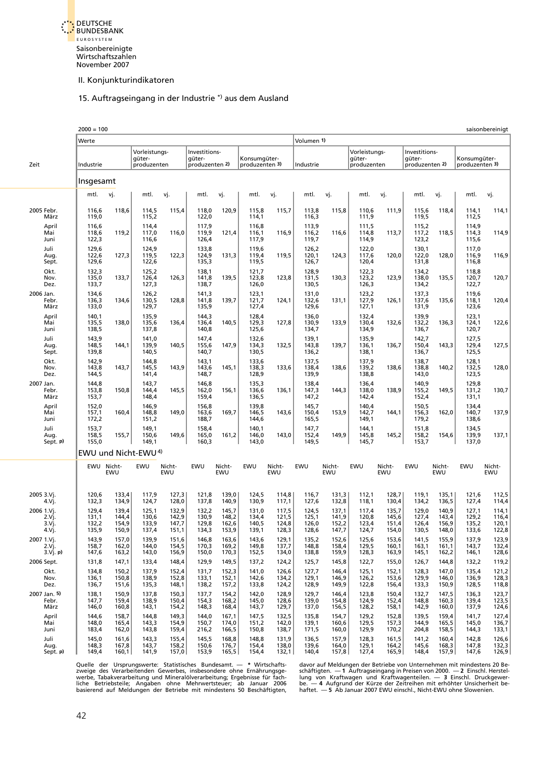<span id="page-37-0"></span>

#### 15. Auftragseingang in der Industrie \*) aus dem Ausland

|                                      | $2000 = 100$                     |                                  |                                        |                                  |                                           |                                  |                                  |                                  |                                  |                                  |                                        |                                  |                                           |                                  |                                  | saisonbereinigt                  |
|--------------------------------------|----------------------------------|----------------------------------|----------------------------------------|----------------------------------|-------------------------------------------|----------------------------------|----------------------------------|----------------------------------|----------------------------------|----------------------------------|----------------------------------------|----------------------------------|-------------------------------------------|----------------------------------|----------------------------------|----------------------------------|
|                                      | Werte                            |                                  |                                        |                                  |                                           |                                  |                                  |                                  | Volumen 1)                       |                                  |                                        |                                  |                                           |                                  |                                  |                                  |
| Zeit                                 | Industrie                        |                                  | Vorleistungs-<br>güter-<br>produzenten |                                  | Investitions-<br>qüter-<br>produzenten 2) |                                  | Konsumqüter-<br>produzenten 3)   |                                  | Industrie                        |                                  | Vorleistungs-<br>güter-<br>produzenten |                                  | Investitions-<br>qüter-<br>produzenten 2) |                                  | Konsumgüter-<br>produzenten 3)   |                                  |
|                                      | Insgesamt                        |                                  |                                        |                                  |                                           |                                  |                                  |                                  |                                  |                                  |                                        |                                  |                                           |                                  |                                  |                                  |
|                                      | mtl.                             | vj.                              | mtl.                                   | vj.                              | mtl.                                      | vj.                              | mtl.                             | vj.                              | mtl.                             | vj.                              | mtl.                                   | vj.                              | mtl.                                      | vj.                              | mtl.                             | vj.                              |
| 2005 Febr.<br>März                   | 116,6<br>119,0                   | 118,6                            | 114,5<br>115,2                         | 115,4                            | 118,0<br>122,0                            | 120,9                            | 115,8<br>114,1                   | 115,7                            | 113,8<br>116,3                   | 115,8                            | 110,6<br>111,9                         | 111,9                            | 115,6<br>119,5                            | 118,4                            | 114,1<br>112,5                   | 114,1                            |
| April<br>Mai<br>Juni                 | 116,6<br>118,6<br>122,3          | 119,2                            | 114,4<br>117,0<br>116,6                | 116,0                            | 117,9<br>119,9<br>126,4                   | 121,4                            | 116,8<br>116,1<br>117,9          | 116,9                            | 113,9<br>116,2<br>119,7          | 116,6                            | 111,5<br>114,8<br>114,9                | 113,7                            | 115,2<br>117,2<br>123,2                   | 118,5                            | 114,9<br>114,3<br>115,6          | 114,9                            |
| Juli<br>Aug.<br>Sept.                | 129,6<br>122,6<br>129,6          | 127,3                            | 124,9<br>119,5<br>122,6                | 122,3                            | 133,8<br>124,9<br>135,3                   | 131,3                            | 119,6<br>119,4<br>119,5          | 119,5                            | 126,2<br>120,1<br>126,7          | 124,3                            | 122,0<br>117,6<br>120,4                | 120,0                            | 130,1<br>122,0<br>131,8                   | 128,0                            | 117,0<br>116,9<br>116,8          | 116,9                            |
| Okt.<br>Nov.<br>Dez.                 | 132,3<br>135,0<br>133,7          | 133,7                            | 125,2<br>126,4<br>127,3                | 126,3                            | 138,1<br>141,8<br>138,7                   | 139,5                            | 121,7<br>123,8<br>126,0          | 123,8                            | 128,9<br>131,5<br>130,5          | 130,3                            | 122,3<br>123,2<br>126,3                | 123,9                            | 134,2<br>138,0<br>134,2                   | 135,5                            | 118,8<br>120,7<br>122,7          | 120,7                            |
| 2006 Jan.<br>Febr.<br>März           | 134,6<br>136,3<br>133,0          | 134,6                            | 126,2<br>130,5<br>129,7                | 128,8                            | 141,3<br>141,8<br>135,9                   | 139,7                            | 123,1<br>121,7<br>127,4          | 124,1                            | 131,0<br>132,6<br>129,6          | 131,1                            | 123,2<br>127,9<br>127,1                | 126,1                            | 137,3<br>137,6<br>131,9                   | 135,6                            | 119,6<br>118,1<br>123,6          | 120,4                            |
| April<br>Mai<br>Juni                 | 140,1<br>135,5<br>138,5          | 138,0                            | 135,9<br>135,6<br>137,8                | 136,4                            | 144,3<br>136,4<br>140,8                   | 140,5                            | 128,4<br>129,3<br>125,6          | 127,8                            | 136,0<br>130,9<br>134,7          | 133,9                            | 132,4<br>130,4<br>134,9                | 132,6                            | 139,9<br>132,2<br>136,7                   | 136,3                            | 123,1<br>124,1<br>120,7          | 122,6                            |
| Juli<br>Aug.<br>Sept.                | 143,9<br>148,5<br>139,8          | 144,1                            | 141,0<br>139,9<br>140,5                | 140,5                            | 147,4<br>155,6<br>140,7                   | 147,9                            | 132,6<br>134,3<br>130,5          | 132,5                            | 139,1<br>143,8<br>136,2          | 139,7                            | 135,9<br>136,1<br>138,1                | 136,7                            | 142,7<br>150,4<br>136,7                   | 143,3                            | 127,5<br>129,4<br>125,5          | 127,5                            |
| Okt.<br>Nov.<br>Dez.                 | 142,9<br>143,8<br>144,5          | 143,7                            | 144,8<br>145,5<br>141,4                | 143,9                            | 143,1<br>143,6<br>148,7                   | 145,1                            | 133,6<br>138,3<br>128,9          | 133,6                            | 137,5<br>138,4<br>139,9          | 138,6                            | 137,9<br>139,2<br>138,8                | 138,6                            | 138,7<br>138,8<br>143,0                   | 140,2                            | 128,1<br>132,5<br>123,5          | 128,0                            |
| 2007 Jan.<br>Febr.<br>März           | 144,8<br>153,8<br>153,7          | 150,8                            | 143,7<br>144,4<br>148,4                | 145,5                            | 146,8<br>162,0<br>159,4                   | 156,1                            | 135,3<br>136,6<br>136,5          | 136,1                            | 138,4<br>147,3<br>147,2          | 144,3                            | 136,4<br>138,0<br>142,4                | 138,9                            | 140,9<br>155,2<br>152,4                   | 149,5                            | 129,8<br>131,2<br>131,1          | 130,7                            |
| April<br>Mai<br>Juni                 | 152,0<br>157,1<br>172,2          | 160,4                            | 146,9<br>148,8<br>151,2                | 149,0                            | 156,8<br>163,6<br>188,7                   | 169,7                            | 139,8<br>146,5<br>144,6          | 143,6                            | 145,7<br>150,4<br>165,5          | 153,9                            | 140,4<br>142,7<br>149,1                | 144,1                            | 150,5<br>156,3<br>179,2                   | 162,0                            | 134,4<br>140,7<br>138,6          | 137,9                            |
| Juli<br>Aug.<br>Sept. P)             | 153,7<br>158,5<br>155,0          | 155,7                            | 149,1<br>150,6<br>149,1                | 149,6                            | 158,4<br>165,0<br>160,3                   | 161,2                            | 140,1<br>146,0<br>143,0          | 143,0                            | 147,7<br>152,4<br>149,5          | 149,9                            | 144,1<br>145,8<br>145,7                | 145,2                            | 151,8<br>158,2<br>153,7                   | 154,6                            | 134,5<br>139,9<br>137,0          | 137,1                            |
|                                      |                                  |                                  | EWU und Nicht-EWU <sup>4)</sup>        |                                  |                                           |                                  |                                  |                                  |                                  |                                  |                                        |                                  |                                           |                                  |                                  |                                  |
|                                      | EWU                              | Nicht-<br>EWU                    | EWU                                    | Nicht-<br>EWU                    | EWU                                       | Nicht-<br>EWU                    | EWU                              | Nicht-<br>EWU                    | <b>EWU</b>                       | Nicht-<br>EWU                    | EWU                                    | Nicht-<br>EWU                    | <b>EWU</b>                                | Nicht-<br>EWU                    | EWU                              | Nicht-<br>EWU                    |
| 2005 3.Vj.<br>4.Vj.                  | 120,6<br>132,3                   | 133,4<br>134,9                   | 117,9<br>124,7                         | 127,3<br>128,0                   | 121,8<br>137,8                            | 139,0<br>140,9                   | 124,5<br>130,9                   | 114,8<br>117,1                   | 116,7<br>127,6                   | 131,3<br>132,8                   | 112,1<br>118,1                         | 128,7<br>130,4                   | 119,1<br>134,2                            | 135,1<br>136,5                   | 121,6<br>127,4                   | 112,5<br>114,4                   |
| 2006 1.Vj.<br>2.Vi.<br>3.Vi<br>4.Vj. | 129,4<br>131,1<br>132,2<br>135,9 | 139,4<br>144,4<br>154,9<br>150,9 | 125,1<br>130,6<br>133,9<br>137,4       | 132,9<br>142,9<br>147,7<br>151,1 | 132,2<br>130,9<br>129,8<br>134,3          | 145,7<br>148,2<br>162,6<br>153,9 | 131,0<br>134,4<br>140,5<br>139,1 | 117,5<br>121,5<br>124,8<br>128,3 | 124,5<br>125,1<br>126,0<br>128,6 | 137,1<br>141,9<br>152,2<br>147,7 | 117,4<br>120,8<br>123,4<br>124,7       | 135,7<br>145,6<br>151,4<br>154,0 | 129,0<br>127,4<br>126,4<br>130,5          | 140,9<br>143,4<br>156,9<br>148,0 | 127,1<br>129,2<br>135,2<br>133,6 | 114,1<br>116,4<br>120,1<br>122,8 |
| 2007 1.Vj.<br>2.Vj.<br>3.Vj. p)      | 143,9<br>158,7<br>147,6          | 157,0<br>162,0<br>163,2          | 139,9<br>144,0<br>143,0                | 151,6<br>154,5<br>156,9          | 146,8<br>170,3<br>150,0                   | 163,6<br>169,2<br>170,3          | 143,6<br>149,8<br>152,5          | 129,1<br>137,7<br>134,0          | 135,2<br>148,8<br>138,8          | 152,6<br>158,4<br>159,9          | 125,6<br>129,5<br>128,3                | 153,6<br>160,1<br>163,9          | 141,5<br>163,1<br>145,1                   | 155,9<br>161,1<br>162,2          | 137,9<br>143,7<br>146,1          | 123,9<br>132,4<br>128,6          |
| 2006 Sept.                           | 131,8                            | 147,1                            | 133,4                                  | 148,4                            | 129,9                                     | 149,5                            | 137,2                            | 124,2                            | 125,7                            | 145,8                            | 122,7                                  | 155,0                            | 126,7                                     | 144,8                            | 132,2                            | 119,2                            |
| Okt.<br>Nov.<br>Dez.                 | 134,8<br>136,1<br>136,7          | 150,2<br>150,8<br>151,6          | 137,9<br>138,9<br>135,3                | 152,4<br>152,8<br>148,1          | 131,7<br>133,1<br>138,2                   | 152,3<br>152,1<br>157,2          | 141,0<br>142,6<br>133,8          | 126,6<br>134,2<br>124,2          | 127,7<br>129,1<br>128,9          | 146,4<br>146,9<br>149,9          | 125,1<br>126,2<br>122,8                | 152,1<br>153,6<br>156,4          | 128,3<br>129,9<br>133,3                   | 147,0<br>146,0<br>150,9          | 135,4<br>136,9<br>128,5          | 121,2<br>128,3<br>118,8          |
| 2007 Jan. 5)<br>Febr.<br>März        | 138,1<br>147,7<br>146,0          | 150,9<br>159,4<br>160,8          | 137,8<br>138,9<br>143,1                | 150,3<br>150,4<br>154,2          | 137,7<br>154,3<br>148,3                   | 154,2<br>168,2<br>168,4          | 142,0<br>145,0<br>143,7          | 128,9<br>128,6<br>129,7          | 129,7<br>139,0<br>137,0          | 146,4<br>154,8<br>156,5          | 123,8<br>124,9<br>128,2                | 150,4<br>152,4<br>158,1          | 132,7<br>148,8<br>142,9                   | 147,5<br>160,3<br>160,0          | 136,3<br>139,4<br>137,9          | 123,7<br>123,5<br>124,6          |
| April<br>Mai<br>Juni                 | 144,6<br>148,0<br>183,4          | 158,7<br>165,4<br>162,0          | 144,8<br>143,3<br>143,8                | 149,3<br>154,9<br>159,4          | 144,0<br>150,7<br>216,2                   | 167,1<br>174,0<br>166,5          | 147,5<br>151,2<br>150,8          | 132,5<br>142,0<br>138,7          | 135,8<br>139,1<br>171,5          | 154,7<br>160,6<br>160,0          | 129,2<br>129,5<br>129,9                | 152,8<br>157,3<br>170,2          | 139,5<br>144,9<br>204,8                   | 159,4<br>165,5<br>158,5          | 141,7<br>145,0<br>144,3          | 127,4<br>136,7<br>133,1          |
| Juli<br>Aug.<br>Sept. p)             | 145,0<br>148,3<br>149,4          | 161,6<br>167,8<br>160,1          | 143,3<br>143,7<br>141,9                | 155,4<br>158,2<br>157,0          | 145,5<br>150,6<br>153,9                   | 168,8<br>176,7<br>165,5          | 148,8<br>154,4<br>154,4          | 131,9<br>138,0<br>132,1          | 136,5<br>139,6<br>140,4          | 157,9<br>164,0<br>157,8          | 128,3<br>129,1<br>127,4                | 161,5<br>164,2<br>165,9          | 141,2<br>145,6<br>148,4                   | 160,4<br>168,3<br>157,9          | 142,8<br>147,8<br>147,6          | 126,6<br>132,3<br>126,9          |

Quelle der Ursprungswerte: Statistisches Bundesamt. — \* Wirtschafts- davor auf Meldungen der Betriebe von Unternehmen mit mindestens 20 Be-<br>2019 verligt des Verarbeitenden Gewerbes, insbesondere ohne Ernährungsge- schäftig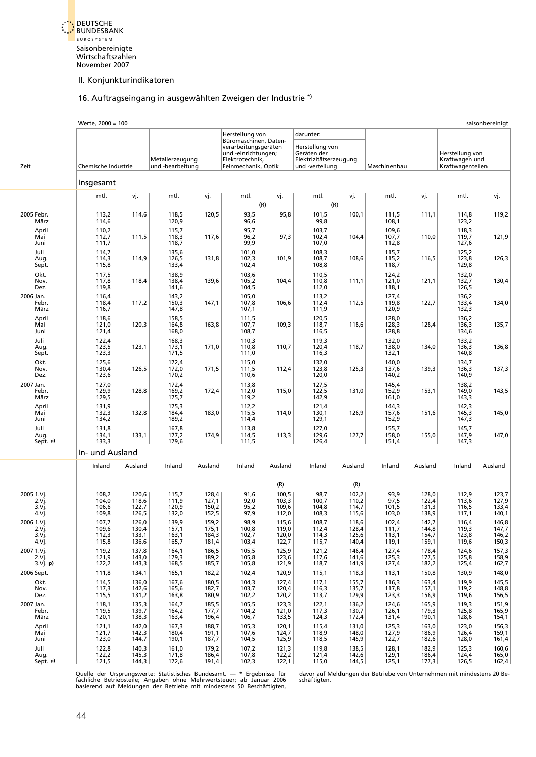<span id="page-38-0"></span>

#### 16. Auftragseingang in ausgewählten Zweigen der Industrie \*)

|                                      | Werte, 2000 = 100                |                                  |                                     |                                  |                                                                                                                |                                  |                                                                             |                                  |                                |                                  |                                                       | saisonbereinigt                                                  |
|--------------------------------------|----------------------------------|----------------------------------|-------------------------------------|----------------------------------|----------------------------------------------------------------------------------------------------------------|----------------------------------|-----------------------------------------------------------------------------|----------------------------------|--------------------------------|----------------------------------|-------------------------------------------------------|------------------------------------------------------------------|
|                                      |                                  |                                  |                                     |                                  | Herstellung von                                                                                                |                                  | darunter:                                                                   |                                  |                                |                                  |                                                       |                                                                  |
| Zeit                                 | Chemische Industrie              |                                  | Metallerzeugung<br>und -bearbeitung |                                  | Büromaschinen, Daten-<br>verarbeitungsgeräten<br>und -einrichtungen;<br>Elektrotechnik,<br>Feinmechanik, Optik |                                  | Herstellung von<br>Geräten der<br>Elektrizitätserzeugung<br>und -verteilung |                                  | Maschinenbau                   |                                  | Herstellung von<br>Kraftwagen und<br>Kraftwagenteilen |                                                                  |
|                                      | Insgesamt                        |                                  |                                     |                                  |                                                                                                                |                                  |                                                                             |                                  |                                |                                  |                                                       |                                                                  |
|                                      | mtl.                             | vj.                              | mtl.                                | vj.                              | mtl.                                                                                                           | vj.                              | mtl.                                                                        | vj.                              | mtl.                           | vj.                              | mtl.                                                  | vj.                                                              |
| 2005 Febr.<br>März                   | 113,2<br>114,6                   | 114,6                            | 118,5<br>120,9                      | 120,5                            | 93,5<br>96,6                                                                                                   | (R)<br>95,8                      | 101,5<br>99,8                                                               | (R)<br>100,1                     | 111,5<br>108,1                 | 111,1                            | 114,8<br>123,2                                        | 119,2                                                            |
| April<br>Mai<br>Juni                 | 110,2<br>112,7<br>111,7          | 111,5                            | 115,7<br>118,3<br>118,7             | 117,6                            | 95,7<br>96,2<br>99,9                                                                                           | 97,3                             | 103,7<br>102,4<br>107,0                                                     | 104,4                            | 109,6<br>107,7<br>112,8        | 110,0                            | 118,3<br>119,7<br>127,6                               | 121,9                                                            |
| Juli<br>Aug.<br>Sept.                | 114,7<br>114,3<br>115,8          | 114,9                            | 135,6<br>126,5<br>133,4             | 131,8                            | 101,0<br>102,3<br>102,4                                                                                        | 101,9                            | 108,3<br>108,7<br>108,8                                                     | 108,6                            | 115,7<br>115,2<br>118,7        | 116,5                            | 125,2<br>123,8<br>129,8                               | 126,3                                                            |
| Okt.<br>Nov.<br>Dez.                 | 117,5<br>117,8<br>119,8          | 118,4                            | 138,9<br>138,4<br>141,6             | 139,6                            | 103,6<br>105,2<br>104,5                                                                                        | 104,4                            | 110,5<br>110,8<br>112,0                                                     | 111,1                            | 124,2<br>121,0<br>118,1        | 121,1                            | 132,0<br>132,7<br>126,5                               | 130,4                                                            |
| 2006 Jan.<br>Febr.<br>März           | 116,4<br>118,4<br>116,7          | 117,2                            | 143,2<br>150,3<br>147,8             | 147,1                            | 105,0<br>107,8<br>107,1                                                                                        | 106,6                            | 113,2<br>112,4<br>111,9                                                     | 112,5                            | 127,4<br>119,8<br>120,9        | 122,7                            | 136,2<br>133,4<br>132,3                               | 134,0                                                            |
| April<br>Mai<br>Juni                 | 118,6<br>121,0<br>121,4          | 120,3                            | 158,5<br>164,8<br>168,0             | 163,8                            | 111,5<br>107,7<br>108,7                                                                                        | 109,3                            | 120,5<br>118,7<br>116,5                                                     | 118,6                            | 128,0<br>128,3<br>128,8        | 128,4                            | 136,2<br>136,3<br>134,6                               | 135,7                                                            |
| Juli<br>Aug.<br>Sept.                | 122,4<br>123,5<br>123,3          | 123,1                            | 168,3<br>173,1<br>171,5             | 171,0                            | 110,3<br>110,8<br>111,0                                                                                        | 110,7                            | 119,3<br>120,4<br>116,3                                                     | 118,7                            | 132,0<br>138,0<br>132,1        | 134,0                            | 133,2<br>136,3<br>140,8                               | 136,8                                                            |
| Okt.<br>Nov.<br>Dez.                 | 125,6<br>130,4<br>123,6          | 126,5                            | 172,4<br>172,0<br>170,2             | 171,5                            | 115,0<br>111,5<br>110,6                                                                                        | 112,4                            | 132,0<br>123,8<br>120,0                                                     | 125,3                            | 140,0<br>137,6<br>140,2        | 139,3                            | 134,7<br>136,3<br>140,9                               | 137,3                                                            |
| 2007 Jan.<br>Febr.<br>März           | 127,0<br>129,9<br>129,5          | 128,8                            | 172,4<br>169,2<br>175,7             | 172,4                            | 113,8<br>112,0<br>119,2                                                                                        | 115,0                            | 127,5<br>122,5<br>142,9                                                     | 131,0                            | 145,4<br>152,9<br>161,0        | 153,1                            | 138,2<br>149,0<br>143,3                               | 143,5                                                            |
| April<br>Mai<br>Juni                 | 131,9<br>132,3<br>134,2          | 132,8                            | 175,3<br>184,4<br>189,2             | 183,0                            | 112,2<br>115,5<br>114,4                                                                                        | 114,0                            | 121,4<br>130,1<br>129,1                                                     | 126,9                            | 144,3<br>157,6<br>152,9        | 151,6                            | 142,3<br>145,3<br>147,3                               | 145,0                                                            |
| Juli<br>Aug.<br>Sept. p)             | 131,8<br>134,1<br>133,3          | 133,1                            | 167,8<br>177,2<br>179,6             | 174,9                            | 113,8<br>114,5<br>111,5                                                                                        | 113,3                            | 127,0<br>129,6<br>126,4                                                     | 127,7                            | 155,7<br>158,0<br>151,4        | 155,0                            | 145,7<br>147,9<br>147,3                               | 147,0                                                            |
|                                      | In- und Ausland                  |                                  |                                     |                                  |                                                                                                                |                                  |                                                                             |                                  |                                |                                  |                                                       |                                                                  |
|                                      | Inland                           | Ausland                          | Inland                              | Ausland                          | Inland                                                                                                         | Ausland                          | Inland                                                                      | Ausland                          | Inland                         | Ausland                          | Inland                                                | Ausland                                                          |
|                                      |                                  |                                  |                                     |                                  |                                                                                                                | (R)                              |                                                                             | (R)                              |                                |                                  |                                                       |                                                                  |
| 2005 1.Vj.<br>2.Vj.<br>3.Vi<br>4.Vj. | 108,2<br>104,0<br>106,6<br>109,8 | 120,6<br>118,6<br>122,7<br>126,5 | 115,7<br>111,9<br>120,9<br>132,0    | 128,4<br>127,1<br>150,2<br>152,5 | 91,6<br>92,0<br>95,2<br>97,9                                                                                   | 100,5<br>103,3<br>109,6<br>112,0 | 98,7<br>100,7<br>104,8<br>108,3                                             | 102,2<br>110,2<br>114,7<br>115,6 | 93,9<br>97,5<br>101,5<br>103,0 | 128,0<br>122,4<br>131,3<br>138,9 | 112,9<br>113,6<br>116,5<br>117,1                      | 123,7<br>$\begin{bmatrix} 127,9 \\ 133,4 \end{bmatrix}$<br>140,1 |
| 2006 1.Vj.                           | 107,7                            | 126,0                            | 139,9                               | 159,2                            | 98,9                                                                                                           | 115,6                            | 108,7                                                                       | 118,6                            | 102,4                          | 142,7                            | 116,4                                                 | 146,8                                                            |
| 2.Vj.<br>3.Vj.<br>4.Vj.              | 109,6<br>112,3<br>115,8          | 130,4<br>133,1<br>136,6          | 157,1<br>163,1<br>165,7             | 175,1<br>184,3<br>181,4          | 100,8<br>102,7<br>103,4                                                                                        | 119,0<br>120,0<br>122,7          | 112,4<br>114,3<br>115,7                                                     | 128,4<br>125,6<br>140,4          | 111,7<br>113,1<br>119,1        | 144,8<br>154,7<br>159,1          | 119,3<br>123,8<br>119,6                               | $\frac{147,7}{146,2}$<br>150,3                                   |
| 2007 1.Vj.<br>2.Vj.<br>3.Vj. p)      | 119,2<br>121,9<br>122,2          | 137,8<br>143,0<br>143,3          | 164,1<br>179,3<br>168,5             | 186,5<br>189,2<br>185,7          | 105,5<br>105,8<br>105,8                                                                                        | 125,9<br>123,6<br>121,9          | 121,2<br>117,6<br>118,7                                                     | 146,4<br>141,6<br>141,9          | 127,4<br>125,3<br>127,4        | 178,4<br>177,5<br>182,2          | 124,6<br>125,8<br>125,4                               | 157,3<br>$\begin{array}{c} 158,9 \\ 162,7 \end{array}$           |
| 2006 Sept.                           | 111,8                            | 134,1                            | 165,1                               | 182,2                            | 102,4                                                                                                          | 120,9                            | 115,1                                                                       | 118,3                            | 113,1                          | 150,8                            | 130,9                                                 | 148,0                                                            |
| Okt.<br>Nov.<br>Dez.                 | 114,5<br>117,3<br>115,5          | 136,0<br>142,6<br>131,2          | 167,6<br>165,6<br>163,8             | 180,5<br>182,7<br>180,9          | 104,3<br>103,7<br>102,2                                                                                        | 127,4<br>120,4<br>120,2          | 117,1<br>116,3<br>113,7                                                     | 155,7<br>135,7<br>129,9          | 116,3<br>117,8<br>123,3        | 163,4<br>157,1<br>156,9          | 119,9<br>119,2<br>119,6                               | 145,5<br>148,8<br>156,5                                          |
| 2007 Jan.<br>Febr.<br>März           | 118,1<br>119,5<br>120,1          | 135,3<br>139,7<br>138,3          | 164,7<br>164,2<br>163,4             | 185,5<br>177,7<br>196,4          | 105,5<br>104,2<br>106,7                                                                                        | 123,3<br>121,0<br>133,5          | 122,1<br>117,3<br>124,3                                                     | 136,2<br>130,7<br>172,4          | 124,6<br>126,1<br>131,4        | 165,9<br>179,3<br>190,1          | 119,3<br>125,8<br>128,6                               | 151,9<br>165,9<br>154,1                                          |
| April<br>Mai<br>Juni                 | 121,1<br>121,7<br>123,0          | 142,0<br>142,3<br>144,7          | 167,3<br>180,4<br>190,1             | 188,7<br>191,1<br>187,7          | 105,3<br>107,6<br>104,5                                                                                        | 120,1<br>124,7<br>125,9          | 115,4<br>118,9<br>118,5                                                     | 131,0<br>148,0<br>145,9          | 125,3<br>127,9<br>122,7        | 163,0<br>186,9<br>182,6          | 123,0<br>126,4<br>128,0                               | 156,3<br>159,1<br>161,4                                          |
| Juli<br>Aug.<br>Sept. p)             | 122,8<br>122,2<br>121,5          | 140,3<br>145,3<br>144,3          | 161,0<br>171,8<br>172,6             | 179,2<br>186,4<br>191,4          | 107,2<br>107,8<br>102,3                                                                                        | 121,3<br>122,2<br>122,1          | 119,8<br>121,4<br>115,0                                                     | 138,5<br>142,6<br>144,5          | 128,1<br>129,1<br>125,1        | 182,9<br>186,4<br>177,3          | 125,3<br>124,4<br>126,5                               | 160,6<br>165,0<br>162,4                                          |

Quelle der Ursprungswerte: Statistisches Bundesamt. — \* Ergebnisse für bdavor auf Meldungen der Betriebe von Unternehmen mit mindestens 20 Be-<br>fachliche Betriebsteile; Angaben ohne Mehrwertsteuer; ab Januar 2006 bschäftigt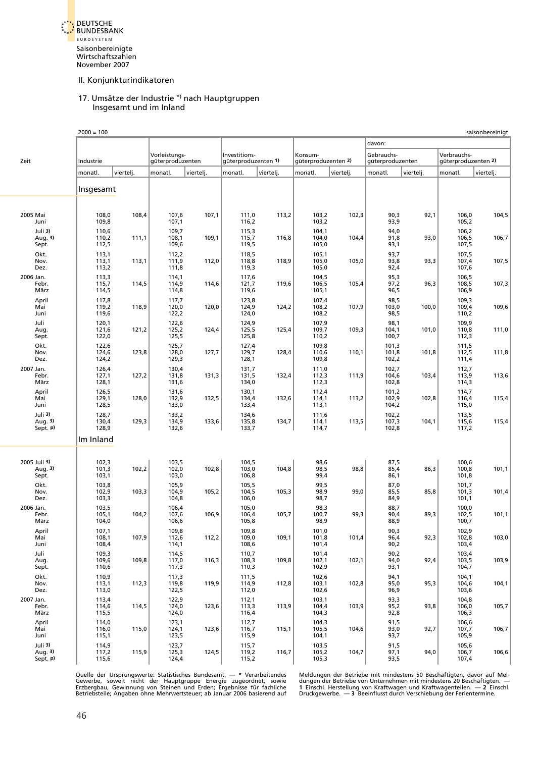<span id="page-39-0"></span>

#### 17. Umsätze der Industrie \*) nach Hauptgruppen Insgesamt und im Inland

|                                  | $2000 = 100$            |           |                                   |           |                                      |           |                                |           |                                |           |                                    | saisonbereinigt |
|----------------------------------|-------------------------|-----------|-----------------------------------|-----------|--------------------------------------|-----------|--------------------------------|-----------|--------------------------------|-----------|------------------------------------|-----------------|
|                                  |                         |           |                                   |           |                                      |           |                                |           | davon:                         |           |                                    |                 |
| Zeit                             | Industrie               |           | Vorleistungs-<br>güterproduzenten |           | Investitions-<br>güterproduzenten 1) |           | Konsum-<br>güterproduzenten 2) |           | Gebrauchs-<br>güterproduzenten |           | Verbrauchs-<br>güterproduzenten 2) |                 |
|                                  | monatl.                 | viertelj. | monatl.                           | viertelj. | monatl.                              | viertelj. | monatl.                        | viertelj. | monatl.                        | viertelj. | monatl.                            | viertelj.       |
|                                  | Insgesamt               |           |                                   |           |                                      |           |                                |           |                                |           |                                    |                 |
|                                  |                         |           |                                   |           |                                      |           |                                |           |                                |           |                                    |                 |
| 2005 Mai<br>Juni                 | 108,0<br>109,8          | 108,4     | 107,6<br>107,1                    | 107,1     | 111,0<br>116,2                       | 113,2     | 103,2<br>103,2                 | 102,3     | 90,3<br>93,9                   | 92,1      | 106,0<br>105,2                     | 104,5           |
| Juli 3)<br>Aug. 3)               | 110,6<br>110,2<br>112,5 | 111,1     | 109,7<br>108,1<br>109,6           | 109,1     | 115,3<br>115,7<br>119,5              | 116,8     | 104,1<br>104,0<br>105,0        | 104,4     | 94,0<br>91,8<br>93,1           | 93,0      | 106,2<br>106,5<br>107,5            | 106,7           |
| Sept.<br>Okt.<br>Nov.            | 113,1<br>113,1          | 113,1     | 112,2<br>111,9                    | 112,0     | 118,5<br>118,8                       | 118,9     | 105,1<br>105,0                 | 105,0     | 93,7<br>93,8                   | 93,3      | 107,5<br>107,4                     | 107,5           |
| Dez.<br>2006 Jan.<br>Febr.       | 113,2<br>113,3<br>115,7 | 114,5     | 111,8<br>114,1<br>114,9           | 114,6     | 119,3<br>117,6<br>121,7              | 119,6     | 105,0<br>104,5<br>106,5        | 105,4     | 92,4<br>95,3<br>97,2           | 96,3      | 107,6<br>106,5<br>108,5            | 107,3           |
| März<br>April<br>Mai             | 114,5<br>117,8<br>119,2 | 118,9     | 114,8<br>117,7<br>120,0           | 120,0     | 119,6<br>123,8<br>124,9              | 124,2     | 105,1<br>107,4<br>108,2        | 107,9     | 96,5<br>98,5<br>103,0          | 100,0     | 106,9<br>109,3<br>109,4            | 109,6           |
| Juni<br>Juli                     | 119,6<br>120,1          |           | 122,2<br>122,6                    |           | 124,0<br>124,9                       |           | 108,2<br>107,9                 |           | 98,5<br>98,1                   |           | 110,2<br>109,9                     |                 |
| Aug.<br>Sept.<br>Okt.            | 121,6<br>122,0<br>122,6 | 121,2     | 125,2<br>125,5<br>125,7           | 124,4     | 125,5<br>125,8<br>127,4              | 125,4     | 109,7<br>110,2<br>109,8        | 109,3     | 104,1<br>100,7<br>101,3        | 101,0     | 110,8<br>112,3<br>111,5            | 111,0           |
| Nov.<br>Dez.<br>2007 Jan.        | 124,6<br>124,2          | 123,8     | 128,0<br>129,3                    | 127,7     | 129,7<br>128,1                       | 128,4     | 110,6<br>109,8                 | 110,1     | 101,8<br>102,2                 | 101,8     | 112,5<br>111,4                     | 111,8           |
| Febr.<br>März                    | 126,4<br>127,1<br>128,1 | 127,2     | 130,4<br>131,8<br>131,6           | 131,3     | 131,7<br>131,5<br>134,0              | 132,4     | 111,0<br>112,3<br>112,3        | 111,9     | 102,7<br>104,6<br>102,8        | 103,4     | 112,7<br>113,9<br>114,3            | 113,6           |
| April<br>Mai<br>Juni             | 126,5<br>129,1<br>128,5 | 128,0     | 131,6<br>132,9<br>133,0           | 132,5     | 130,1<br>134,4<br>133,4              | 132,6     | 112,4<br>114,1<br>113,1        | 113,2     | 101,2<br>102,9<br>104,2        | 102,8     | 114,7<br>116,4<br>115,0            | 115,4           |
| Juli 3)<br>Aug. 3)<br>Sept. p)   | 128,7<br>130,4<br>128,9 | 129,3     | 133,2<br>134,9<br>132,6           | 133,6     | 134,6<br>135,8<br>133,7              | 134,7     | 111,6<br>114,1<br>114,7        | 113,5     | 102,2<br>107,3<br>102,8        | 104,1     | 113,5<br>115,6<br>117,2            | 115,4           |
|                                  | Im Inland               |           |                                   |           |                                      |           |                                |           |                                |           |                                    |                 |
| 2005 Juli 3)<br>Aug. 3)<br>Sept. | 102,3<br>101,3<br>103,1 | 102,2     | 103,5<br>102,0<br>103,0           | 102,8     | 104,5<br>103,0<br>106,8              | 104,8     | 98,6<br>98,5<br>99,4           | 98,8      | 87,5<br>85,4<br>86,1           | 86,3      | 100,6<br>100,8<br>101,8            | 101,1           |
| Okt.<br>Nov.<br>Dez.             | 103,8<br>102,9<br>103,3 | 103,3     | 105,9<br>104,9<br>104,8           | 105,2     | 105,5<br>104,5<br>106,0              | 105,3     | 99,5<br>98,9<br>98,7           | 99,0      | 87,0<br>85,5<br>84,9           | 85,8      | 101,7<br>101,3<br>101,1            | 101,4           |
| 2006 Jan.<br>Febr.<br>März       | 103,5<br>105,1<br>104,0 | 104,2     | 106,4<br>107,6<br>106,6           | 106,9     | 105,0<br>106,4<br>105,8              | 105,7     | 98,3<br>100,7<br>98,9          | 99,3      | 88,7<br>90,4<br>88,9           | 89,3      | 100,0<br>102,5<br>100,7            | 101,1           |
| April<br>Mai<br>Juni             | 107,1<br>108,1<br>108,4 | 107,9     | 109,8<br>112,6<br>114,1           | 112,2     | 109,8<br>109,0<br>108,6              | 109,1     | 101,0<br>101,8<br>101,4        | 101,4     | 90,3<br>96,4<br>90,2           | 92,3      | 102,9<br>102,8<br>103,4            | 103,0           |
| Juli<br>Aug.<br>Sept.            | 109,3<br>109,6<br>110,6 | 109,8     | 114,5<br>117,0<br>117,3           | 116,3     | 110,7<br>108,3<br>110,3              | 109,8     | 101,4<br>102,1<br>102,9        | 102,1     | 90,2<br>94,0<br>93,1           | 92,4      | 103,4<br>103,5<br>104,7            | 103,9           |
| Okt.<br>Nov.<br>Dez.             | 110,9<br>113,1<br>113,0 | 112,3     | 117,3<br>119,8<br>122,5           | 119,9     | 111,5<br>114,9<br>112,0              | 112,8     | 102,6<br>103,1<br>102,6        | 102,8     | 94,1<br>95,0<br>96,9           | 95,3      | 104,1<br>104,6<br>103,6            | 104,1           |
| 2007 Jan.<br>Febr.<br>März       | 113,4<br>114,6<br>115,5 | 114,5     | 122,9<br>124,0<br>124,0           | 123,6     | 112,1<br>113,3<br>116,4              | 113,9     | 103,1<br>104,4<br>104,3        | 103,9     | 93,3<br>95,2<br>92,8           | 93,8      | 104,8<br>106,0<br>106,3            | 105,7           |
| April<br>Mai<br>Juni             | 114,0<br>116,0<br>115,1 | 115,0     | 123,1<br>124,1<br>123,5           | 123,6     | 112,7<br>116,7<br>115,9              | 115,1     | 104,3<br>105,5<br>104,1        | 104,6     | 91,5<br>93,0<br>93,7           | 92,7      | 106,6<br>107,7<br>105,9            | 106,7           |
| Juli 3)<br>Aug. 3)<br>Sept. p)   | 114,9<br>117,2<br>115,6 | 115,9     | 123,7<br>125,3<br>124,4           | 124,5     | 115,7<br>119,2<br>115,2              | 116,7     | 103,5<br>105,2<br>105,3        | 104,7     | 91,5<br>97,1<br>93,5           | 94,0      | 105,6<br>106,7<br>107,4            | 106,6           |

Quelle der Ursprungswerte: Statistisches Bundesamt. — \* Verarbeitendes — Meldungen der Betriebe mit mindestens 50 Beschäftigten, davor auf Mel-<br>Gewerbe, soweit nicht der Hauptgruppe Energie zugeordnet, sowie — dungen der B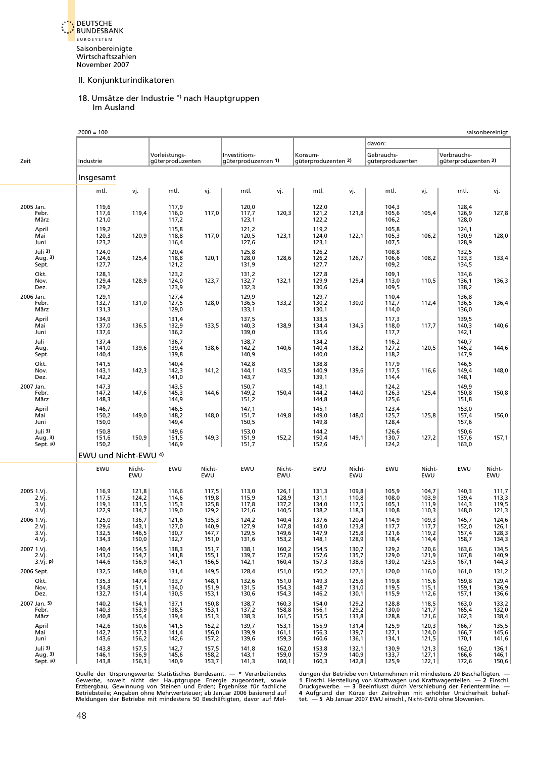<span id="page-40-0"></span>DEUTSCHE BUNDESBANK E U R O S Y S T E M Saisonbereinigte Wirtschaftszahlen November 2007

#### II. Konjunkturindikatoren

#### 18. Umsätze der Industrie \*) nach Hauptgruppen Im Ausland

|                                       | $2000 = 100$                     |                                  |                                   |                                  |                                      |                                  |                                  |                                  |                                  |                                  |                                    | saisonbereinigt                  |
|---------------------------------------|----------------------------------|----------------------------------|-----------------------------------|----------------------------------|--------------------------------------|----------------------------------|----------------------------------|----------------------------------|----------------------------------|----------------------------------|------------------------------------|----------------------------------|
|                                       |                                  |                                  |                                   |                                  |                                      |                                  |                                  |                                  | davon:                           |                                  |                                    |                                  |
| Zeit                                  | Industrie                        |                                  | Vorleistungs-<br>güterproduzenten |                                  | Investitions-<br>güterproduzenten 1) |                                  | Konsum-<br>güterproduzenten 2)   |                                  | Gebrauchs-<br>güterproduzenten   |                                  | Verbrauchs-<br>güterproduzenten 2) |                                  |
|                                       | Insgesamt                        |                                  |                                   |                                  |                                      |                                  |                                  |                                  |                                  |                                  |                                    |                                  |
|                                       | mtl.                             | vj.                              | mtl.                              | vj.                              | mtl.                                 | vj.                              | mtl.                             | vj.                              | mtl.                             | vj.                              | mtl.                               | vj.                              |
| 2005 Jan.<br>Febr.<br>März            | 119,6<br>117,6<br>121,0          | 119,4                            | 117,9<br>116,0<br>117,2           | 117,0                            | 120,0<br>117,7<br>123,1              | 120,3                            | 122,0<br>121,2<br>122,2          | 121,8                            | 104,3<br>105,6<br>106,2          | 105,4                            | 128,4<br>126,9<br>128,0            | 127,8                            |
| April<br>Mai<br>Juni                  | 119,2<br>120,3<br>123,2          | 120,9                            | 115,8<br>118,8<br>116,4           | 117,0                            | 121,2<br>120,5<br>127,6              | 123,1                            | 119,2<br>124,0<br>123,1          | 122,1                            | 105,8<br>105,3<br>107,5          | 106,2                            | 124,1<br>130,9<br>128,9            | 128,0                            |
| Juli 3)<br>Aug. 3)<br>Sept.           | 124,0<br>124,6<br>127,7          | 125,4                            | 120,4<br>118,8<br>121,2           | 120,1                            | 125,8<br>128,0<br>131,9              | 128,6                            | 126,2<br>126,2<br>127,7          | 126,7                            | 108,8<br>106,6<br>109,2          | 108,2                            | 132,5<br>133,3<br>134,5            | 133,4                            |
| Okt.<br>Nov.<br>Dez.                  | 128,1<br>129,4<br>129,2          | 128,9                            | 123,2<br>124,0<br>123,9           | 123,7                            | 131,2<br>132,7<br>132,3              | 132,1                            | 127,8<br>129,9<br>130,6          | 129,4                            | 109,1<br>113,0<br>109,5          | 110,5                            | 134,6<br>136,1<br>138,2            | 136,3                            |
| 2006 Jan.<br>Febr.<br>März            | 129,1<br>132,7<br>131,3          | 131,0                            | 127,4<br>127,5<br>129,0           | 128,0                            | 129,9<br>136,5<br>133,1              | 133,2                            | 129,7<br>130,2<br>130,1          | 130,0                            | 110,4<br>112,7<br>114,0          | 112,4                            | 136,8<br>136,5<br>136,0            | 136,4                            |
| April<br>Mai<br>Juni                  | 134,9<br>137,0<br>137,6          | 136,5                            | 131,4<br>132,9<br>136,2           | 133,5                            | 137,5<br>140,3<br>139,0              | 138,9                            | 133,5<br>134,4<br>135,6          | 134,5                            | 117,3<br>118,0<br>117,7          | 117,7                            | 139,5<br>140,3<br>142,1            | 140,6                            |
| Juli<br>Aug.<br>Sept.                 | 137,4<br>141,0<br>140,4          | 139,6                            | 136,7<br>139,4<br>139,8           | 138,6                            | 138,7<br>142,2<br>140,9              | 140,6                            | 134,2<br>140,4<br>140,0          | 138,2                            | 116,2<br>127,2<br>118,2          | 120,5                            | 140,7<br>145,2<br>147,9            | 144,6                            |
| Okt.<br>Nov.<br>Dez.                  | 141,5<br>143,1<br>142,2          | 142,3                            | 140,4<br>142,3<br>141,0           | 141,2                            | 142,8<br>144,1<br>143,7              | 143,5                            | 138,8<br>140,9<br>139,1          | 139,6                            | 117,9<br>117,5<br>114,4          | 116,6                            | 146,5<br>149,4<br>148,1            | 148,0                            |
| 2007 Jan.<br>Febr.<br>März            | 147,3<br>147,2<br>148,3          | 147,6                            | 143,5<br>145,3<br>144,9           | 144,6                            | 150,7<br>149,2<br>151,2              | 150,4                            | 143,1<br>144,2<br>144,8          | 144,0                            | 124,2<br>126,3<br>125,6          | 125,4                            | 149,9<br>150,8<br>151,8            | 150,8                            |
| April<br>Mai<br>Juni                  | 146,7<br>150,2<br>150,0          | 149,0                            | 146,5<br>148,2<br>149,4           | 148,0                            | 147,1<br>151,7<br>150,5              | 149,8                            | 145,1<br>149,0<br>149,8          | 148,0                            | 123,4<br>125,7<br>128,4          | 125,8                            | 153,0<br>157,4<br>157,6            | 156,0                            |
| Juli 3)<br>Aug. 3)<br>Sept. p)        | 150,8<br>151,6<br>150,2          | 150,9                            | 149,6<br>151,5<br>146,9           | 149,3                            | 153,0<br>151,9<br>151,7              | 152,2                            | 144,2<br>150,4<br>152,6          | 149,1                            | 126,6<br>130,7<br>124,2          | 127,2                            | 150,6<br>157,6<br>163,0            | 157,1                            |
|                                       | EWU und Nicht-EWU 4)             |                                  |                                   |                                  |                                      |                                  |                                  |                                  |                                  |                                  |                                    |                                  |
|                                       | EWU                              | Nicht-<br>EWU                    | EWU                               | Nicht-<br>EWU                    | EWU                                  | Nicht-<br>EWU                    | EWU                              | Nicht-<br>EWU                    | EWU                              | Nicht-<br>EWU                    | EWU                                | Nicht-<br>EWU                    |
| 2005 1.Vj.<br>2.Vj.<br>3.Vj.<br>4.Vj. | 116,9<br>117,5<br>119,1<br>122,9 | 121,8<br>124,2<br>131,5<br>134,7 | 116,6<br>114,6<br>115,3<br>119,0  | 117,5<br>119,8<br>125,8<br>129,2 | 113,0<br>115,9<br>117,8<br>121,6     | 126,1<br>128,9<br>137,2<br>140,5 | 131,3<br>131,1<br>134,0<br>138,2 | 109,8<br>110,8<br>117,5<br>118,3 | 105,9<br>108,0<br>105,1<br>110,8 | 104,7<br>103,9<br>111,9<br>110,3 | 140,3<br>139,4<br>144,3<br>148,0   | 111,7<br>113,3<br>119,5<br>121,3 |
| 2006 1.Vj.<br>2.Vi.<br>3.Vj.<br>4.Vj. | 125,0<br>129,6<br>132,5<br>134,3 | 136,7<br>143,1<br>146,5<br>150,0 | 121,6<br>127,0<br>130,7<br>132,7  | 135,3<br>140,9<br>147,7<br>151,0 | 124,2<br>127,9<br>129,5<br>131,6     | 140,4<br>147,8<br>149,6<br>153,2 | 137,6<br>143,0<br>147,9<br>148,1 | 120,4<br>123,8<br>125,8<br>128,9 | 114,9<br>117,7<br>121,6<br>118,4 | 109,3<br>117,7<br>119,2<br>114,4 | 145,7<br>152,0<br>157,4<br>158,7   | 124,6<br>126,1<br>128,3<br>134,3 |
| 2007 1.Vj.<br>2.Vj.<br>3.Vj. p)       | 140,4<br>143,0<br>144,6          | 154,5<br>154,7<br>156,9          | 138,3<br>141,8<br>143,1           | 151,7<br>155,1<br>156,5          | 138,1<br>139,7<br>142,1              | 160,2<br>157,8<br>160,4          | 154,5<br>157,6<br>157,3          | 130,7<br>135,7<br>138,6          | 129,2<br>129,0<br>130,2          | 120,6<br>121,9<br>123,5          | 163,6<br>167,8<br>167,1            | 134,5<br>140,9<br>144,3          |
| 2006 Sept.                            | 132,5                            | 148,0                            | 131,4                             | 149,5                            | 128,4                                | 151,0                            | 150,2                            | 127,1                            | 120,0                            | 116,0                            | 161,0                              | 131,2                            |
| Okt.<br>Nov.<br>Dez.                  | 135,3<br>134,8<br>132,7          | 147,4<br>151,1<br>151,4          | 133,7<br>134,0<br>130,5           | 148,1<br>151,9<br>153,1          | 132,6<br>131,5<br>130,6              | 151,0<br>154,3<br>154,3          | 149,3<br>148,7<br>146,2          | 125,6<br>131,0<br>130,1          | 119,8<br>119,5<br>115,9          | 115,6<br>115,1<br>112,6          | 159,8<br>159,1<br>157,1            | 129,4<br>136,9<br>136,6          |
| 2007 Jan. 5)<br>Febr.<br>März         | 140,2<br>140,3<br>140,8          | 154,1<br>153,9<br>155,4          | 137,1<br>138,5<br>139,4           | 150,8<br>153,1<br>151,3          | 138,7<br>137,2<br>138,3              | 160,3<br>158,8<br>161,5          | 154,0<br>156,1<br>153,5          | 129,2<br>129,2<br>133,8          | 128,8<br>130,0<br>128,8          | 118,5<br>121,7<br>121,6          | 163,0<br>165,4<br>162,3            | 133,2<br>132,0<br>138,4          |
| April<br>Mai<br>Juni                  | 142,6<br>142,7<br>143,6          | 150,6<br>157,3<br>156,2          | 141,5<br>141,4<br>142,6           | 152,2<br>156,0<br>157,2          | 139,7<br>139,9<br>139,6              | 153,1<br>161,1<br>159,3          | 155,9<br>156,3<br>160,6          | 131,4<br>139,7<br>136,1          | 125,9<br>127,1<br>134,1          | 120,3<br>124,0<br>121,5          | 166,7<br>166,7<br>170,1            | 135,5<br>145,6<br>141,6          |
| Juli 3)<br>Aug. 3)<br>Sept. p)        | 143,8<br>146,1<br>143,8          | 157,5<br>156,9<br>156,3          | 142,7<br>145,6<br>140,9           | 157,5<br>158,2<br>153,7          | 141,8<br>143,1<br>141,3              | 162,0<br>159,0<br>160,1          | 153,8<br>157,9<br>160,3          | 132,1<br>140,9<br>142,8          | 130,9<br>133,7<br>125,9          | 121,3<br>127,1<br>122,1          | 162,0<br>166,6<br>172,6            | 136,1<br>146,1<br>150,6          |

Quelle der Ursprungswerte: Statistisches Bundesamt. — \* Verarbeitendes — dungen der Betriebe von Unternehmen mit mindestens 20 Beschäftigten. — «Gewerbe, sowiet nicht der Hauptgruppe Energie zugeordnet, sowie – 1 Einschl.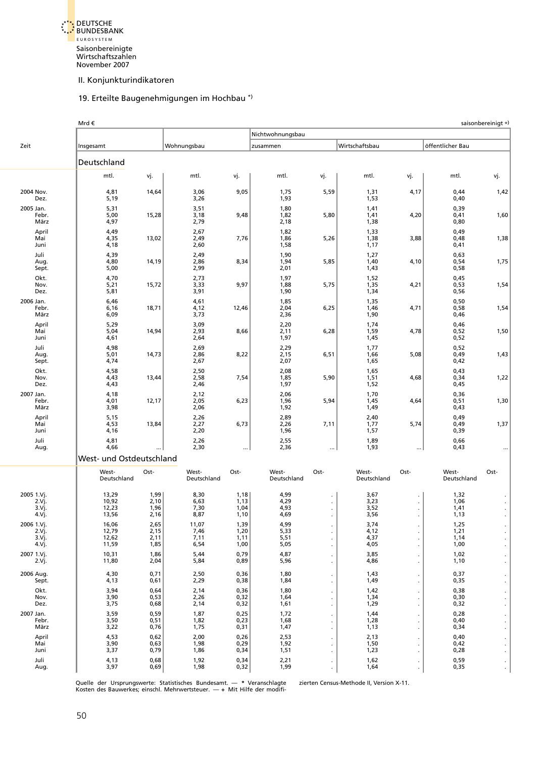<span id="page-41-0"></span>

# 19. Erteilte Baugenehmigungen im Hochbau \*)

|                                          | Mrd €                            |                              |                               |                              |                              |                      |                              |           |                              | saisonbereinigt + |
|------------------------------------------|----------------------------------|------------------------------|-------------------------------|------------------------------|------------------------------|----------------------|------------------------------|-----------|------------------------------|-------------------|
|                                          |                                  |                              |                               |                              | Nichtwohnungsbau             |                      |                              |           |                              |                   |
| Zeit                                     | Insgesamt                        |                              | Wohnungsbau                   |                              | zusammen                     |                      | Wirtschaftsbau               |           | öffentlicher Bau             |                   |
|                                          | Deutschland                      |                              |                               |                              |                              |                      |                              |           |                              |                   |
|                                          | mtl.                             | vj.                          | mtl.                          | vj.                          | mtl.                         | vj.                  | mtl.                         | vj.       | mtl.                         | vj.               |
| 2004 Nov.<br>Dez.                        | 4,81<br>5,19                     | 14,64                        | 3,06<br>3,26                  | 9,05                         | 1,75<br>1,93                 | 5,59                 | 1,31<br>1,53                 | 4,17      | 0,44<br>0,40                 | 1,42              |
| 2005 Jan.<br>Febr.<br>März               | 5,31<br>5,00<br>4,97             | 15,28                        | 3,51<br>3,18<br>2,79          | 9,48                         | 1,80<br>1,82<br>2,18         | 5,80                 | 1,41<br>1,41<br>1,38         | 4,20      | 0,39<br>0,41<br>0,80         | 1,60              |
| April<br>Mai<br>Juni                     | 4,49<br>4,35<br>4,18             | 13,02                        | 2,67<br>2,49<br>2,60          | 7,76                         | 1,82<br>1,86<br>1,58         | 5,26                 | 1,33<br>1,38<br>1,17         | 3,88      | 0,49<br>0,48<br>0,41         | 1,38              |
| Juli<br>Aug.<br>Sept.                    | 4,39<br>4,80<br>5,00             | 14,19                        | 2,49<br>2,86<br>2,99          | 8,34                         | 1,90<br>1,94<br>2,01         | 5,85                 | 1,27<br>1,40<br>1,43         | 4,10      | 0,63<br>0,54<br>0,58         | 1,75              |
| Okt.<br>Nov.<br>Dez.                     | 4,70<br>5,21<br>5,81             | 15,72                        | 2,73<br>3,33<br>3,91          | 9,97                         | 1,97<br>1,88<br>1,90         | 5,75                 | 1,52<br>1,35<br>1,34         | 4,21      | 0,45<br>0,53<br>0,56         | 1,54              |
| 2006 Jan.<br>Febr.<br>März               | 6,46<br>6,16<br>6,09             | 18,71                        | 4,61<br>4,12<br>3,73          | 12,46                        | 1,85<br>2,04<br>2,36         | 6,25                 | 1,35<br>1,46<br>1,90         | 4,71      | 0,50<br>0,58<br>0,46         | 1,54              |
| April<br>Mai<br>Juni                     | 5,29<br>5,04<br>4,61             | 14,94                        | 3,09<br>2,93<br>2,64          | 8,66                         | 2,20<br>2,11<br>1,97         | 6,28                 | 1,74<br>1,59<br>1,45         | 4,78      | 0,46<br>0,52<br>0,52         | 1,50              |
| Juli<br>Aug.<br>Sept.                    | 4,98<br>5,01<br>4,74             | 14,73                        | 2,69<br>2,86<br>2,67          | 8,22                         | 2,29<br>2,15<br>2,07         | 6,51                 | 1,77<br>1,66<br>1,65         | 5,08      | 0,52<br>0,49<br>0,42         | 1,43              |
| Okt.<br>Nov.<br>Dez.                     | 4,58<br>4,43<br>4,43             | 13,44                        | 2,50<br>2,58<br>2,46          | 7,54                         | 2,08<br>1,85<br>1,97         | 5,90                 | 1,65<br>1,51<br>1,52         | 4,68      | 0,43<br>0,34<br>0,45         | 1,22              |
| 2007 Jan.<br>Febr.<br>März               | 4,18<br>4,01<br>3,98             | 12,17                        | 2,12<br>2,05<br>2,06          | 6,23                         | 2,06<br>1,96<br>1,92         | 5,94                 | 1,70<br>1,45<br>1,49         | 4,64      | 0,36<br>0,51<br>0,43         | 1,30              |
| April<br>Mai<br>Juni                     | 5,15<br>4,53<br>4,16             | 13,84                        | 2,26<br>2,27<br>2,20          | 6,73                         | 2,89<br>2,26<br>1,96         | 7,11                 | 2,40<br>1,77<br>1,57         | 5,74      | 0,49<br>0,49<br>0,39         | 1,37              |
| Juli<br>Aug.                             | 4,81<br>4,66                     |                              | 2,26<br>2,30                  | $\cdots$                     | 2,55<br>2,36                 |                      | 1,89<br>1,93                 | $\ddotsc$ | 0,66<br>0,43                 |                   |
|                                          | West- und Ostdeutschland         |                              |                               |                              |                              |                      |                              |           |                              |                   |
|                                          | West-<br>Deutschland             | Ost-                         | West-<br>Deutschland          | Ost-                         | West-<br>Deutschland         | Ost-                 | West-<br>Deutschland         | Ost-      | West-<br>Deutschland         | Ost-              |
| 2005 1.Vj.<br>2.Vj.<br>3.Vj.<br>4.Vj.    | 13,29<br>10,92<br>12,23<br>13,56 | 1,99<br>2,10<br>1,96<br>2,16 | 8,30<br>6,63<br>7,30<br>8,87  | 1,18<br>1,13<br>1,04<br>1,10 | 4,99<br>4,29<br>4,93<br>4,69 | ä,                   | 3,67<br>3,23<br>3,52<br>3,56 |           | 1,32<br>1,06<br>1,41<br>1,13 |                   |
| 2006 1.Vj.<br>2.Vj.<br>3.Vj.<br>$4.V$ j. | 16,06<br>12,79<br>12,62<br>11,59 | 2,65<br>2,15<br>2,11<br>1,85 | 11,07<br>7,46<br>7,11<br>6,54 | 1,39<br>1,20<br>1,11<br>1,00 | 4,99<br>5,33<br>5,51<br>5,05 |                      | 3,74<br>4,12<br>4,37<br>4,05 |           | 1,25<br>1,21<br>1,14<br>1,00 |                   |
| 2007 1.Vj.<br>2.Vj.                      | 10,31<br>11,80                   | 1,86<br>2,04                 | 5,44<br>5,84                  | 0,79<br>0,89                 | 4,87<br>5,96                 |                      | 3,85<br>4,86                 |           | 1,02<br>1,10                 |                   |
| 2006 Aug.<br>Sept.                       | 4,30<br>4,13                     | 0,71<br>0,61                 | 2,50<br>2,29                  | 0,36<br>0,38                 | 1,80<br>1,84                 |                      | 1,43<br>1,49                 |           | 0,37<br>0,35                 |                   |
| Okt.<br>Nov.<br>Dez.                     | 3,94<br>3,90<br>3,75             | 0,64<br>0,53<br>0,68         | 2,14<br>2,26<br>2,14          | 0,36<br>0,32<br>0,32         | 1,80<br>1,64<br>1,61         |                      | 1,42<br>1,34<br>1,29         |           | 0,38<br>0,30<br>0,32         |                   |
| 2007 Jan.<br>Febr.<br>März               | 3,59<br>3,50<br>3,22             | 0,59<br>0,51<br>0,76         | 1,87<br>1,82<br>1,75          | 0,25<br>0,23<br>0,31         | 1,72<br>1,68<br>1,47         |                      | 1,44<br>1,28<br>1,13         |           | 0,28<br>0,40<br>0,34         |                   |
| April<br>Mai<br>Juni                     | 4,53<br>3,90<br>3,37             | 0,62<br>0,63<br>0,79         | 2,00<br>1,98<br>1,86          | 0,26<br>0,29<br>0,34         | 2,53<br>1,92<br>1,51         | $\blacksquare$       | 2,13<br>1,50<br>1,23         |           | 0,40<br>0,42<br>0,28         |                   |
| Juli<br>Aug.                             | 4,13<br>3,97                     | 0,68<br>0,69                 | 1,92<br>1,98                  | 0,34<br>0,32                 | 2,21<br>1,99                 | $\blacksquare$<br>¥, | 1,62<br>1,64                 |           | 0,59<br>0,35                 |                   |

Quelle der Ursprungswerte: Statistisches Bundesamt. — \* Veranschlagte zierten Census-Methode II, Version X-11.<br>Kosten des Bauwerkes; einschl. Mehrwertsteuer. — + Mit Hilfe der modifi-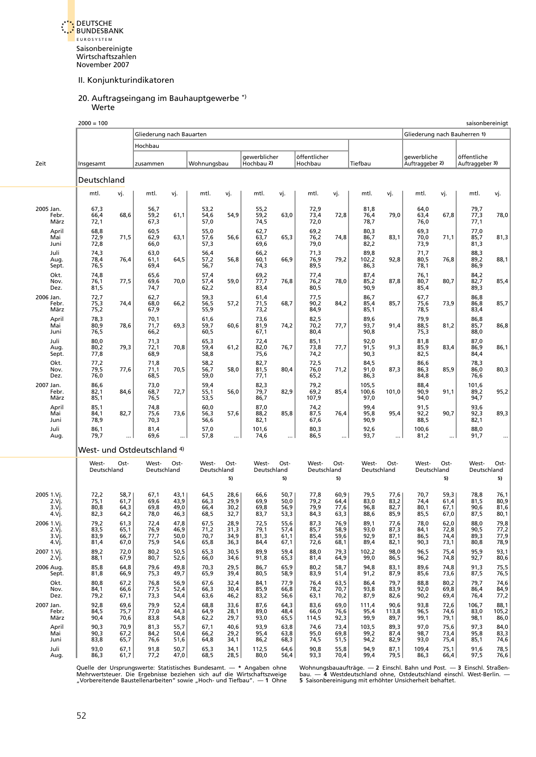<span id="page-42-0"></span>

#### 20. Auftragseingang im Bauhauptgewerbe \*) **Werte**

|                                       | $2000 = 100$                 |                              |                                        |                              |                              |                              |                              |                              |                              |                              |                              |                              |                                |                              |                                | saisonbereinigt              |
|---------------------------------------|------------------------------|------------------------------|----------------------------------------|------------------------------|------------------------------|------------------------------|------------------------------|------------------------------|------------------------------|------------------------------|------------------------------|------------------------------|--------------------------------|------------------------------|--------------------------------|------------------------------|
|                                       |                              |                              | Gliederung nach Bauarten               |                              |                              |                              |                              |                              |                              |                              |                              |                              | Gliederung nach Bauherren 1)   |                              |                                |                              |
|                                       |                              |                              | Hochbau                                |                              |                              |                              |                              |                              |                              |                              |                              |                              |                                |                              |                                |                              |
| Zeit                                  | Insgesamt                    |                              | zusammen                               |                              | Wohnungsbau                  |                              | gewerblicher<br>Hochbau 2)   |                              | öffentlicher<br>Hochbau      |                              | Tiefbau                      |                              | gewerbliche<br>Auftraggeber 2) |                              | öffentliche<br>Auftraggeber 3) |                              |
|                                       | Deutschland                  |                              |                                        |                              |                              |                              |                              |                              |                              |                              |                              |                              |                                |                              |                                |                              |
|                                       | mtl.                         | vj.                          | mtl.                                   | vj.                          | mtl.                         | vj.                          | mtl.                         | vj.                          | mtl.                         | vj.                          | mtl.                         | vj.                          | mtl.                           | vj.                          | mtl.                           | vj.                          |
| 2005 Jan.<br>Febr.<br>März            | 67,3<br>66,4<br>72,1         | 68,6                         | 56,7<br>59,2<br>67,3                   | 61,1                         | 53,2<br>54,6<br>57,0         | 54,9                         | 55,2<br>59,2<br>74,5         | 63,0                         | 72,9<br>73,4<br>72,0         | 72,8                         | 81,8<br>76,4<br>78,7         | 79,0                         | 64,0<br>63,4<br>76,0           | 67,8                         | 79,7<br>77,3<br>77,1           | 78,0                         |
| April<br>Mai<br>Juni                  | 68,8<br>72,9<br>72,8         | 71,5                         | 60,5<br>62,9<br>66,0                   | 63,1                         | 55,0<br>57,6<br>57,3         | 56,6                         | 62,7<br>63,7<br>69,6         | 65,3                         | 69,2<br>76,2<br>79,0         | 74,8                         | 80,3<br>86,7<br>82,2         | 83,1                         | 69,3<br>70,0<br>73,9           | 71,1                         | 77,0<br>85,7<br>81,3           | 81,3                         |
| Juli<br>Aug.<br>Sept.                 | 74,3<br>78,4<br>76,5         | 76,4                         | 63,0<br>61,1<br>69,4                   | 64,5                         | 56,4<br>57,2<br>56,7         | 56,8                         | 66,2<br>60,1<br>74,3         | 66,9                         | 71,3<br>76,9<br>89,5         | 79,2                         | 89,8<br>102,2<br>86,3        | 92,8                         | 71,7<br>80,5<br>78,1           | 76,8                         | 88,3<br>89,2<br>86,9           | 88,1                         |
| Okt.<br>Nov.<br>Dez.                  | 74,8<br>76,1<br>81,5         | 77,5                         | 65,6<br>69,6<br>74,7                   | 70,0                         | 57,4<br>57,4<br>62,2         | 59,0                         | 69,2<br>77,7<br>83,4         | 76,8                         | 77,4<br>76,2<br>80,5         | 78,0                         | 87,4<br>85,2<br>90,9         | 87,8                         | 76,1<br>80,7<br>85,4           | 80,7                         | 84,2<br>82,7<br>89,3           | 85,4                         |
| 2006 Jan.<br>Febr.<br>März            | 72,7<br>75,3<br>75,2         | 74,4                         | 62,7<br>68,0<br>67,9                   | 66,2                         | 59,3<br>56,5<br>55,9         | 57,2                         | 61,4<br>71,5<br>73,2         | 68,7                         | 77,5<br>90,2<br>84,9         | 84,2                         | 86,7<br>85,4<br>85,1         | 85,7                         | 67,7<br>75,6<br>78,5           | 73,9                         | 86,8<br>86,8<br>83,4           | 85,7                         |
| April<br>Mai<br>Juni                  | 78,3<br>80,9<br>76,5         | 78,6                         | 70,1<br>71,7<br>66,2                   | 69,3                         | 61,6<br>59,7<br>60,5         | 60,6                         | 73,6<br>81,9<br>67,1         | 74,2                         | 82,5<br>70,2<br>80,4         | 77,7                         | 89,6<br>93,7<br>90,8         | 91,4                         | 79,9<br>88,5<br>75,3           | 81,2                         | 86,8<br>85,7<br>88,0           | 86,8                         |
| Juli<br>Aug.<br>Sept.                 | 80,0<br>80,2<br>77,8         | 79,3                         | 71,3<br>72,1<br>68,9                   | 70,8                         | 65,3<br>59,4<br>58,8         | 61,2                         | 72,4<br>82,0<br>75,6         | 76,7                         | 85,1<br>73,8<br>74,2         | 77,7                         | 92,0<br>91,5<br>90,3         | 91,3                         | 81,8<br>85,9<br>82,5           | 83,4                         | 87,0<br>86,9<br>84,4           | 86,1                         |
| Okt.<br>Nov.<br>Dez.                  | 77,2<br>79,5<br>76,0         | 77,6                         | 71,8<br>71,1<br>68,5                   | 70,5                         | 58,2<br>56,7<br>59,0         | 58,0                         | 82,7<br>81,5<br>77,1         | 80,4                         | 72,5<br>76,0<br>65,2         | 71,2                         | 84,5<br>91,0<br>86,3         | 87,3                         | 86,6<br>86,3<br>84,8           | 85,9                         | 78,3<br>86,0<br>76,6           | 80,3                         |
| 2007 Jan.<br>Febr.<br>März            | 86,6<br>82,1<br>85,1         | 84,6                         | 73,0<br>68,7<br>76,5                   | 72,7                         | 59,4<br>55,1<br>53,5         | 56,0                         | 82,3<br>79,7<br>86,7         | 82,9                         | 79,2<br>69,2<br>107,9        | 85,4                         | 105,5<br>100,6<br>97,0       | 101,0                        | 88,4<br>90,9<br>94,0           | 91,1                         | 101,6<br>89,2<br>94,7          | 95,2                         |
| April<br>Mai<br>Juni                  | 85,1<br>84,1<br>78,9         | 82,7                         | 74,8<br>75,6<br>70,3                   | 73,6                         | 60,0<br>56,3<br>56,6         | 57,6                         | 87,0<br>88,2<br>82,1         | 85,8                         | 74,2<br>87,5<br>67,6         | 76,4                         | 99,4<br>95,8<br>90,9         | 95,4                         | 91,5<br>92,2<br>88,5           | 90,7                         | 93,6<br>92,3<br>82,1           | 89,3                         |
| Juli<br>Aug.                          | 86,1<br>79,7                 |                              | 81,4<br>69,6                           |                              | 57,0<br>57,8                 |                              | 101,6<br>74,6                | $\cdots$                     | 80,3<br>86,5                 |                              | 92,6<br>93,7                 |                              | 100,6<br>81,2                  |                              | 88,0<br>91,7                   |                              |
|                                       |                              |                              | West- und Ostdeutschland <sup>4)</sup> |                              |                              |                              |                              |                              |                              |                              |                              |                              |                                |                              |                                |                              |
|                                       | West-<br>Deutschland         | Ost-                         | West-<br>Deutschland                   | Ost-                         | West-<br>Deutschland         | Ost-<br>5)                   | West-<br>Deutschland         | Ost-<br>5)                   | West-<br>Deutschland         | Ost-<br>5)                   | West-<br>Deutschland         | Ost-                         | West-<br>Deutschland           | Ost-<br>5)                   | West-<br>Deutschland           | Ost-<br>5)                   |
| 2005 1.Vj.<br>2.Vj.<br>3.Vj.<br>4.Vj. | 72,2<br>75,1<br>80,8<br>82,3 | 58,7<br>61,7<br>64,3<br>64,2 | 67,1<br>69,6<br>69,8<br>78,0           | 43,1<br>43,9<br>49,0<br>46,3 | 64,5<br>66,3<br>66,4<br>68,5 | 28,6<br>29,9<br>30,2<br>32,7 | 66,6<br>69,9<br>69,8<br>83,7 | 50,7<br>50,0<br>56,9<br>53,3 | 77,8<br>79,2<br>79,9<br>84,3 | 60,9<br>64,4<br>77,6<br>63,3 | 79,5<br>83,0<br>96,8<br>88,6 | 77,6<br>83,2<br>82,7<br>85,9 | 70,7<br>74,4<br>80,1<br>85,5   | 59,3<br>61,4<br>67,1<br>67,0 | 78,8<br>81,5<br>90,6<br>87,5   | 76,1<br>80,9<br>81,6<br>80,1 |
| 2006 1.Vj.<br>2.Vj.<br>3.Vj.<br>4 Vj. | 79,2<br>83,5<br>83,9<br>81,4 | 61,3<br>65,1<br>66,7<br>67,0 | 72,4<br>76,9<br>77,7<br>75,9           | 47,8<br>46,9<br>50,0<br>54,6 | 67,5<br>71,2<br>70,7<br>65,8 | 28,9<br>31,3<br>34,9<br>36,3 | 72,5<br>79,1<br>81,3<br>84,4 | 55,6<br>57,4<br>61,1<br>67,1 | 87,3<br>85,7<br>85,4<br>72,6 | 76,9<br>58,9<br>59,6<br>68,1 | 89,1<br>93,0<br>92,9<br>89,4 | 77,6<br>87,3<br>87,1<br>82,1 | 78,0<br>84,1<br>86,5<br>90,3   | 62,0<br>72,8<br>74,4<br>73,1 | 88,0<br>90,5<br>89,3<br>80,8   | 79,8<br>77,2<br>77,9<br>78,9 |
| 2007 1.Vj.<br>2.Vj.                   | 89,2<br>88,1                 | 72,0<br>67,9                 | 80,2<br>80,7                           | 50,5<br>52,6                 | 65,3<br>66,0                 | 30,5<br>34,6                 | 89,9<br>91,8                 | 59,4<br>65,3                 | 88,0<br>81,4                 | 79,3<br>64,9                 | 102,2<br>99,0                | 98,0<br>86,5                 | 96,5<br>96,2                   | 75,4<br>74,8                 | 95,9<br>92,7                   | 93,1<br>80,6                 |
| 2006 Aug.<br>Sept.                    | 85,8<br>81,8                 | 64,8<br>66,9                 | 79,6<br>75,3                           | 49,8<br>49,7                 | 70,3<br>65,9                 | 29,5<br>39,4                 | 86,7<br>80,5                 | 65,9<br>58,9                 | 80,2<br>83,9                 | 58,7<br>51,4                 | 94,8<br>91,2                 | 83,1<br>87,9                 | 89,6<br>85,6                   | 74,8<br>73,6                 | 91,3<br>87,5                   | 75,5<br>76,5                 |
| Okt.<br>Nov.<br>Dez.                  | 80,8<br>84,1<br>79,2         | 67,2<br>66,6<br>67,1         | 76,8<br>77,5<br>73,3                   | 56,9<br>52,4<br>54,4         | 67,6<br>66,3<br>63,6         | 32,4<br>30,4<br>46,2         | 84,1<br>85,9<br>83,2         | 77,9<br>66,8<br>56,6         | 76,4<br>78,2<br>63,1         | 63,5<br>70,7<br>70,2         | 86,4<br>93,8<br>87,9         | 79,7<br>83,9<br>82,6         | 88,8<br>92,0<br>90,2           | 80,2<br>69,8<br>69,4         | 79,7<br>86,4<br>76,4           | 74,6<br>84,9<br>77,2         |
| 2007 Jan.<br>Febr.<br>März            | 92,8<br>84,5<br>90,4         | 69,6<br>75,7<br>70,6         | 79,9<br>77,0<br>83,8                   | 52,4<br>44,3<br>54,8         | 68,8<br>64,9<br>62,2         | 33,6<br>28,1<br>29,7         | 87,6<br>89,0<br>93,0         | 64,3<br>48,4<br>65,5         | 83,6<br>66,0<br>114,5        | 69,0<br>76,6<br>92,3         | 111,4<br>95,4<br>99,9        | 90,6<br>113,8<br>89,7        | 93,8<br>96,5<br>99,1           | 72,6<br>74,6<br>79,1         | 106,7<br>83,0<br>98,1          | 88,1<br>105,2<br>86,0        |
| April<br>Mai<br>Juni                  | 90,3<br>90,3<br>83,8         | 70,9<br>67,2<br>65,7         | 81,3<br>84,2<br>76,6                   | 55,7<br>50,4<br>51,6         | 67,1<br>66,2<br>64,8         | 40,6<br>29,2<br>34,1         | 93,9<br>95,4<br>86,2         | 63,8<br>63,8<br>68,3         | 74,6<br>95,0<br>74,5         | 73,4<br>69,8<br>51,5         | 103,5<br>99,2<br>94,2        | 89,3<br>87,4<br>82,9         | 97,0<br>98,7<br>93,0           | 75,6<br>73,4<br>75,4         | 97,3<br>95,8<br>85,1           | 84,0<br>83,3<br>74,6         |
| Juli<br>Aug.                          | 93,0<br>86,3                 | 67,1<br>61,7                 | 91,8<br>77,2                           | 50,7<br>47,0                 | 65,3<br>68,5                 | 34,1<br>28,5                 | 112,5<br>80,0                | 64,6<br>56,4                 | 90,8<br>93,3                 | 55,8<br>70,4                 | 94,9<br>99,4                 | 87,1<br>79,5                 | 109,4<br>86,3                  | 75,1<br>66,4                 | 91,6<br>97,5                   | 78,5<br>76,6                 |

Quelle der Ursprungswerte: Statistisches Bundesamt. — \* Angaben ohne Wohnungsbauaufträge. — 2 Einschl. Bahn und Post. — 3 Einschl. Straßen-<br>Mehrwertsteuer. Die Ergebnisse beziehen sich auf die Wirtschaftszweige – bau. — 4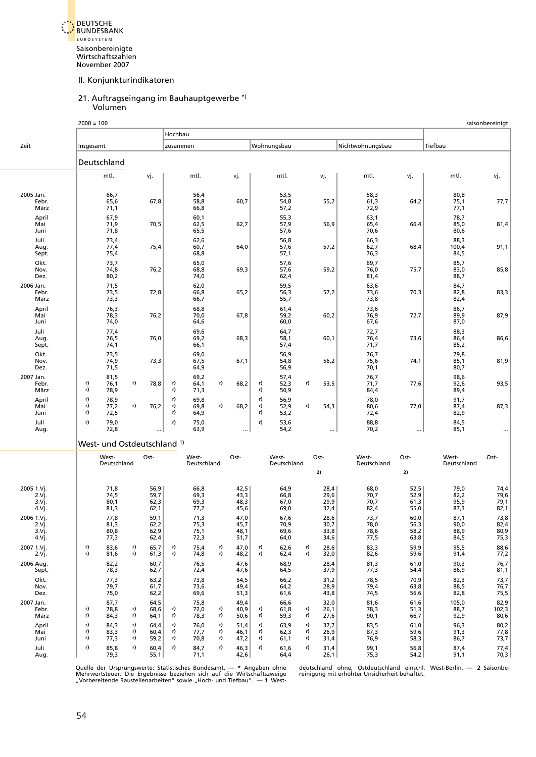<span id="page-43-0"></span>DEUTSCHE BUNDESBANK E U R O S Y S T E M Saisonbereinigte Wirtschaftszahlen November 2007

#### II. Konjunkturindikatoren

#### 21. Auftragseingang im Bauhauptgewerbe \*) Volumen

|                                       | $2000 = 100$   |                              |                |                              |                |                              |                |                              |                |                              |                |                              |                              |                              |                              | saisonbereinigt                     |
|---------------------------------------|----------------|------------------------------|----------------|------------------------------|----------------|------------------------------|----------------|------------------------------|----------------|------------------------------|----------------|------------------------------|------------------------------|------------------------------|------------------------------|-------------------------------------|
|                                       |                |                              |                |                              | Hochbau        |                              |                |                              |                |                              |                |                              |                              |                              |                              |                                     |
| Zeit                                  | Insgesamt      |                              |                |                              | zusammen       |                              |                |                              |                | Wohnungsbau                  |                |                              | Nichtwohnungsbau             |                              | Tiefbau                      |                                     |
|                                       | Deutschland    |                              |                |                              |                |                              |                |                              |                |                              |                |                              |                              |                              |                              |                                     |
|                                       |                | mtl.                         |                | vj.                          |                | mtl.                         |                | vj.                          |                | mtl.                         |                | vj.                          | mtl.                         | vj.                          | mtl.                         | vj.                                 |
| 2005 Jan.<br>Febr.<br>März            |                | 66,7<br>65,6<br>71,1         |                | 67,8                         |                | 56,4<br>58,8<br>66,8         |                | 60,7                         |                | 53,5<br>54,8<br>57,2         |                | 55,2                         | 58,3<br>61,3<br>72,9         | 64,2                         | 80,8<br>75,1<br>77,1         | 77,7                                |
| April<br>Mai<br>Juni                  |                | 67,9<br>71,9<br>71,8         |                | 70,5                         |                | 60,1<br>62,5<br>65,5         |                | 62,7                         |                | 55,3<br>57,9<br>57,6         |                | 56,9                         | 63,1<br>65,4<br>70,6         | 66,4                         | 78,7<br>85,0<br>80,6         | 81,4                                |
| Juli<br>Aug.<br>Sept.                 |                | 73,4<br>77,4<br>75,4         |                | 75,4                         |                | 62,6<br>60,7<br>68,8         |                | 64,0                         |                | 56,8<br>57,6<br>57,1         |                | 57,2                         | 66,3<br>62,7<br>76,3         | 68,4                         | 88,3<br>100,4<br>84,5        | 91,1                                |
| Okt.<br>Nov.<br>Dez.                  |                | 73,7<br>74,8<br>80,2         |                | 76,2                         |                | 65,0<br>68,8<br>74,0         |                | 69,3                         |                | 57,6<br>57,6<br>62,4         |                | 59,2                         | 69,7<br>76,0<br>81,4         | 75,7                         | 85,7<br>83,0<br>88,7         | 85,8                                |
| 2006 Jan.<br>Febr.<br>März            |                | 71,5<br>73,5<br>73,3         |                | 72,8                         |                | 62,0<br>66,8<br>66,7         |                | 65,2                         |                | 59,5<br>56,3<br>55,7         |                | 57,2                         | 63,6<br>73,6<br>73,8         | 70,3                         | 84,7<br>82,8<br>82,4         | 83,3                                |
| April<br>Mai<br>Juni                  |                | 76,3<br>78,3<br>74,0         |                | 76,2                         |                | 68,8<br>70,0<br>64,6         |                | 67,8                         |                | 61,4<br>59,2<br>60,0         |                | 60,2                         | 73,6<br>76,9<br>67,6         | 72,7                         | 86,7<br>89,9<br>87,0         | 87,9                                |
| Juli<br>Aug.<br>Sept.                 |                | 77,4<br>76,5<br>74,1         |                | 76,0                         |                | 69,6<br>69,2<br>66,1         |                | 68,3                         |                | 64,7<br>58,1<br>57,4         |                | 60,1                         | 72,7<br>76,4<br>71,7         | 73,6                         | 88,3<br>86,4<br>85,2         | 86,6                                |
| Okt.<br>Nov.<br>Dez.                  |                | 73,5<br>74,9<br>71,5         |                | 73,3                         |                | 69,0<br>67,5<br>64,9         |                | 67,1                         |                | 56,9<br>54,8<br>56,9         |                | 56,2                         | 76,7<br>75,6<br>70,1         | 74,1                         | 79,8<br>85,1<br>80,7         | 81,9                                |
| 2007 Jan.<br>Febr.<br>März            | r)<br>r)       | 81,5<br>76,1<br>78,9         | r)             | 78,8                         | r)<br>r)       | 69,2<br>64,1<br>71,3         | r)             | 68,2                         | r)<br>r)       | 57,4<br>52,3<br>50,9         | r)             | 53,5                         | 76,7<br>71,7<br>84,4         | 77,6                         | 98,6<br>92,6<br>89,4         | 93,5                                |
| April<br>Mai<br>Juni                  | r)<br>r)<br>r) | 78,9<br>77,2<br>72,5         | r)             | 76,2                         | r)<br>r)<br>r) | 69,8<br>69,8<br>64,9         | r)             | 68,2                         | r)<br>r)<br>r) | 56,9<br>52,9<br>53,2         | r)             | 54,3                         | 78,0<br>80,6<br>72,4         | 77,0                         | 91,7<br>87,4<br>82,9         | 87,3                                |
| Juli<br>Aug.                          | r)             | 79,0<br>72,8                 |                |                              | r)             | 75,0<br>63,9                 |                | $\ddotsc$                    | r)             | 53,6<br>54,2                 |                |                              | 88,8<br>70,2                 | $\cdots$                     | 84,5<br>85,1                 |                                     |
|                                       |                | West- und Ostdeutschland 1)  |                |                              |                |                              |                |                              |                |                              |                |                              |                              |                              |                              |                                     |
|                                       |                | West-<br>Deutschland         |                | Ost-                         |                | West-<br>Deutschland         |                | Ost-                         |                | West-<br>Deutschland         |                | Ost-                         | West-<br>Deutschland         | Ost-                         | West-<br>Deutschland         | Ost-                                |
|                                       |                |                              |                |                              |                |                              |                |                              |                |                              |                | 2)                           |                              | 2)                           |                              |                                     |
| 2005 1.Vj.<br>2.Vj.<br>3.Vj.<br>4.Vj. |                | 71,8<br>74,5<br>80,1<br>81,3 |                | 56,9<br>59,7<br>62,3<br>62,1 |                | 66,8<br>69,3<br>69,3<br>77,2 |                | 42,5<br>43,3<br>48,3<br>45,6 |                | 64,9<br>66,8<br>67,0<br>69,0 |                | 28,4<br>29,6<br>29,9<br>32,4 | 68,0<br>70,7<br>70,7<br>82,4 | 52,5<br>52,9<br>61,3<br>55,0 | 79,0<br>82,2<br>95,9<br>87,3 | 74,4<br>79,6<br>79,1<br>82,1        |
| 2006 1.Vj.<br>2.Vj.<br>3.Vj.<br>4.Vj. |                | 77,8<br>81,3<br>80,8<br>77,3 |                | 59,1<br>62,2<br>62,9<br>62,4 |                | 71,3<br>75,3<br>75,1<br>72,3 |                | 47,0<br>45,7<br>48,1<br>51,7 |                | 67,6<br>70,9<br>69,6<br>64,0 |                | 28,6<br>30,7<br>33,8<br>34,6 | 73,7<br>78,0<br>78,6<br>77,5 | 60,0<br>56,3<br>58,2<br>63,8 | 87,1<br>90,0<br>88,9<br>84,5 | 73,8<br>$\frac{82,4}{80,9}$<br>75,3 |
| 2007 1.Vj.<br>2.Vj.                   | r)<br>r)       | 83,6<br>81,6                 | r)<br>r)       | 65,7<br>61,3                 | r)<br>r)       | 75,4<br>74,8                 | r)<br>r)       | 47,0<br>48,2                 | r)<br>r)       | 62,6<br>62,4                 | r)<br>r)       | 28,6<br>32,0                 | 83,3<br>82,6                 | 59,9<br>59,6                 | 95,5<br>91,4                 | 88,6<br>77,2                        |
| 2006 Aug.<br>Sept.                    |                | 82,2<br>78,3                 |                | 60,7<br>62,7                 |                | 76,5<br>72,4                 |                | 47,6<br>47,6                 |                | 68,9<br>64,5                 |                | 28,4<br>37,9                 | 81,3<br>77,3                 | 61,0<br>54,4                 | 90,3<br>86,9                 | 76,7<br>81,1                        |
| Okt.<br>Nov.<br>Dez.                  |                | 77,3<br>79,7<br>75,0         |                | 63,2<br>61,7<br>62,2         |                | 73,8<br>73,6<br>69,6         |                | 54,5<br>49,4<br>51,3         |                | 66,2<br>64,2<br>61,6         |                | 31,2<br>28,9<br>43,8         | 78,5<br>79,4<br>74,5         | 70,9<br>63,8<br>56,6         | 82,3<br>88,5<br>82,8         | 73,7<br>76,7<br>75,5                |
| 2007 Jan.<br>Febr.<br>März            | r)<br>r)       | 87,7<br>78,8<br>84,3         | r)<br>r)       | 64,5<br>68,6<br>64,1         | r)<br>r)       | 75,8<br>72,0<br>78,3         | r)<br>r)       | 49,4<br>40,9<br>50,6         | r)<br>r)       | 66,6<br>61,8<br>59,3         | r)<br>r)       | 32,0<br>26,1<br>27,6         | 81,6<br>78,3<br>90,1         | 61,6<br>51,3<br>66,7         | 105,0<br>88,7<br>92,9        | 82,9<br>102,3<br>80,6               |
| April<br>Mai<br>Juni                  | r)<br>r)<br>r) | 84,3<br>83,3<br>77,3         | r)<br>r)<br>r) | 64,4<br>60,4<br>59,2         | r)<br>r)<br>r) | 76,0<br>77,7<br>70,8         | r)<br>r)<br>r) | 51,4<br>46,1<br>47,2         | r)<br>r)<br>r) | 63,9<br>62,3<br>61,1         | r)<br>r)<br>r) | 37,7<br>26,9<br>31,4         | 83,5<br>87,3<br>76,9         | 61,0<br>59,6<br>58,3         | 96,3<br>91,3<br>86,7         | 80,2<br>77,8<br>73,7                |
| Juli<br>Aug.                          | r)             | 85,8<br>79,3                 | r)             | 60,4<br>55,1                 | r)             | 84,7<br>71,1                 | r)             | 46,3<br>42,6                 | r)             | 61,6<br>64,4                 | r)             | 31,4<br>26,1                 | 99,1<br>75,3                 | 56,8<br>54,2                 | 87,4<br>91,1                 | 77,4<br>70,3                        |

Quelle der Ursprungswerte: Statistisches Bundesamt. — \* Angaben ohne koleutschland ohne, Ostdeutschland einschl. West-Berlin. — 2 Saisonbe-<br>Mehrwertsteuer. Die Ergebnisse beziehen sich auf die Wirtschaftszweige keinigung m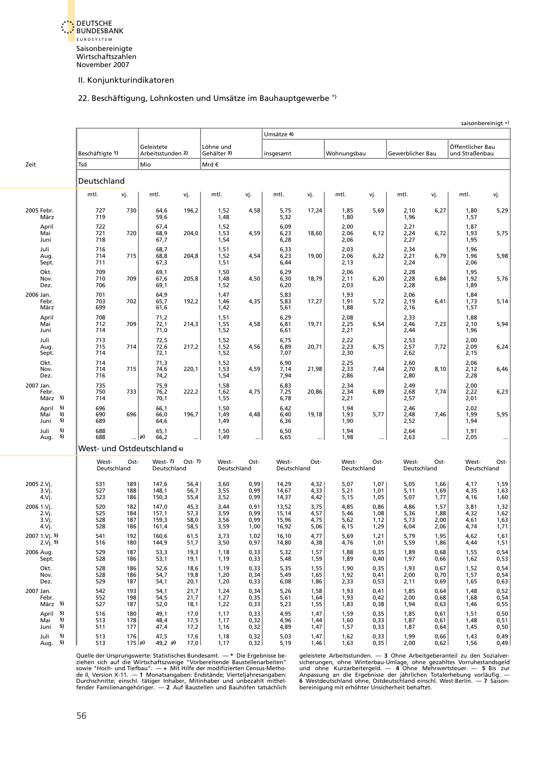<span id="page-44-0"></span>

## 22. Beschäftigung, Lohnkosten und Umsätze im Bauhauptgewerbe \*)

|                                        |                          |                          |                                  |                              |                              |                              |                                  |                              |                              |                              |                              |                              |                                    | saisonbereinigt +)           |
|----------------------------------------|--------------------------|--------------------------|----------------------------------|------------------------------|------------------------------|------------------------------|----------------------------------|------------------------------|------------------------------|------------------------------|------------------------------|------------------------------|------------------------------------|------------------------------|
|                                        |                          |                          |                                  |                              |                              |                              | Umsätze 4)                       |                              |                              |                              |                              |                              |                                    |                              |
|                                        | Beschäftigte 1)          |                          | Geleistete<br>Arbeitsstunden 2)  |                              | Löhne und<br>Gehälter 3)     |                              | insgesamt                        |                              | Wohnungsbau                  |                              | Gewerblicher Bau             |                              | Öffentlicher Bau<br>und Straßenbau |                              |
| Zeit                                   | Tsd                      |                          | Mio                              |                              | Mrd€                         |                              |                                  |                              |                              |                              |                              |                              |                                    |                              |
|                                        | Deutschland              |                          |                                  |                              |                              |                              |                                  |                              |                              |                              |                              |                              |                                    |                              |
|                                        | mtl.                     | vj.                      | mtl.                             | vj.                          | mtl.                         | vj.                          | mtl.                             | vj.                          | mtl.                         | vj.                          | mtl.                         | vj.                          | mtl.                               | vj.                          |
| 2005 Febr.<br>März                     | 727<br>719               | 730                      | 64,6<br>59,6                     | 196,2                        | 1,52<br>1,48                 | 4,58                         | 5,75<br>5,32                     | 17,24                        | 1,85<br>1,80                 | 5,69                         | 2,10<br>1,96                 | 6,27                         | 1,80<br>1,57                       | 5,29                         |
| April<br>Mai<br>Juni                   | 722<br>721<br>718        | 720                      | 67,4<br>68,9<br>67,7             | 204,0                        | 1,52<br>1,53<br>1,54         | 4,59                         | 6,09<br>6,23<br>6,28             | 18,60                        | 2,00<br>2,06<br>2,06         | 6,12                         | 2,21<br>2,24<br>2,27         | 6,72                         | 1,87<br>1,93<br>1,95               | 5,75                         |
| Juli<br>Aug.<br>Sept.                  | 716<br>714<br>711        | 715                      | 68,7<br>68,8<br>67,3             | 204,8                        | 1,51<br>1,52<br>1,51         | 4,54                         | 6,33<br>6,23<br>6,44             | 19,00                        | 2,03<br>2,06<br>2,13         | 6,22                         | 2,34<br>2,21<br>2,24         | 6,79                         | 1,96<br>1,96<br>2,06               | 5,98                         |
| Okt.<br>Nov.<br>Dez.                   | 709<br>710<br>706        | 709                      | 69,1<br>67,6<br>69,1             | 205,8                        | 1,50<br>1,48<br>1,52         | 4,50                         | 6,29<br>6,30<br>6,20             | 18,79                        | 2,06<br>2,11<br>2,03         | 6,20                         | 2,28<br>2,28<br>2,28         | 6,84                         | 1,95<br>1,92<br>1,89               | 5,76                         |
| 2006 Jan.<br>Febr.<br>März             | 701<br>703<br>699        | 702                      | 64,9<br>65,7<br>61,6             | 192,2                        | 1,47<br>1,46<br>1,42         | 4,35                         | 5,83<br>5,83<br>5,61             | 17,27                        | 1,93<br>1,91<br>1,88         | 5,72                         | 2,06<br>2,19<br>2,16         | 6,41                         | 1,84<br>1,73<br>1,57               | 5,14                         |
| April<br>Mai<br>Juni                   | 708<br>712<br>714        | 709                      | 71,2<br>72,1<br>71,0             | 214,3                        | 1,51<br>1,55<br>1,52         | 4,58                         | 6,29<br>6,81<br>6,61             | 19,71                        | 2,08<br>2,25<br>2,21         | 6,54                         | 2,33<br>2,46<br>2,44         | 7,23                         | 1,88<br>2,10<br>1,96               | 5,94                         |
| Juli<br>Aug.<br>Sept.                  | 713<br>715<br>714        | 714                      | 72,5<br>72,6<br>72,1             | 217,2                        | 1,52<br>1,52<br>1,52         | 4,56                         | 6,75<br>6,89<br>7,07             | 20,71                        | 2,22<br>2,23<br>2,30         | 6,75                         | 2,53<br>2,57<br>2,62         | 7,72                         | 2,00<br>2,09<br>2,15               | 6,24                         |
| Okt.<br>Nov.<br>Dez.                   | 714<br>714<br>716        | 715                      | 71,3<br>74,6<br>74,2             | 220,1                        | 1,52<br>1,53<br>1,54         | 4,59                         | 6,90<br>7,14<br>7,94             | 21,98                        | 2,25<br>2,33<br>2,86         | 7,44                         | 2,60<br>2,70<br>2,80         | 8,10                         | 2,06<br>2,12<br>2,28               | 6,46                         |
| 2007 Jan.<br>Febr.<br>März 5)          | 735<br>750<br>714        | 733                      | 75,9<br>76,2<br>70,1             | 222,2                        | 1,58<br>1,62<br>1,55         | 4,75                         | 6,83<br>7,25<br>6,78             | 20,86                        | 2,34<br>2,34<br>2,21         | 6,89                         | 2,49<br>2,68<br>2,57         | 7,74                         | 2,00<br>2,22<br>2,01               | 6,23                         |
| 5)<br>April<br>5)<br>Mai<br>5)<br>Juni | 696<br>690<br>689        | 696                      | 66,1<br>66,0<br>64,6             | 196,7                        | 1,50<br>1,49<br>1,49         | 4,48                         | 6,42<br>6,40<br>6,36             | 19,18                        | 1,94<br>1,93<br>1,90         | 5,77                         | 2,46<br>2,48<br>2,52         | 7,46                         | 2,02<br>1,99<br>1,94               | 5,95                         |
| 5)<br>Juli<br>5)<br>Aug.               | 688<br>688               |                          | 65,1<br>…  p)<br>66,2            |                              | 1,50<br>1,49                 | $\cdots$                     | 6,50<br>6,65                     | $\cdots$                     | 1,94<br>1,98                 | $\cdots$                     | 2,64<br>2,63                 | $\ddotsc$                    | 1,91<br>2,05                       |                              |
|                                        |                          |                          | West- und Ostdeutschland 6)      |                              |                              |                              |                                  |                              |                              |                              |                              |                              |                                    |                              |
|                                        | West-                    | Ost-<br>Deutschland      | $West-7)$<br>Deutschland         | $Ost-7$                      | West-<br>Deutschland         | Ost-                         | West-<br>Deutschland             | Ost-                         | West-<br>Deutschland         | Ost-                         | West-<br>Deutschland         | Ost-                         | West-<br>Deutschland               | Ost-                         |
| 2005 2.Vj.<br>3.Vj.<br>4.Vj.           | 531<br>527<br>523        | 189<br>188<br>186        | 147,6<br>148,1<br>150,3          | 56,4<br>56,7<br>55,4         | 3,60<br>3,55<br>3,52         | 0,99<br>0,99<br>0,99         | 14,29<br>14,67<br>14,37          | 4,32<br>4,33<br>4,42         | 5,07<br>5,21<br>5,15         | 1,07<br>1,01<br>1,05         | 5,05<br>5,11<br>5,07         | 1,66<br>1,69<br>1,77         | 4,17<br>4,35<br>4,16               | 1,59<br>1,63<br>1,60         |
| 2006 1.Vj.<br>2.Vj.<br>3.Vj.<br>4.Vj.  | 520<br>525<br>528<br>528 | 182<br>184<br>187<br>186 | 147,0<br>157,1<br>159,3<br>161,4 | 45,3<br>57,3<br>58,0<br>58,5 | 3,44<br>3,59<br>3,56<br>3,59 | 0,91<br>0,99<br>0,99<br>1,00 | 13,52<br>15,14<br>15,96<br>16,92 | 3,75<br>4,57<br>4,75<br>5,06 | 4,85<br>5,46<br>5,62<br>6,15 | 0,86<br>1,08<br>1,12<br>1,29 | 4,86<br>5,36<br>5,73<br>6,04 | 1,57<br>1,88<br>2,00<br>2,06 | 3,81<br>4,32<br>4,61<br>4,74       | 1,32<br>1,62<br>1,63<br>1,71 |
| 2007 1.Vj. 5)<br>2.Vj. 5               | 541<br>516               | 192<br>180               | 160,6<br>144,9                   | 61,5<br>51,7                 | 3,73<br>3,50                 | 1,02<br>0,97                 | 16,10<br>14,80                   | 4,77<br>4,38                 | 5,69<br>4,76                 | 1,21<br>1,01                 | 5,79<br>5,59                 | 1,95<br>1,86                 | 4,62<br>4,44                       | 1,61<br>1,51                 |
| 2006 Aug.<br>Sept.                     | 529<br>528               | 187<br>186               | 53,3<br>53,1                     | 19,3<br>19,1                 | 1,18<br>1,19                 | 0,33<br>0,33                 | 5,32<br>5,48                     | 1,57<br>1,59                 | 1,88<br>1,89                 | 0,35<br>0,40                 | 1,89<br>1,97                 | 0,68<br>0,66                 | 1,55<br>1,62                       | 0,54<br>0,53                 |
| Okt.<br>Nov.<br>Dez.                   | 528<br>528<br>529        | 186<br>186<br>187        | 52,6<br>54,7<br>54,1             | 18,6<br>19,8<br>20,1         | 1,19<br>1,20<br>1,20         | 0,33<br>0,34<br>0,33         | 5,35<br>5,49<br>6,08             | 1,55<br>1,65<br>1,86         | 1,90<br>1,92<br>2,33         | 0,35<br>0,41<br>0,53         | 1,93<br>2,00<br>2,11         | 0,67<br>0,70<br>0,69         | 1,52<br>1,57<br>1,65               | 0,54<br>0,54<br>0,63         |
| 2007 Jan.<br>Febr.<br>März 5)          | 542<br>552<br>527        | 193<br>198<br>187        | 54,1<br>54,5<br>52,0             | 21,7<br>21,7<br>18,1         | 1,24<br>1,27<br>1,22         | 0,34<br>0,35<br>0,33         | 5,26<br>5,61<br>5,23             | 1,58<br>1,64<br>1,55         | 1,93<br>1,93<br>1,83         | 0,41<br>0,42<br>0,38         | 1,85<br>2,00<br>1,94         | 0,64<br>0,68<br>0,63         | 1,48<br>1,68<br>1,46               | 0,52<br>0,54<br>0,55         |
| 5)<br>April<br>5)<br>Mai<br>5)<br>Juni | 516<br>513<br>511        | 180<br>178<br>177        | 49,1<br>48,4<br>47,4             | 17,0<br>17,5<br>17,2         | 1,17<br>1,17<br>1,16         | 0,33<br>0,32<br>0,32         | 4,95<br>4,96<br>4,89             | 1,47<br>1,44<br>1,47         | 1,59<br>1,60<br>1,57         | 0,35<br>0,33<br>0,33         | 1,85<br>1,87<br>1,87         | 0,61<br>0,61<br>0,64         | 1,51<br>1,48<br>1,45               | 0,50<br>0,51<br>0,50         |
| 5)<br>Juli<br>5)<br>Aug.               | 513<br>513               | 176<br>175 p)            | 47,5<br>49,2 p)                  | 17,6<br>17,0                 | 1,18<br>1,17                 | 0,32<br>0,32                 | 5,03<br>5,19                     | 1,47<br>1,46                 | 1,62<br>1,63                 | 0,33<br>0,35                 | 1,99<br>2,00                 | 0,66<br>0,62                 | 1,43<br>1,56                       | 0,49<br>0,49                 |

Quelle der Ursprungswerte: Statistisches Bundesamt. — \* Die Ergebnisse be- geleistete Arbeitsstunden. — 3 Ohne Arbeitgeberanteil zu den Sozialver-<br>ziehen sich auf die Wirtschaftszweige "Vorbereitende Baustellenarbeiten" si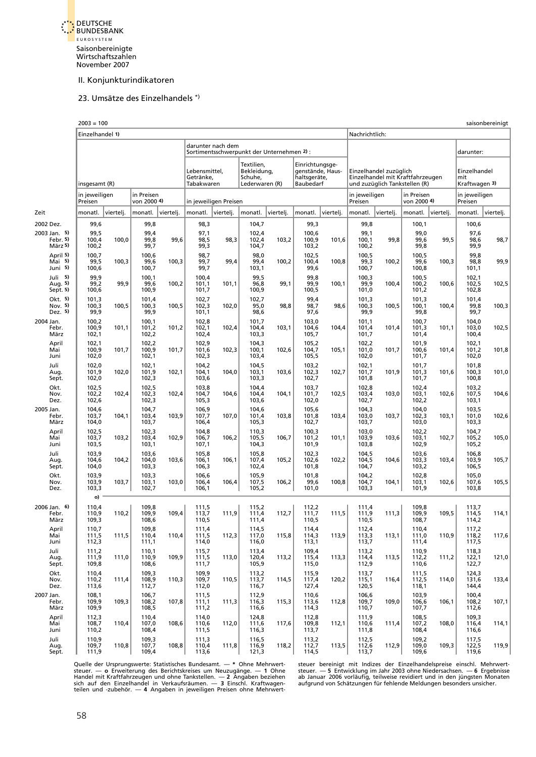<span id="page-45-0"></span>

#### 23. Umsätze des Einzelhandels \*)

|                                     | $2003 = 100$             |           |                           |           |                                          |                                                                |                                                        |           |                                                                  |           |                          |                                                                                             |                           |           |                                      | saisonbereinigt |
|-------------------------------------|--------------------------|-----------|---------------------------|-----------|------------------------------------------|----------------------------------------------------------------|--------------------------------------------------------|-----------|------------------------------------------------------------------|-----------|--------------------------|---------------------------------------------------------------------------------------------|---------------------------|-----------|--------------------------------------|-----------------|
|                                     | Einzelhandel 1)          |           |                           |           |                                          |                                                                |                                                        |           |                                                                  |           | Nachrichtlich:           |                                                                                             |                           |           |                                      |                 |
|                                     |                          |           |                           |           |                                          | darunter nach dem<br>Sortimentsschwerpunkt der Unternehmen 2): |                                                        |           |                                                                  |           |                          |                                                                                             |                           |           | darunter:                            |                 |
|                                     | insgesamt (R)            |           |                           |           | Lebensmittel,<br>Getränke,<br>Tabakwaren |                                                                | Textilien,<br>Bekleidung,<br>Schuhe,<br>Lederwaren (R) |           | Einrichtungsge-<br>genstände, Haus-<br>haltsgeräte,<br>Baubedarf |           |                          | Einzelhandel zuzüglich<br>Einzelhandel mit Kraftfahrzeugen<br>und zuzüglich Tankstellen (R) |                           |           | Einzelhandel<br>mit<br>Kraftwagen 3) |                 |
|                                     | in jeweiligen<br>Preisen |           | in Preisen<br>von 2000 4) |           |                                          | in jeweiligen Preisen                                          |                                                        |           |                                                                  |           | in jeweiligen<br>Preisen |                                                                                             | in Preisen<br>von 2000 4) |           | in jeweiligen<br>Preisen             |                 |
| Zeit                                | monatl.                  | viertelj. | monatl.                   | viertelj. | monatl.                                  | viertelj.                                                      | monatl.                                                | viertelj. | monatl.                                                          | viertelj. | monatl.                  | viertelj.                                                                                   | monatl.                   | vierteli. | monatl.                              | viertelj.       |
| 2002 Dez.                           | 99,6                     |           | 99,8                      |           | 98,3                                     |                                                                | 104,7                                                  |           | 99,3                                                             |           | 99,8                     |                                                                                             | 100,1                     |           | 100,6                                |                 |
| 2003 Jan. 5)<br>Febr. 5)<br>März 5) | 99,5<br>100,4<br>100,2   | 100,0     | 99,4<br>99,8<br>99,7      | 99,6      | 97,1<br>98,5<br>99,3                     | 98,3                                                           | 102,4<br>102,4<br>104,7                                | 103,2     | 100,6<br>100,9<br>103,2                                          | 101,6     | 99,1<br>100,1<br>100,2   | 99,8                                                                                        | 99,0<br>99,6<br>99,8      | 99,5      | 97,6<br>98,6<br>99,9                 | 98,7            |
| April 5)<br>Main 5)<br>Juni 5)      | 100,7<br>99,5<br>100,6   | 100,3     | 100,6<br>99,6<br>100,7    | 100,3     | 98,7<br>99,7<br>99,7                     | 99,4                                                           | 98,0<br>99,4<br>103,1                                  | 100,2     | 102,5<br>100,4<br>99,6                                           | 100,8     | 100,5<br>99,3<br>100,7   | 100,2                                                                                       | 100,5<br>99,6<br>100,8    | 100,3     | 99,8<br>98,8<br>101,1                | 99,9            |
| Juli<br>5)<br>Aug. 5)<br>Sept. 5)   | 99,9<br>99,2<br>100,6    | 99,9      | 100,1<br>99,6<br>100,9    | 100,2     | 100,4<br>101,1<br>101,7                  | 101,1                                                          | 99,5<br>96,8<br>100,9                                  | 99,1      | 99,8<br>99,9<br>100,5                                            | 100,1     | 100,3<br>99,9<br>101,0   | 100,4                                                                                       | 100,5<br>100,2<br>101,2   | 100,6     | 102,1<br>102,5<br>102,8              | 102,5           |
| Okt. 5)<br>Nov. 5)<br>Dez. 5)       | 101,3<br>100,3<br>99,9   | 100,5     | 101,4<br>100,3<br>99,9    | 100,5     | 102,7<br>102,3<br>101,1                  | 102,0                                                          | 102,7<br>95,0<br>98,6                                  | 98,8      | 99,4<br>98,7<br>97,6                                             | 98,6      | 101,3<br>100,3<br>99,9   | 100,5                                                                                       | 101,3<br>100,1<br>99,8    | 100,4     | 101,4<br>99,8<br>99,7                | 100,3           |
| 2004 Jan.<br>Febr.<br>März          | 100,2<br>100,9<br>102,1  | 101,1     | 100,1<br>101,2<br>102,2   | 101,2     | 102,8<br>102,1<br>102,4                  | 102,4                                                          | 101,7<br>104,4<br>103,3                                | 103,1     | 103,0<br>104,6<br>105,7                                          | 104,4     | 101,1<br>101,4<br>101,7  | 101,4                                                                                       | 100,7<br>101,3<br>101,4   | 101,1     | 104,0<br>103,0<br>100,4              | 102,5           |
| April<br>Mai<br>Juni                | 102,1<br>100,9<br>102,0  | 101,7     | 102,2<br>100,9<br>102,1   | 101,7     | 102,9<br>101,6<br>102,3                  | 102,3                                                          | 104,3<br>100,1<br>103,4                                | 102,6     | 105,2<br>104,7<br>105,5                                          | 105,1     | 102,2<br>101,0<br>102,0  | 101,7                                                                                       | 101,9<br>100,6<br>101,7   | 101,4     | 102,1<br>101,2<br>102,0              | 101,8           |
| Juli<br>Aug.<br>Sept.               | 102,0<br>101,9<br>102,0  | 102,0     | 102,1<br>101,9<br>102,3   | 102,1     | 104,2<br>104,1<br>103,6                  | 104,0                                                          | 104,5<br>103,1<br>103,3                                | 103,6     | 103,2<br>102,3<br>102,7                                          | 102,7     | 102,1<br>101,7<br>101,8  | 101,9                                                                                       | 101,7<br>101,3<br>101,7   | 101,6     | 101,8<br>100,3<br>100,8              | 101,0           |
| Okt.<br>Nov.<br>Dez.                | 102,5<br>102,2<br>102,6  | 102,4     | 102,5<br>102,3<br>102,3   | 102,4     | 103,8<br>104,7<br>105,3                  | 104,6                                                          | 104,4<br>104,4<br>103,6                                | 104,1     | 103,7<br>101,7<br>102,0                                          | 102,5     | 102,8<br>103,4<br>102,7  | 103,0                                                                                       | 102,4<br>103,1<br>102,2   | 102,6     | 103,2<br>107,5<br>103,1              | 104,6           |
| 2005 Jan.<br>Febr.<br>März          | 104,6<br>103,7<br>104,0  | 104,1     | 104,7<br>103,4<br>103,7   | 103,9     | 106,9<br>107,7<br>106,4                  | 107,0                                                          | 104,6<br>101,4<br>105,3                                | 103,8     | 105,6<br>101,8<br>102,7                                          | 103,4     | 104,3<br>103,0<br>103,7  | 103,7                                                                                       | 104,0<br>102,3<br>103,0   | 103,1     | 103,5<br>101,0<br>103,3              | 102,6           |
| April<br>Mai<br>Juni                | 102,5<br>103,7<br>103,5  | 103,2     | 102,3<br>103,4<br>103,1   | 102,9     | 104,8<br>106,7<br>107,1                  | 106,2                                                          | 110,3<br>105,5<br>104,3                                | 106,7     | 100,3<br>101,2<br>101,9                                          | 101,1     | 103,0<br>103,9<br>103,8  | 103,6                                                                                       | 102,2<br>103,1<br>102,9   | 102,7     | 104,7<br>105,2<br>105,2              | 105,0           |
| Juli<br>Aug.<br>Sept.               | 103.9<br>104,6<br>104,0  | 104,2     | 103,6<br>104,0<br>103,3   | 103,6     | 105,8<br>106,1<br>106,3                  | 106,1                                                          | 105,8<br>107,4<br>102,4                                | 105,2     | 102,3<br>102,6<br>101,8                                          | 102,2     | 104,5<br>104,5<br>104,7  | 104,6                                                                                       | 103,6<br>103,3<br>103,2   | 103,4     | 106,8<br>103,9<br>106,5              | 105,7           |
| Okt.<br>Nov.<br>Dez.                | 103,9<br>103,9<br>103,3  | 103,7     | 103,3<br>103,1<br>102,7   | 103,0     | 106,6<br>106,4<br>106,1                  | 106,4                                                          | 105,9<br>107,5<br>105,2                                | 106,2     | 101,8<br>99,6<br>101,0                                           | 100,8     | 104,2<br>104,7<br>103,3  | 104,1                                                                                       | 102,8<br>103,1<br>101,9   | 102,6     | 105,0<br>107,6<br>103,8              | 105,5           |
|                                     | o)                       |           |                           |           |                                          |                                                                |                                                        |           |                                                                  |           |                          |                                                                                             |                           |           |                                      |                 |
| 2006 Jan. 6)<br>Febr.<br>März       | 110,4<br>110,9<br>109,3  | 110,2     | 109,8<br>109,9<br>108,6   | 109,4     | 111,5<br>113,7<br>110,5                  | 111,9                                                          | 115,2<br>111,4<br>111,4                                | 112,7     | 112,2<br>111,7<br>110,5                                          | 111,5     | 111,4<br>111,9<br>110,5  | 111,3                                                                                       | 109,8<br>109,9<br>108,7   | 109,5     | 113,7<br>114,5<br>114,2              | 114,1           |
| April<br>Mai<br>Juni                | 110,7<br>111,5<br>112,3  | 111,5     | 109,8<br>110,4<br>111,1   | 110,4     | 111,4<br>111,5<br>114,0                  | 112,3                                                          | 114,5<br>117,0<br>116,0                                | 115,8     | 114,4<br>114,3<br>113,1                                          | 113,9     | 112,4<br>113,3<br>113,7  | 113,1                                                                                       | 110,4<br>111,0<br>111,4   | 110,9     | 117,2<br>118,2<br>117,5              | 117,6           |
| Juli<br>Aug.<br>Sept.               | 111,2<br>111,9<br>109,8  | 111,0     | 110,1<br>110,9<br>108,6   | 109,9     | 115,7<br>111,5<br>111,7                  | 113,0                                                          | 113,4<br>120,4<br>105,9                                | 113,2     | 109,4<br>115,4<br>115,0                                          | 113,3     | 113,2<br>114,4<br>112,9  | 113,5                                                                                       | 110,9<br>112,2<br>110,6   | 111,2     | 118,3<br>122,1<br>122,7              | 121,0           |
| Okt.<br>Nov.<br>Dez.                | 110,4<br>110,2<br>113,6  | 111,4     | 109,3<br>108,9<br>112,7   | 110,3     | 109,9<br>109,7<br>112,0                  | 110,5                                                          | 113,2<br>113,7<br>116,7                                | 114,5     | 115,9<br>117,4<br>127,4                                          | 120,2     | 113,7<br>115,1<br>120,5  | 116,4                                                                                       | 111,5<br>112,5<br>118,1   | 114,0     | 124,3<br>131,6<br>144,4              | 133,4           |
| 2007 Jan.<br>Febr.<br>März          | 108,1<br>109,9<br>109,9  | 109,3     | 106,7<br>108,2<br>108,5   | 107,8     | 111,5<br>111,1<br>111,2                  | 111,3                                                          | 112,9<br>116,3<br>116,6                                | 115,3     | 110,6<br>113,6<br>114,3                                          | 112,8     | 106,6<br>109,7<br>110,7  | 109,0                                                                                       | 103,9<br>106,6<br>107,7   | 106,1     | 100,4<br>108,2<br>112,6              | 107,1           |
| April<br>Mai<br>Juni                | 112,3<br>108,7<br>110,2  | 110,4     | 110,4<br>107,0<br>108,4   | 108,6     | 114,0<br>110,6<br>111,5                  | 112,0                                                          | 124,8<br>111,6<br>116,3                                | 117,6     | 112,8<br>109,8<br>113,7                                          | 112,1     | 111,9<br>110,6<br>111,8  | 111,4                                                                                       | 108,5<br>107,2<br>108,4   | 108,0     | 109,3<br>116,4<br>116,6              | 114,1           |
| Juli<br>Aug.<br>Sept.               | 110,9<br>109,7<br>111,9  | 110,8     | 109,3<br>107,7<br>109,4   | 108,8     | 111,3<br>110,4<br>113,6                  | 111,8                                                          | 116,5<br>116,9<br>121,3                                | 118,2     | 113,2<br>112,7<br>114,5                                          | 113,5     | 112,5<br>112,6<br>113,7  | 112,9                                                                                       | 109,2<br>109,0<br>109,6   | 109,3     | 117,5<br>122,5<br>119,6              | 119,9           |

Quelle der Ursprungswerte: Statistisches Bundesamt. — \* Ohne Mehrwert- breuer bereinigt mit Indizes der Einzelhandelspreise einschl. Mehrwert-<br>steuer. — o Erweiterung des Berichtskreises um Neuzugänge. — 1 Ohne breuer. — 5 Handel mit Kraftfahrzeugen und ohne Tankstellen. — 2 Angaben beziehen — ab Januar 2006 vorläufig, teilweise revidiert und in den jüngsten Monaten<br>sich auf den Einzelhandel in Verkaufsräumen. — 3 Einschl. Kraftwagen- — aufg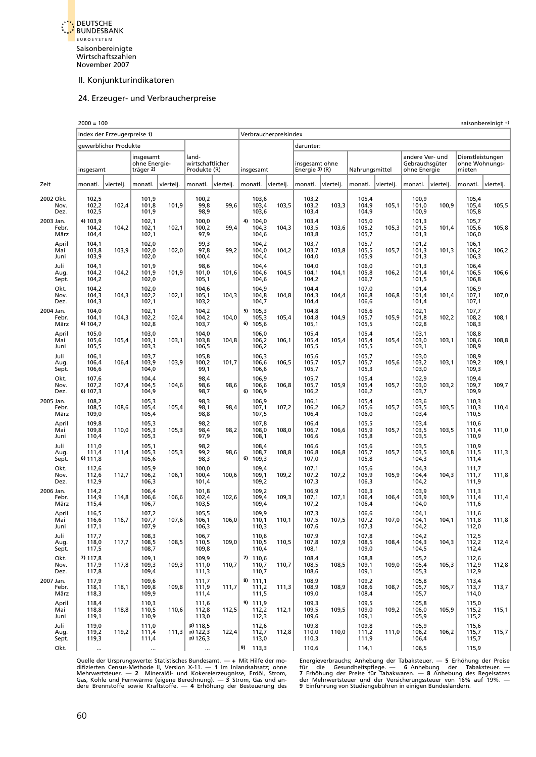<span id="page-46-0"></span>

#### 24. Erzeuger- und Verbraucherpreise

|                               | $2000 = 100$                     |                             |                                         |           |                                           |           |    |                                  |                       |                                  |           |                                  |           |                                                   |           |                                              | saisonbereinigt + |
|-------------------------------|----------------------------------|-----------------------------|-----------------------------------------|-----------|-------------------------------------------|-----------|----|----------------------------------|-----------------------|----------------------------------|-----------|----------------------------------|-----------|---------------------------------------------------|-----------|----------------------------------------------|-------------------|
|                               |                                  | Index der Erzeugerpreise 1) |                                         |           |                                           |           |    |                                  | Verbraucherpreisindex |                                  |           |                                  |           |                                                   |           |                                              |                   |
|                               |                                  | gewerblicher Produkte       |                                         |           |                                           |           |    |                                  |                       | darunter:                        |           |                                  |           |                                                   |           |                                              |                   |
|                               | insgesamt                        |                             | insgesamt<br>ohne Energie-<br>träger 2) |           | land-<br>wirtschaftlicher<br>Produkte (R) |           |    | insgesamt                        |                       | insgesamt ohne<br>Energie 3) (R) |           | Nahrungsmittel                   |           | andere Ver- und<br>Gebrauchsgüter<br>ohne Energie |           | Dienstleistungen<br>ohne Wohnungs-<br>mieten |                   |
| Zeit                          | monatl.                          | vierteli.                   | monatl.                                 | viertelj. | monatl.                                   | viertelj. |    | monatl.                          | vierteli.             | monatl.                          | viertelj. | monatl.                          | viertelj. | monatl.                                           | viertelj. | monatl.                                      | viertelj.         |
| 2002 Okt.<br>Nov.<br>Dez.     | 102,5<br>102,2<br>102,5          | 102,4                       | 101,9<br>101,8<br>101,9                 | 101,9     | 100,2<br>99,8<br>98,9                     | 99,6      |    | 103,6<br>103,4<br>103,6          | 103,5                 | 103,2<br>103,2<br>103,4          | 103,3     | 105,4<br>104,9<br>104,9          | 105,1     | 100,9<br>101,0<br>100,9                           | 100,9     | 105,4<br>105,4<br>105,8                      | 105,5             |
| 2003 Jan.<br>Febr.<br>März    | 4) 103,9<br>104,2<br>104,4       | 104,2                       | 102,1<br>102,1<br>102,1                 | 102,1     | 100,0<br>100,2<br>97,9                    | 99,4      |    | 4) 104,0<br>104,3<br>104,6       | 104,3                 | 103,4<br>103,5<br>103,8          | 103,6     | 105,0<br>105,2<br>105,7          | 105,3     | 101,3<br>101,5<br>101,3                           | 101,4     | 105,7<br>105,6<br>106,0                      | 105,8             |
| April<br>Mai<br>Juni          | 104,1<br>103,8<br>103,9          | 103,9                       | 102,0<br>102,0<br>102,0                 | 102,0     | 99,3<br>97,8<br>100,4                     | 99,2      |    | 104,2<br>104,0<br>104,4          | 104,2                 | 103,7<br>103,7<br>104,0          | 103,8     | 105,7<br>105,5<br>105,9          | 105,7     | 101,2<br>101,3<br>101,3                           | 101,3     | 106,1<br>106,2<br>106,3                      | 106,2             |
| Juli<br>Aug.<br>Sept.         | 104,1<br>104,2<br>104,2          | 104,2                       | 101,9<br>101,9<br>102,0                 | 101,9     | 98,6<br>101,0<br>105,1                    | 101,6     |    | 104,4<br>104,6<br>104,6          | 104,5                 | 104,0<br>104,1<br>104,2          | 104,1     | 106,0<br>105,8<br>106,7          | 106,2     | 101,3<br>101,4<br>101,5                           | 101,4     | 106,4<br>106,5<br>106,8                      | 106,6             |
| Okt.<br>Nov.<br>Dez.          | 104,2<br>104,3<br>104,3          | 104,3                       | 102,0<br>102,2<br>102,1                 | 102,1     | 104,6<br>105,1<br>103,2                   | 104,3     |    | 104,9<br>104,8<br>104,7          | 104,8                 | 104,4<br>104,3<br>104,4          | 104,4     | 107,0<br>106,8<br>106,6          | 106,8     | 101,4<br>101,4<br>101,4                           | 101,4     | 106,9<br>107,1<br>107,1                      | 107,0             |
| 2004 Jan.<br>Febr.<br>März    | 104.0<br>104,1<br>6) 104,7       | 104,3                       | 102,1<br>102,2<br>102,8                 | 102,4     | 104,2<br>104,2<br>103,7                   | 104,0     |    | 5) 105,3<br>105,3<br>6) 105,6    | 105,4                 | 104,8<br>104,8<br>105,1          | 104,9     | 106,6<br>105,7<br>105,5          | 105,9     | 102,1<br>101,8<br>102,8                           | 102,2     | 107,7<br>108,2<br>108,3                      | 108,1             |
| April<br>Mai<br>Juni          | 105,0<br>105,6<br>105,5          | 105,4                       | 103,0<br>103,1<br>103,3                 | 103,1     | 104,0<br>103,8<br>106,5                   | 104,8     |    | 106,0<br>106,2<br>106,2          | 106,1                 | 105,4<br>105,4<br>105,5          | 105,4     | 105,4<br>105,4<br>105,5          | 105,4     | 103,1<br>103,0<br>103,1                           | 103,1     | 108,8<br>108,6<br>108,9                      | 108,8             |
| Juli<br>Aug.<br>Sept.<br>Okt. | 106,1<br>106,4<br>106,6<br>107,6 | 106,4                       | 103,7<br>103,9<br>104,0<br>104,4        | 103,9     | 105,8<br>100,2<br>99,1<br>98,4            | 101,7     |    | 106,3<br>106,6<br>106,6<br>106,9 | 106,5                 | 105,6<br>105,7<br>105,7<br>105,7 | 105,7     | 105,7<br>105,7<br>105,3<br>105,4 | 105,6     | 103,0<br>103,2<br>103,0<br>102,9                  | 103,1     | 108,9<br>109,2<br>109,3<br>109,4             | 109,1             |
| Nov.<br>Dez.<br>2005 Jan.     | 107,2<br>6) 107,3<br>108,2       | 107,4                       | 104,5<br>104,9<br>105,3                 | 104,6     | 98,6<br>98,7<br>98,3                      | 98,6      |    | 106,6<br>6) 106,9<br>106,9       | 106,8                 | 105,7<br>106,2<br>106,1          | 105,9     | 105,4<br>106,2<br>105,4          | 105,7     | 103,0<br>103,7<br>103,6                           | 103,2     | 109,7<br>109,9<br>110,3                      | 109,7             |
| Febr.<br>März<br>April        | 108,5<br>109,0<br>109,8          | 108,6                       | 105,4<br>105,4<br>105,3                 | 105,4     | 98,1<br>98,8<br>98,2                      | 98,4      |    | 107,1<br>107,5<br>107,8          | 107,2                 | 106,2<br>106,4<br>106,4          | 106,2     | 105,6<br>106,0<br>105,5          | 105,7     | 103,5<br>103,4<br>103,4                           | 103,5     | 110,3<br>110,5<br>110,6                      | 110,4             |
| Mai<br>Juni<br>Juli           | 109,8<br>110,4<br>111,0          | 110,0                       | 105,3<br>105,3<br>105,1                 | 105,3     | 98,4<br>97,9<br>98,2                      | 98,2      |    | 108,0<br>108,1<br>108,4          | 108,0                 | 106,7<br>106,6<br>106,6          | 106,6     | 105,9<br>105,8<br>105,6          | 105,7     | 103,5<br>103,5<br>103,5                           | 103,5     | 111,4<br>110,9<br>110,9                      | 111,0             |
| Aug.<br>Sept.<br>Okt.         | 111,4<br>6) 111,8<br>112,6       | 111,4                       | 105,3<br>105,6<br>105,9                 | 105,3     | 99,2<br>98,3<br>100,0                     | 98,6      |    | 108,7<br>$6)$ 109,3<br>109,4     | 108,8                 | 106,8<br>107,0<br>107,1          | 106,8     | 105,7<br>105,8<br>105,6          | 105,7     | 103,5<br>104,3<br>104,3                           | 103,8     | 111,5<br>111,4<br>111,7                      | 111,3             |
| Nov.<br>Dez.<br>2006 Jan.     | 112,6<br>112,9<br>114,2          | 112,7                       | 106,2<br>106,3<br>106,4                 | 106,1     | 100,4<br>101,4<br>101,8                   | 100,6     |    | 109,1<br>109,2<br>109,2          | 109,2                 | 107,2<br>107,3<br>106,9          | 107,2     | 105,9<br>106,3<br>106,3          | 105,9     | 104,4<br>104,2<br>103,9                           | 104,3     | 111,7<br>111,9<br>111,3                      | 111,8             |
| Febr.<br>März<br>April        | 114,9<br>115,4<br>116,5          | 114,8                       | 106,6<br>106,7<br>107,2                 | 106,6     | 102,4<br>103,5<br>105,5                   | 102,6     |    | 109,4<br>109,4<br>109,9          | 109,3                 | 107,1<br>107,2<br>107,3          | 107,1     | 106,4<br>106,4<br>106,6          | 106,4     | 103,9<br>104,0<br>104,1                           | 103,9     | 111,4<br>111,6<br>111,6                      | 111,4             |
| Mai<br>Juni<br>Juli           | 116,6<br>117,1<br>117,7          | 116,7                       | 107,7<br>107,9<br>108,3                 | 107,6     | 106,1<br>106,3<br>106,7                   | 106,0     |    | 110,1<br>110,3<br>110,6          | 110,1                 | 107,5<br>107,6<br>107,9          | 107,5     | 107,2<br>107,3<br>107,8          | 107,0     | 104,1<br>104,2<br>104,2                           | 104,1     | 111,8<br>112,0<br>112,5                      | 111,8             |
| Aug.<br>Sept.<br>Okt.         | 118,0<br>117,5<br>7) 117,8       | 117,7                       | 108,5<br>108,7<br>109,1                 | 108,5     | 110,5<br>109,8<br>109,9                   | 109,0     |    | 110,5<br>110,4<br>7) 110,6       | 110,5                 | 107,8<br>108,1<br>108,4          | 107,9     | 108,5<br>109,0<br>108,8          | 108,4     | 104,3<br>104,5<br>105,2                           | 104,3     | 112,2<br>112,4<br>112,6                      | 112,4             |
| Nov.<br>Dez.                  | 117,9<br>117,8                   | 117,8                       | 109,3<br>109,4                          | 109,3     | 111,0<br>111,3                            | 110,7     |    | 110,7<br>110,7                   | 110,7                 | 108,5<br>108,6                   | 108,5     | 109,1<br>109,1                   | 109,0     | 105,4<br>105,3                                    | 105,3     | 112,9<br>112,9                               | 112,8             |
| 2007 Jan.<br>Febr.<br>März    | 117,9<br>118,1<br>118,3          | 118,1                       | 109,6<br>109,8<br>109,9                 | 109,8     | 111,7<br>111,9<br>111,4                   | 111,7     |    | 8) 111,1<br>111,2<br>111,5       | 111,3                 | 108,9<br>108,9<br>109,0          | 108,9     | 109,2<br>108,6<br>108,4          | 108,7     | 105,8<br>105,7<br>105,7                           | 105,7     | 113,4<br>113,7<br>114,0                      | 113,7             |
| April<br>Mai<br>Juni          | 118,4<br>118,8<br>119,1          | 118,8                       | 110,3<br>110,5<br>110,9                 | 110,6     | 111,6<br>112,8<br>113,0                   | 112,5     |    | 9) 111,9<br>112,2<br>112,3       | 112,1                 | 109,3<br>109,5<br>109,6          | 109,5     | 109,5<br>109,0<br>109,1          | 109,2     | 105,8<br>106,0<br>105,9                           | 105,9     | 115,0<br>115,2<br>115,2                      | 115,1             |
| Juli<br>Aug.<br>Sept.         | 119,0<br>119,2<br>119,3          | 119,2                       | 111,0<br>111,4<br>111,4                 | 111,3     | p) 118,5<br>p) 122,3<br>p) 126,3          | 122,4     |    | 112,6<br>112,7<br>113,0          | 112,8                 | 109,8<br>110,0<br>110,3          | 110,0     | 109,8<br>111,2<br>111,9          | 111,0     | 105,9<br>106,2<br>106,4                           | 106,2     | 115,6<br>115,7<br>115,7                      | 115,7             |
| Okt.                          |                                  |                             |                                         |           |                                           |           | 9) | 113,3                            |                       | 110,6                            |           | 114,1                            |           | 106,5                                             |           | 115,9                                        |                   |

Quelle der Ursprungswerte: Statistisches Bundesamt. — + Mit Hilfe der mo-htergieverbrauchs; Anhebung der Tabaksteuer. — 5 Erhöhung der Preise<br>difizierten Census-Methode II, Version X-11. — 1 Im Inlandsabsatz; ohnen här hör

Gas, Kohle und Fernwärme (eigene Berechnung). — 3 Strom, Gas und an-aller Mehrwertsteuer und der Versicherungssteuer von 16% auf 19%. —<br>dere Brennstoffe sowie Kraftstoffe. — 4 Erhöhung der Besteuerung des allenführung von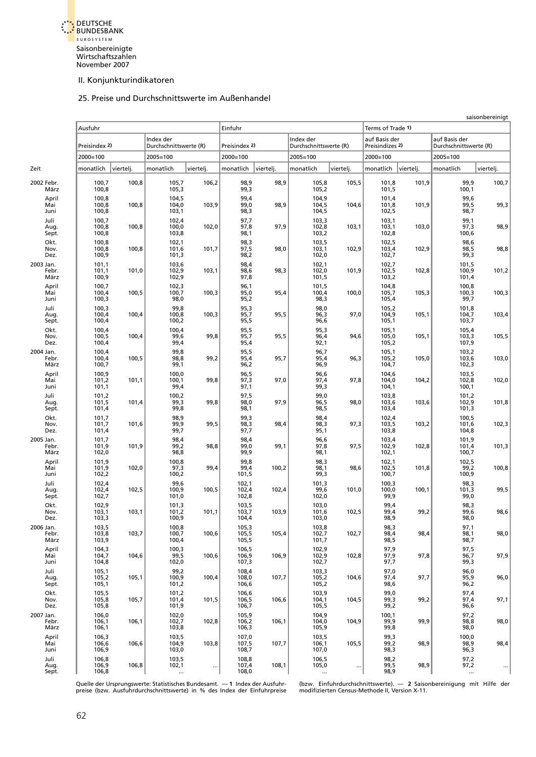<span id="page-47-0"></span>

#### 25. Preise und Durchschnittswerte im Außenhandel

|                            |                         |           |                                     |           |                         |           |                                     |           |                                  |           |                                         | saisonbereinigt |
|----------------------------|-------------------------|-----------|-------------------------------------|-----------|-------------------------|-----------|-------------------------------------|-----------|----------------------------------|-----------|-----------------------------------------|-----------------|
|                            | Ausfuhr                 |           |                                     |           | Einfuhr                 |           |                                     |           | Terms of Trade 1)                |           |                                         |                 |
|                            | Preisindex 2)           |           | Index der<br>Durchschnittswerte (R) |           | Preisindex 2)           |           | Index der<br>Durchschnittswerte (R) |           | auf Basis der<br>Preisindizes 2) |           | auf Basis der<br>Durchschnittswerte (R) |                 |
|                            | 2000=100                |           | 2005=100                            |           | $2000 = 100$            |           | $2005 = 100$                        |           | $2000 = 100$                     |           | $2005 = 100$                            |                 |
| Zeit                       | monatlich               | viertelj. | monatlich                           | viertelj. | monatlich               | viertelj. | monatlich                           | viertelj. | monatlich                        | viertelj. | monatlich                               | viertelj.       |
| 2002 Febr.<br>März         | 100,7<br>100,8          | 100,8     | 105,7<br>105,3                      | 106,2     | 98,9<br>99,3            | 98,9      | 105,8<br>105,2                      | 105,5     | 101,8<br>101,5                   | 101,9     | 99,9<br>100,1                           | 100,7           |
| April<br>Mai<br>Juni       | 100,8<br>100,8<br>100,8 | 100,8     | 104,5<br>104,0<br>103,1             | 103,9     | 99,4<br>99,0<br>98,3    | 98,9      | 104,9<br>104,5<br>104,5             | 104,6     | 101,4<br>101,8<br>102,5          | 101,9     | 99,6<br>99,5<br>98,7                    | 99,3            |
| Juli<br>Aug.<br>Sept.      | 100,7<br>100,8<br>100,8 | 100,8     | 102,4<br>100,0<br>103,8             | 102,0     | 97,7<br>97,8<br>98,1    | 97,9      | 103,3<br>102,8<br>103,2             | 103,1     | 103,1<br>103,1<br>102,8          | 103,0     | 99,1<br>97,3<br>100,6                   | 98,9            |
| Okt.<br>Nov.<br>Dez.       | 100,8<br>100,8<br>100,9 | 100,8     | 102,1<br>101,6<br>101,3             | 101,7     | 98,3<br>97,5<br>98,2    | 98,0      | 103,5<br>103,1<br>102,0             | 102,9     | 102,5<br>103,4<br>102,7          | 102,9     | 98,6<br>98,5<br>99,3                    | 98,8            |
| 2003 Jan.<br>Febr.<br>März | 101,1<br>101,1<br>100,9 | 101,0     | 103,6<br>102,9<br>102,9             | 103,1     | 98,4<br>98,6<br>97,8    | 98,3      | 102,1<br>102,0<br>101,5             | 101,9     | 102,7<br>102,5<br>103,2          | 102,8     | 101,5<br>100,9<br>101,4                 | 101,2           |
| April<br>Mai<br>Juni       | 100,7<br>100,4<br>100,3 | 100,5     | 102,3<br>100,7<br>98,0              | 100,3     | 96,1<br>95,0<br>95,2    | 95,4      | 101,5<br>100,4<br>98,3              | 100,0     | 104,8<br>105,7<br>105,4          | 105,3     | 100,8<br>100,3<br>99,7                  | 100,3           |
| Juli<br>Aug.<br>Sept.      | 100,3<br>100,4<br>100,4 | 100,4     | 99,8<br>100,8<br>100,2              | 100,3     | 95,3<br>95,7<br>95,5    | 95,5      | 98,0<br>96,3<br>96,6                | 97,0      | 105,2<br>104,9<br>105,1          | 105,1     | 101,8<br>104,7<br>103,7                 | 103,4           |
| Okt.<br>Nov.<br>Dez.       | 100,4<br>100,5<br>100,4 | 100,4     | 100,4<br>99,6<br>99,4               | 99,8      | 95,5<br>95,7<br>95,4    | 95,5      | 95,3<br>96,4<br>92,1                | 94,6      | 105,1<br>105,0<br>105,2          | 105,1     | 105,4<br>103,3<br>107,9                 | 105,5           |
| 2004 Jan.<br>Febr.<br>März | 100,4<br>100,4<br>100,7 | 100,5     | 99,8<br>98,8<br>99,1                | 99,2      | 95,5<br>95,4<br>96,2    | 95,7      | 96,7<br>95,4<br>96,9                | 96,3      | 105,1<br>105,2<br>104,7          | 105,0     | 103,2<br>103,6<br>102,3                 | 103,0           |
| April<br>Mai<br>Juni       | 100,9<br>101,2<br>101,1 | 101,1     | 100,0<br>100,1<br>99,4              | 99,8      | 96,5<br>97,3<br>97,1    | 97,0      | 96,6<br>97,4<br>99,3                | 97,8      | 104,6<br>104,0<br>104,1          | 104,2     | 103,5<br>102,8<br>100,1                 | 102,0           |
| Juli<br>Aug.<br>Sept.      | 101,2<br>101,5<br>101,4 | 101,4     | 100,2<br>99,3<br>99,8               | 99,8      | 97,5<br>98,0<br>98,1    | 97,9      | 99,0<br>96,5<br>98,5                | 98,0      | 103,8<br>103,6<br>103,4          | 103,6     | 101,2<br>102,9<br>101,3                 | 101,8           |
| Okt.<br>Nov.<br>Dez.       | 101,7<br>101,7<br>101,4 | 101,6     | 98,9<br>99,9<br>99,7                | 99,5      | 99,3<br>98,3<br>97,7    | 98,4      | 98,4<br>98,3<br>95,1                | 97,3      | 102,4<br>103,5<br>103,8          | 103,2     | 100,5<br>101,6<br>104,8                 | 102,3           |
| 2005 Jan.<br>Febr.<br>März | 101,7<br>101,9<br>102,0 | 101,9     | 98,4<br>99,2<br>98,8                | 98,8      | 98,4<br>99,0<br>99,9    | 99,1      | 96,6<br>97,8<br>98,1                | 97,5      | 103,4<br>102,9<br>102,1          | 102,8     | 101,9<br>101,4<br>100,7                 | 101,3           |
| April<br>Mai<br>Juni       | 101,9<br>101,9<br>102,2 | 102,0     | 100,8<br>97,3<br>100,2              | 99,4      | 99,8<br>99,4<br>101,5   | 100,2     | 98,3<br>98,1<br>99,3                | 98,6      | 102,1<br>102,5<br>100,7          | 101,8     | 102,5<br>99,2<br>100,9                  | 100,8           |
| Juli<br>Aug.<br>Sept.      | 102,4<br>102,4<br>102,7 | 102,5     | 99,6<br>100,9<br>101,0              | 100,5     | 102,1<br>102,4<br>102,8 | 102,4     | 101,3<br>99,6<br>102,0              | 101,0     | 100,3<br>100,0<br>99,9           | 100,1     | 98,3<br>101,3<br>99,0                   | 99,5            |
| Okt.<br>Nov.<br>Dez.       | 102,9<br>103,1<br>103,3 | 103,1     | 101,3<br>101,2<br>100,9             | 101,1     | 103,5<br>103,7<br>104,4 | 103,9     | 103,0<br>101,6<br>103,0             | 102,5     | 99,4<br>99,4<br>98,9             | 99,2      | 98,3<br>99,6<br>98,0                    | 98,6            |
| 2006 Jan.<br>Febr.<br>März | 103,5<br>103,8<br>103,9 | 103,7     | 100,8<br>100,7<br>100,4             | 100,6     | 105,3<br>105,5<br>105,5 | 105,4     | 103,8<br>102,7<br>101,7             | 102,7     | 98,3<br>98,4<br>98,5             | 98,4      | 97,1<br>98,1<br>98,7                    | 98,0            |
| April<br>Mai<br>Juni       | 104,3<br>104,7<br>104,8 | 104,6     | 100,3<br>99,5<br>102,0              | 100,6     | 106,5<br>106,9<br>107,3 | 106,9     | 102,9<br>102,9<br>102,7             | 102,8     | 97,9<br>97,9<br>97,7             | 97,8      | 97,5<br>96,7<br>99,3                    | 97,9            |
| Juli<br>Aug.<br>Sept.      | 105,1<br>105,2<br>105,1 | 105,1     | 99,2<br>100,9<br>101,2              | 100,4     | 108,4<br>108,0<br>106,6 | 107,7     | 103,3<br>105,2<br>105,2             | 104,6     | 97,0<br>97,4<br>98,6             | 97,7      | 96,0<br>95,9<br>96,2                    | 96,0            |
| Okt.<br>Nov.<br>Dez.       | 105,5<br>105,8<br>105,8 | 105,7     | 101,2<br>101,4<br>101,9             | 101,5     | 106,6<br>106,5<br>106,7 | 106,6     | 103,9<br>104,1<br>105,5             | 104,5     | 99,0<br>99,3<br>99,2             | 99,2      | 97,4<br>97,4<br>96,6                    | 97,1            |
| 2007 Jan.<br>Febr.<br>März | 106,0<br>106,1<br>106,1 | 106,1     | 102,0<br>102,7<br>103,8             | 102,8     | 105,9<br>106,2<br>106,3 | 106,1     | 104,9<br>104,0<br>105,9             | 104,9     | 100,1<br>99,9<br>99,8            | 99,9      | 97,2<br>98,8<br>98,0                    | 98,0            |
| April<br>Mai<br>Juni       | 106,3<br>106,6<br>106,9 | 106,6     | 103,5<br>104,9<br>103,0             | 103,8     | 107,0<br>107,5<br>108,7 | 107,7     | 103,5<br>106,1<br>107,0             | 105,5     | 99,3<br>99,2<br>98,3             | 98,9      | 100,0<br>98,9<br>96,3                   | 98,4            |
| Juli<br>Aug.<br>Sept.      | 106,8<br>106,9<br>106,8 | 106,8     | 103,5<br>102,1<br>$\ddotsc$         |           | 108,8<br>107,4<br>108,0 | 108,1     | 106,5<br>105,0                      | $\ddotsc$ | 98,2<br>99,5<br>98,9             | 98,9      | 97,2<br>97,2                            |                 |

Quelle der Ursprungswerte: Statistisches Bundesamt. — 1 Index der Ausfuhr- (bzw. Einfuhrdurchschnittswerte). — 2 Saisonbereinigung mit Hilfe der<br>preise (bzw. Ausfuhrdurchschnittswerte) in % des Index der Einfuhrpreise modi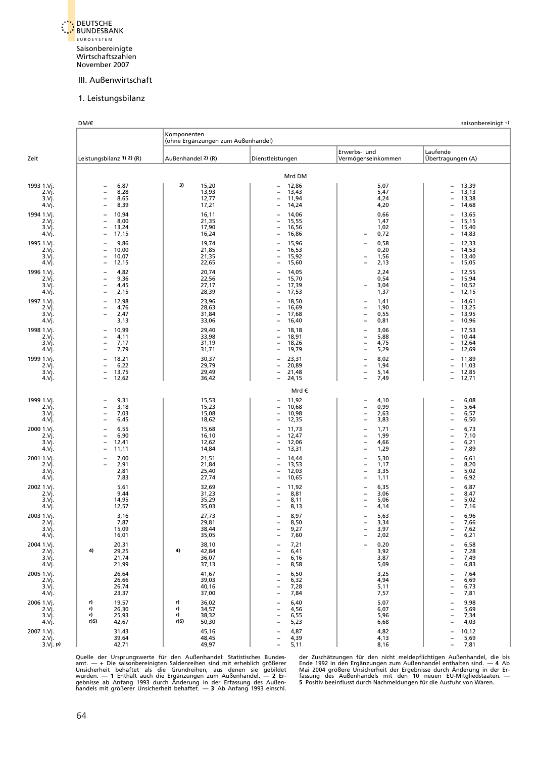<span id="page-48-0"></span>

#### 1. Leistungsbilanz

|                                          | DM/€                                                                                                                                          | Komponenten<br>(ohne Ergänzungen zum Außenhandel)          |                                                                                                                                           |                                                                                                                                              | saisonbereinigt +)                                                                                               |
|------------------------------------------|-----------------------------------------------------------------------------------------------------------------------------------------------|------------------------------------------------------------|-------------------------------------------------------------------------------------------------------------------------------------------|----------------------------------------------------------------------------------------------------------------------------------------------|------------------------------------------------------------------------------------------------------------------|
| Zeit                                     | Leistungsbilanz 1) 2) (R)                                                                                                                     | Außenhandel 2) (R)                                         | Dienstleistungen                                                                                                                          | Erwerbs- und<br>Vermögenseinkommen                                                                                                           | Laufende<br>Übertragungen (A)                                                                                    |
|                                          |                                                                                                                                               |                                                            | Mrd DM                                                                                                                                    |                                                                                                                                              |                                                                                                                  |
| 1993 1.Vj.<br>2.Vj.<br>3.Vi.<br>4.Vj.    | 6,87<br>8,28<br>$\overline{\phantom{0}}$<br>$\overline{\phantom{a}}$<br>8,65<br>8,39                                                          | 3)<br>15,20<br>13,93<br>12,77<br>17,21                     | 12,86<br>13,43<br>$\overline{\phantom{a}}$<br>11,94<br>$\qquad \qquad -$<br>14,24                                                         | 5,07<br>5,47<br>4,24<br>4,20                                                                                                                 | 13,39<br>13,13<br>13,38<br>14,68                                                                                 |
| 1994 1.Vj.<br>2.Vi.<br>3.Vj.<br>4.Vj.    | 10,94<br>8,00<br>13,24<br>17,15<br>$\overline{\phantom{0}}$                                                                                   | 16,11<br>21,35<br>17,90<br>16,24                           | 14,06<br>15,55<br>$\qquad \qquad -$<br>16,56<br>$\qquad \qquad -$<br>16,86<br>$\overline{\phantom{0}}$                                    | 0,66<br>1,47<br>1,02<br>0,72                                                                                                                 | 13,65<br>15,15<br>$\overline{\phantom{0}}$<br>15,40<br>14,83<br>$\overline{\phantom{a}}$                         |
| 1995 1.Vj.<br>2.Vi.<br>3.Vi.<br>4.Vj.    | 9,86<br>10,00<br>$\overline{\phantom{0}}$<br>10,07<br>$\overline{\phantom{0}}$<br>12,15<br>$\overline{\phantom{0}}$                           | 19,74<br>21,85<br>21,35<br>22,65                           | 15,96<br>16,53<br>$\overline{\phantom{a}}$<br>15,92<br>15,60                                                                              | 0,58<br>0,20<br>1,56<br>2,13                                                                                                                 | 12,33<br>14,53<br>$\overline{\phantom{a}}$<br>13,40<br>15,05<br>$\overline{\phantom{0}}$                         |
| 1996 1.Vj.<br>2.Vj.<br>3.Vj.<br>4.Vj.    | 4,82<br>9,36<br>$\overline{\phantom{0}}$<br>4,45<br>$\overline{\phantom{a}}$<br>2,15                                                          | 20,74<br>22,56<br>27,17<br>28,39                           | 14,05<br>$\overline{\phantom{0}}$<br>15,70<br>$\qquad \qquad -$<br>17,39<br>$\qquad \qquad -$<br>17,53                                    | 2,24<br>0,54<br>3,04<br>1,37                                                                                                                 | 12,55<br>15,94<br>10,52<br>$\overline{\phantom{a}}$<br>12,15                                                     |
| 1997 1.Vj.<br>$2.V$ j.<br>3.Vj.<br>4.Vj. | 12,98<br>$\overline{\phantom{0}}$<br>4,76<br>$\overline{\phantom{0}}$<br>2,47<br>$\overline{\phantom{a}}$<br>3,13                             | 23,96<br>28,63<br>31,84<br>33,06                           | 18,50<br>$\overline{\phantom{0}}$<br>16,69<br>$\qquad \qquad -$<br>17,68<br>$\overline{\phantom{a}}$<br>16,40<br>$\overline{\phantom{0}}$ | 1,41<br>$\overline{\phantom{0}}$<br>1,90<br>L,<br>0,55<br>-<br>0,81<br>$\overline{\phantom{a}}$                                              | 14,61<br>13,25<br>13,95<br>$\overline{\phantom{a}}$<br>10,96<br>$\overline{\phantom{0}}$                         |
| 1998 1.Vj.<br>2.Vj.<br>3.Vj.<br>4.Vj.    | 10,99<br>$\overline{\phantom{0}}$<br>4,11<br>$\overline{\phantom{0}}$<br>7,17<br>$\overline{\phantom{0}}$<br>7,79<br>$\overline{\phantom{0}}$ | 29,40<br>33,98<br>31,19<br>31,71                           | 18,18<br>18,91<br>$\qquad \qquad -$<br>18,26<br>$\qquad \qquad -$<br>19,79                                                                | 3,06<br>$\overline{\phantom{0}}$<br>5,88<br>$\overline{\phantom{0}}$<br>4,75<br>$\overline{\phantom{0}}$<br>5,29<br>L,                       | 17,53<br>10,44<br>$\overline{\phantom{0}}$<br>12,64<br>$\overline{\phantom{0}}$<br>12,69<br>$\overline{a}$       |
| 1999 1.Vj.<br>$2.V$ j.<br>3.Vj.<br>4.Vj. | 18,21<br>6,22<br>$\overline{a}$<br>13,75<br>$\overline{\phantom{0}}$<br>12,62                                                                 | 30,37<br>29,79<br>29,49<br>36,42                           | 23,31<br>$\overline{\phantom{0}}$<br>20,89<br>$\overline{\phantom{0}}$<br>21,48<br>$\qquad \qquad -$<br>24,15<br>$\qquad \qquad -$        | 8,02<br>1,94<br>-<br>5,14<br>$\overline{\phantom{0}}$<br>7,49<br>$\overline{\phantom{0}}$                                                    | 11,89<br>11,03<br>$\overline{\phantom{0}}$<br>12,85<br>$\qquad \qquad -$<br>12,71                                |
|                                          |                                                                                                                                               |                                                            | Mrd €                                                                                                                                     |                                                                                                                                              |                                                                                                                  |
| 1999 1.Vj.<br>2.Vj.<br>3.Vj.<br>4.Vj.    | 9,31<br>3,18<br>$\overline{\phantom{a}}$<br>7,03<br>6,45<br>$\overline{\phantom{0}}$                                                          | 15,53<br>15,23<br>15,08<br>18,62                           | 11,92<br>$\qquad \qquad -$<br>10,68<br>$\overline{\phantom{0}}$<br>10,98<br>$\qquad \qquad -$<br>12,35                                    | 4,10<br>0,99<br>$\overline{\phantom{0}}$<br>2,63<br>$\overline{\phantom{0}}$<br>3,83<br>$\overline{\phantom{0}}$                             | 6,08<br>5,64<br>6,57<br>6,50                                                                                     |
| 2000 1.Vj.<br>2.Vj.<br>3.Vj.<br>4.Vj.    | 6,55<br>6,90<br>$\overline{\phantom{0}}$<br>12,41<br>$\overline{\phantom{0}}$<br>11,11                                                        | 15,68<br>16,10<br>12,62<br>14,84                           | 11,73<br>12,47<br>$\qquad \qquad -$<br>12,06<br>$\overline{\phantom{0}}$<br>13,31                                                         | 1,71<br>$\overline{\phantom{0}}$<br>1,99<br>$\overline{\phantom{0}}$<br>4,66<br>$\overline{\phantom{0}}$<br>1,29<br>$\overline{\phantom{0}}$ | 6,73<br>7,10<br>$\overline{\phantom{0}}$<br>6,21<br>$\overline{\phantom{0}}$<br>7,89                             |
| 2001 1.Vj.<br>2.Vj.<br>3.Vj.<br>4.Vj.    | 7,00<br>$\overline{\phantom{0}}$<br>2,91<br>2,81<br>7,83                                                                                      | 21,51<br>21,84<br>25,40<br>27,74                           | 14,44<br>$\overline{\phantom{0}}$<br>13,53<br>$\qquad \qquad -$<br>12,03<br>$\qquad \qquad -$<br>10,65<br>$\overline{\phantom{0}}$        | 5,30<br>$\overline{\phantom{0}}$<br>1,17<br>$\overline{\phantom{0}}$<br>3,35<br>$\overline{\phantom{0}}$<br>1,11<br>L,                       | 6,61<br>8,20<br>$\overline{\phantom{0}}$<br>5,02<br>$\overline{\phantom{a}}$<br>6,92<br>$\overline{\phantom{0}}$ |
| 2002 1.Vj.<br>2.Vj.<br>3.Vj.<br>4.Vj.    | 5,61<br>9,44<br>14,95<br>12,57                                                                                                                | 32,69<br>31,23<br>35,29<br>35,03                           | 11,92<br>8,81<br>$\overline{\phantom{0}}$<br>8,11<br>$\overline{\phantom{0}}$<br>8,13                                                     | 6,35<br>3,06<br>$\overline{\phantom{0}}$<br>5,06<br>$\overline{\phantom{0}}$<br>4,14                                                         | 6,87<br>8,47<br>$\qquad \qquad -$<br>5,02<br>$\qquad \qquad -$<br>7,16                                           |
| 2003 1.Vj.<br>2.Vj.<br>3.Vj.<br>4.Vj.    | 3,16<br>7,87<br>15,09<br>16,01                                                                                                                | 27,73<br>29,81<br>38,44<br>35,05                           | 8,97<br>8,50<br>9,27<br>7,60<br>$\overline{\phantom{0}}$                                                                                  | 5,63<br>$\overline{\phantom{0}}$<br>3,34<br>3,97<br>2,02                                                                                     | 6,96<br>7,66<br>7,62<br>6,21                                                                                     |
| 2004 1.Vj.<br>2.Vj.<br>3.Vj.<br>4.Vj.    | 20,31<br>4)<br>29,25<br>21,74<br>21,99                                                                                                        | 38,10<br>4)<br>42,84<br>36,07<br>37,13                     | 7,21<br>6,41<br>6,16<br>$\overline{\phantom{0}}$<br>8,58<br>$\overline{\phantom{0}}$                                                      | 0,20<br>3,92<br>3,87<br>5,09                                                                                                                 | 6,58<br>7,28<br>7,49<br>6,83                                                                                     |
| 2005 1.Vj.<br>2.Vj.<br>3.Vj.<br>4.Vj.    | 26,64<br>26,66<br>26,74<br>23,37                                                                                                              | 41,67<br>39,03<br>40,16<br>37,00                           | 6,50<br>6,32<br>7,28<br>L,<br>7,84<br>۰                                                                                                   | 3,25<br>4,94<br>5,11<br>7,57                                                                                                                 | 7,64<br>6,69<br>6,73<br>7,81                                                                                     |
| 2006 1.Vj.<br>2.Vj.<br>3.Vj.<br>4.Vj.    | 19,57<br>r)<br>26,30<br>r)<br>r)<br>25,93<br>r)5)<br>42,67                                                                                    | 36,02<br>r)<br>34,57<br>r)<br>r)<br>38,32<br>50,30<br>r)5) | 6,40<br>4,56<br>6,55<br>5,23<br>$\overline{\phantom{0}}$                                                                                  | 5,07<br>6,07<br>5,96<br>6,68                                                                                                                 | 9,98<br>5,69<br>7,34<br>4,03                                                                                     |
| 2007 1.Vj.<br>2.Vj.<br>3.Vj. p)          | 31,43<br>39,64<br>42,71                                                                                                                       | 45,16<br>48,45<br>49,97                                    | 4,87<br>4,39<br>5,11<br>$\qquad \qquad -$                                                                                                 | 4,82<br>4,13<br>8,16                                                                                                                         | 10,12<br>5,69<br>7,81                                                                                            |

Quelle der Ursprungswerte für den Außenhandel: Statistisches Bundes- der Zuschätzungen für den nicht meldepflichtigen Außenhandel, die bis<br>amt. — + Die saisonbereinigten Saldenreihen sind mit erheblich größerer Ende 1992 i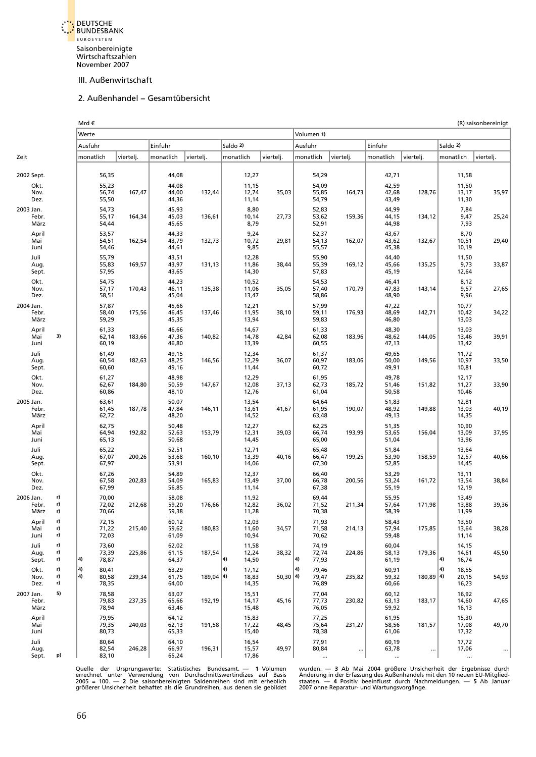<span id="page-49-0"></span>

#### 2. Außenhandel – Gesamtübersicht

|      |                            |                | Mrd €                               |           |                         |             |                               |           | (R) saisonbereinigt                    |           |                            |             |                                       |           |  |  |  |
|------|----------------------------|----------------|-------------------------------------|-----------|-------------------------|-------------|-------------------------------|-----------|----------------------------------------|-----------|----------------------------|-------------|---------------------------------------|-----------|--|--|--|
|      |                            |                | Werte                               |           |                         |             |                               |           | Volumen 1)                             |           |                            |             |                                       |           |  |  |  |
|      |                            |                | Ausfuhr                             |           | Einfuhr                 |             | Saldo 2)                      |           | Ausfuhr                                |           | Einfuhr                    |             | Saldo 2)                              |           |  |  |  |
| Zeit |                            |                | monatlich                           | viertelj. | monatlich               | viertelj.   | monatlich                     | viertelj. | monatlich                              | viertelj. | monatlich                  | viertelj.   | monatlich                             | viertelj. |  |  |  |
|      | 2002 Sept.                 |                | 56,35                               |           | 44,08                   |             | 12,27                         |           | 54,29                                  |           | 42,71                      |             | 11,58                                 |           |  |  |  |
|      | Okt.                       |                | 55,23                               |           | 44,08                   |             | 11,15                         |           | 54,09                                  |           | 42,59                      |             | 11,50                                 |           |  |  |  |
|      | Nov.<br>Dez.               |                | 56,74<br>55,50                      | 167,47    | 44,00<br>44,36          | 132,44      | 12,74<br>11,14                | 35,03     | 55,85<br>54,79                         | 164,73    | 42,68<br>43,49             | 128,76      | 13,17<br>11,30                        | 35,97     |  |  |  |
|      | 2003 Jan.                  |                | 54,73                               |           | 45,93                   |             | 8,80                          |           | 52,83                                  |           | 44,99                      |             | 7,84                                  |           |  |  |  |
|      | Febr.<br>März              |                | 55,17<br>54,44                      | 164,34    | 45,03<br>45,65          | 136,61      | 10,14<br>8,79                 | 27,73     | 53,62<br>52,91                         | 159,36    | 44,15<br>44,98             | 134,12      | 9,47<br>7,93                          | 25,24     |  |  |  |
|      | April<br>Mai<br>Juni       |                | 53,57<br>54,51<br>54,46             | 162,54    | 44,33<br>43,79<br>44,61 | 132,73      | 9,24<br>10,72<br>9,85         | 29,81     | 52,37<br>54,13<br>55,57                | 162,07    | 43,67<br>43,62<br>45,38    | 132,67      | 8,70<br>10,51<br>10,19                | 29,40     |  |  |  |
|      | Juli                       |                | 55,79                               |           | 43,51                   |             | 12,28                         |           | 55,90                                  |           | 44,40                      |             | 11,50                                 |           |  |  |  |
|      | Aug.<br>Sept.              |                | 55,83<br>57,95                      | 169,57    | 43,97<br>43,65          | 131,13      | 11,86<br>14,30                | 38,44     | 55,39<br>57,83                         | 169,12    | 45,66<br>45,19             | 135,25      | 9,73<br>12,64                         | 33,87     |  |  |  |
|      | Okt.                       |                | 54,75<br>57,17                      |           | 44,23                   |             | 10,52<br>11,06                | 35,05     | 54,53                                  |           | 46,41                      |             | 8,12<br>9,57                          | 27,65     |  |  |  |
|      | Nov.<br>Dez.               |                | 58,51                               | 170,43    | 46,11<br>45,04          | 135,38      | 13,47                         |           | 57,40<br>58,86                         | 170,79    | 47,83<br>48,90             | 143,14      | 9,96                                  |           |  |  |  |
|      | 2004 Jan.<br>Febr.<br>März |                | 57,87<br>58,40<br>59,29             | 175,56    | 45,66<br>46,45<br>45,35 | 137,46      | 12,21<br>11,95<br>13,94       | 38,10     | 57,99<br>59,11<br>59,83                | 176,93    | 47,22<br>48,69<br>46,80    | 142,71      | 10,77<br>10,42<br>13,03               | 34,22     |  |  |  |
|      | April<br>Mai<br>Juni       | 3)             | 61,33<br>62,14<br>60,19             | 183,66    | 46,66<br>47,36<br>46,80 | 140,82      | 14,67<br>14,78<br>13,39       | 42,84     | 61,33<br>62,08<br>60,55                | 183,96    | 48,30<br>48,62<br>47,13    | 144,05      | 13,03<br>13,46<br>13,42               | 39,91     |  |  |  |
|      | Juli<br>Aug.<br>Sept.      |                | 61,49<br>60,54<br>60,60             | 182,63    | 49,15<br>48,25<br>49,16 | 146,56      | 12,34<br>12,29<br>11,44       | 36,07     | 61,37<br>60,97<br>60,72                | 183,06    | 49,65<br>50,00<br>49,91    | 149,56      | 11,72<br>10,97<br>10,81               | 33,50     |  |  |  |
|      | Okt.<br>Nov.<br>Dez.       |                | 61,27<br>62,67<br>60,86             | 184,80    | 48,98<br>50,59<br>48,10 | 147,67      | 12,29<br>12,08<br>12,76       | 37,13     | 61,95<br>62,73<br>61,04                | 185,72    | 49,78<br>51,46<br>50,58    | 151,82      | 12,17<br>11,27<br>10,46               | 33,90     |  |  |  |
|      | 2005 Jan.<br>Febr.<br>März |                | 63,61<br>61,45<br>62,72             | 187,78    | 50,07<br>47,84<br>48,20 | 146,11      | 13,54<br>13,61<br>14,52       | 41,67     | 64,64<br>61,95<br>63,48                | 190,07    | 51,83<br>48,92<br>49,13    | 149,88      | 12,81<br>13,03<br>14,35               | 40,19     |  |  |  |
|      | April<br>Mai<br>Juni       |                | 62,75<br>64,94<br>65,13             | 192,82    | 50,48<br>52,63<br>50,68 | 153,79      | 12,27<br>12,31<br>14,45       | 39,03     | 62,25<br>66,74<br>65,00                | 193,99    | 51,35<br>53,65<br>51,04    | 156,04      | 10,90<br>13,09<br>13,96               | 37,95     |  |  |  |
|      | Juli<br>Aug.<br>Sept.      |                | 65,22<br>67,07<br>67,97             | 200,26    | 52,51<br>53,68<br>53,91 | 160,10      | 12,71<br>13,39<br>14,06       | 40,16     | 65,48<br>66,47<br>67,30                | 199,25    | 51,84<br>53,90<br>52,85    | 158,59      | 13,64<br>12,57<br>14,45               | 40,66     |  |  |  |
|      | Okt.                       |                | 67,26                               |           | 54,89                   |             | 12,37                         |           | 66,40                                  |           | 53,29                      |             | 13,11                                 |           |  |  |  |
|      | Nov.<br>Dez.               |                | 67,58<br>67,99                      | 202,83    | 54,09<br>56,85          | 165,83      | 13,49<br>11,14                | 37,00     | 66,78<br>67,38                         | 200,56    | 53,24<br>55,19             | 161,72      | 13,54<br>12,19                        | 38,84     |  |  |  |
|      | 2006 Jan.<br>Febr.<br>März | r)<br>r)<br>r) | 70,00<br>72,02<br>70,66             | 212,68    | 58,08<br>59,20<br>59,38 | 176,66      | 11,92<br>12,82<br>11,28       | 36,02     | 69,44<br>71,52<br>70,38                | 211,34    | 55,95<br>57,64<br>58,39    | 171,98      | 13,49<br>13,88<br>11,99               | 39,36     |  |  |  |
|      | April<br>Mai<br>Juni       | r)<br>r)<br>r) | 72,15<br>71,22<br>72,03             | 215,40    | 60,12<br>59,62<br>61,09 | 180,83      | 12,03<br>11,60<br>10,94       | 34,57     | 71,93<br>71,58<br>70,62                | 214,13    | 58,43<br>57,94<br>59,48    | 175,85      | 13,50<br>13,64<br>11,14               | 38,28     |  |  |  |
|      | Juli<br>Aug.<br>Sept.      | r)<br>r)<br>r) | 73,60<br>73,39<br>4)<br>78,87       | 225,86    | 62,02<br>61,15<br>64,37 | 187,54      | 11,58<br>12,24<br>(4<br>14,50 | 38,32     | 74,19<br>72,74<br>$ 4\rangle$<br>77,93 | 224,86    | 60,04<br>58,13<br>61,19    | 179,36      | 14,15<br>14,61<br>4)<br>16,74         | 45,50     |  |  |  |
|      | Okt.<br>Nov.<br>Dez.       | r)<br>r)<br>r) | 4)<br>80,41<br>4)<br>80,58<br>78,35 | 239,34    | 63,29<br>61,75<br>64,00 | $189,04$ 4) | (4<br>17,12<br>18,83<br>14,35 | 50,30 4   | 4)<br>79,46<br>79,47<br>76,89          | 235,82    | 60,91<br>59,32<br>60,66    | $180,89$ 4) | $\vert$ 4)<br>18,55<br>20,15<br>16,23 | 54,93     |  |  |  |
|      | 2007 Jan.<br>Febr.<br>März | 5)             | 78,58<br>79,83<br>78,94             | 237,35    | 63,07<br>65,66<br>63,46 | 192,19      | 15,51<br>14,17<br>15,48       | 45,16     | 77,04<br>77,73<br>76,05                | 230,82    | 60,12<br>63,13<br>59,92    | 183,17      | 16,92<br>14,60<br>16,13               | 47,65     |  |  |  |
|      | April<br>Mai<br>Juni       |                | 79,95<br>79,35<br>80,73             | 240,03    | 64,12<br>62,13<br>65,33 | 191,58      | 15,83<br>17,22<br>15,40       | 48,45     | 77,25<br>75,64<br>78,38                | 231,27    | 61,95<br>58,56<br>61,06    | 181,57      | 15,30<br>17,08<br>17,32               | 49,70     |  |  |  |
|      | Juli<br>Aug.<br>Sept.      | p)             | 80,64<br>82,54<br>83,10             | 246,28    | 64,10<br>66,97<br>65,24 | 196,31      | 16,54<br>15,57<br>17,86       | 49,97     | 77,91<br>80,84                         | $\ldots$  | 60,19<br>63,78<br>$\ldots$ | $\cdots$    | 17,72<br>17,06<br>$\ddotsc$           | $\cdots$  |  |  |  |

Quelle der Ursprungswerte: Statistisches Bundesamt. — 1 Volumen wurden. — 3 Ab Mai 2004 größere Unsicherheit der Ergebnisse durch<br>errechnet unter Verwendung von Durchschnittswertindizes auf Basis Änderung in der Erfassung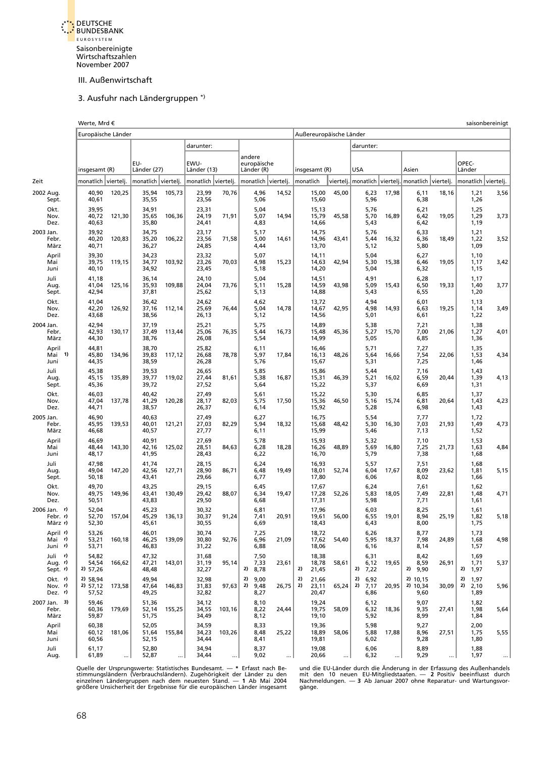<span id="page-50-0"></span>

#### 3. Ausfuhr nach Ländergruppen \*)

|                                     | Werte, Mrd €                  |        |                         |        |                         |        |                           |                      |       |           |                         |                         |                      |                      |       |                              | saisonbereinigt |                 |                         |                     |  |  |  |  |  |  |
|-------------------------------------|-------------------------------|--------|-------------------------|--------|-------------------------|--------|---------------------------|----------------------|-------|-----------|-------------------------|-------------------------|----------------------|----------------------|-------|------------------------------|-----------------|-----------------|-------------------------|---------------------|--|--|--|--|--|--|
|                                     | Europäische Länder            |        |                         |        |                         |        |                           |                      |       |           |                         | Außereuropäische Länder |                      |                      |       |                              |                 |                 |                         |                     |  |  |  |  |  |  |
|                                     |                               |        |                         |        | darunter:               |        |                           |                      |       |           |                         |                         | darunter:            |                      |       |                              |                 |                 |                         |                     |  |  |  |  |  |  |
|                                     |                               |        |                         |        |                         |        | andere                    |                      |       |           |                         |                         |                      |                      |       |                              |                 |                 |                         |                     |  |  |  |  |  |  |
|                                     | insgesamt (R)                 |        | EU-<br>Länder (27)      |        | EWU-<br>Länder (13)     |        | europäische<br>Länder (R) |                      |       |           | insgesamt (R)           |                         | <b>USA</b>           |                      |       | Asien                        |                 | OPEC-<br>Länder |                         |                     |  |  |  |  |  |  |
| Zeit                                | monatlich viertelj.           |        | monatlich viertelj.     |        | monatlich viertelj.     |        |                           | monatlich viertelj.  |       | monatlich |                         | viertelj.   monatlich   |                      |                      |       | viertelj.   monatlich        | viertelj.       |                 |                         | monatlich viertelj. |  |  |  |  |  |  |
| 2002 Aug.<br>Sept.                  | 40,90<br>40,61                | 120,25 | 35,94<br>35,55          | 105,73 | 23,99<br>23,56          | 70,76  |                           | 4,96<br>5,06         | 14,52 |           | 15,00<br>15,60          | 45,00                   |                      | 6,23<br>5,96         | 17,98 | 6,11<br>6,38                 | 18,16           |                 | 1,21<br>1,26            | 3,56                |  |  |  |  |  |  |
| Okt.<br>Nov.<br>Dez.                | 39,95<br>40,72<br>40,63       | 121,30 | 34,91<br>35,65<br>35,80 | 106,36 | 23,31<br>24,19<br>24,41 | 71,91  |                           | 5,04<br>5,07<br>4,83 | 14,94 |           | 15,13<br>15,79<br>14,66 | 45,58                   |                      | 5,76<br>5,70<br>5,43 | 16,89 | 6,21<br>6,42<br>6,42         | 19,05           |                 | 1,25<br>1,29<br>1,19    | 3,73                |  |  |  |  |  |  |
| 2003 Jan.<br>Febr.<br>März          | 39,92<br>40,20<br>40,71       | 120,83 | 34,75<br>35,20<br>36,27 | 106,22 | 23,17<br>23,56<br>24,85 | 71,58  |                           | 5,17<br>5,00<br>4,44 | 14,61 |           | 14,75<br>14,96<br>13,70 | 43,41                   |                      | 5,76<br>5,44<br>5,12 | 16,32 | 6,33<br>6,36<br>5,80         | 18,49           |                 | 1,21<br>1,22<br>1,09    | 3,52                |  |  |  |  |  |  |
| April<br>Mai<br>Juni                | 39,30<br>39,75<br>40,10       | 119,15 | 34,23<br>34,77<br>34,92 | 103,92 | 23,32<br>23,26<br>23,45 | 70,03  |                           | 5,07<br>4,98<br>5,18 | 15,23 |           | 14,11<br>14,63<br>14,20 | 42,94                   |                      | 5,04<br>5,30<br>5,04 | 15,38 | 6,27<br>6,46<br>6,32         | 19,05           |                 | 1,10<br>1,17<br>1,15    | 3,42                |  |  |  |  |  |  |
| Juli<br>Aug.<br>Sept.               | 41,18<br>41,04<br>42,94       | 125,16 | 36,14<br>35,93<br>37,81 | 109,88 | 24,10<br>24,04<br>25,62 | 73,76  |                           | 5,04<br>5,11<br>5,13 | 15,28 |           | 14,51<br>14,59<br>14,88 | 43,98                   |                      | 4,91<br>5,09<br>5,43 | 15,43 | 6,28<br>6,50<br>6,55         | 19,33           |                 | 1,17<br>1,40<br>1,20    | 3,77                |  |  |  |  |  |  |
| Okt.<br>Nov.<br>Dez.                | 41,04<br>42,20<br>43,68       | 126,92 | 36,42<br>37,16<br>38,56 | 112,14 | 24,62<br>25,69<br>26,13 | 76,44  |                           | 4,62<br>5,04<br>5,12 | 14,78 |           | 13,72<br>14,67<br>14,56 | 42,95                   |                      | 4,94<br>4,98<br>5,01 | 14,93 | 6,01<br>6,63<br>6,61         | 19,25           |                 | 1,13<br>1,14<br>1,22    | 3,49                |  |  |  |  |  |  |
| 2004 Jan.<br>Febr.<br>März          | 42,94<br>42,93<br>44,30       | 130,17 | 37,19<br>37,49<br>38,76 | 113,44 | 25,21<br>25,06<br>26,08 | 76,35  |                           | 5,75<br>5,44<br>5,54 | 16,73 |           | 14,89<br>15,48<br>14,99 | 45,36                   |                      | 5,38<br>5,27<br>5,05 | 15,70 | 7,21<br>7,00<br>6,85         | 21,06           |                 | 1,38<br>1,27<br>1,36    | 4,01                |  |  |  |  |  |  |
| April<br>Mai 1)<br>Juni             | 44,81<br>45,80<br>44,35       | 134,96 | 38,70<br>39,83<br>38,59 | 117,12 | 25,82<br>26,68<br>26,28 | 78,78  |                           | 6,11<br>5,97<br>5,76 | 17,84 |           | 16,46<br>16,13<br>15,67 | 48,26                   |                      | 5,71<br>5,64<br>5,31 | 16,66 | 7,27<br>7,54<br>7,25         | 22,06           |                 | 1,35<br>1,53<br>1,46    | 4,34                |  |  |  |  |  |  |
| Juli<br>Aug.<br>Sept.               | 45,38<br>45,15<br>45,36       | 135,89 | 39,53<br>39,77<br>39,72 | 119,02 | 26,65<br>27,44<br>27,52 | 81,61  |                           | 5,85<br>5,38<br>5,64 | 16,87 |           | 15,86<br>15,31<br>15,22 | 46,39                   |                      | 5,44<br>5,21<br>5,37 | 16,02 | 7,16<br>6,59<br>6,69         | 20,44           |                 | 1,43<br>1,39<br>1,31    | 4,13                |  |  |  |  |  |  |
| Okt.<br>Nov.<br>Dez.                | 46,03<br>47,04<br>44,71       | 137,78 | 40,42<br>41,29<br>38,57 | 120,28 | 27,49<br>28,17<br>26,37 | 82,03  |                           | 5,61<br>5,75<br>6,14 | 17,50 |           | 15,22<br>15,36<br>15,92 | 46,50                   |                      | 5,30<br>5,16<br>5,28 | 15,74 | 6,85<br>6,81<br>6,98         | 20,64           |                 | 1,37<br>1,43<br>1,43    | 4,23                |  |  |  |  |  |  |
| 2005 Jan.<br>Febr.<br>März          | 46,90<br>45,95<br>46,68       | 139,53 | 40,63<br>40,01<br>40,57 | 121,21 | 27,49<br>27,03<br>27,77 | 82,29  |                           | 6,27<br>5,94<br>6,11 | 18,32 |           | 16,75<br>15,68<br>15,99 | 48,42                   |                      | 5,54<br>5,30<br>5,46 | 16,30 | 7,77<br>7,03<br>7,13         | 21,93           |                 | 1,72<br>1,49<br>1,52    | 4,73                |  |  |  |  |  |  |
| April<br>Mai<br>Juni                | 46,69<br>48,44<br>48,17       | 143,30 | 40,91<br>42,16<br>41,95 | 125,02 | 27,69<br>28,51<br>28,43 | 84,63  |                           | 5,78<br>6,28<br>6,22 | 18,28 |           | 15,93<br>16,26<br>16,70 | 48,89                   |                      | 5,32<br>5,69<br>5,79 | 16,80 | 7,10<br>7,25<br>7,38         | 21,73           |                 | 1,53<br>1,63<br>1,68    | 4,84                |  |  |  |  |  |  |
| Juli<br>Aug.<br>Sept.               | 47,98<br>49,04<br>50,18       | 147,20 | 41,74<br>42,56<br>43,41 | 127,71 | 28,15<br>28,90<br>29,66 | 86,71  |                           | 6,24<br>6,48<br>6,77 | 19,49 |           | 16,93<br>18,01<br>17,80 | 52,74                   |                      | 5,57<br>6,04<br>6,06 | 17,67 | 7,51<br>8,09<br>8,02         | 23,62           |                 | 1,68<br>1,81<br>1,66    | 5,15                |  |  |  |  |  |  |
| Okt.<br>Nov.<br>Dez.                | 49,70<br>49,75<br>50,51       | 149,96 | 43,25<br>43,41<br>43,83 | 130,49 | 29,15<br>29,42<br>29,50 | 88,07  |                           | 6,45<br>6,34<br>6,68 | 19,47 |           | 17,67<br>17,28<br>17,31 | 52,26                   |                      | 6,24<br>5,83<br>5,98 | 18,05 | 7,61<br>7,49<br>7,71         | 22,81           |                 | 1,62<br>1,48<br>1,61    | 4,71                |  |  |  |  |  |  |
| 2006 Jan. n'<br>Febr. r)<br>März r) | 52,04<br>52,70<br>52,30       | 157,04 | 45,23<br>45,29<br>45,61 | 136,13 | 30,32<br>30,37<br>30,55 | 91,24  |                           | 6,81<br>7,41<br>6,69 | 20,91 |           | 17,96<br>19,61<br>18,43 | 56,00                   |                      | 6,03<br>6,55<br>6,43 | 19,01 | 8,25<br>8,94<br>8,00         | 25,19           |                 | 1,61<br>1,82<br>1,75    | 5,18                |  |  |  |  |  |  |
| April r)<br>Mai r)<br>Juni r)       | 53,26<br>53,21<br>53,71       | 160,18 | 46,01<br>46,25<br>46,83 | 139,09 | 30,74<br>30,80<br>31,22 | 92,76  |                           | 7,25<br>6,96<br>6,88 | 21,09 |           | 18,72<br>17,62<br>18,06 | 54,40                   |                      | 6,26<br>5,95<br>6,16 | 18,37 | 8,77<br>7,98<br>8,14         | 24,89           |                 | 1,73<br>1,68<br>1,57    | 4,98                |  |  |  |  |  |  |
| Juli r)<br>Aug. r)<br>Sept. r)      | 54,82<br>54,54<br>2) 57,26    | 166,62 | 47,32<br>47,21<br>48,48 | 143,01 | 31,68<br>31,19<br>32,27 | 95,14  | 2) 8,78                   | 7,50<br>7,33         | 23,61 | 2)        | 18,38<br>18,78<br>21,45 | 58,61                   | 2) 7,22              | 6,31<br>6,12         | 19,65 | 8,42<br>8,59<br>$2)$ 9,90    | 26,91           |                 | 1,69<br>1,71<br>2) 1,97 | 5,37                |  |  |  |  |  |  |
| Okt. r)<br>Nov. $r$<br>Dez. r)      | 2) 58,94<br>2) 57,12<br>57,52 | 173,58 | 49,94<br>47,64<br>49,25 | 146,83 | 32,98<br>31,83<br>32,82 | 97,63  | 2)<br>2)                  | 9,00<br>9,48<br>8,27 | 26,75 | 2)<br>2)  | 21,66<br>23,11<br>20,47 | 65,24                   | 2) 6,92<br>$2)$ 7,17 | 6,86                 | 20,95 | 2) 10,15<br>2) 10,34<br>9,60 | 30,09           | 2)<br>2)        | 1,97<br>2,10<br>1,89    | 5,96                |  |  |  |  |  |  |
| 2007 Jan. 3)<br>Febr.<br>März       | 59,46<br>60,36<br>59,87       | 179,69 | 51,36<br>52,14<br>51,75 | 155,25 | 34,12<br>34,55<br>34,49 | 103,16 |                           | 8,10<br>8,22<br>8,12 | 24,44 |           | 19,24<br>19,75<br>19,10 | 58,09                   |                      | 6,12<br>6,32<br>5,92 | 18,36 | 9,07<br>9,35<br>8,99         | 27,41           |                 | 1,82<br>1,98<br>1,84    | 5,64                |  |  |  |  |  |  |
| April<br>Mai<br>Juni                | 60,38<br>60,12<br>60,56       | 181,06 | 52,05<br>51,64<br>52,15 | 155,84 | 34,59<br>34,23<br>34,44 | 103,26 |                           | 8,33<br>8,48<br>8,41 | 25,22 |           | 19,36<br>18,89<br>19,81 | 58,06                   |                      | 5,98<br>5,88<br>6,02 | 17,88 | 9,27<br>8,96<br>9,28         | 27,51           |                 | 2,00<br>1,75<br>1,80    | 5,55                |  |  |  |  |  |  |
| Juli<br>Aug.                        | 61,17<br>61,89                |        | 52,80<br>52,87          |        | 34,94<br>34,44          |        |                           | 8,37<br>9,02         |       |           | 19,08<br>20,66          |                         |                      | 6,06<br>6,32         |       | 8,89<br>9,29                 |                 |                 | 1,88<br>1,97            |                     |  |  |  |  |  |  |

Quelle der Ursprungswerte: Statistisches Bundesamt. — \* Erfasst nach Be- und die EU-Länder durch die Änderung in der Erfassung des Außenhandels<br>stimmungsländern (Verbrauchsländern). Zugehörigkeit der Länder zu den mit den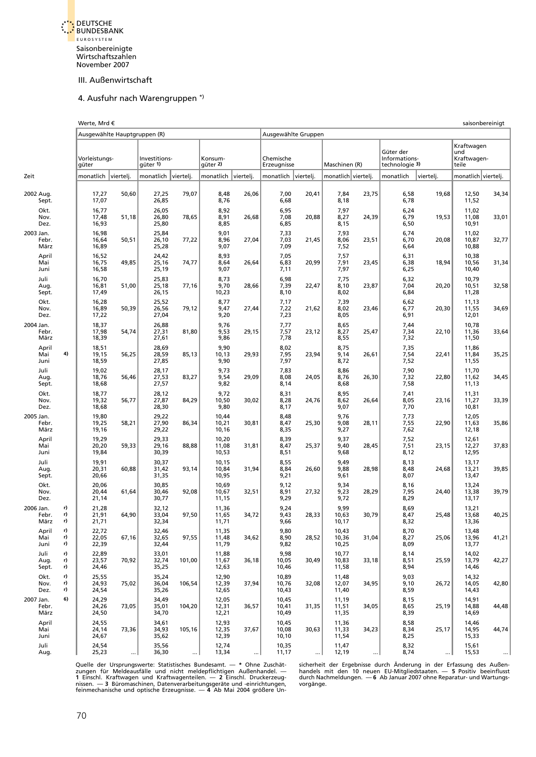<span id="page-51-0"></span>

#### 4. Ausfuhr nach Warengruppen \*)

|                            |                | Werte, Mrd €<br>Ausgewählte Hauptgruppen (R)<br>Ausgewählte Gruppen |           |                           |           |                         |           |                          |           |                         |       |                                              |           |                                           | saisonbereinigt |  |
|----------------------------|----------------|---------------------------------------------------------------------|-----------|---------------------------|-----------|-------------------------|-----------|--------------------------|-----------|-------------------------|-------|----------------------------------------------|-----------|-------------------------------------------|-----------------|--|
|                            |                |                                                                     |           |                           |           |                         |           |                          |           |                         |       |                                              |           |                                           |                 |  |
|                            |                | Vorleistungs-<br>güter                                              |           | Investitions-<br>güter 1) |           | Konsum-<br>güter 2)     |           | Chemische<br>Erzeugnisse |           | Maschinen (R)           |       | Güter der<br>Informations-<br>technologie 3) |           | Kraftwagen<br>und<br>Kraftwagen-<br>teile |                 |  |
| Zeit                       |                | monatlich                                                           | viertelj. | monatlich                 | viertelj. | monatlich               | viertelj. | monatlich                | vierteli. | monatlich viertelj.     |       | monatlich                                    | vierteli. | monatlich viertelj.                       |                 |  |
| 2002 Aug.<br>Sept.         |                | 17,27<br>17,07                                                      | 50,60     | 27,25<br>26,85            | 79,07     | 8,48<br>8,76            | 26,06     | 7,00<br>6,68             | 20,41     | 7,84<br>8,18            | 23,75 | 6,58<br>6,78                                 | 19,68     | 12,50<br>11,52                            | 34,34           |  |
| Okt.<br>Nov.<br>Dez.       |                | 16,77<br>17,48<br>16,93                                             | 51,18     | 26,05<br>26,80<br>25,80   | 78,65     | 8,92<br>8,91<br>8,85    | 26,68     | 6,95<br>7,08<br>6,85     | 20,88     | 7,97<br>8,27<br>8,15    | 24,39 | 6,24<br>6,79<br>6,50                         | 19,53     | 11,02<br>11,08<br>10,91                   | 33,01           |  |
| 2003 Jan.<br>Febr.<br>März |                | 16,98<br>16,64<br>16,89                                             | 50,51     | 25,84<br>26,10<br>25,28   | 77,22     | 9,01<br>8,96<br>9,07    | 27,04     | 7,33<br>7,03<br>7,09     | 21,45     | 7,93<br>8,06<br>7,52    | 23,51 | 6,74<br>6,70<br>6,64                         | 20,08     | 11,02<br>10,87<br>10,88                   | 32,77           |  |
| April<br>Mai<br>Juni       |                | 16,52<br>16,75<br>16,58                                             | 49,85     | 24,42<br>25,16<br>25,19   | 74,77     | 8,93<br>8,64<br>9,07    | 26,64     | 7,05<br>6,83<br>7,11     | 20,99     | 7,57<br>7,91<br>7,97    | 23,45 | 6,31<br>6,38<br>6,25                         | 18,94     | 10,38<br>10,56<br>10,40                   | 31,34           |  |
| Juli<br>Aug.<br>Sept.      |                | 16,70<br>16,81<br>17,49                                             | 51,00     | 25,83<br>25,18<br>26,15   | 77,16     | 8,73<br>9,70<br>10,23   | 28,66     | 6,98<br>7,39<br>8,10     | 22,47     | 7,75<br>8,10<br>8,02    | 23,87 | 6,32<br>7,04<br>6,84                         | 20,20     | 10,79<br>10,51<br>11,28                   | 32,58           |  |
| Okt.<br>Nov.<br>Dez.       |                | 16,28<br>16,89<br>17,22                                             | 50,39     | 25,52<br>26,56<br>27,04   | 79,12     | 8,77<br>9,47<br>9,20    | 27,44     | 7,17<br>7,22<br>7,23     | 21,62     | 7,39<br>8,02<br>8,05    | 23,46 | 6,62<br>6,77<br>6,91                         | 20,30     | 11,13<br>11,55<br>12,01                   | 34,69           |  |
| 2004 Jan.<br>Febr.<br>März |                | 18,37<br>17,98<br>18,39                                             | 54,74     | 26,88<br>27,31<br>27,61   | 81,80     | 9,76<br>9,53<br>9,86    | 29,15     | 7,77<br>7,57<br>7,78     | 23,12     | 8,65<br>8,27<br>8,55    | 25,47 | 7,44<br>7,34<br>7,32                         | 22,10     | 10,78<br>11,36<br>11,50                   | 33,64           |  |
| April<br>Mai<br>Juni       | 4)             | 18,51<br>19,15<br>18,59                                             | 56,25     | 28,69<br>28,59<br>27,85   | 85,13     | 9,90<br>10,13<br>9,90   | 29,93     | 8,02<br>7,95<br>7,97     | 23,94     | 8,75<br>9,14<br>8,72    | 26,61 | 7,35<br>7,54<br>7,52                         | 22,41     | 11,86<br>11,84<br>11,55                   | 35,25           |  |
| Juli<br>Aug.<br>Sept.      |                | 19,02<br>18,76<br>18,68                                             | 56,46     | 28,17<br>27,53<br>27,57   | 83,27     | 9,73<br>9,54<br>9,82    | 29,09     | 7,83<br>8,08<br>8,14     | 24,05     | 8,86<br>8,76<br>8,68    | 26,30 | 7,90<br>7,32<br>7,58                         | 22,80     | 11,70<br>11,62<br>11,13                   | 34,45           |  |
| Okt.<br>Nov.<br>Dez.       |                | 18,77<br>19,32<br>18,68                                             | 56,77     | 28,12<br>27,87<br>28,30   | 84,29     | 9,72<br>10,50<br>9,80   | 30,02     | 8,31<br>8,28<br>8,17     | 24,76     | 8,95<br>8,62<br>9,07    | 26,64 | 7,41<br>8,05<br>7,70                         | 23,16     | 11,31<br>11,27<br>10,81                   | 33,39           |  |
| 2005 Jan.<br>Febr.<br>März |                | 19,80<br>19,25<br>19,16                                             | 58,21     | 29,22<br>27,90<br>29,22   | 86,34     | 10,44<br>10,21<br>10,16 | 30,81     | 8,48<br>8,47<br>8,35     | 25,30     | 9,76<br>9,08<br>9,27    | 28,11 | 7,73<br>7,55<br>7,62                         | 22,90     | 12,05<br>11,63<br>12,18                   | 35,86           |  |
| April<br>Mai<br>Juni       |                | 19,29<br>20,20<br>19,84                                             | 59,33     | 29,33<br>29,16<br>30,39   | 88,88     | 10,20<br>11,08<br>10,53 | 31,81     | 8,39<br>8,47<br>8,51     | 25,37     | 9,37<br>9,40<br>9,68    | 28,45 | 7,52<br>7,51<br>8,12                         | 23,15     | 12,61<br>12,27<br>12,95                   | 37,83           |  |
| Juli<br>Aug.<br>Sept.      |                | 19,91<br>20,31<br>20,66                                             | 60,88     | 30,37<br>31,42<br>31,35   | 93,14     | 10,15<br>10,84<br>10,95 | 31,94     | 8,55<br>8,84<br>9,21     | 26,60     | 9,49<br>9,88<br>9,61    | 28,98 | 8,13<br>8,48<br>8,07                         | 24,68     | 13,17<br>13,21<br>13,47                   | 39,85           |  |
| Okt.<br>Nov.<br>Dez.       |                | 20,06<br>20,44<br>21,14                                             | 61,64     | 30,85<br>30,46<br>30,77   | 92,08     | 10,69<br>10,67<br>11,15 | 32,51     | 9,12<br>8,91<br>9,29     | 27,32     | 9,34<br>9,23<br>9,72    | 28,29 | 8,16<br>7,95<br>8,29                         | 24,40     | 13,24<br>13,38<br>13,17                   | 39,79           |  |
| 2006 Jan.<br>Febr.<br>März | r)<br>r)<br>r) | 21,28<br>21,91<br>21,71                                             | 64,90     | 32,12<br>33,04<br>32,34   | 97,50     | 11,36<br>11,65<br>11,71 | 34,72     | 9,24<br>9,43<br>9,66     | 28,33     | 9,99<br>10,63<br>10,17  | 30,79 | 8,69<br>8,47<br>8,32                         | 25,48     | 13,21<br>13,68<br>13,36                   | 40,25           |  |
| April<br>Mai<br>Juni       | r)<br>r)<br>r) | 22,72<br>22,05<br>22,39                                             | 67,16     | 32,46<br>32,65<br>32,44   | 97,55     | 11,35<br>11,48<br>11,79 | 34,62     | 9,80<br>8,90<br>9,82     | 28,52     | 10,43<br>10,36<br>10,25 | 31,04 | 8,70<br>8,27<br>8,09                         | 25,06     | 13,48<br>13,96<br>13,77                   | 41,21           |  |
| Juli<br>Aug.<br>Sept.      | r)<br>r)<br>r) | 22,89<br>23,57<br>24,46                                             | 70,92     | 33,01<br>32,74<br>35,25   | 101,00    | 11,88<br>11,67<br>12,63 | 36,18     | 9,98<br>10,05<br>10,46   | 30,49     | 10,77<br>10,83<br>11,58 | 33,18 | 8,14<br>8,51<br>8,94                         | 25,59     | 14,02<br>13,79<br>14,46                   | 42,27           |  |
| Okt.<br>Nov.<br>Dez.       | r)<br>r)<br>r) | 25,55<br>24,93<br>24,54                                             | 75,02     | 35,24<br>36,04<br>35,26   | 106,54    | 12,90<br>12,39<br>12,65 | 37,94     | 10,89<br>10,76<br>10,43  | 32,08     | 11,48<br>12,07<br>11,40 | 34,95 | 9,03<br>9,10<br>8,59                         | 26,72     | 14,32<br>14,05<br>14,43                   | 42,80           |  |
| 2007 Jan.<br>Febr.<br>März | 6)             | 24,29<br>24,26<br>24,50                                             | 73,05     | 34,49<br>35,01<br>34,70   | 104,20    | 12,05<br>12,31<br>12,21 | 36,57     | 10,45<br>10,41<br>10,49  | 31,35     | 11,19<br>11,51<br>11,35 | 34,05 | 8,15<br>8,65<br>8,39                         | 25,19     | 14,91<br>14,88<br>14,69                   | 44,48           |  |
| April<br>Mai<br>Juni       |                | 24,55<br>24,14<br>24,67                                             | 73,36     | 34,61<br>34,93<br>35,62   | 105,16    | 12,93<br>12,35<br>12,39 | 37,67     | 10,45<br>10,08<br>10,10  | 30,63     | 11,36<br>11,33<br>11,54 | 34,23 | 8,58<br>8,34<br>8,25                         | 25,17     | 14,46<br>14,95<br>15,33                   | 44,74           |  |
| Juli                       |                | 24,54                                                               |           | 35,56                     |           | 12,74                   |           | 10,35                    |           | 11,47                   |       | 8,32                                         |           | 15,61                                     |                 |  |

... 25,23 ... 36,30 ... 11,17 ... 12,19 ... 8,74 ... 15,53 ... ... 4 ... 15,53 ..

Quelle der Ursprungswerte: Statistisches Bundesamt. — \* Ohne Zuschät-clienteit der Ergebnisse durch Anderung in der Erfassung des Außen-<br>2010 gen für Meldeausfälle und nicht meldepflichtigen Außenhandel. — handels mit den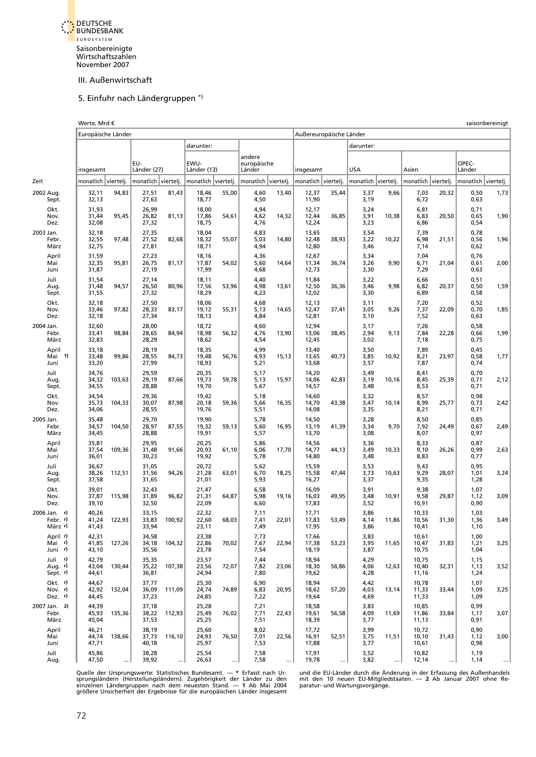<span id="page-52-0"></span>

#### 5. Einfuhr nach Ländergruppen \*)

|                                          | Werte, Mrd €<br>saisonbereinigt<br>Außereuropäische Länder |        |                         |        |                         |       |                       |       |                         |       |                      |       |                         |       |                      |      |
|------------------------------------------|------------------------------------------------------------|--------|-------------------------|--------|-------------------------|-------|-----------------------|-------|-------------------------|-------|----------------------|-------|-------------------------|-------|----------------------|------|
|                                          | Europäische Länder                                         |        |                         |        |                         |       |                       |       |                         |       |                      |       |                         |       |                      |      |
|                                          |                                                            |        |                         |        | darunter:               |       |                       |       |                         |       | darunter:            |       |                         |       |                      |      |
|                                          |                                                            |        |                         |        |                         |       | andere                |       |                         |       |                      |       |                         |       |                      |      |
|                                          | insgesamt                                                  |        | EU-<br>Länder (27)      |        | EWU-<br>Länder (13)     |       | europäische<br>Länder |       | insgesamt               |       | USA                  |       | Asien                   |       | OPEC-<br>Länder      |      |
| Zeit                                     | monatlich viertelj.                                        |        | monatlich viertelj.     |        | monatlich viertelj.     |       | monatlich viertelj.   |       | monatlich viertelj.     |       | monatlich viertelj.  |       | monatlich viertelj.     |       | monatlich viertelj.  |      |
| 2002 Aug.<br>Sept.                       | 32,11<br>32,13                                             | 94,83  | 27,51<br>27,63          | 81,43  | 18,46<br>18,77          | 55,00 | 4,60<br>4,50          | 13,40 | 12,37<br>11,90          | 35,44 | 3,37<br>3,19         | 9,66  | 7,03<br>6,72            | 20,32 | 0,50<br>0,63         | 1,73 |
| Okt.<br>Nov.<br>Dez.                     | 31,93<br>31,44<br>32,08                                    | 95,45  | 26,99<br>26,82<br>27,32 | 81,13  | 18,00<br>17,86<br>18,75 | 54,61 | 4,94<br>4,62<br>4,76  | 14,32 | 12,17<br>12,44<br>12,24 | 36,85 | 3,24<br>3,91<br>3,23 | 10,38 | 6,81<br>6,83<br>6,86    | 20,50 | 0,71<br>0,65<br>0,54 | 1,90 |
| 2003 Jan.<br>Febr.<br>März               | 32,18<br>32,55<br>32,75                                    | 97,48  | 27,35<br>27,52<br>27,81 | 82,68  | 18,04<br>18,32<br>18,71 | 55,07 | 4,83<br>5,03<br>4,94  | 14,80 | 13,65<br>12,48<br>12,80 | 38,93 | 3,54<br>3,22<br>3,46 | 10,22 | 7,39<br>6,98<br>7,14    | 21,51 | 0,78<br>0,56<br>0,62 | 1,96 |
| April<br>Mai<br>Juni                     | 31,59<br>32,35<br>31,87                                    | 95,81  | 27,23<br>26,75<br>27,19 | 81,17  | 18,16<br>17,87<br>17,99 | 54,02 | 4,36<br>5,60<br>4,68  | 14,64 | 12,67<br>11,34<br>12,73 | 36,74 | 3,34<br>3,26<br>3,30 | 9,90  | 7,04<br>6,71<br>7,29    | 21,04 | 0,76<br>0,61<br>0,63 | 2,00 |
| Juli<br>Aug.<br>Sept.                    | 31,54<br>31,48<br>31,55                                    | 94,57  | 27,14<br>26,50<br>27,32 | 80,96  | 18,11<br>17,56<br>18,29 | 53,96 | 4,40<br>4,98<br>4,23  | 13,61 | 11,84<br>12,50<br>12,02 | 36,36 | 3,22<br>3,46<br>3,30 | 9,98  | 6,66<br>6,82<br>6,89    | 20,37 | 0,51<br>0,50<br>0,58 | 1,59 |
| Okt.<br>Nov.<br>Dez.                     | 32,18<br>33,46<br>32,18                                    | 97,82  | 27,50<br>28,33<br>27,34 | 83,17  | 18,06<br>19,12<br>18,13 | 55,31 | 4,68<br>5,13<br>4,84  | 14,65 | 12,13<br>12,47<br>12,81 | 37,41 | 3,11<br>3,05<br>3,10 | 9,26  | 7,20<br>7,37<br>7,52    | 22,09 | 0,52<br>0,70<br>0,63 | 1,85 |
| 2004 Jan.<br>Febr.<br>März               | 32,60<br>33,41<br>32,83                                    | 98,84  | 28,00<br>28,65<br>28,29 | 84,94  | 18,72<br>18,98<br>18,62 | 56,32 | 4,60<br>4,76<br>4,54  | 13,90 | 12,94<br>13,06<br>12,45 | 38,45 | 3,17<br>2,94<br>3,02 | 9,13  | 7,26<br>7,84<br>7,18    | 22,28 | 0,58<br>0,66<br>0,75 | 1,99 |
| April<br>Mai 1)<br>Juni                  | 33,18<br>33,48<br>33,20                                    | 99,86  | 28,19<br>28,55<br>27,99 | 84,73  | 18,35<br>19,48<br>18,93 | 56,76 | 4,99<br>4,93<br>5,21  | 15,13 | 13,40<br>13,65<br>13,68 | 40,73 | 3,50<br>3,85<br>3,57 | 10,92 | 7,89<br>8,21<br>7,87    | 23,97 | 0,45<br>0,58<br>0,74 | 1,77 |
| Juli<br>Aug.<br>Sept.                    | 34,76<br>34,32<br>34,55                                    | 103,63 | 29,59<br>29,19<br>28,88 | 87,66  | 20,35<br>19,73<br>19,70 | 59,78 | 5,17<br>5,13<br>5,67  | 15,97 | 14,20<br>14,06<br>14,57 | 42,83 | 3,49<br>3,19<br>3,48 | 10,16 | 8,41<br>8,45<br>8,53    | 25,39 | 0,70<br>0,71<br>0,71 | 2,12 |
| Okt.<br>Nov.<br>Dez.                     | 34,54<br>35,73<br>34,06                                    | 104,33 | 29,36<br>30,07<br>28,55 | 87,98  | 19,42<br>20,18<br>19,76 | 59,36 | 5,18<br>5,66<br>5,51  | 16,35 | 14,60<br>14,70<br>14,08 | 43,38 | 3,32<br>3,47<br>3,35 | 10,14 | 8,57<br>8,99<br>8,21    | 25,77 | 0,98<br>0,73<br>0,71 | 2,42 |
| 2005 Jan.<br>Febr.<br>März               | 35,48<br>34,57<br>34,45                                    | 104,50 | 29,70<br>28,97<br>28,88 | 87,55  | 19,90<br>19,32<br>19,91 | 59,13 | 5,78<br>5,60<br>5,57  | 16,95 | 14,50<br>13,19<br>13,70 | 41,39 | 3,28<br>3,34<br>3,08 | 9,70  | 8,50<br>7,92<br>8,07    | 24,49 | 0,85<br>0,67<br>0,97 | 2,49 |
| April<br>Mai<br>Juni                     | 35,81<br>37,54<br>36,01                                    | 109,36 | 29,95<br>31,48<br>30,23 | 91,66  | 20,25<br>20,93<br>19,92 | 61,10 | 5,86<br>6,06<br>5,78  | 17,70 | 14,56<br>14,77<br>14,80 | 44,13 | 3,36<br>3,49<br>3,48 | 10,33 | 8,33<br>9,10<br>8,83    | 26,26 | 0,87<br>0,99<br>0,77 | 2,63 |
| Juli<br>Aug.<br>Sept.                    | 36,67<br>38,26<br>37,58                                    | 112,51 | 31,05<br>31,56<br>31,65 | 94,26  | 20,72<br>21,28<br>21,01 | 63,01 | 5,62<br>6,70<br>5,93  | 18,25 | 15,59<br>15,58<br>16,27 | 47,44 | 3,53<br>3,73<br>3,37 | 10,63 | 9,43<br>9,29<br>9,35    | 28,07 | 0,95<br>1,01<br>1,28 | 3,24 |
| Okt.<br>Nov.<br>Dez.                     | 39,01<br>37,87<br>39,10                                    | 115,98 | 32,43<br>31,89<br>32,50 | 96,82  | 21,47<br>21,31<br>22,09 | 64,87 | 6,58<br>5,98<br>6,60  | 19,16 | 16,09<br>16,03<br>17,83 | 49,95 | 3,91<br>3,48<br>3,52 | 10,91 | 9,38<br>9,58<br>10,91   | 29,87 | 1,07<br>1,12<br>0,90 | 3,09 |
| $2006$ Jan. $r$ )<br>Febr. r)<br>März r) | 40,26<br>41,24<br>41,43                                    | 122,93 | 33,15<br>33,83<br>33,94 | 100,92 | 22,32<br>22,60<br>23,11 | 68,03 | 7,11<br>7,41<br>7,49  | 22,01 | 17,71<br>17,83<br>17,95 | 53,49 | 3,86<br>4,14<br>3,86 | 11,86 | 10,33<br>10,56<br>10,41 | 31,30 | 1,03<br>1,36<br>1,10 | 3,49 |
| April r)<br>Mai r)<br>Juni r)            | 42,31<br>41,85<br>43,10                                    | 127,26 | 34,58<br>34,18<br>35,56 | 104,32 | 23,38<br>22,86<br>23,78 | 70,02 | 7,73<br>7,67<br>7,54  | 22,94 | 17,66<br>17,38<br>18,19 | 53,23 | 3,83<br>3,95<br>3,87 | 11,65 | 10,61<br>10,47<br>10,75 | 31,83 | 1,00<br>1,21<br>1,04 | 3,25 |
| Juli r)<br>Aug. r)<br>Sept. r)           | 42,79<br>43,04<br>44,61                                    | 130,44 | 35,35<br>35,22<br>36,81 | 107,38 | 23,57<br>23,56<br>24,94 | 72,07 | 7,44<br>7,82<br>7,80  | 23,06 | 18,94<br>18,30<br>19,62 | 56,86 | 4,29<br>4,06<br>4,28 | 12,63 | 10,75<br>10,40<br>11,16 | 32,31 | 1,15<br>1,13<br>1,24 | 3,52 |
| Okt. r)<br>Nov. $r$<br>Dez. r)           | 44,67<br>42,92<br>44,45                                    | 132,04 | 37,77<br>36,09<br>37,23 | 111,09 | 25,30<br>24,74<br>24,85 | 74,89 | 6,90<br>6,83<br>7,22  | 20,95 | 18,94<br>18,62<br>19,64 | 57,20 | 4,42<br>4,03<br>4,69 | 13,14 | 10,78<br>11,33<br>11,33 | 33,44 | 1,07<br>1,09<br>1,09 | 3,25 |
| 2007 Jan. 2)<br>Febr.<br>März            | 44,39<br>45,93<br>45,04                                    | 135,36 | 37,18<br>38,22<br>37,53 | 112,93 | 25,28<br>25,49<br>25,25 | 76,02 | 7,21<br>7,71<br>7,51  | 22,43 | 18,58<br>19,61<br>18,39 | 56,58 | 3,83<br>4,09<br>3,77 | 11,69 | 10,85<br>11,86<br>11,13 | 33,84 | 0,99<br>1,17<br>0,91 | 3,07 |
| April<br>Mai<br>Juni                     | 46,21<br>44,74<br>47,71                                    | 138,66 | 38,19<br>37,73<br>40,18 | 116,10 | 25,60<br>24,93<br>25,97 | 76,50 | 8,02<br>7,01<br>7,53  | 22,56 | 17,72<br>16,91<br>17,88 | 52,51 | 3,99<br>3,75<br>3,77 | 11,51 | 10,72<br>10,10<br>10,61 | 31,43 | 0,90<br>1,12<br>0,98 | 3,00 |
| Juli<br>Aug.                             | 45,86<br>47,50                                             |        | 38,28<br>39,92          |        | 25,54<br>26,63          |       | 7,58<br>7,58          |       | 17,91<br>19,78          |       | 3,52<br>3,82         |       | 10,82<br>12,14          |       | 1,19<br>1,14         |      |

Quelle der Ursprungswerte: Statistisches Bundesamt. — \* Erfasst nach Ur- und die EU-Länder durch die Anderung in der Erfassung des Außenhandels<br>sprungsländern (Herstellungsländern). Zugehörigkeit der Länder zu den mit den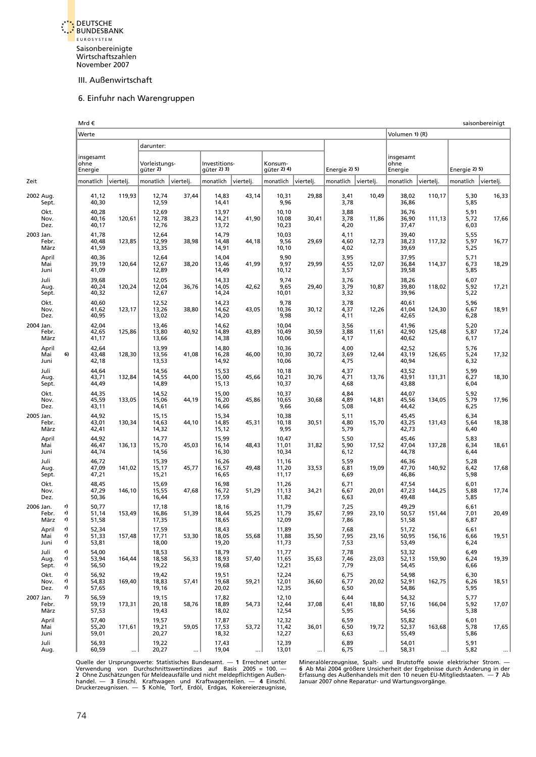<span id="page-53-0"></span>

#### 6. Einfuhr nach Warengruppen

|                            |                | Mrd €                   |           |                           |           |                              |           |                         |           |                      |           |                         |           |                      | saisonbereinigt |
|----------------------------|----------------|-------------------------|-----------|---------------------------|-----------|------------------------------|-----------|-------------------------|-----------|----------------------|-----------|-------------------------|-----------|----------------------|-----------------|
|                            |                | Werte                   |           |                           |           |                              |           |                         |           |                      |           | Volumen 1) (R)          |           |                      |                 |
|                            |                |                         |           | darunter:                 |           |                              |           |                         |           |                      |           |                         |           |                      |                 |
|                            |                | insgesamt               |           |                           |           |                              |           |                         |           |                      |           | insgesamt               |           |                      |                 |
|                            |                | ohne<br>Energie         |           | Vorleistungs-<br>güter 2) |           | Investitions-<br>güter 2) 3) |           | Konsum-<br>güter 2) 4)  |           | Energie 2) 5)        |           | ohne<br>Energie         |           | Energie 2) 5)        |                 |
| Zeit                       |                | monatlich               | viertelj. | monatlich                 | vierteli. | monatlich                    | vierteli. | monatlich               | viertelj. | monatlich            | vierteli. | monatlich               | viertelj. | monatlich            | viertelj.       |
| 2002 Aug.<br>Sept.         |                | 41,12<br>40,30          | 119,93    | 12,74<br>12,59            | 37,44     | 14,83<br>14,41               | 43,14     | 10,31<br>9,96           | 29,88     | 3,41<br>3,78         | 10,49     | 38,02<br>36,86          | 110,17    | 5,30<br>5,85         | 16,33           |
| Okt.<br>Nov.<br>Dez.       |                | 40,28<br>40,16<br>40,17 | 120,61    | 12,69<br>12,78<br>12,76   | 38,23     | 13,97<br>14,21<br>13,72      | 41,90     | 10,10<br>10,08<br>10,23 | 30,41     | 3,88<br>3,78<br>4,20 | 11,86     | 36,76<br>36,90<br>37,47 | 111,13    | 5,91<br>5,72<br>6,03 | 17,66           |
| 2003 Jan.<br>Febr.<br>März |                | 41,78<br>40,48<br>41,59 | 123,85    | 12,64<br>12,99<br>13,35   | 38,98     | 14,79<br>14,48<br>14,91      | 44,18     | 10,03<br>9,56<br>10,10  | 29,69     | 4,11<br>4,60<br>4,02 | 12,73     | 39,40<br>38,23<br>39,69 | 117,32    | 5,55<br>5,97<br>5,25 | 16,77           |
| April<br>Mai<br>Juni       |                | 40,36<br>39,19<br>41,09 | 120,64    | 12,64<br>12,67<br>12,89   | 38,20     | 14,04<br>13,46<br>14,49      | 41,99     | 9,90<br>9,97<br>10,12   | 29,99     | 3,95<br>4,55<br>3,57 | 12,07     | 37,95<br>36,84<br>39,58 | 114,37    | 5,71<br>6,73<br>5,85 | 18,29           |
| Juli<br>Aug.<br>Sept.      |                | 39,68<br>40,24<br>40,32 | 120,24    | 12,05<br>12,04<br>12,67   | 36,76     | 14,33<br>14,05<br>14,24      | 42,62     | 9,74<br>9,65<br>10,01   | 29,40     | 3,76<br>3,79<br>3,32 | 10,87     | 38,26<br>39,80<br>39,96 | 118,02    | 6,07<br>5,92<br>5,22 | 17,21           |
| Okt.<br>Nov.<br>Dez.       |                | 40,60<br>41,62<br>40,95 | 123,17    | 12,52<br>13,26<br>13,02   | 38,80     | 14,23<br>14,62<br>14,20      | 43,05     | 9,78<br>10,36<br>9,98   | 30,12     | 3,78<br>4,37<br>4,11 | 12,26     | 40,61<br>41,04<br>42,65 | 124,30    | 5,96<br>6,67<br>6,28 | 18,91           |
| 2004 Jan.<br>Febr.<br>März |                | 42,04<br>42,65<br>41,17 | 125,86    | 13,46<br>13,80<br>13,66   | 40,92     | 14,62<br>14,89<br>14,38      | 43,89     | 10,04<br>10,49<br>10,06 | 30,59     | 3,56<br>3,88<br>4,17 | 11,61     | 41,96<br>42,90<br>40,62 | 125,48    | 5,20<br>5,87<br>6,17 | 17,24           |
| April<br>Mai<br>Juni       | 6)             | 42,64<br>43,48<br>42,18 | 128,30    | 13,99<br>13,56<br>13,53   | 41,08     | 14,80<br>16,28<br>14,92      | 46,00     | 10,36<br>10,30<br>10,06 | 30,72     | 4,00<br>3,69<br>4,75 | 12,44     | 42,52<br>43,19<br>40,94 | 126,65    | 5,76<br>5,24<br>6,32 | 17,32           |
| Juli<br>Aug.<br>Sept.      |                | 44,64<br>43,71<br>44,49 | 132,84    | 14,56<br>14,55<br>14,89   | 44,00     | 15,53<br>15,00<br>15,13      | 45,66     | 10,18<br>10,21<br>10,37 | 30,76     | 4,37<br>4,71<br>4,68 | 13,76     | 43,52<br>43,91<br>43,88 | 131,31    | 5,99<br>6,27<br>6,04 | 18,30           |
| Okt.<br>Nov.<br>Dez.       |                | 44,35<br>45,59<br>43,11 | 133,05    | 14,52<br>15,06<br>14,61   | 44,19     | 15,00<br>16,20<br>14,66      | 45,86     | 10,37<br>10,65<br>9,66  | 30,68     | 4,84<br>4,89<br>5,08 | 14,81     | 44,07<br>45,56<br>44,42 | 134,05    | 5,92<br>5,79<br>6,25 | 17,96           |
| 2005 Jan.<br>Febr.<br>März |                | 44,92<br>43,01<br>42,41 | 130,34    | 15,15<br>14,63<br>14,32   | 44,10     | 15,34<br>14,85<br>15,12      | 45,31     | 10,38<br>10,18<br>9,95  | 30,51     | 5,11<br>4,80<br>5,79 | 15,70     | 45,45<br>43,25<br>42,73 | 131,43    | 6,34<br>5,64<br>6,40 | 18,38           |
| April<br>Mai<br>Juni       |                | 44,92<br>46,47<br>44,74 | 136,13    | 14,77<br>15,70<br>14,56   | 45,03     | 15,99<br>16,14<br>16,30      | 48,43     | 10,47<br>11,01<br>10,34 | 31,82     | 5,50<br>5,90<br>6,12 | 17,52     | 45,46<br>47,04<br>44,78 | 137,28    | 5,83<br>6,34<br>6,44 | 18,61           |
| Juli<br>Aug.<br>Sept.      |                | 46,72<br>47,09<br>47,21 | 141,02    | 15,39<br>15,17<br>15,21   | 45,77     | 16,26<br>16,57<br>16,65      | 49,48     | 11,16<br>11,20<br>11,17 | 33,53     | 5,59<br>6,81<br>6,69 | 19,09     | 46,36<br>47,70<br>46,86 | 140,92    | 5,28<br>6,42<br>5,98 | 17,68           |
| Okt.<br>Nov.<br>Dez.       |                | 48,45<br>47,29<br>50,36 | 146,10    | 15,69<br>15,55<br>16,44   | 47,68     | 16,98<br>16,72<br>17,59      | 51,29     | 11,26<br>11,13<br>11,82 | 34,21     | 6,71<br>6,67<br>6,63 | 20,01     | 47,54<br>47,23<br>49,48 | 144,25    | 6,01<br>5,88<br>5,85 | 17,74           |
| 2006 Jan.<br>Febr.<br>März | r)<br>r)<br>r) | 50,77<br>51,14<br>51,58 | 153,49    | 17,18<br>16,86<br>17,35   | 51,39     | 18,16<br>18,44<br>18,65      | 55,25     | 11,79<br>11,79<br>12,09 | 35,67     | 7,25<br>7,99<br>7,86 | 23,10     | 49,29<br>50,57<br>51,58 | 151,44    | 6,61<br>7,01<br>6,87 | 20,49           |
| April<br>Mai<br>Juni       | r)<br>r)<br>r) | 52,34<br>51,33<br>53,81 | 157,48    | 17,59<br>17,71<br>18,00   | 53,30     | 18,43<br>18,05<br>19,20      | 55,68     | 11,89<br>11,88<br>11,73 | 35,50     | 7,68<br>7,95<br>7,53 | 23,16     | 51,72<br>50,95<br>53,49 | 156,16    | 6,61<br>6,66<br>6,24 | 19,51           |
| Juli<br>Aug.<br>Sept.      | r)<br>r)<br>r) | 54,00<br>53,94<br>56,50 | 164,44    | 18,53<br>18,58<br>19,22   | 56,33     | 18,79<br>18,93<br>19,68      | 57,40     | 11,77<br>11,65<br>12,21 | 35,63     | 7,78<br>7,46<br>7,79 | 23,03     | 53,32<br>52,13<br>54,45 | 159,90    | 6,49<br>6,24<br>6,66 | 19,39           |
| Okt.<br>Nov.<br>Dez.       | r)<br>r)<br>r) | 56,92<br>54,83<br>57,65 | 169,40    | 19,42<br>18,83<br>19,16   | 57,41     | 19,51<br>19,68<br>20,02      | 59,21     | 12,24<br>12,01<br>12,35 | 36,60     | 6,75<br>6,77<br>6,50 | 20,02     | 54,98<br>52,91<br>54,86 | 162,75    | 6,30<br>6,26<br>5,95 | 18,51           |
| 2007 Jan.<br>Febr.<br>März | 7)             | 56,59<br>59,19<br>57,53 | 173,31    | 19,15<br>20,18<br>19,43   | 58,76     | 17,82<br>18,89<br>18,02      | 54,73     | 12,10<br>12,44<br>12,54 | 37,08     | 6,44<br>6,41<br>5,95 | 18,80     | 54,32<br>57,16<br>54,56 | 166,04    | 5,77<br>5,92<br>5,38 | 17,07           |
| April<br>Mai<br>Juni       |                | 57,40<br>55,20<br>59,01 | 171,61    | 19,57<br>19,21<br>20,27   | 59,05     | 17,87<br>17,53<br>18,32      | 53,72     | 12,32<br>11,42<br>12,27 | 36,01     | 6,59<br>6,50<br>6,63 | 19,72     | 55,82<br>52,37<br>55,49 | 163,68    | 6,01<br>5,78<br>5,86 | 17,65           |
| Juli<br>Aug.               |                | 56,93<br>60,59          |           | 19,22<br>20,27            |           | 17,43<br>19,04               |           | 12,39<br>13,01          |           | 6,89<br>6,75         |           | 54,01<br>58,31          |           | 5,91<br>5,82         |                 |

Quelle der Ursprungswerte: Statistisches Bundesamt. — 1 Errechnet unter Mineralölerzeugnisse, Spalt- und Brutstoffe sowie elektrischer Strom. —<br>Verwendung von Durchschnittswertindizes auf Basis 2005 = 100. — 6 Ab Mai 2004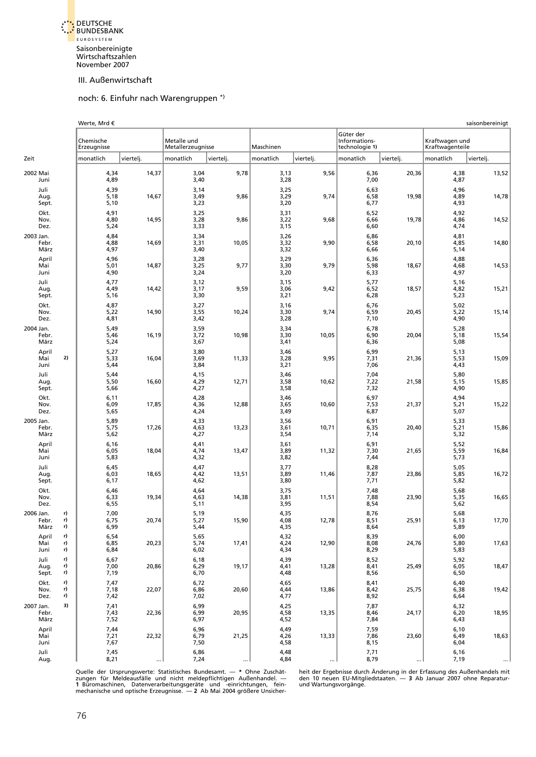<span id="page-54-0"></span>

#### noch: 6. Einfuhr nach Warengruppen \*)

|                            |                | Werte, Mrd €             |           |                                  |           |                      |           | saisonbereinigt                              |           |                                   |           |  |  |  |  |
|----------------------------|----------------|--------------------------|-----------|----------------------------------|-----------|----------------------|-----------|----------------------------------------------|-----------|-----------------------------------|-----------|--|--|--|--|
|                            |                | Chemische<br>Erzeugnisse |           | Metalle und<br>Metallerzeugnisse |           | Maschinen            |           | Güter der<br>Informations-<br>technologie 1) |           | Kraftwagen und<br>Kraftwagenteile |           |  |  |  |  |
| Zeit                       |                | monatlich                | viertelj. | monatlich                        | viertelj. | monatlich            | viertelj. | monatlich                                    | viertelj. | monatlich                         | viertelj. |  |  |  |  |
| 2002 Mai<br>Juni           |                | 4,34<br>4,89             | 14,37     | 3,04<br>3,40                     | 9,78      | 3,13<br>3,28         | 9,56      | 6,36<br>7,00                                 | 20,36     | 4,38<br>4,87                      | 13,52     |  |  |  |  |
| Juli<br>Aug.<br>Sept.      |                | 4,39<br>5,18<br>5,10     | 14,67     | 3,14<br>3,49<br>3,23             | 9,86      | 3,25<br>3,29<br>3,20 | 9,74      | 6,63<br>6,58<br>6,77                         | 19,98     | 4,96<br>4,89<br>4,93              | 14,78     |  |  |  |  |
| Okt.<br>Nov.<br>Dez.       |                | 4,91<br>4,80<br>5,24     | 14,95     | 3,25<br>3,28<br>3,33             | 9,86      | 3,31<br>3,22<br>3,15 | 9,68      | 6,52<br>6,66<br>6,60                         | 19,78     | 4,92<br>4,86<br>4,74              | 14,52     |  |  |  |  |
| 2003 Jan.<br>Febr.<br>März |                | 4,84<br>4,88<br>4,97     | 14,69     | 3,34<br>3,31<br>3,40             | 10,05     | 3,26<br>3,32<br>3,32 | 9,90      | 6,86<br>6,58<br>6,66                         | 20,10     | 4,81<br>4,85<br>5,14              | 14,80     |  |  |  |  |
| April<br>Mai<br>Juni       |                | 4,96<br>5,01<br>4,90     | 14,87     | 3,28<br>3,25<br>3,24             | 9,77      | 3,29<br>3,30<br>3,20 | 9,79      | 6,36<br>5,98<br>6,33                         | 18,67     | 4,88<br>4,68<br>4,97              | 14,53     |  |  |  |  |
| Juli<br>Aug.<br>Sept.      |                | 4,77<br>4,49<br>5,16     | 14,42     | 3,12<br>3,17<br>3,30             | 9,59      | 3,15<br>3,06<br>3,21 | 9,42      | 5,77<br>6,52<br>6,28                         | 18,57     | 5,16<br>4,82<br>5,23              | 15,21     |  |  |  |  |
| Okt.<br>Nov.<br>Dez.       |                | 4,87<br>5,22<br>4,81     | 14,90     | 3,27<br>3,55<br>3,42             | 10,24     | 3,16<br>3,30<br>3,28 | 9,74      | 6,76<br>6,59<br>7,10                         | 20,45     | 5,02<br>5,22<br>4,90              | 15,14     |  |  |  |  |
| 2004 Jan.<br>Febr.<br>März |                | 5,49<br>5,46<br>5,24     | 16,19     | 3,59<br>3,72<br>3,67             | 10,98     | 3,34<br>3,30<br>3,41 | 10,05     | 6,78<br>6,90<br>6,36                         | 20,04     | 5,28<br>5,18<br>5,08              | 15,54     |  |  |  |  |
| April<br>Mai<br>Juni       | 2)             | 5,27<br>5,33<br>5,44     | 16,04     | 3,80<br>3,69<br>3,84             | 11,33     | 3,46<br>3,28<br>3,21 | 9,95      | 6,99<br>7,31<br>7,06                         | 21,36     | 5,13<br>5,53<br>4,43              | 15,09     |  |  |  |  |
| Juli<br>Aug.<br>Sept.      |                | 5,44<br>5,50<br>5,66     | 16,60     | 4,15<br>4,29<br>4,27             | 12,71     | 3,46<br>3,58<br>3,58 | 10,62     | 7,04<br>7,22<br>7,32                         | 21,58     | 5,80<br>5,15<br>4,90              | 15,85     |  |  |  |  |
| Okt.<br>Nov.<br>Dez.       |                | 6,11<br>6,09<br>5,65     | 17,85     | 4,28<br>4,36<br>4,24             | 12,88     | 3,46<br>3,65<br>3,49 | 10,60     | 6,97<br>7,53<br>6,87                         | 21,37     | 4,94<br>5,21<br>5,07              | 15,22     |  |  |  |  |
| 2005 Jan.<br>Febr.<br>März |                | 5,89<br>5,75<br>5,62     | 17,26     | 4,33<br>4,63<br>4,27             | 13,23     | 3,56<br>3,61<br>3,54 | 10,71     | 6,91<br>6,35<br>7,14                         | 20,40     | 5,33<br>5,21<br>5,32              | 15,86     |  |  |  |  |
| April<br>Mai<br>Juni       |                | 6,16<br>6,05<br>5,83     | 18,04     | 4,41<br>4,74<br>4,32             | 13,47     | 3,61<br>3,89<br>3,82 | 11,32     | 6,91<br>7,30<br>7,44                         | 21,65     | 5,52<br>5,59<br>5,73              | 16,84     |  |  |  |  |
| Juli<br>Aug.<br>Sept.      |                | 6,45<br>6,03<br>6,17     | 18,65     | 4,47<br>4,42<br>4,62             | 13,51     | 3,77<br>3,89<br>3,80 | 11,46     | 8,28<br>7,87<br>7,71                         | 23,86     | 5,05<br>5,85<br>5,82              | 16,72     |  |  |  |  |
| Okt.<br>Nov.<br>Dez.       |                | 6,46<br>6,33<br>6,55     | 19,34     | 4,64<br>4,63<br>5,11             | 14,38     | 3,75<br>3,81<br>3,95 | 11,51     | 7,48<br>7,88<br>8,54                         | 23,90     | 5,68<br>5,35<br>5,62              | 16,65     |  |  |  |  |
| 2006 Jan.<br>Febr.<br>März | r)<br>r)<br>r) | 7,00<br>6,75<br>6,99     | 20,74     | 5,19<br>5,27<br>5,44             | 15,90     | 4,35<br>4,08<br>4,35 | 12,78     | 8,76<br>8,51<br>8,64                         | 25,91     | 5,68<br>6.13<br>5,89              | 17,70     |  |  |  |  |
| April<br>Mai<br>Juni       | r)<br>r)<br>r) | 6,54<br>6,85<br>6,84     | 20,23     | 5,65<br>5,74<br>6,02             | 17,41     | 4,32<br>4,24<br>4,34 | 12,90     | 8,39<br>8,08<br>8,29                         | 24,76     | 6,00<br>5,80<br>5,83              | 17,63     |  |  |  |  |
| Juli<br>Aug.<br>Sept.      | r)<br>r)<br>r) | 6,67<br>7,00<br>7,19     | 20,86     | 6,18<br>6,29<br>6,70             | 19,17     | 4,39<br>4,41<br>4,48 | 13,28     | 8,52<br>8,41<br>8,56                         | 25,49     | 5,92<br>6,05<br>6,50              | 18,47     |  |  |  |  |
| Okt.<br>Nov.<br>Dez.       | r)<br>r)<br>r) | 7,47<br>7,18<br>7,42     | 22,07     | 6,72<br>6,86<br>7,02             | 20,60     | 4,65<br>4,44<br>4,77 | 13,86     | 8,41<br>8,42<br>8,92                         | 25,75     | 6,40<br>6,38<br>6,64              | 19,42     |  |  |  |  |
| 2007 Jan.<br>Febr.<br>März | 3)             | 7,41<br>7,43<br>7,52     | 22,36     | 6,99<br>6,99<br>6,97             | 20,95     | 4,25<br>4,58<br>4,52 | 13,35     | 7,87<br>8,46<br>7,84                         | 24,17     | 6,32<br>6,20<br>6,43              | 18,95     |  |  |  |  |
| April<br>Mai<br>Juni       |                | 7,44<br>7,21<br>7,67     | 22,32     | 6,96<br>6,79<br>7,50             | 21,25     | 4,49<br>4,26<br>4,58 | 13,33     | 7,59<br>7,86<br>8,15                         | 23,60     | 6,10<br>6,49<br>6,04              | 18,63     |  |  |  |  |
| Juli<br>Aug.               |                | 7,45<br>8,21             |           | 6,86<br>7,24                     |           | 4,48<br>4,84         |           | 7,71<br>8,79                                 |           | 6,16<br>7,19                      | $\cdots$  |  |  |  |  |

Quelle der Ursprungswerte: Statistisches Bundesamt. — \* Ohne Zuschät- heit der Ergebnisse durch Änderung in der Erfassung des Außenhandels mit<br>zungen für Meldeausfälle und nicht meldepflichtigen Außenhandel. — den 10 neuen